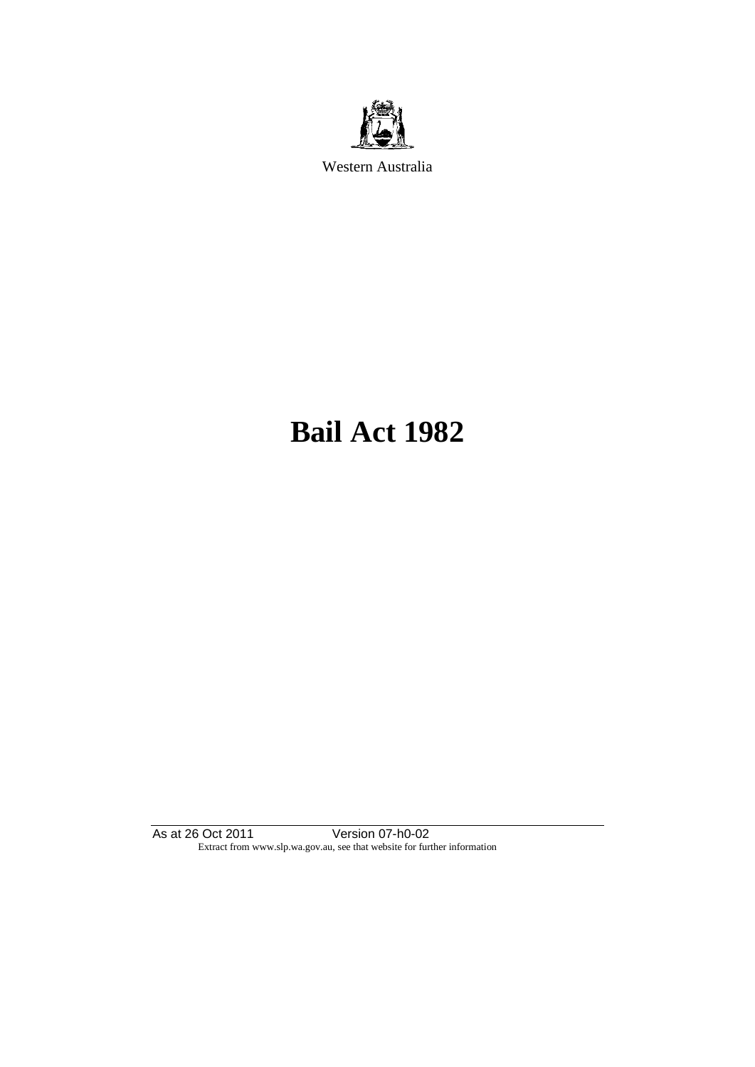

Western Australia

# **Bail Act 1982**

As at 26 Oct 2011 Version 07-h0-02 Extract from www.slp.wa.gov.au, see that website for further information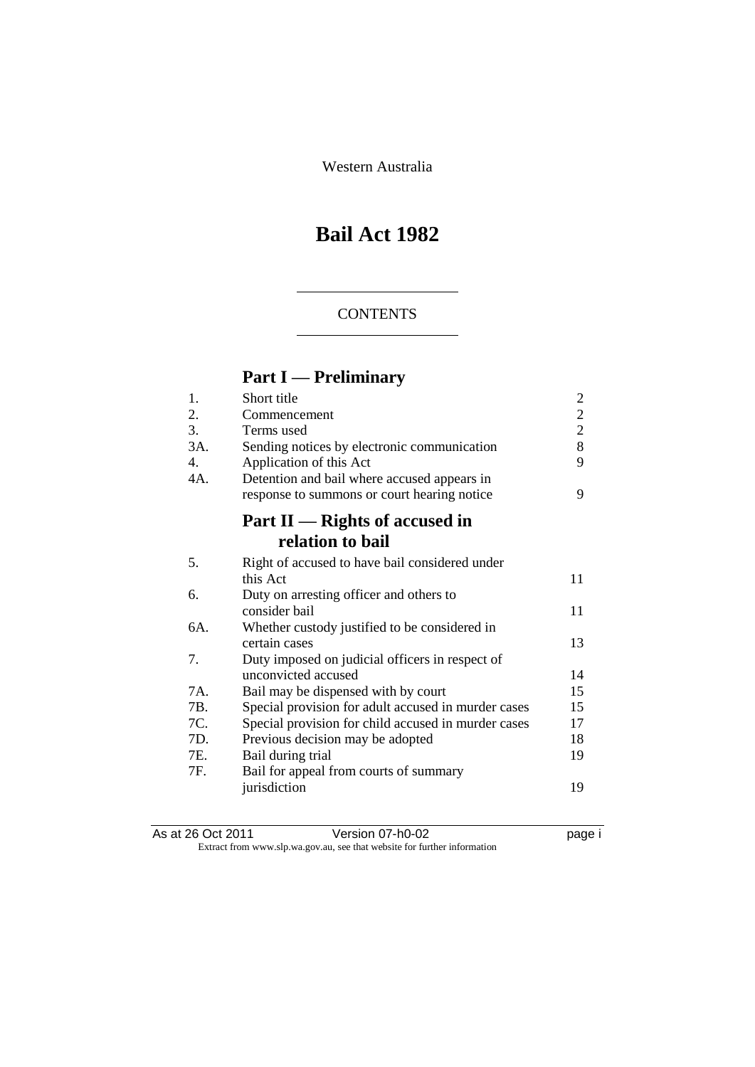Western Australia

# **Bail Act 1982**

### **CONTENTS**

# **Part I — Preliminary**

| 1.             | Short title                                         | $\overline{2}$ |
|----------------|-----------------------------------------------------|----------------|
| 2.             | Commencement                                        | $\overline{c}$ |
| 3.             | Terms used                                          | $\overline{2}$ |
| 3A.            | Sending notices by electronic communication         | 8              |
| $\mathbf{4}$ . | Application of this Act                             | 9              |
| 4A.            | Detention and bail where accused appears in         |                |
|                | response to summons or court hearing notice         | 9              |
|                | Part II — Rights of accused in                      |                |
|                | relation to bail                                    |                |
| 5.             | Right of accused to have bail considered under      |                |
|                | this Act                                            | 11             |
| 6.             | Duty on arresting officer and others to             |                |
|                | consider bail                                       | 11             |
| 6A.            | Whether custody justified to be considered in       |                |
|                | certain cases                                       | 13             |
| 7.             | Duty imposed on judicial officers in respect of     |                |
|                | unconvicted accused                                 | 14             |
| 7A.            | Bail may be dispensed with by court                 | 15             |
| 7B.            | Special provision for adult accused in murder cases | 15             |
| 7C.            | Special provision for child accused in murder cases | 17             |
| 7D.            | Previous decision may be adopted                    | 18             |
| 7E.            | Bail during trial                                   | 19             |
| 7F.            | Bail for appeal from courts of summary              |                |
|                | jurisdiction                                        | 19             |
|                |                                                     |                |

| As at 26 Oct 2011 | Version 07-h0-02                                                         | page i |
|-------------------|--------------------------------------------------------------------------|--------|
|                   | Extract from www.slp.wa.gov.au, see that website for further information |        |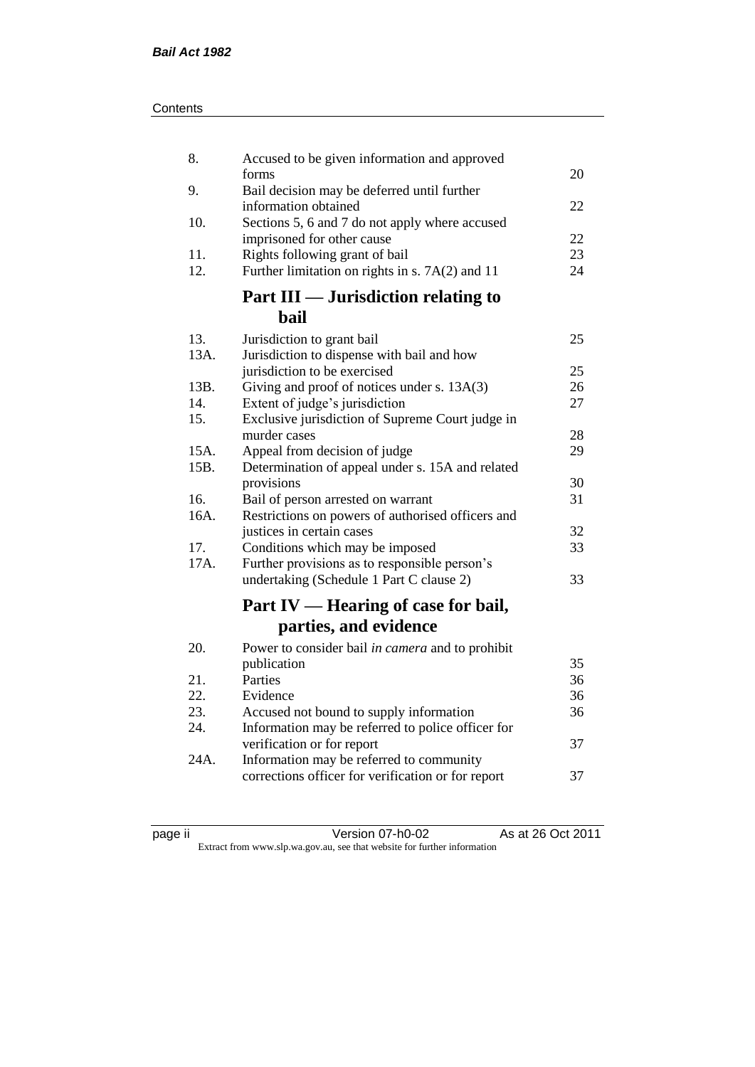| Contents |
|----------|
|----------|

| 8.          | Accused to be given information and approved                                       |          |
|-------------|------------------------------------------------------------------------------------|----------|
|             | forms                                                                              | 20       |
| 9.          | Bail decision may be deferred until further<br>information obtained                | 22       |
| 10.         | Sections 5, 6 and 7 do not apply where accused                                     |          |
|             | imprisoned for other cause                                                         | 22       |
| 11.         | Rights following grant of bail                                                     | 23       |
| 12.         | Further limitation on rights in s. 7A(2) and 11                                    | 24       |
|             | Part III — Jurisdiction relating to                                                |          |
|             | bail                                                                               |          |
| 13.         | Jurisdiction to grant bail                                                         | 25       |
| 13A.        | Jurisdiction to dispense with bail and how                                         |          |
|             | jurisdiction to be exercised                                                       | 25       |
| 13B.<br>14. | Giving and proof of notices under s. 13A(3)                                        | 26<br>27 |
| 15.         | Extent of judge's jurisdiction<br>Exclusive jurisdiction of Supreme Court judge in |          |
|             | murder cases                                                                       | 28       |
| 15A.        | Appeal from decision of judge                                                      | 29       |
| 15B.        | Determination of appeal under s. 15A and related                                   |          |
|             | provisions                                                                         | 30       |
| 16.         | Bail of person arrested on warrant                                                 | 31       |
| 16A.        | Restrictions on powers of authorised officers and                                  |          |
|             | justices in certain cases                                                          | 32       |
| 17.         | Conditions which may be imposed                                                    | 33       |
| 17A.        | Further provisions as to responsible person's                                      |          |
|             | undertaking (Schedule 1 Part C clause 2)                                           | 33       |
|             | Part IV — Hearing of case for bail,                                                |          |
|             | parties, and evidence                                                              |          |
| 20.         | Power to consider bail in camera and to prohibit                                   |          |
|             | publication                                                                        | 35       |
| 21.         | Parties                                                                            | 36       |
| 22.         | Evidence                                                                           | 36       |
| 23.         | Accused not bound to supply information                                            | 36       |
| 24.         | Information may be referred to police officer for                                  |          |
|             | verification or for report                                                         | 37       |
| 24A.        | Information may be referred to community                                           |          |
|             | corrections officer for verification or for report                                 | 37       |
|             |                                                                                    |          |

| яс | ı |  |
|----|---|--|
|    |   |  |
|    |   |  |

page ii Version 07-h0-02 As at 26 Oct 2011 Extract from www.slp.wa.gov.au, see that website for further information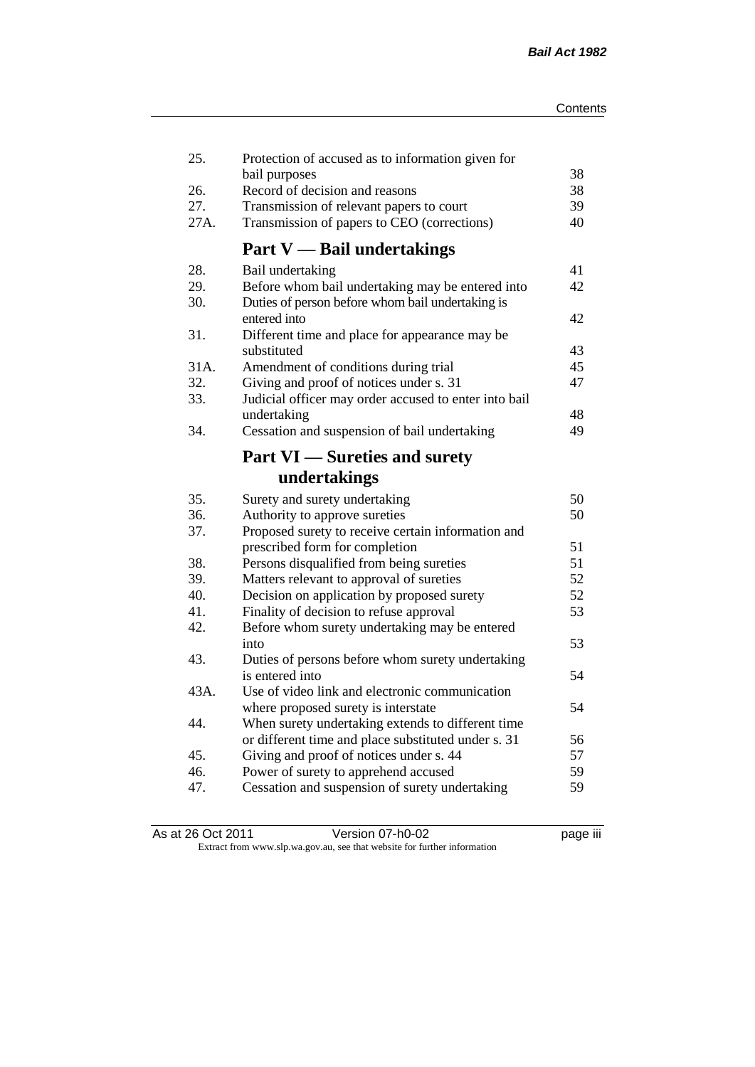| 25.  | Protection of accused as to information given for<br>bail purposes | 38 |
|------|--------------------------------------------------------------------|----|
| 26.  | Record of decision and reasons                                     | 38 |
| 27.  | Transmission of relevant papers to court                           | 39 |
| 27A. | Transmission of papers to CEO (corrections)                        | 40 |
|      | <b>Part V</b> — Bail undertakings                                  |    |
| 28.  | Bail undertaking                                                   | 41 |
| 29.  | Before whom bail undertaking may be entered into                   | 42 |
| 30.  | Duties of person before whom bail undertaking is<br>entered into   | 42 |
| 31.  |                                                                    |    |
|      | Different time and place for appearance may be<br>substituted      | 43 |
| 31A. | Amendment of conditions during trial                               | 45 |
| 32.  | Giving and proof of notices under s. 31                            | 47 |
| 33.  | Judicial officer may order accused to enter into bail              |    |
|      | undertaking                                                        | 48 |
| 34.  | Cessation and suspension of bail undertaking                       | 49 |
|      | <b>Part VI</b> — Sureties and surety                               |    |
|      | undertakings                                                       |    |
| 35.  | Surety and surety undertaking                                      | 50 |
| 36.  | Authority to approve sureties                                      | 50 |
| 37.  | Proposed surety to receive certain information and                 |    |
|      | prescribed form for completion                                     | 51 |
| 38.  | Persons disqualified from being sureties                           | 51 |
| 39.  | Matters relevant to approval of sureties                           | 52 |
| 40.  | Decision on application by proposed surety                         | 52 |
| 41.  | Finality of decision to refuse approval                            | 53 |
| 42.  | Before whom surety undertaking may be entered                      |    |
|      | into                                                               | 53 |
| 43.  | Duties of persons before whom surety undertaking                   |    |
|      | is entered into                                                    | 54 |
| 43A. | Use of video link and electronic communication                     |    |
|      | where proposed surety is interstate                                | 54 |
| 44.  | When surety undertaking extends to different time                  |    |
|      | or different time and place substituted under s. 31                | 56 |
| 45.  | Giving and proof of notices under s. 44                            | 57 |
| 46.  | Power of surety to apprehend accused                               | 59 |
| 47.  | Cessation and suspension of surety undertaking                     | 59 |
|      |                                                                    |    |

| As at 26 Oct 2011 | Version 07-h0-02                                                         | <br>page III |
|-------------------|--------------------------------------------------------------------------|--------------|
|                   | Extract from www.slp.wa.gov.au, see that website for further information |              |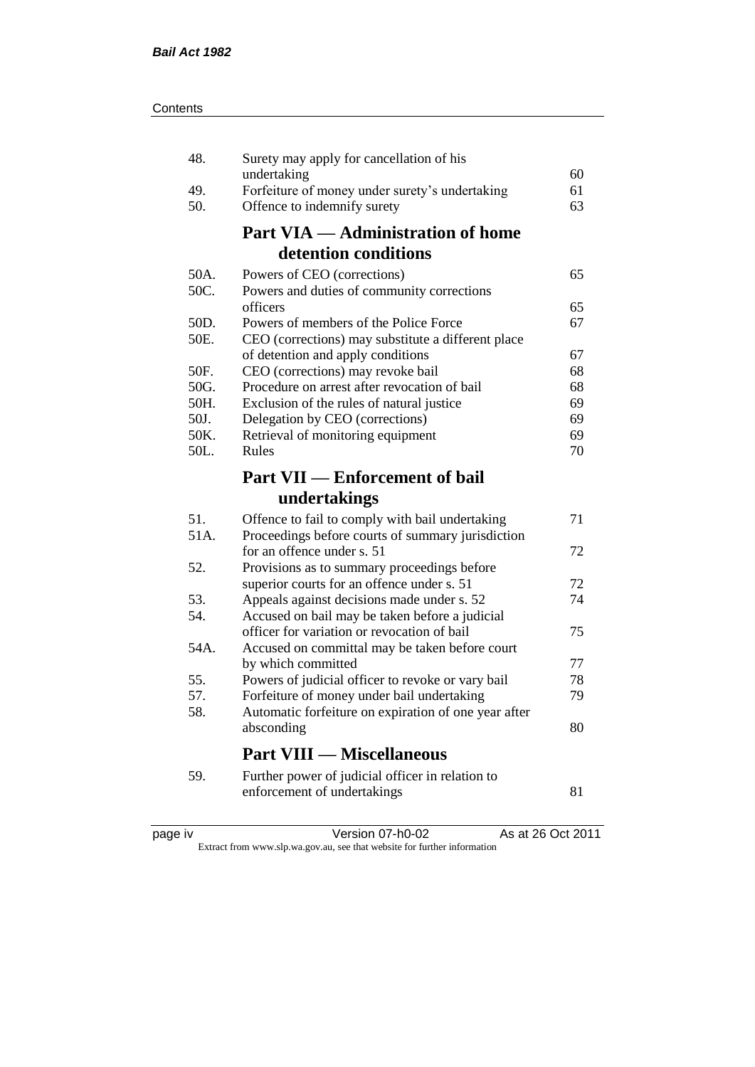| 48.  | Surety may apply for cancellation of his                                                     |    |
|------|----------------------------------------------------------------------------------------------|----|
|      | undertaking                                                                                  | 60 |
| 49.  | Forfeiture of money under surety's undertaking                                               | 61 |
| 50.  | Offence to indemnify surety                                                                  | 63 |
|      | <b>Part VIA — Administration of home</b>                                                     |    |
|      | detention conditions                                                                         |    |
| 50A. | Powers of CEO (corrections)                                                                  | 65 |
| 50C. | Powers and duties of community corrections                                                   |    |
|      | officers                                                                                     | 65 |
| 50D. | Powers of members of the Police Force                                                        | 67 |
| 50E. | CEO (corrections) may substitute a different place                                           |    |
|      | of detention and apply conditions                                                            | 67 |
| 50F. | CEO (corrections) may revoke bail                                                            | 68 |
| 50G. | Procedure on arrest after revocation of bail                                                 | 68 |
| 50H. | Exclusion of the rules of natural justice                                                    | 69 |
| 50J. | Delegation by CEO (corrections)                                                              | 69 |
| 50K. | Retrieval of monitoring equipment                                                            | 69 |
| 50L. | Rules                                                                                        | 70 |
|      | <b>Part VII — Enforcement of bail</b>                                                        |    |
|      |                                                                                              |    |
|      | undertakings                                                                                 |    |
|      |                                                                                              | 71 |
| 51.  | Offence to fail to comply with bail undertaking                                              |    |
| 51A. | Proceedings before courts of summary jurisdiction<br>for an offence under s. 51              | 72 |
| 52.  |                                                                                              |    |
|      | Provisions as to summary proceedings before                                                  | 72 |
| 53.  | superior courts for an offence under s. 51                                                   | 74 |
| 54.  | Appeals against decisions made under s. 52<br>Accused on bail may be taken before a judicial |    |
|      | officer for variation or revocation of bail                                                  | 75 |
| 54A. | Accused on committal may be taken before court                                               |    |
|      | by which committed                                                                           | 77 |
| 55.  | Powers of judicial officer to revoke or vary bail                                            | 78 |
| 57.  | Forfeiture of money under bail undertaking                                                   | 79 |
| 58.  | Automatic forfeiture on expiration of one year after                                         |    |
|      | absconding                                                                                   | 80 |
|      | <b>Part VIII — Miscellaneous</b>                                                             |    |
|      |                                                                                              |    |
| 59.  | Further power of judicial officer in relation to<br>enforcement of undertakings              | 81 |

| د، |  |
|----|--|
| ж. |  |
|    |  |
|    |  |
|    |  |

page iv Version 07-h0-02 As at 26 Oct 2011

Extract from www.slp.wa.gov.au, see that website for further information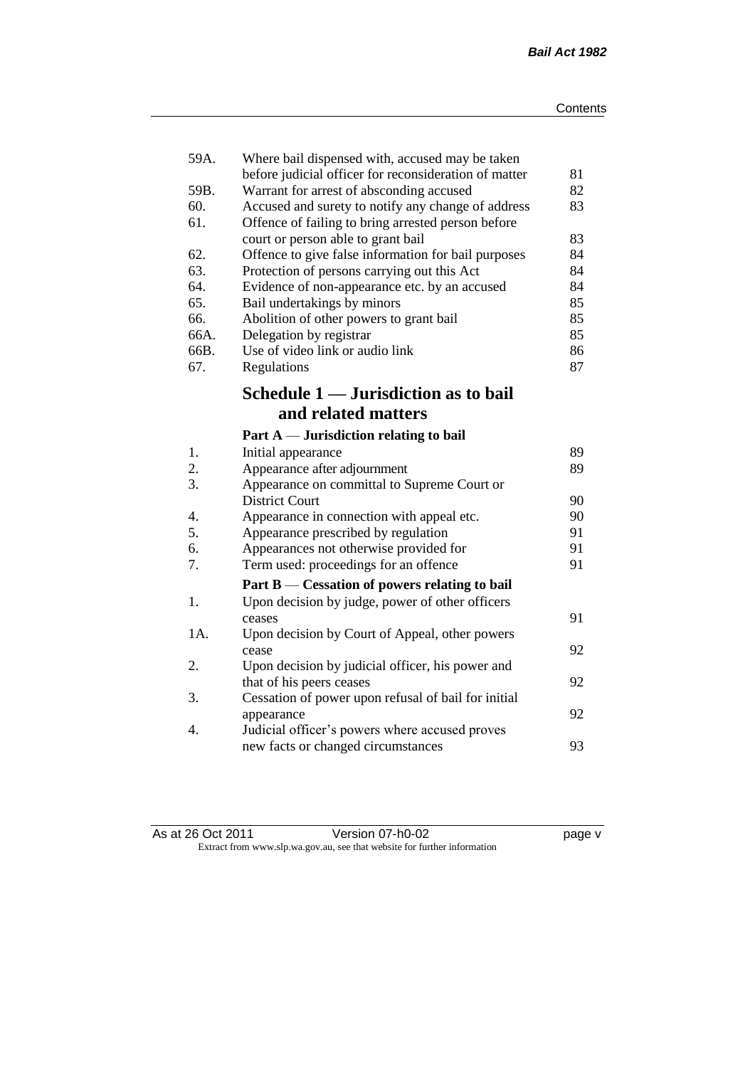| 59A. | Where bail dispensed with, accused may be taken                                                |          |
|------|------------------------------------------------------------------------------------------------|----------|
| 59B. | before judicial officer for reconsideration of matter                                          | 81<br>82 |
| 60.  | Warrant for arrest of absconding accused<br>Accused and surety to notify any change of address | 83       |
| 61.  | Offence of failing to bring arrested person before                                             |          |
|      | court or person able to grant bail                                                             | 83       |
| 62.  | Offence to give false information for bail purposes                                            | 84       |
| 63.  | Protection of persons carrying out this Act                                                    | 84       |
| 64.  | Evidence of non-appearance etc. by an accused                                                  | 84       |
| 65.  | Bail undertakings by minors                                                                    | 85       |
| 66.  | Abolition of other powers to grant bail                                                        | 85       |
| 66A. | Delegation by registrar                                                                        | 85       |
| 66B. | Use of video link or audio link                                                                | 86       |
| 67.  | Regulations                                                                                    | 87       |
|      | Schedule 1 — Jurisdiction as to bail                                                           |          |
|      | and related matters                                                                            |          |
|      | Part $A$ — Jurisdiction relating to bail                                                       |          |
| 1.   | Initial appearance                                                                             | 89       |
| 2.   | Appearance after adjournment                                                                   | 89       |
| 3.   | Appearance on committal to Supreme Court or                                                    |          |
|      | <b>District Court</b>                                                                          | 90       |
| 4.   | Appearance in connection with appeal etc.                                                      | 90       |
| 5.   | Appearance prescribed by regulation                                                            | 91       |
| 6.   | Appearances not otherwise provided for                                                         | 91       |
| 7.   | Term used: proceedings for an offence                                                          | 91       |
|      | Part B — Cessation of powers relating to bail                                                  |          |
| 1.   | Upon decision by judge, power of other officers                                                |          |
|      | ceases                                                                                         | 91       |
| 1A.  | Upon decision by Court of Appeal, other powers                                                 |          |
|      | cease                                                                                          | 92       |
| 2.   | Upon decision by judicial officer, his power and                                               |          |
|      | that of his peers ceases                                                                       | 92       |
| 3.   | Cessation of power upon refusal of bail for initial                                            |          |
|      | appearance                                                                                     | 92       |
| 4.   | Judicial officer's powers where accused proves                                                 |          |
|      | new facts or changed circumstances                                                             | 93       |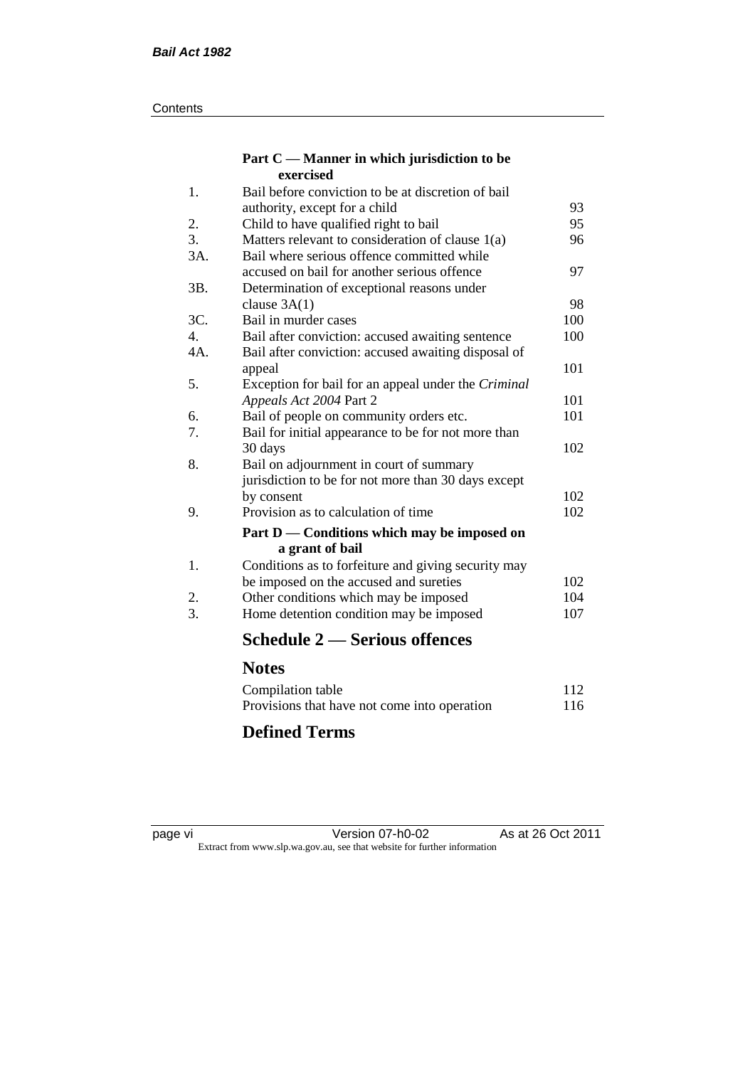#### **Contents**

#### **Part C — Manner in which jurisdiction to be exercised**

| 1.  | Bail before conviction to be at discretion of bail  |     |
|-----|-----------------------------------------------------|-----|
|     | authority, except for a child                       | 93  |
| 2.  | Child to have qualified right to bail               | 95  |
| 3.  | Matters relevant to consideration of clause $1(a)$  | 96  |
| 3A. | Bail where serious offence committed while          |     |
|     | accused on bail for another serious offence         | 97  |
| 3B. | Determination of exceptional reasons under          |     |
|     | clause $3A(1)$                                      | 98  |
| 3C. | Bail in murder cases                                | 100 |
| 4.  | Bail after conviction: accused awaiting sentence    | 100 |
| 4A. | Bail after conviction: accused awaiting disposal of |     |
|     | appeal                                              | 101 |
| 5.  | Exception for bail for an appeal under the Criminal |     |
|     | Appeals Act 2004 Part 2                             | 101 |
| 6.  | Bail of people on community orders etc.             | 101 |
| 7.  | Bail for initial appearance to be for not more than |     |
|     | 30 days                                             | 102 |
| 8.  | Bail on adjournment in court of summary             |     |
|     | jurisdiction to be for not more than 30 days except |     |
|     | by consent                                          | 102 |
| 9.  | Provision as to calculation of time                 | 102 |
|     | Part D — Conditions which may be imposed on         |     |
|     | a grant of bail                                     |     |
| 1.  | Conditions as to forfeiture and giving security may |     |
|     | be imposed on the accused and sureties              | 102 |
| 2.  | Other conditions which may be imposed               | 104 |
| 3.  | Home detention condition may be imposed             | 107 |
|     | <b>Schedule 2 — Serious offences</b>                |     |
|     | <b>Notes</b>                                        |     |
|     | Compilation table                                   | 112 |
|     |                                                     |     |

### Provisions that have not come into operation 116 **Defined Terms**

page vi Version 07-h0-02 As at 26 Oct 2011 Extract from www.slp.wa.gov.au, see that website for further information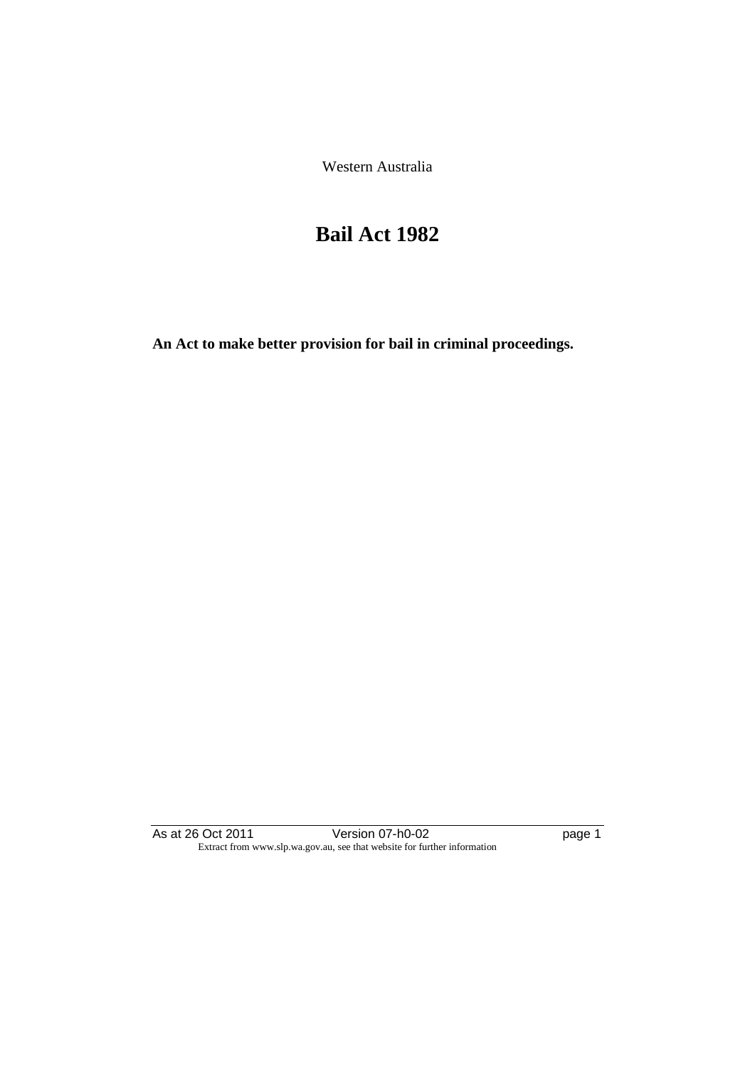Western Australia

# **Bail Act 1982**

**An Act to make better provision for bail in criminal proceedings.** 

As at 26 Oct 2011 **Details University Propriate University** Propriate 26 Oct 2011 Extract from www.slp.wa.gov.au, see that website for further information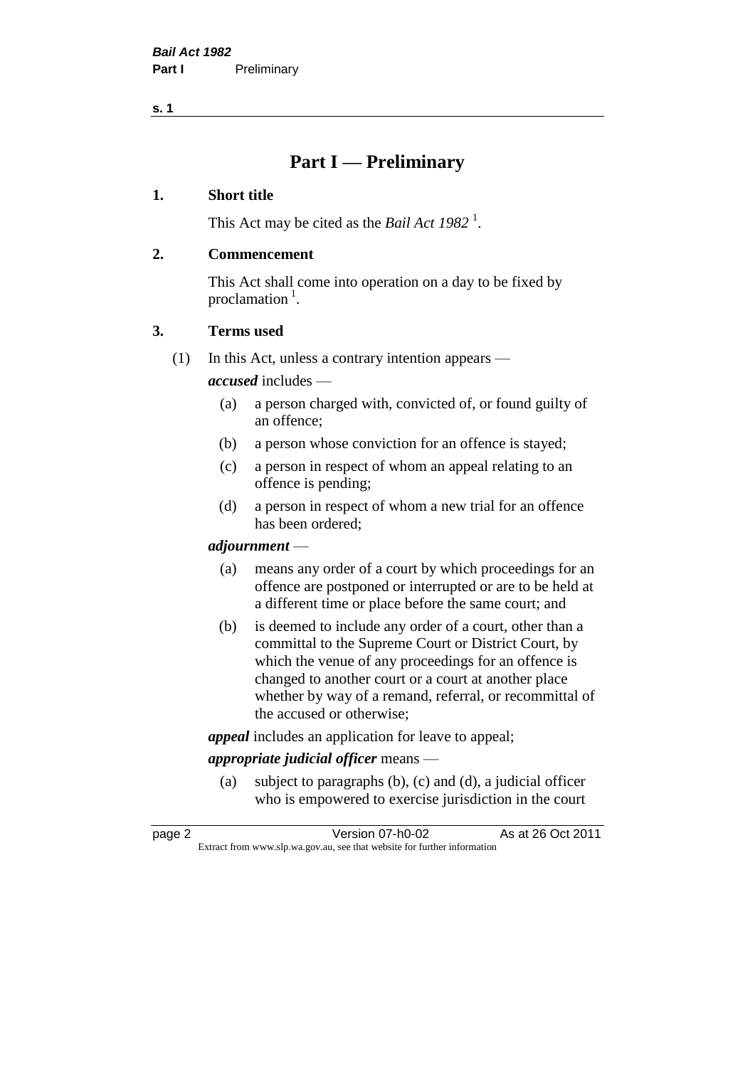**s. 1**

# **Part I — Preliminary**

#### **1. Short title**

This Act may be cited as the *Bail Act* 1982<sup>1</sup>.

#### **2. Commencement**

This Act shall come into operation on a day to be fixed by proclamation  $<sup>1</sup>$ .</sup>

#### **3. Terms used**

(1) In this Act, unless a contrary intention appears —

*accused* includes —

- (a) a person charged with, convicted of, or found guilty of an offence;
- (b) a person whose conviction for an offence is stayed;
- (c) a person in respect of whom an appeal relating to an offence is pending;
- (d) a person in respect of whom a new trial for an offence has been ordered;

#### *adjournment* —

- (a) means any order of a court by which proceedings for an offence are postponed or interrupted or are to be held at a different time or place before the same court; and
- (b) is deemed to include any order of a court, other than a committal to the Supreme Court or District Court, by which the venue of any proceedings for an offence is changed to another court or a court at another place whether by way of a remand, referral, or recommittal of the accused or otherwise;

*appeal* includes an application for leave to appeal;

#### *appropriate judicial officer* means —

(a) subject to paragraphs (b), (c) and (d), a judicial officer who is empowered to exercise jurisdiction in the court

| page 2 | Version 07-h0-02                                                         | As at 26 Oct 2011 |
|--------|--------------------------------------------------------------------------|-------------------|
|        | Extract from www.slp.wa.gov.au, see that website for further information |                   |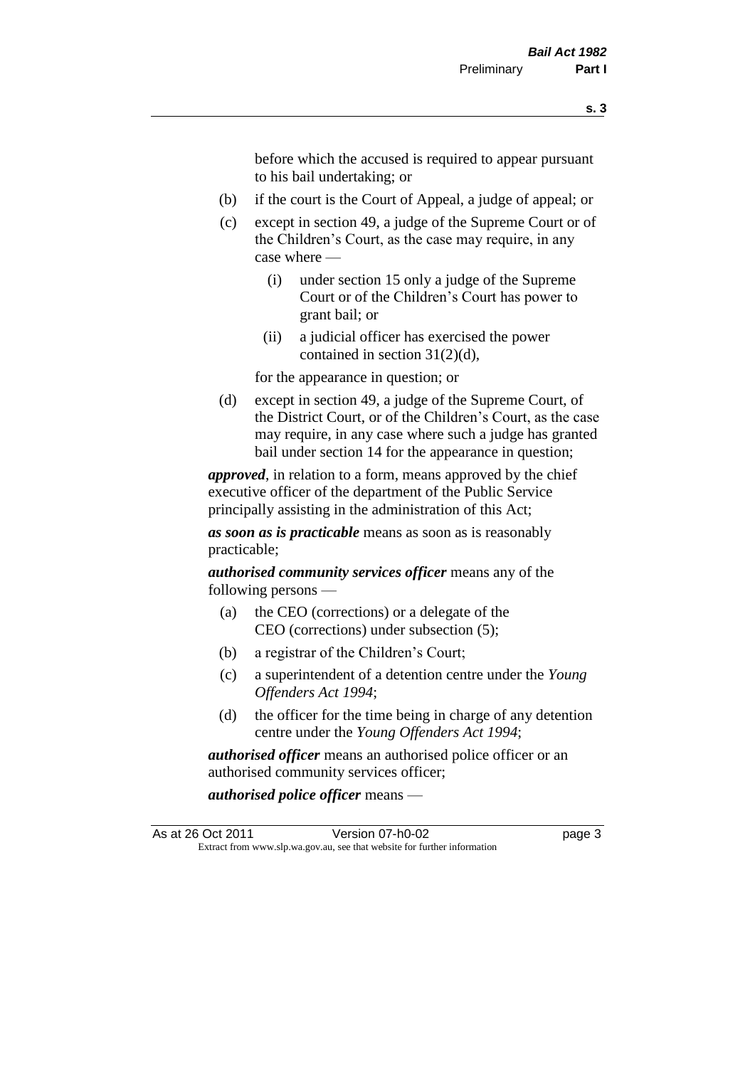before which the accused is required to appear pursuant to his bail undertaking; or

- (b) if the court is the Court of Appeal, a judge of appeal; or
- (c) except in section 49, a judge of the Supreme Court or of the Children's Court, as the case may require, in any case where —
	- (i) under section 15 only a judge of the Supreme Court or of the Children's Court has power to grant bail; or
	- (ii) a judicial officer has exercised the power contained in section 31(2)(d),

for the appearance in question; or

(d) except in section 49, a judge of the Supreme Court, of the District Court, or of the Children's Court, as the case may require, in any case where such a judge has granted bail under section 14 for the appearance in question;

*approved*, in relation to a form, means approved by the chief executive officer of the department of the Public Service principally assisting in the administration of this Act;

*as soon as is practicable* means as soon as is reasonably practicable;

*authorised community services officer* means any of the following persons —

- (a) the CEO (corrections) or a delegate of the CEO (corrections) under subsection (5);
- (b) a registrar of the Children's Court;
- (c) a superintendent of a detention centre under the *Young Offenders Act 1994*;
- (d) the officer for the time being in charge of any detention centre under the *Young Offenders Act 1994*;

*authorised officer* means an authorised police officer or an authorised community services officer;

*authorised police officer* means —

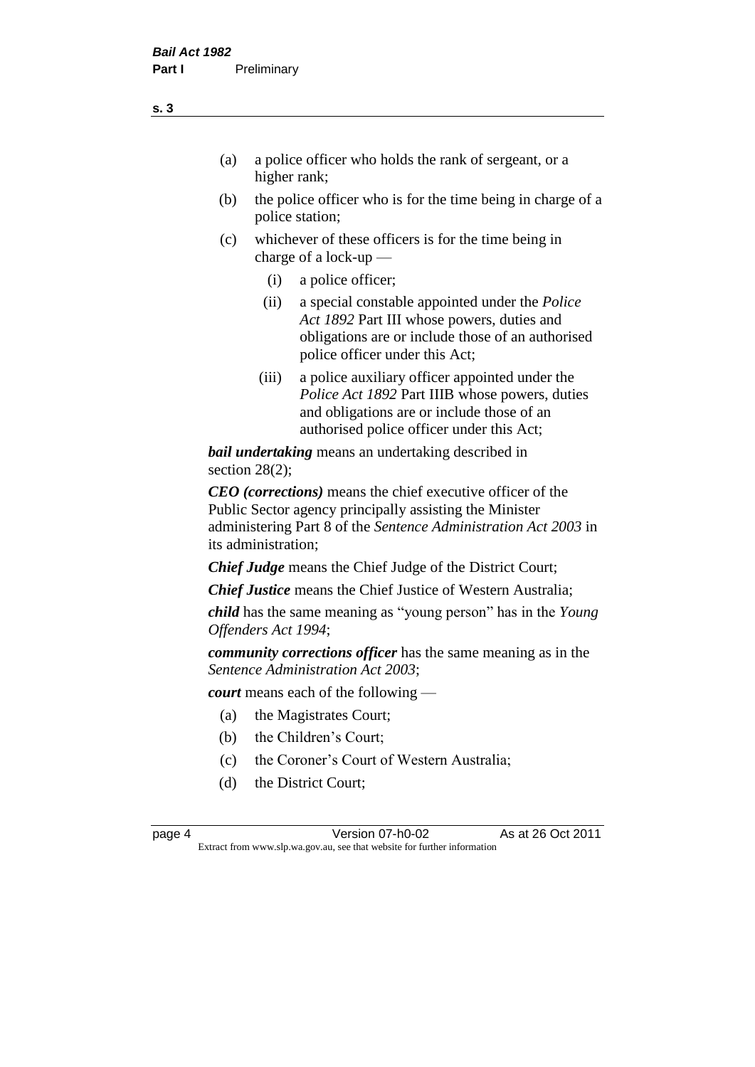- (a) a police officer who holds the rank of sergeant, or a higher rank;
- (b) the police officer who is for the time being in charge of a police station;
- (c) whichever of these officers is for the time being in charge of a lock-up —
	- (i) a police officer;
	- (ii) a special constable appointed under the *Police Act 1892* Part III whose powers, duties and obligations are or include those of an authorised police officer under this Act;
	- (iii) a police auxiliary officer appointed under the *Police Act 1892* Part IIIB whose powers, duties and obligations are or include those of an authorised police officer under this Act;

*bail undertaking* means an undertaking described in section 28(2);

*CEO (corrections)* means the chief executive officer of the Public Sector agency principally assisting the Minister administering Part 8 of the *Sentence Administration Act 2003* in its administration;

*Chief Judge* means the Chief Judge of the District Court;

*Chief Justice* means the Chief Justice of Western Australia;

*child* has the same meaning as "young person" has in the *Young Offenders Act 1994*;

*community corrections officer* has the same meaning as in the *Sentence Administration Act 2003*;

*court* means each of the following —

- (a) the Magistrates Court;
- (b) the Children's Court;
- (c) the Coroner's Court of Western Australia;
- (d) the District Court;

**s. 3**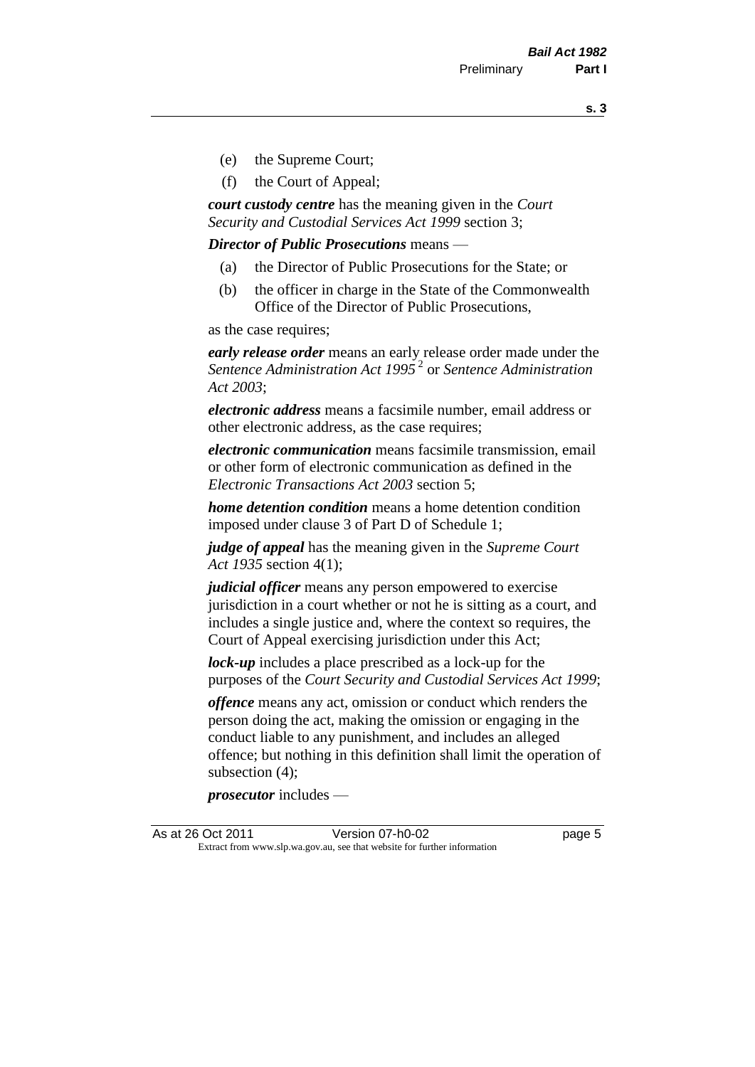**s. 3**

- (e) the Supreme Court;
- (f) the Court of Appeal;

*court custody centre* has the meaning given in the *Court Security and Custodial Services Act 1999* section 3;

*Director of Public Prosecutions* means —

- (a) the Director of Public Prosecutions for the State; or
- (b) the officer in charge in the State of the Commonwealth Office of the Director of Public Prosecutions,

as the case requires;

*early release order* means an early release order made under the *Sentence Administration Act 1995* <sup>2</sup> or *Sentence Administration Act 2003*;

*electronic address* means a facsimile number, email address or other electronic address, as the case requires;

*electronic communication* means facsimile transmission, email or other form of electronic communication as defined in the *Electronic Transactions Act 2003* section 5;

*home detention condition* means a home detention condition imposed under clause 3 of Part D of Schedule 1;

*judge of appeal* has the meaning given in the *Supreme Court Act 1935* section 4(1);

*judicial officer* means any person empowered to exercise jurisdiction in a court whether or not he is sitting as a court, and includes a single justice and, where the context so requires, the Court of Appeal exercising jurisdiction under this Act;

*lock-up* includes a place prescribed as a lock-up for the purposes of the *Court Security and Custodial Services Act 1999*;

*offence* means any act, omission or conduct which renders the person doing the act, making the omission or engaging in the conduct liable to any punishment, and includes an alleged offence; but nothing in this definition shall limit the operation of subsection (4);

*prosecutor* includes —

As at 26 Oct 2011 Version 07-h0-02 page 5 Extract from www.slp.wa.gov.au, see that website for further information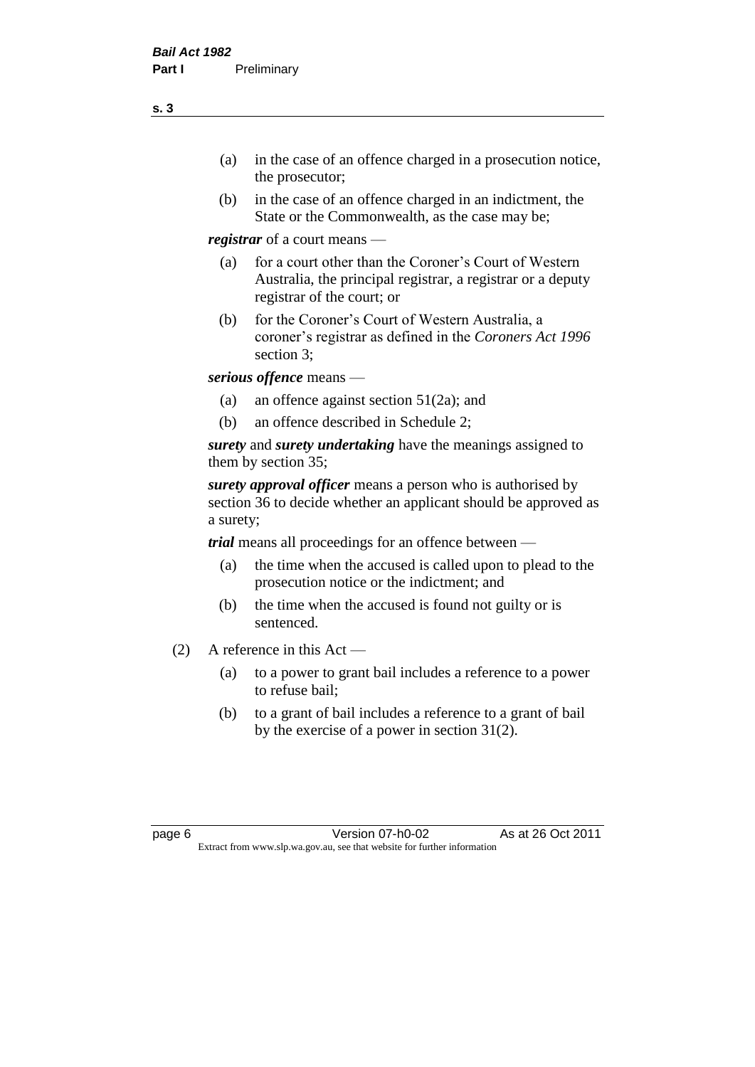- (a) in the case of an offence charged in a prosecution notice, the prosecutor;
- (b) in the case of an offence charged in an indictment, the State or the Commonwealth, as the case may be;

*registrar* of a court means —

- (a) for a court other than the Coroner's Court of Western Australia, the principal registrar, a registrar or a deputy registrar of the court; or
- (b) for the Coroner's Court of Western Australia, a coroner's registrar as defined in the *Coroners Act 1996* section 3;

*serious offence* means —

- (a) an offence against section 51(2a); and
- (b) an offence described in Schedule 2;

*surety* and *surety undertaking* have the meanings assigned to them by section 35;

*surety approval officer* means a person who is authorised by section 36 to decide whether an applicant should be approved as a surety;

*trial* means all proceedings for an offence between —

- (a) the time when the accused is called upon to plead to the prosecution notice or the indictment; and
- (b) the time when the accused is found not guilty or is sentenced.
- (2) A reference in this Act
	- (a) to a power to grant bail includes a reference to a power to refuse bail;
	- (b) to a grant of bail includes a reference to a grant of bail by the exercise of a power in section 31(2).

**s. 3**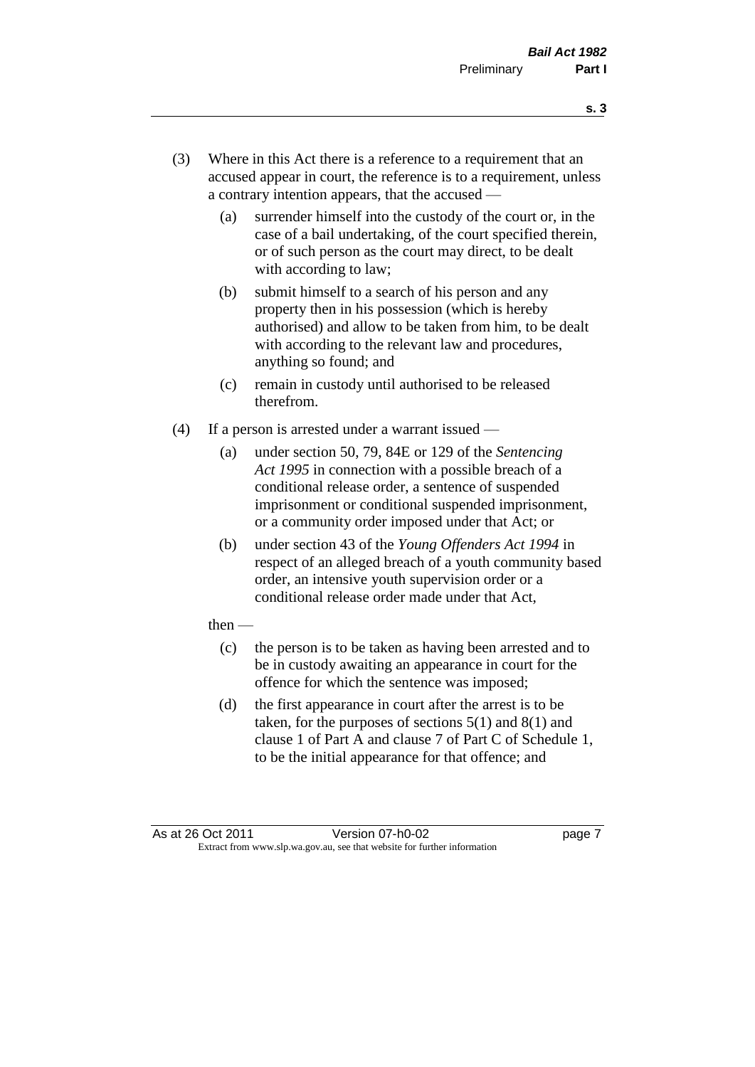- **s. 3**
- (3) Where in this Act there is a reference to a requirement that an accused appear in court, the reference is to a requirement, unless a contrary intention appears, that the accused —
	- (a) surrender himself into the custody of the court or, in the case of a bail undertaking, of the court specified therein, or of such person as the court may direct, to be dealt with according to law;
	- (b) submit himself to a search of his person and any property then in his possession (which is hereby authorised) and allow to be taken from him, to be dealt with according to the relevant law and procedures, anything so found; and
	- (c) remain in custody until authorised to be released therefrom.
- (4) If a person is arrested under a warrant issued
	- (a) under section 50, 79, 84E or 129 of the *Sentencing Act 1995* in connection with a possible breach of a conditional release order, a sentence of suspended imprisonment or conditional suspended imprisonment, or a community order imposed under that Act; or
	- (b) under section 43 of the *Young Offenders Act 1994* in respect of an alleged breach of a youth community based order, an intensive youth supervision order or a conditional release order made under that Act,
	- then
		- (c) the person is to be taken as having been arrested and to be in custody awaiting an appearance in court for the offence for which the sentence was imposed;
		- (d) the first appearance in court after the arrest is to be taken, for the purposes of sections  $5(1)$  and  $8(1)$  and clause 1 of Part A and clause 7 of Part C of Schedule 1, to be the initial appearance for that offence; and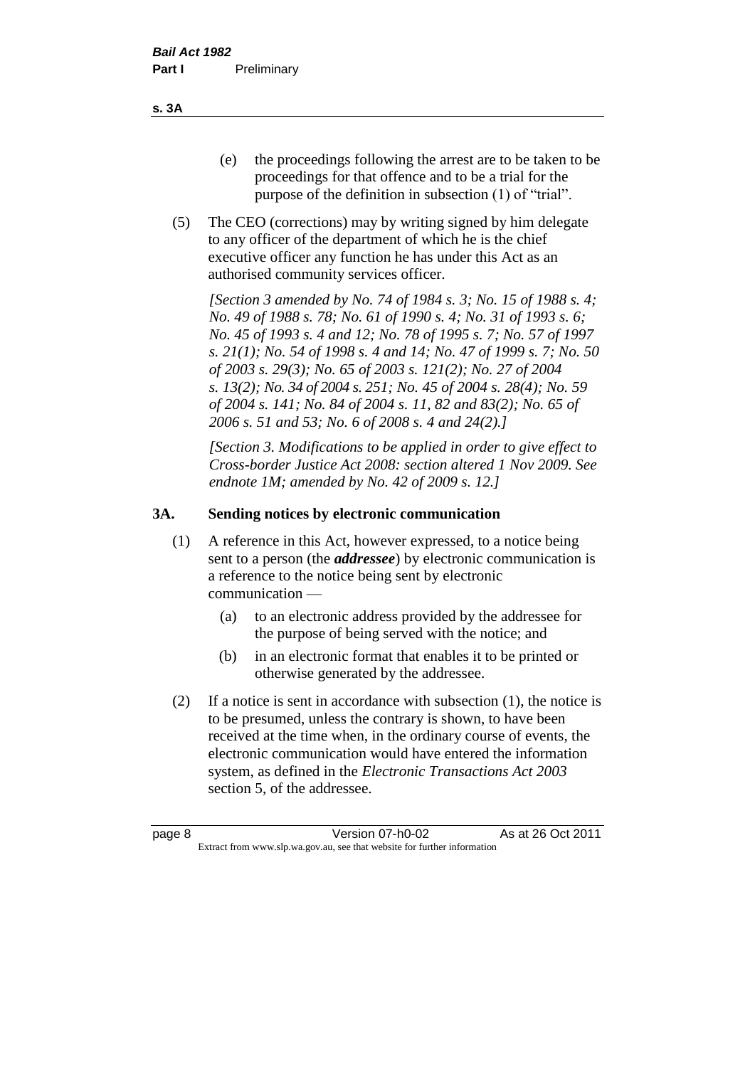- (e) the proceedings following the arrest are to be taken to be proceedings for that offence and to be a trial for the purpose of the definition in subsection (1) of "trial".
- (5) The CEO (corrections) may by writing signed by him delegate to any officer of the department of which he is the chief executive officer any function he has under this Act as an authorised community services officer.

*[Section 3 amended by No. 74 of 1984 s. 3; No. 15 of 1988 s. 4; No. 49 of 1988 s. 78; No. 61 of 1990 s. 4; No. 31 of 1993 s. 6; No. 45 of 1993 s. 4 and 12; No. 78 of 1995 s. 7; No. 57 of 1997 s. 21(1); No. 54 of 1998 s. 4 and 14; No. 47 of 1999 s. 7; No. 50 of 2003 s. 29(3); No. 65 of 2003 s. 121(2); No. 27 of 2004 s. 13(2); No. 34 of 2004 s. 251; No. 45 of 2004 s. 28(4); No. 59 of 2004 s. 141; No. 84 of 2004 s. 11, 82 and 83(2); No. 65 of 2006 s. 51 and 53; No. 6 of 2008 s. 4 and 24(2).]* 

*[Section 3. Modifications to be applied in order to give effect to Cross-border Justice Act 2008: section altered 1 Nov 2009. See endnote 1M; amended by No. 42 of 2009 s. 12.]*

#### **3A. Sending notices by electronic communication**

- (1) A reference in this Act, however expressed, to a notice being sent to a person (the *addressee*) by electronic communication is a reference to the notice being sent by electronic communication —
	- (a) to an electronic address provided by the addressee for the purpose of being served with the notice; and
	- (b) in an electronic format that enables it to be printed or otherwise generated by the addressee.
- (2) If a notice is sent in accordance with subsection (1), the notice is to be presumed, unless the contrary is shown, to have been received at the time when, in the ordinary course of events, the electronic communication would have entered the information system, as defined in the *Electronic Transactions Act 2003* section 5, of the addressee.

**s. 3A**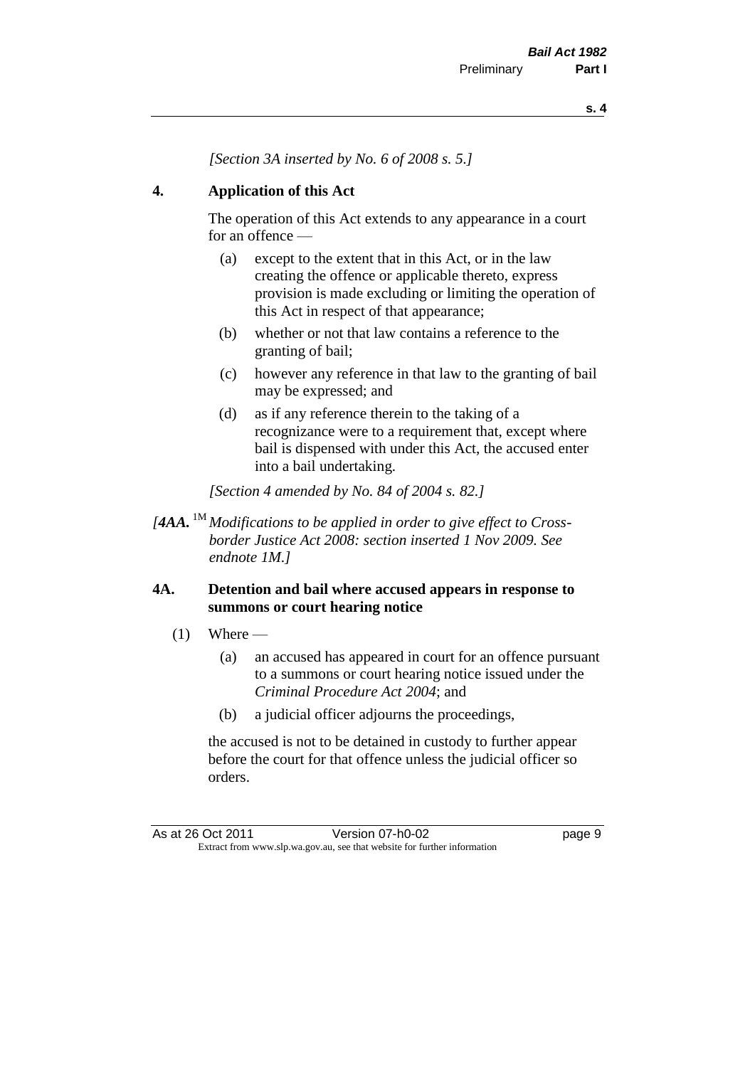*[Section 3A inserted by No. 6 of 2008 s. 5.]*

#### **4. Application of this Act**

The operation of this Act extends to any appearance in a court for an offence —

- (a) except to the extent that in this Act, or in the law creating the offence or applicable thereto, express provision is made excluding or limiting the operation of this Act in respect of that appearance;
- (b) whether or not that law contains a reference to the granting of bail;
- (c) however any reference in that law to the granting of bail may be expressed; and
- (d) as if any reference therein to the taking of a recognizance were to a requirement that, except where bail is dispensed with under this Act, the accused enter into a bail undertaking.

*[Section 4 amended by No. 84 of 2004 s. 82.]*

*[4AA.* 1M *Modifications to be applied in order to give effect to Crossborder Justice Act 2008: section inserted 1 Nov 2009. See endnote 1M.]*

#### **4A. Detention and bail where accused appears in response to summons or court hearing notice**

- $(1)$  Where
	- (a) an accused has appeared in court for an offence pursuant to a summons or court hearing notice issued under the *Criminal Procedure Act 2004*; and
	- (b) a judicial officer adjourns the proceedings,

the accused is not to be detained in custody to further appear before the court for that offence unless the judicial officer so orders.

As at 26 Oct 2011 Version 07-h0-02 page 9 Extract from www.slp.wa.gov.au, see that website for further information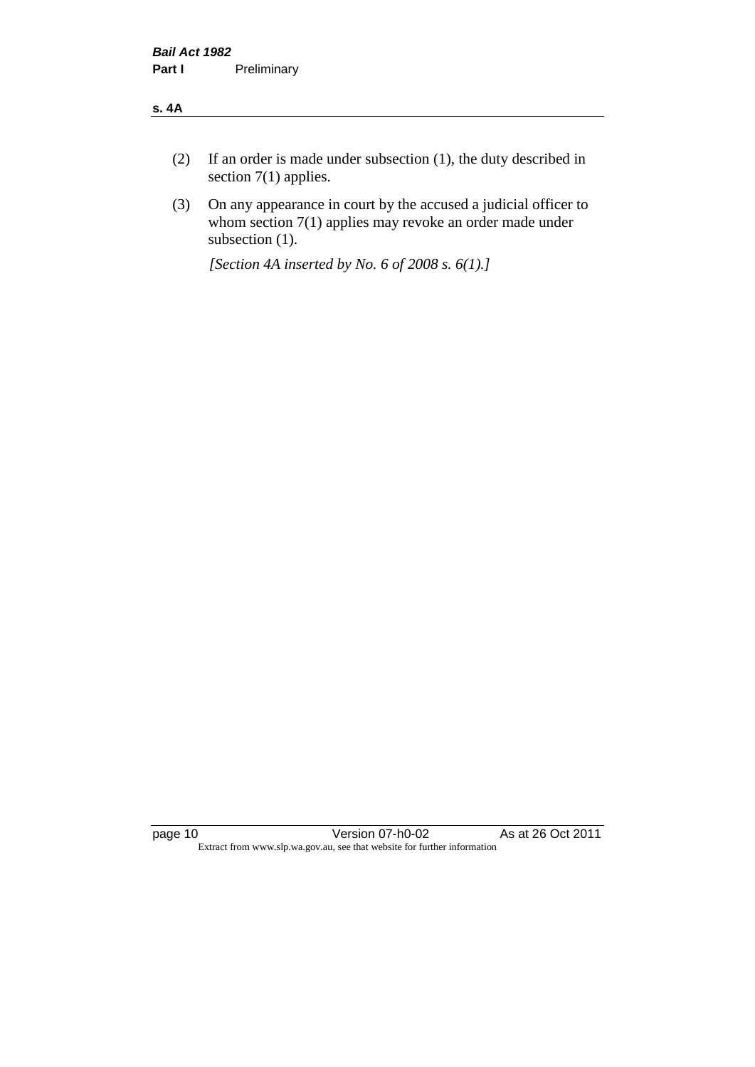#### **s. 4A**

- (2) If an order is made under subsection (1), the duty described in section 7(1) applies.
- (3) On any appearance in court by the accused a judicial officer to whom section 7(1) applies may revoke an order made under subsection (1).

*[Section 4A inserted by No. 6 of 2008 s. 6(1).]*

page 10 Version 07-h0-02 As at 26 Oct 2011 Extract from www.slp.wa.gov.au, see that website for further information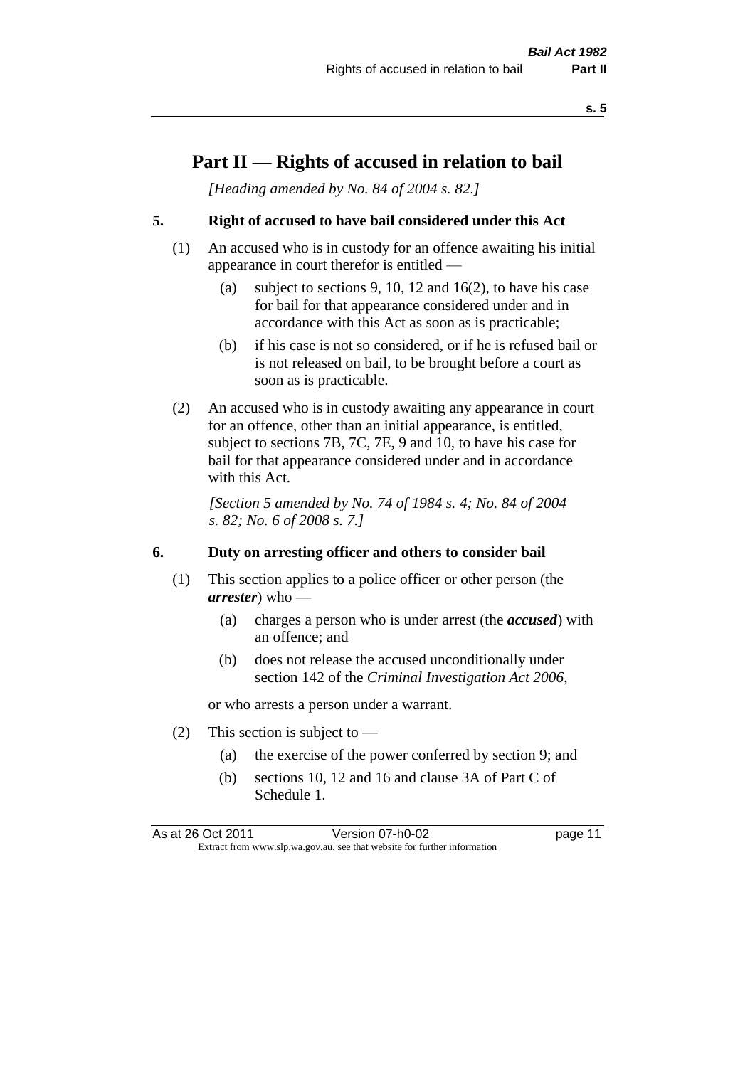## **Part II — Rights of accused in relation to bail**

*[Heading amended by No. 84 of 2004 s. 82.]* 

#### **5. Right of accused to have bail considered under this Act**

- (1) An accused who is in custody for an offence awaiting his initial appearance in court therefor is entitled —
	- (a) subject to sections 9, 10, 12 and 16(2), to have his case for bail for that appearance considered under and in accordance with this Act as soon as is practicable;
	- (b) if his case is not so considered, or if he is refused bail or is not released on bail, to be brought before a court as soon as is practicable.
- (2) An accused who is in custody awaiting any appearance in court for an offence, other than an initial appearance, is entitled, subject to sections 7B, 7C, 7E, 9 and 10, to have his case for bail for that appearance considered under and in accordance with this Act.

*[Section 5 amended by No. 74 of 1984 s. 4; No. 84 of 2004 s. 82; No. 6 of 2008 s. 7.]* 

#### **6. Duty on arresting officer and others to consider bail**

- (1) This section applies to a police officer or other person (the *arrester*) who —
	- (a) charges a person who is under arrest (the *accused*) with an offence; and
	- (b) does not release the accused unconditionally under section 142 of the *Criminal Investigation Act 2006*,

or who arrests a person under a warrant.

- (2) This section is subject to  $-$ 
	- (a) the exercise of the power conferred by section 9; and
	- (b) sections 10, 12 and 16 and clause 3A of Part C of Schedule 1.

As at 26 Oct 2011 Version 07-h0-02 page 11 Extract from www.slp.wa.gov.au, see that website for further information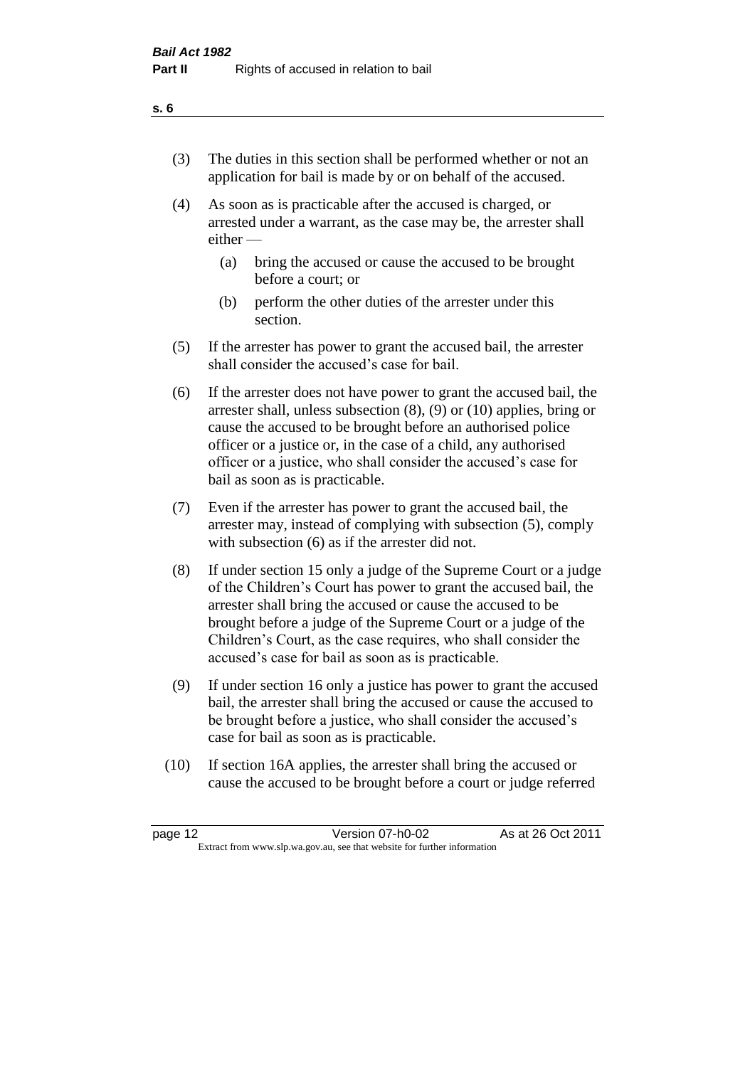- (3) The duties in this section shall be performed whether or not an application for bail is made by or on behalf of the accused.
- (4) As soon as is practicable after the accused is charged, or arrested under a warrant, as the case may be, the arrester shall either —
	- (a) bring the accused or cause the accused to be brought before a court; or
	- (b) perform the other duties of the arrester under this section.
- (5) If the arrester has power to grant the accused bail, the arrester shall consider the accused's case for bail.
- (6) If the arrester does not have power to grant the accused bail, the arrester shall, unless subsection (8), (9) or (10) applies, bring or cause the accused to be brought before an authorised police officer or a justice or, in the case of a child, any authorised officer or a justice, who shall consider the accused's case for bail as soon as is practicable.
- (7) Even if the arrester has power to grant the accused bail, the arrester may, instead of complying with subsection (5), comply with subsection  $(6)$  as if the arrester did not.
- (8) If under section 15 only a judge of the Supreme Court or a judge of the Children's Court has power to grant the accused bail, the arrester shall bring the accused or cause the accused to be brought before a judge of the Supreme Court or a judge of the Children's Court, as the case requires, who shall consider the accused's case for bail as soon as is practicable.
- (9) If under section 16 only a justice has power to grant the accused bail, the arrester shall bring the accused or cause the accused to be brought before a justice, who shall consider the accused's case for bail as soon as is practicable.
- (10) If section 16A applies, the arrester shall bring the accused or cause the accused to be brought before a court or judge referred

| page 12                                                                  | Version 07-h0-02 | As at 26 Oct 2011 |
|--------------------------------------------------------------------------|------------------|-------------------|
| Extract from www.slp.wa.gov.au, see that website for further information |                  |                   |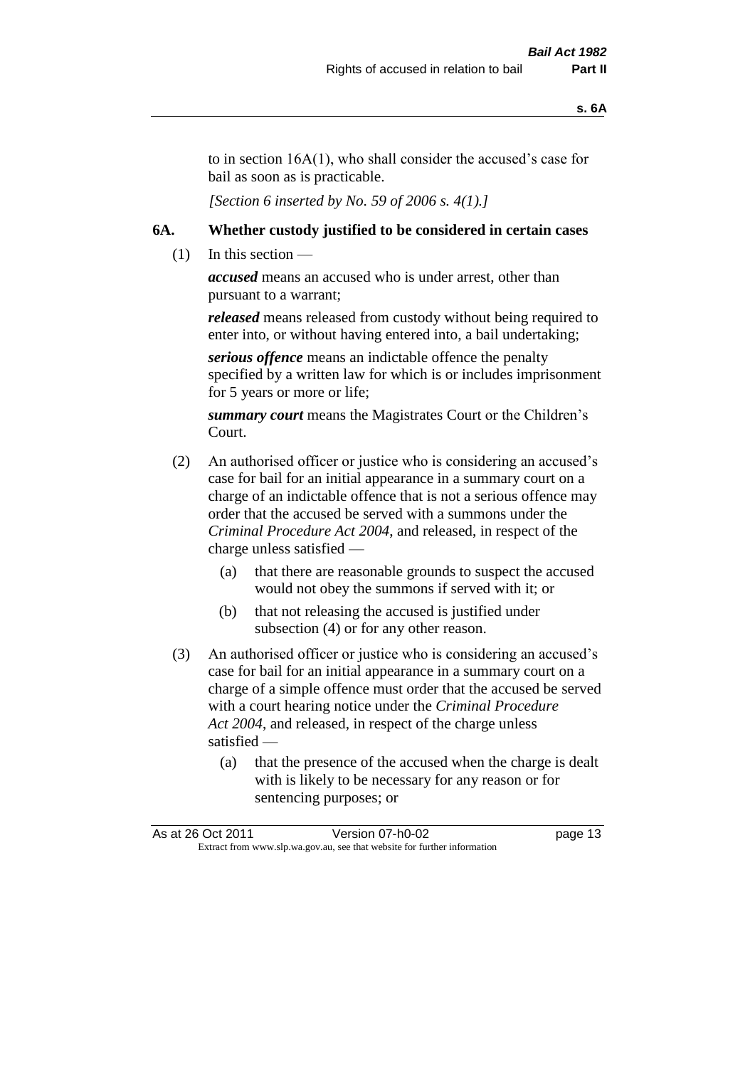to in section 16A(1), who shall consider the accused's case for bail as soon as is practicable.

*[Section 6 inserted by No. 59 of 2006 s. 4(1).]* 

#### **6A. Whether custody justified to be considered in certain cases**

 $(1)$  In this section —

*accused* means an accused who is under arrest, other than pursuant to a warrant;

*released* means released from custody without being required to enter into, or without having entered into, a bail undertaking;

*serious offence* means an indictable offence the penalty specified by a written law for which is or includes imprisonment for 5 years or more or life;

*summary court* means the Magistrates Court or the Children's Court.

- (2) An authorised officer or justice who is considering an accused's case for bail for an initial appearance in a summary court on a charge of an indictable offence that is not a serious offence may order that the accused be served with a summons under the *Criminal Procedure Act 2004*, and released, in respect of the charge unless satisfied —
	- (a) that there are reasonable grounds to suspect the accused would not obey the summons if served with it; or
	- (b) that not releasing the accused is justified under subsection (4) or for any other reason.
- (3) An authorised officer or justice who is considering an accused's case for bail for an initial appearance in a summary court on a charge of a simple offence must order that the accused be served with a court hearing notice under the *Criminal Procedure Act 2004*, and released, in respect of the charge unless satisfied —
	- (a) that the presence of the accused when the charge is dealt with is likely to be necessary for any reason or for sentencing purposes; or

|                                                                          | As at 26 Oct 2011 | Version 07-h0-02 | page 13 |
|--------------------------------------------------------------------------|-------------------|------------------|---------|
| Extract from www.slp.wa.gov.au, see that website for further information |                   |                  |         |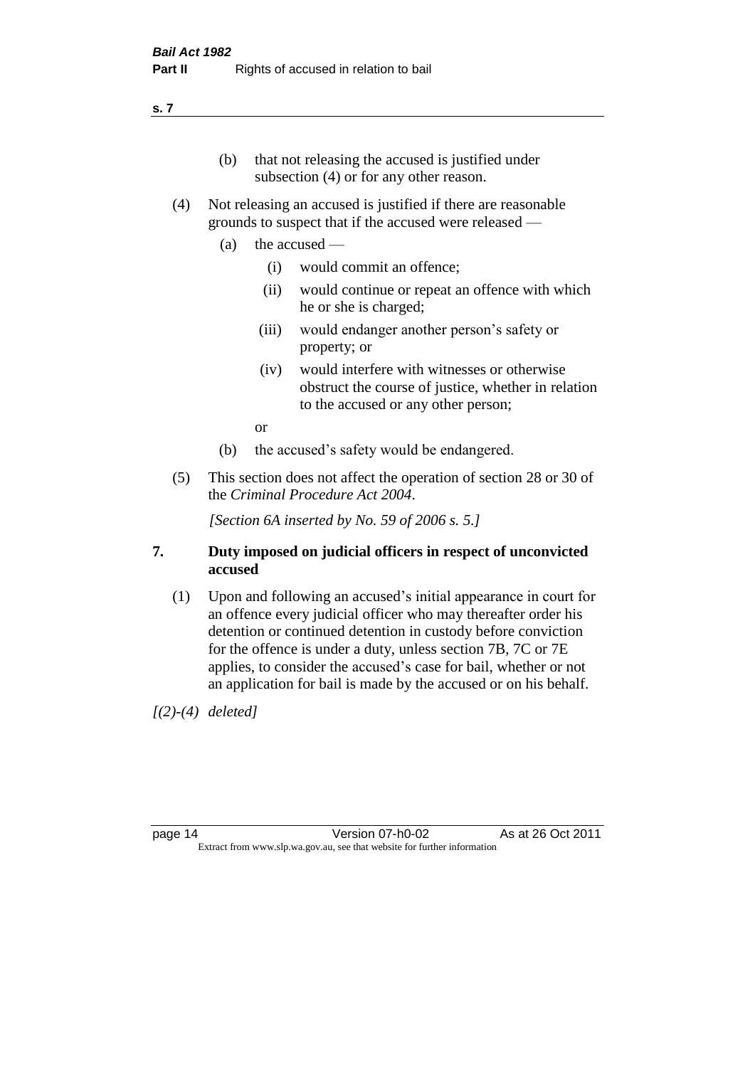#### **s. 7**

- (b) that not releasing the accused is justified under subsection (4) or for any other reason.
- (4) Not releasing an accused is justified if there are reasonable grounds to suspect that if the accused were released —
	- (a) the accused
		- (i) would commit an offence;
		- (ii) would continue or repeat an offence with which he or she is charged;
		- (iii) would endanger another person's safety or property; or
		- (iv) would interfere with witnesses or otherwise obstruct the course of justice, whether in relation to the accused or any other person;

or

- (b) the accused's safety would be endangered.
- (5) This section does not affect the operation of section 28 or 30 of the *Criminal Procedure Act 2004*.

*[Section 6A inserted by No. 59 of 2006 s. 5.]* 

#### **7. Duty imposed on judicial officers in respect of unconvicted accused**

(1) Upon and following an accused's initial appearance in court for an offence every judicial officer who may thereafter order his detention or continued detention in custody before conviction for the offence is under a duty, unless section 7B, 7C or 7E applies, to consider the accused's case for bail, whether or not an application for bail is made by the accused or on his behalf.

*[(2)-(4) deleted]*

page 14 Version 07-h0-02 As at 26 Oct 2011 Extract from www.slp.wa.gov.au, see that website for further information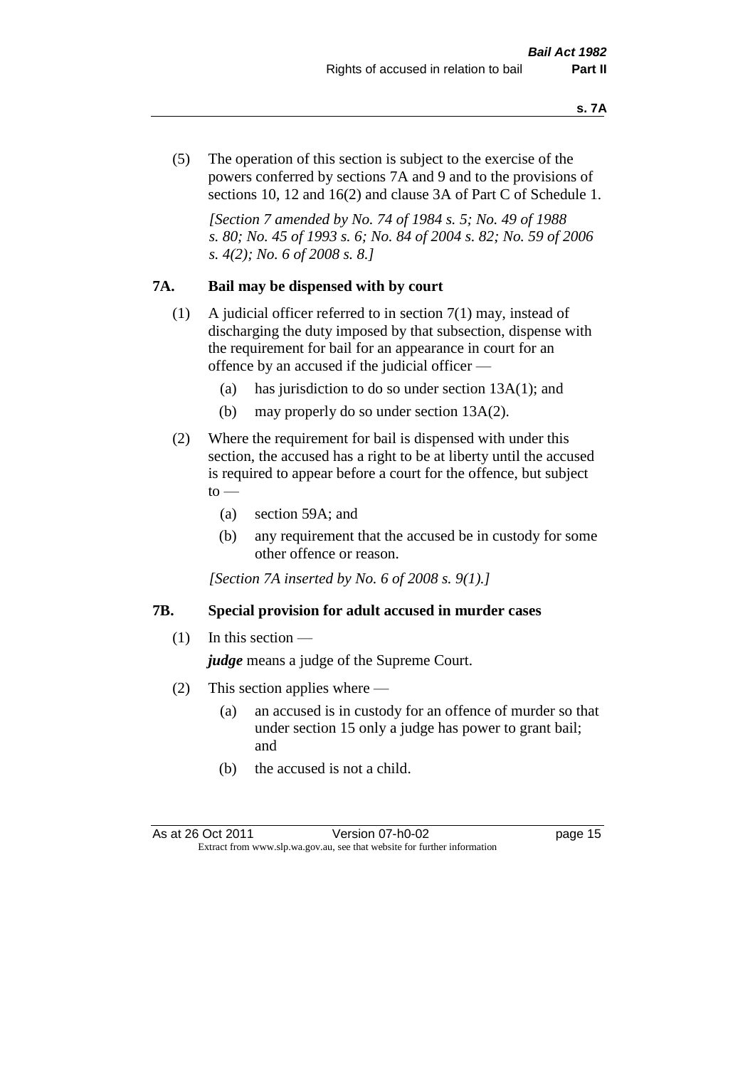(5) The operation of this section is subject to the exercise of the powers conferred by sections 7A and 9 and to the provisions of sections 10, 12 and 16(2) and clause 3A of Part C of Schedule 1.

*[Section 7 amended by No. 74 of 1984 s. 5; No. 49 of 1988 s. 80; No. 45 of 1993 s. 6; No. 84 of 2004 s. 82; No. 59 of 2006 s. 4(2); No. 6 of 2008 s. 8.]* 

#### **7A. Bail may be dispensed with by court**

- (1) A judicial officer referred to in section 7(1) may, instead of discharging the duty imposed by that subsection, dispense with the requirement for bail for an appearance in court for an offence by an accused if the judicial officer —
	- (a) has jurisdiction to do so under section 13A(1); and
	- (b) may properly do so under section 13A(2).
- (2) Where the requirement for bail is dispensed with under this section, the accused has a right to be at liberty until the accused is required to appear before a court for the offence, but subject  $\mathrm{to}$  —
	- (a) section 59A; and
	- (b) any requirement that the accused be in custody for some other offence or reason.

*[Section 7A inserted by No. 6 of 2008 s. 9(1).]*

#### **7B. Special provision for adult accused in murder cases**

 $(1)$  In this section —

*judge* means a judge of the Supreme Court.

- (2) This section applies where
	- (a) an accused is in custody for an offence of murder so that under section 15 only a judge has power to grant bail; and
	- (b) the accused is not a child.

As at 26 Oct 2011 Version 07-h0-02 page 15 Extract from www.slp.wa.gov.au, see that website for further information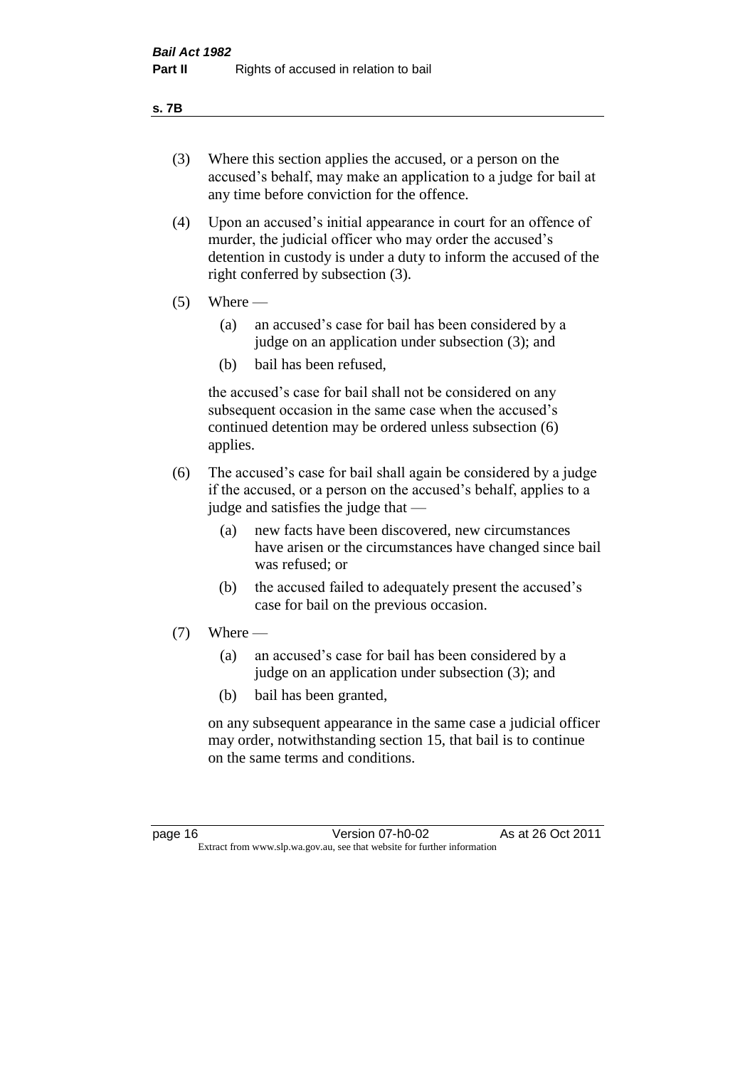#### **s. 7B**

- (3) Where this section applies the accused, or a person on the accused's behalf, may make an application to a judge for bail at any time before conviction for the offence.
- (4) Upon an accused's initial appearance in court for an offence of murder, the judicial officer who may order the accused's detention in custody is under a duty to inform the accused of the right conferred by subsection (3).
- $(5)$  Where
	- (a) an accused's case for bail has been considered by a judge on an application under subsection (3); and
	- (b) bail has been refused,

the accused's case for bail shall not be considered on any subsequent occasion in the same case when the accused's continued detention may be ordered unless subsection (6) applies.

- (6) The accused's case for bail shall again be considered by a judge if the accused, or a person on the accused's behalf, applies to a judge and satisfies the judge that —
	- (a) new facts have been discovered, new circumstances have arisen or the circumstances have changed since bail was refused; or
	- (b) the accused failed to adequately present the accused's case for bail on the previous occasion.
- $(7)$  Where
	- (a) an accused's case for bail has been considered by a judge on an application under subsection (3); and
	- (b) bail has been granted,

on any subsequent appearance in the same case a judicial officer may order, notwithstanding section 15, that bail is to continue on the same terms and conditions.

page 16 Version 07-h0-02 As at 26 Oct 2011 Extract from www.slp.wa.gov.au, see that website for further information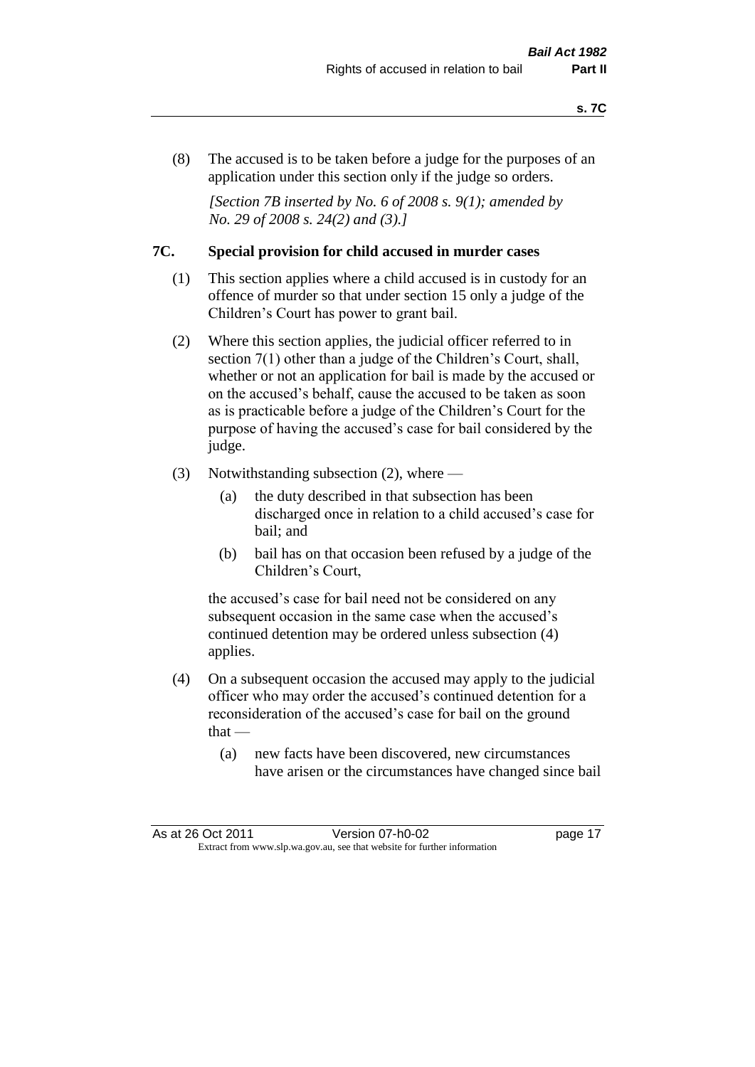(8) The accused is to be taken before a judge for the purposes of an application under this section only if the judge so orders.

*[Section 7B inserted by No. 6 of 2008 s. 9(1); amended by No. 29 of 2008 s. 24(2) and (3).]*

#### **7C. Special provision for child accused in murder cases**

- (1) This section applies where a child accused is in custody for an offence of murder so that under section 15 only a judge of the Children's Court has power to grant bail.
- (2) Where this section applies, the judicial officer referred to in section 7(1) other than a judge of the Children's Court, shall, whether or not an application for bail is made by the accused or on the accused's behalf, cause the accused to be taken as soon as is practicable before a judge of the Children's Court for the purpose of having the accused's case for bail considered by the judge.
- (3) Notwithstanding subsection (2), where
	- (a) the duty described in that subsection has been discharged once in relation to a child accused's case for bail; and
	- (b) bail has on that occasion been refused by a judge of the Children's Court,

the accused's case for bail need not be considered on any subsequent occasion in the same case when the accused's continued detention may be ordered unless subsection (4) applies.

- (4) On a subsequent occasion the accused may apply to the judicial officer who may order the accused's continued detention for a reconsideration of the accused's case for bail on the ground  $that -$ 
	- (a) new facts have been discovered, new circumstances have arisen or the circumstances have changed since bail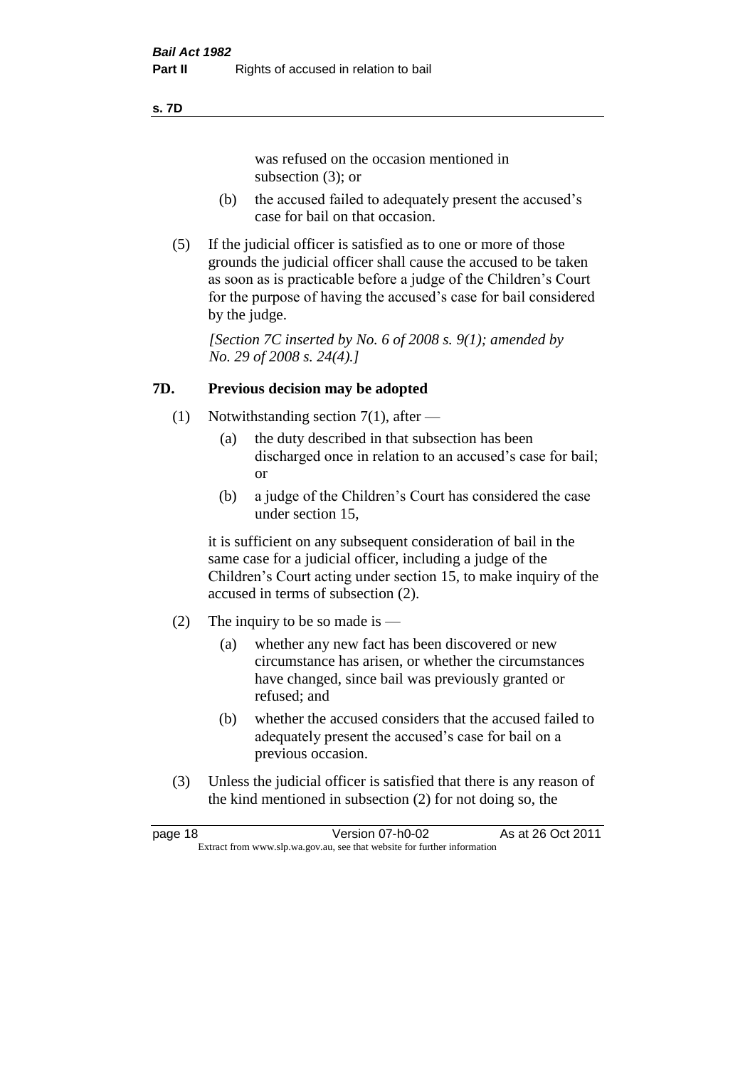#### **s. 7D**

was refused on the occasion mentioned in subsection (3); or

- (b) the accused failed to adequately present the accused's case for bail on that occasion.
- (5) If the judicial officer is satisfied as to one or more of those grounds the judicial officer shall cause the accused to be taken as soon as is practicable before a judge of the Children's Court for the purpose of having the accused's case for bail considered by the judge.

*[Section 7C inserted by No. 6 of 2008 s. 9(1); amended by No. 29 of 2008 s. 24(4).]*

#### **7D. Previous decision may be adopted**

- (1) Notwithstanding section 7(1), after
	- (a) the duty described in that subsection has been discharged once in relation to an accused's case for bail; or
	- (b) a judge of the Children's Court has considered the case under section 15,

it is sufficient on any subsequent consideration of bail in the same case for a judicial officer, including a judge of the Children's Court acting under section 15, to make inquiry of the accused in terms of subsection (2).

- (2) The inquiry to be so made is  $-$ 
	- (a) whether any new fact has been discovered or new circumstance has arisen, or whether the circumstances have changed, since bail was previously granted or refused; and
	- (b) whether the accused considers that the accused failed to adequately present the accused's case for bail on a previous occasion.
- (3) Unless the judicial officer is satisfied that there is any reason of the kind mentioned in subsection (2) for not doing so, the

| page 18                                                                  | Version 07-h0-02 | As at 26 Oct 2011 |
|--------------------------------------------------------------------------|------------------|-------------------|
| Extract from www.slp.wa.gov.au, see that website for further information |                  |                   |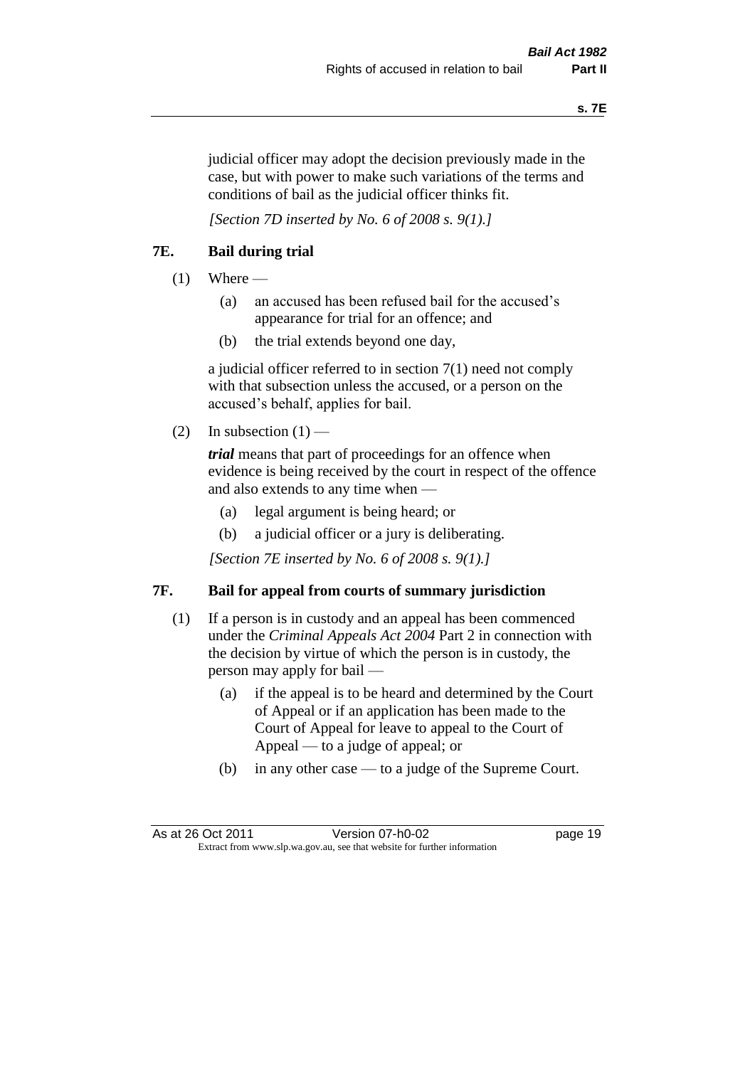judicial officer may adopt the decision previously made in the case, but with power to make such variations of the terms and conditions of bail as the judicial officer thinks fit.

*[Section 7D inserted by No. 6 of 2008 s. 9(1).]*

#### **7E. Bail during trial**

- $(1)$  Where
	- (a) an accused has been refused bail for the accused's appearance for trial for an offence; and
	- (b) the trial extends beyond one day,

a judicial officer referred to in section 7(1) need not comply with that subsection unless the accused, or a person on the accused's behalf, applies for bail.

(2) In subsection  $(1)$  —

*trial* means that part of proceedings for an offence when evidence is being received by the court in respect of the offence and also extends to any time when —

- (a) legal argument is being heard; or
- (b) a judicial officer or a jury is deliberating.

*[Section 7E inserted by No. 6 of 2008 s. 9(1).]*

#### **7F. Bail for appeal from courts of summary jurisdiction**

- (1) If a person is in custody and an appeal has been commenced under the *Criminal Appeals Act 2004* Part 2 in connection with the decision by virtue of which the person is in custody, the person may apply for bail —
	- (a) if the appeal is to be heard and determined by the Court of Appeal or if an application has been made to the Court of Appeal for leave to appeal to the Court of Appeal — to a judge of appeal; or
	- (b) in any other case to a judge of the Supreme Court.

As at 26 Oct 2011 Version 07-h0-02 page 19 Extract from www.slp.wa.gov.au, see that website for further information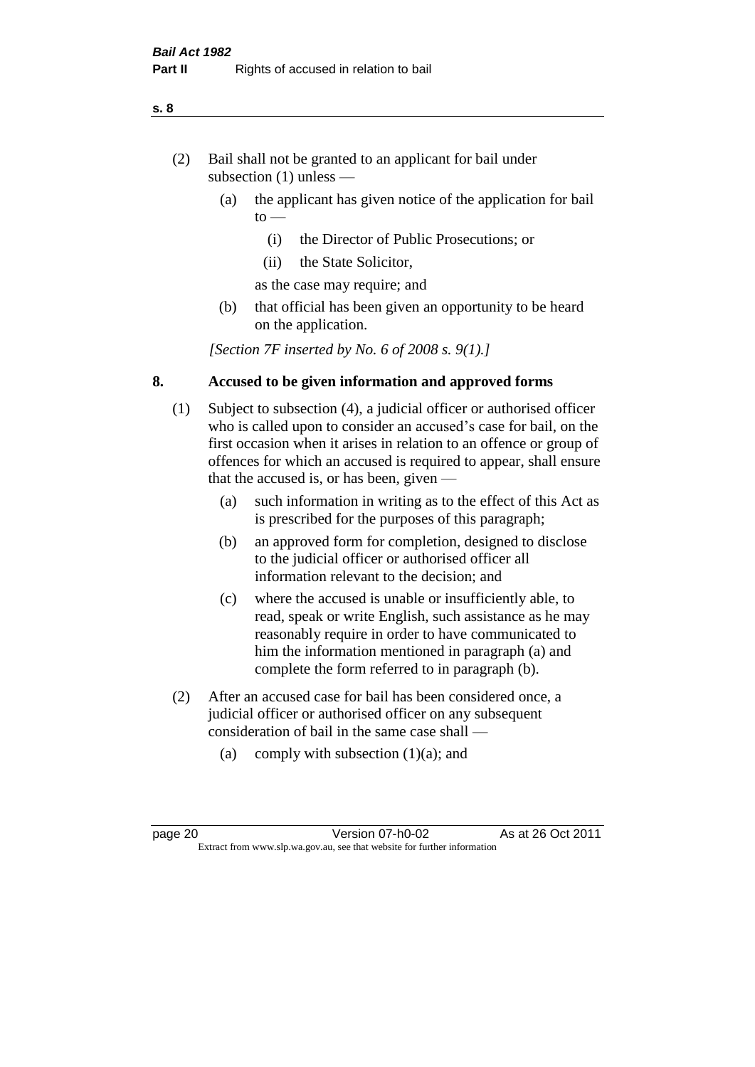- (2) Bail shall not be granted to an applicant for bail under subsection (1) unless —
	- (a) the applicant has given notice of the application for bail  $to -$ 
		- (i) the Director of Public Prosecutions; or
		- (ii) the State Solicitor,
		- as the case may require; and
	- (b) that official has been given an opportunity to be heard on the application.

*[Section 7F inserted by No. 6 of 2008 s. 9(1).]*

#### **8. Accused to be given information and approved forms**

- (1) Subject to subsection (4), a judicial officer or authorised officer who is called upon to consider an accused's case for bail, on the first occasion when it arises in relation to an offence or group of offences for which an accused is required to appear, shall ensure that the accused is, or has been, given —
	- (a) such information in writing as to the effect of this Act as is prescribed for the purposes of this paragraph;
	- (b) an approved form for completion, designed to disclose to the judicial officer or authorised officer all information relevant to the decision; and
	- (c) where the accused is unable or insufficiently able, to read, speak or write English, such assistance as he may reasonably require in order to have communicated to him the information mentioned in paragraph (a) and complete the form referred to in paragraph (b).
- (2) After an accused case for bail has been considered once, a judicial officer or authorised officer on any subsequent consideration of bail in the same case shall —
	- (a) comply with subsection  $(1)(a)$ ; and

**s. 8**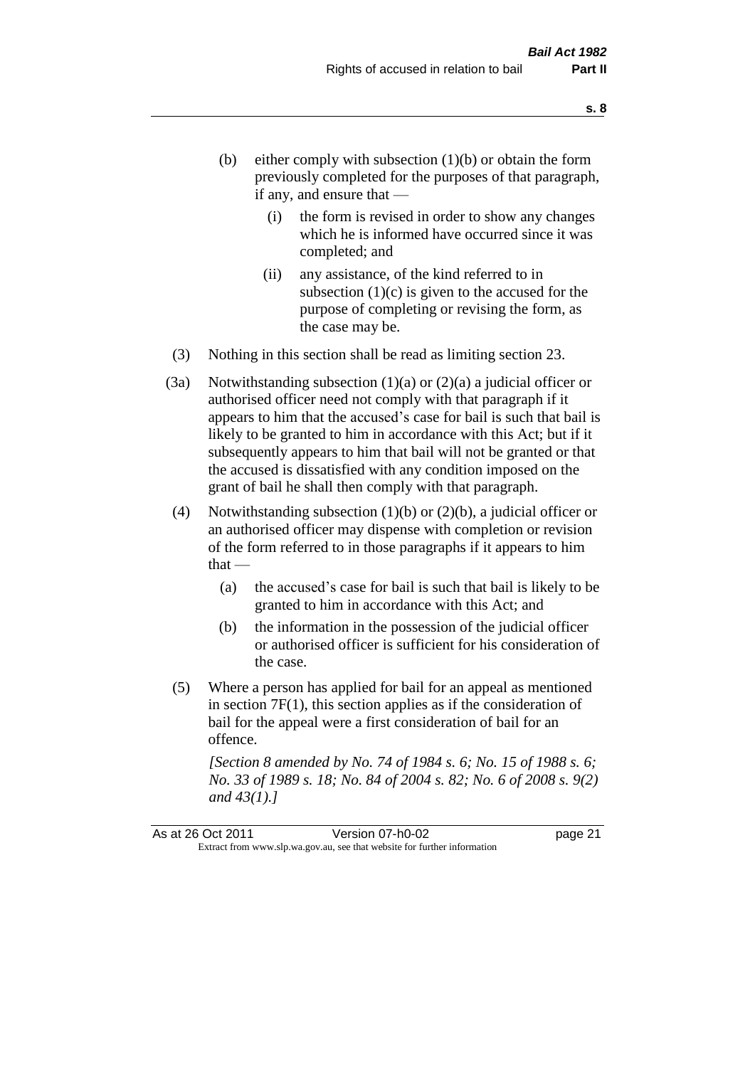- (b) either comply with subsection  $(1)(b)$  or obtain the form previously completed for the purposes of that paragraph, if any, and ensure that —
	- (i) the form is revised in order to show any changes which he is informed have occurred since it was completed; and
	- (ii) any assistance, of the kind referred to in subsection  $(1)(c)$  is given to the accused for the purpose of completing or revising the form, as the case may be.
- (3) Nothing in this section shall be read as limiting section 23.
- (3a) Notwithstanding subsection  $(1)(a)$  or  $(2)(a)$  a judicial officer or authorised officer need not comply with that paragraph if it appears to him that the accused's case for bail is such that bail is likely to be granted to him in accordance with this Act; but if it subsequently appears to him that bail will not be granted or that the accused is dissatisfied with any condition imposed on the grant of bail he shall then comply with that paragraph.
- (4) Notwithstanding subsection (1)(b) or (2)(b), a judicial officer or an authorised officer may dispense with completion or revision of the form referred to in those paragraphs if it appears to him  $that -$ 
	- (a) the accused's case for bail is such that bail is likely to be granted to him in accordance with this Act; and
	- (b) the information in the possession of the judicial officer or authorised officer is sufficient for his consideration of the case.
- (5) Where a person has applied for bail for an appeal as mentioned in section 7F(1), this section applies as if the consideration of bail for the appeal were a first consideration of bail for an offence.

*[Section 8 amended by No. 74 of 1984 s. 6; No. 15 of 1988 s. 6; No. 33 of 1989 s. 18; No. 84 of 2004 s. 82; No. 6 of 2008 s. 9(2) and 43(1).]*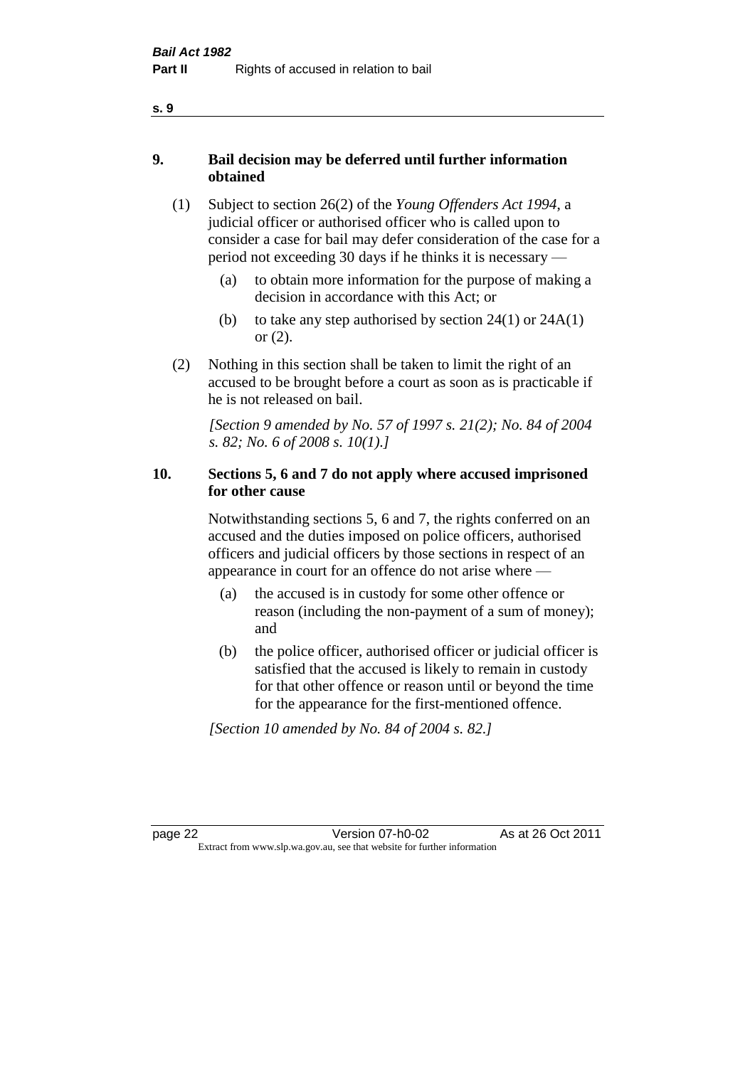#### **9. Bail decision may be deferred until further information obtained**

- (1) Subject to section 26(2) of the *Young Offenders Act 1994*, a judicial officer or authorised officer who is called upon to consider a case for bail may defer consideration of the case for a period not exceeding 30 days if he thinks it is necessary —
	- (a) to obtain more information for the purpose of making a decision in accordance with this Act; or
	- (b) to take any step authorised by section  $24(1)$  or  $24A(1)$ or (2).
- (2) Nothing in this section shall be taken to limit the right of an accused to be brought before a court as soon as is practicable if he is not released on bail.

*[Section 9 amended by No. 57 of 1997 s. 21(2); No. 84 of 2004 s. 82; No. 6 of 2008 s. 10(1).]*

#### **10. Sections 5, 6 and 7 do not apply where accused imprisoned for other cause**

Notwithstanding sections 5, 6 and 7, the rights conferred on an accused and the duties imposed on police officers, authorised officers and judicial officers by those sections in respect of an appearance in court for an offence do not arise where —

- (a) the accused is in custody for some other offence or reason (including the non-payment of a sum of money); and
- (b) the police officer, authorised officer or judicial officer is satisfied that the accused is likely to remain in custody for that other offence or reason until or beyond the time for the appearance for the first-mentioned offence.

*[Section 10 amended by No. 84 of 2004 s. 82.]*

page 22 Version 07-h0-02 As at 26 Oct 2011 Extract from www.slp.wa.gov.au, see that website for further information

**s. 9**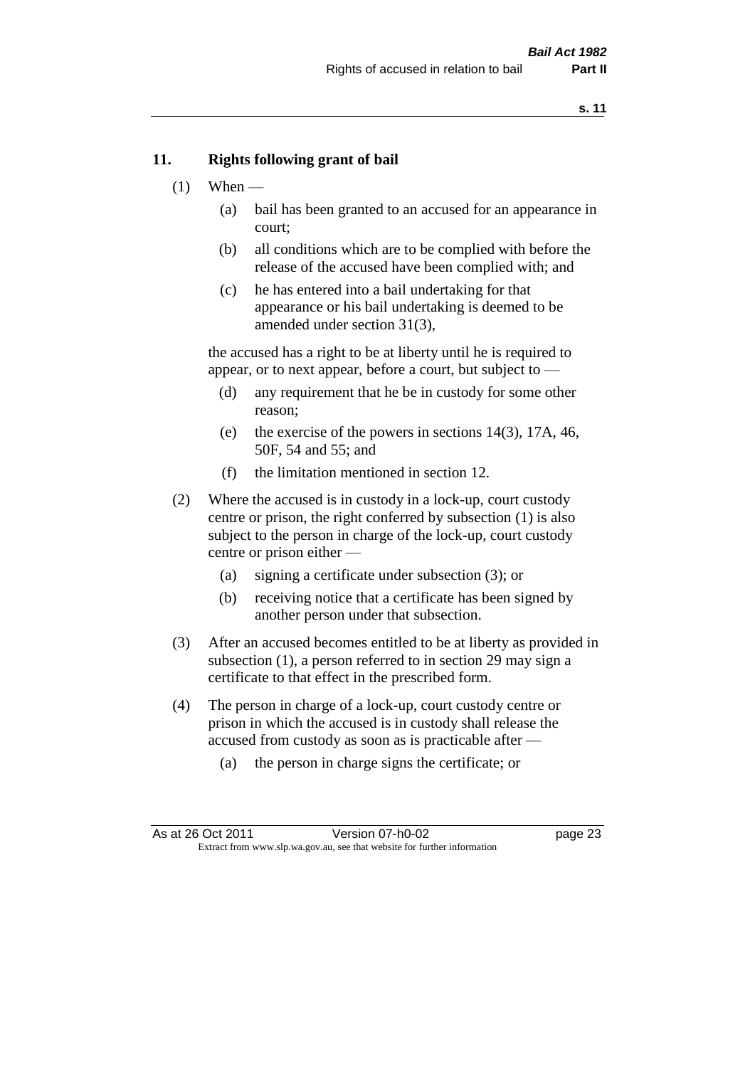#### **11. Rights following grant of bail**

- $(1)$  When
	- (a) bail has been granted to an accused for an appearance in court;
	- (b) all conditions which are to be complied with before the release of the accused have been complied with; and
	- (c) he has entered into a bail undertaking for that appearance or his bail undertaking is deemed to be amended under section 31(3),

the accused has a right to be at liberty until he is required to appear, or to next appear, before a court, but subject to —

- (d) any requirement that he be in custody for some other reason;
- (e) the exercise of the powers in sections 14(3), 17A, 46, 50F, 54 and 55; and
- (f) the limitation mentioned in section 12.
- (2) Where the accused is in custody in a lock-up, court custody centre or prison, the right conferred by subsection (1) is also subject to the person in charge of the lock-up, court custody centre or prison either —
	- (a) signing a certificate under subsection (3); or
	- (b) receiving notice that a certificate has been signed by another person under that subsection.
- (3) After an accused becomes entitled to be at liberty as provided in subsection (1), a person referred to in section 29 may sign a certificate to that effect in the prescribed form.
- (4) The person in charge of a lock-up, court custody centre or prison in which the accused is in custody shall release the accused from custody as soon as is practicable after —
	- (a) the person in charge signs the certificate; or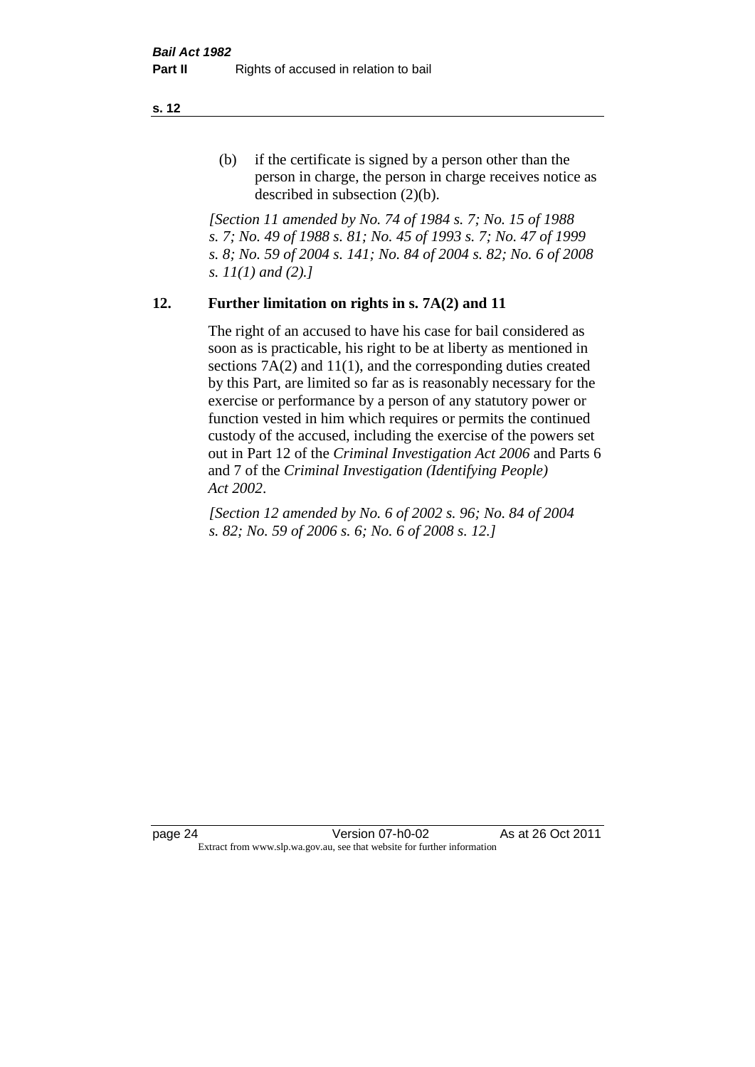(b) if the certificate is signed by a person other than the person in charge, the person in charge receives notice as described in subsection (2)(b).

*[Section 11 amended by No. 74 of 1984 s. 7; No. 15 of 1988 s. 7; No. 49 of 1988 s. 81; No. 45 of 1993 s. 7; No. 47 of 1999 s. 8; No. 59 of 2004 s. 141; No. 84 of 2004 s. 82; No. 6 of 2008 s. 11(1) and (2).]* 

#### **12. Further limitation on rights in s. 7A(2) and 11**

The right of an accused to have his case for bail considered as soon as is practicable, his right to be at liberty as mentioned in sections 7A(2) and 11(1), and the corresponding duties created by this Part, are limited so far as is reasonably necessary for the exercise or performance by a person of any statutory power or function vested in him which requires or permits the continued custody of the accused, including the exercise of the powers set out in Part 12 of the *Criminal Investigation Act 2006* and Parts 6 and 7 of the *Criminal Investigation (Identifying People) Act 2002*.

*[Section 12 amended by No. 6 of 2002 s. 96; No. 84 of 2004 s. 82; No. 59 of 2006 s. 6; No. 6 of 2008 s. 12.]*

page 24 Version 07-h0-02 As at 26 Oct 2011 Extract from www.slp.wa.gov.au, see that website for further information

**s. 12**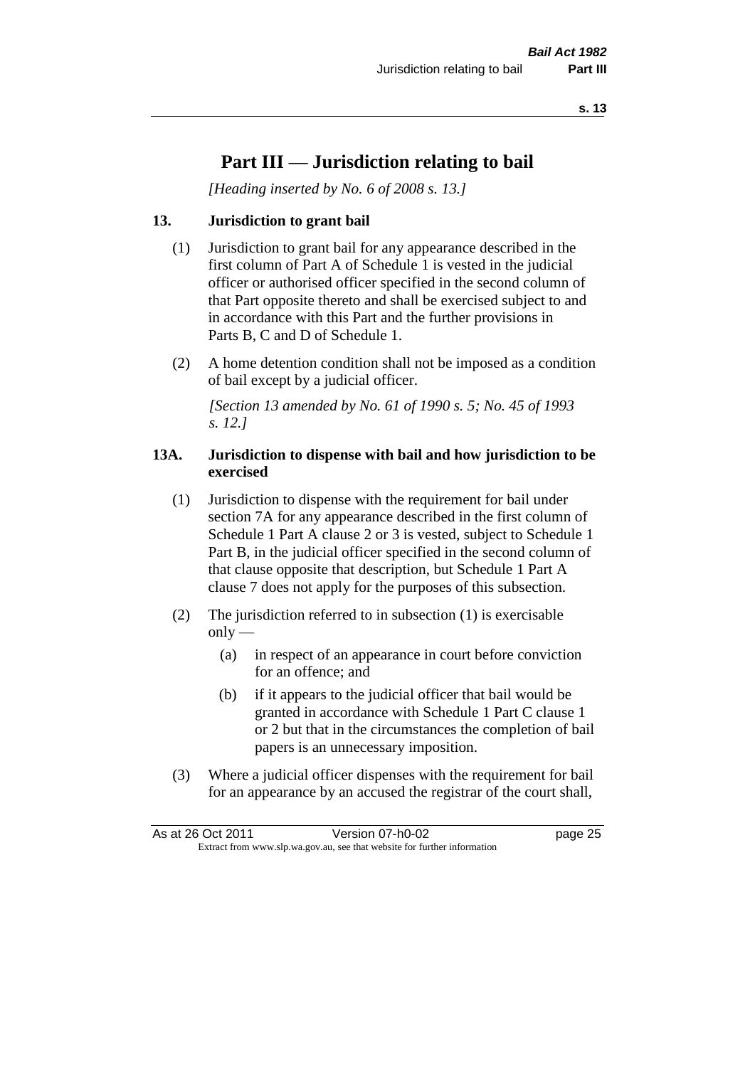# **Part III — Jurisdiction relating to bail**

*[Heading inserted by No. 6 of 2008 s. 13.]*

#### **13. Jurisdiction to grant bail**

- (1) Jurisdiction to grant bail for any appearance described in the first column of Part A of Schedule 1 is vested in the judicial officer or authorised officer specified in the second column of that Part opposite thereto and shall be exercised subject to and in accordance with this Part and the further provisions in Parts B, C and D of Schedule 1.
- (2) A home detention condition shall not be imposed as a condition of bail except by a judicial officer.

*[Section 13 amended by No. 61 of 1990 s. 5; No. 45 of 1993 s. 12.]* 

#### **13A. Jurisdiction to dispense with bail and how jurisdiction to be exercised**

- (1) Jurisdiction to dispense with the requirement for bail under section 7A for any appearance described in the first column of Schedule 1 Part A clause 2 or 3 is vested, subject to Schedule 1 Part B, in the judicial officer specified in the second column of that clause opposite that description, but Schedule 1 Part A clause 7 does not apply for the purposes of this subsection.
- (2) The jurisdiction referred to in subsection (1) is exercisable  $only$ —
	- (a) in respect of an appearance in court before conviction for an offence; and
	- (b) if it appears to the judicial officer that bail would be granted in accordance with Schedule 1 Part C clause 1 or 2 but that in the circumstances the completion of bail papers is an unnecessary imposition.
- (3) Where a judicial officer dispenses with the requirement for bail for an appearance by an accused the registrar of the court shall,

| As at 26 Oct 2011                                                        | Version 07-h0-02 | page 25 |
|--------------------------------------------------------------------------|------------------|---------|
| Extract from www.slp.wa.gov.au, see that website for further information |                  |         |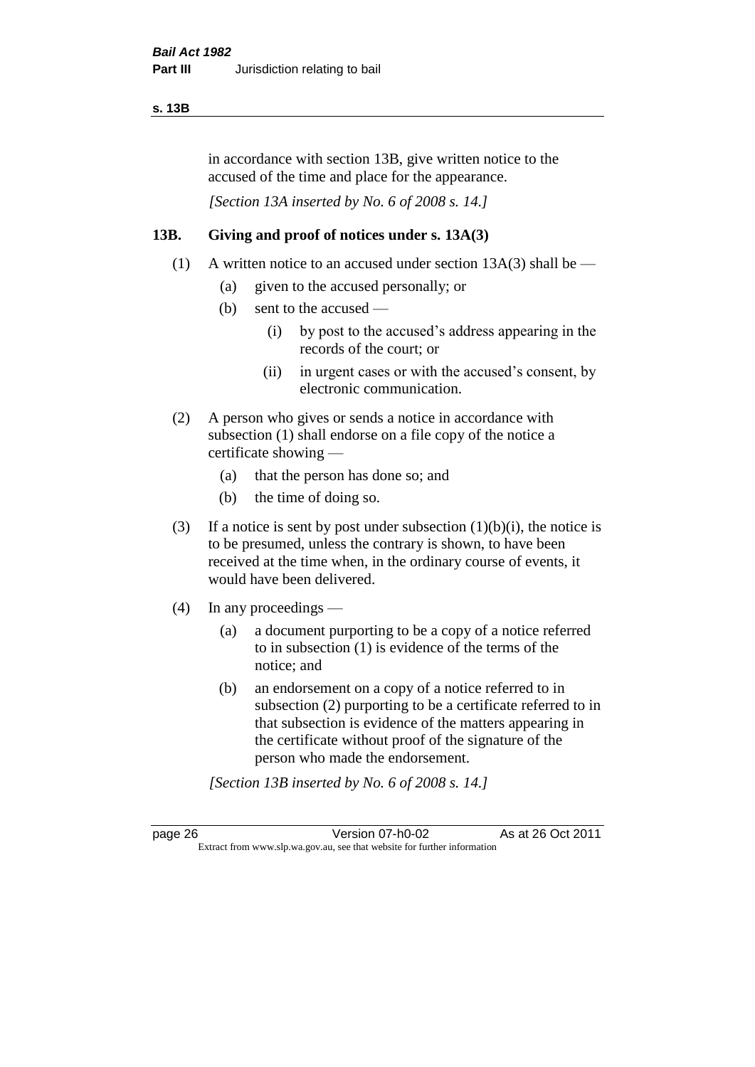#### **s. 13B**

in accordance with section 13B, give written notice to the accused of the time and place for the appearance.

*[Section 13A inserted by No. 6 of 2008 s. 14.]*

#### **13B. Giving and proof of notices under s. 13A(3)**

- (1) A written notice to an accused under section 13A(3) shall be
	- (a) given to the accused personally; or
	- (b) sent to the accused
		- (i) by post to the accused's address appearing in the records of the court; or
		- (ii) in urgent cases or with the accused's consent, by electronic communication.
- (2) A person who gives or sends a notice in accordance with subsection (1) shall endorse on a file copy of the notice a certificate showing —
	- (a) that the person has done so; and
	- (b) the time of doing so.
- (3) If a notice is sent by post under subsection  $(1)(b)(i)$ , the notice is to be presumed, unless the contrary is shown, to have been received at the time when, in the ordinary course of events, it would have been delivered.
- (4) In any proceedings
	- (a) a document purporting to be a copy of a notice referred to in subsection (1) is evidence of the terms of the notice; and
	- (b) an endorsement on a copy of a notice referred to in subsection (2) purporting to be a certificate referred to in that subsection is evidence of the matters appearing in the certificate without proof of the signature of the person who made the endorsement.

*[Section 13B inserted by No. 6 of 2008 s. 14.]*

page 26 Version 07-h0-02 As at 26 Oct 2011 Extract from www.slp.wa.gov.au, see that website for further information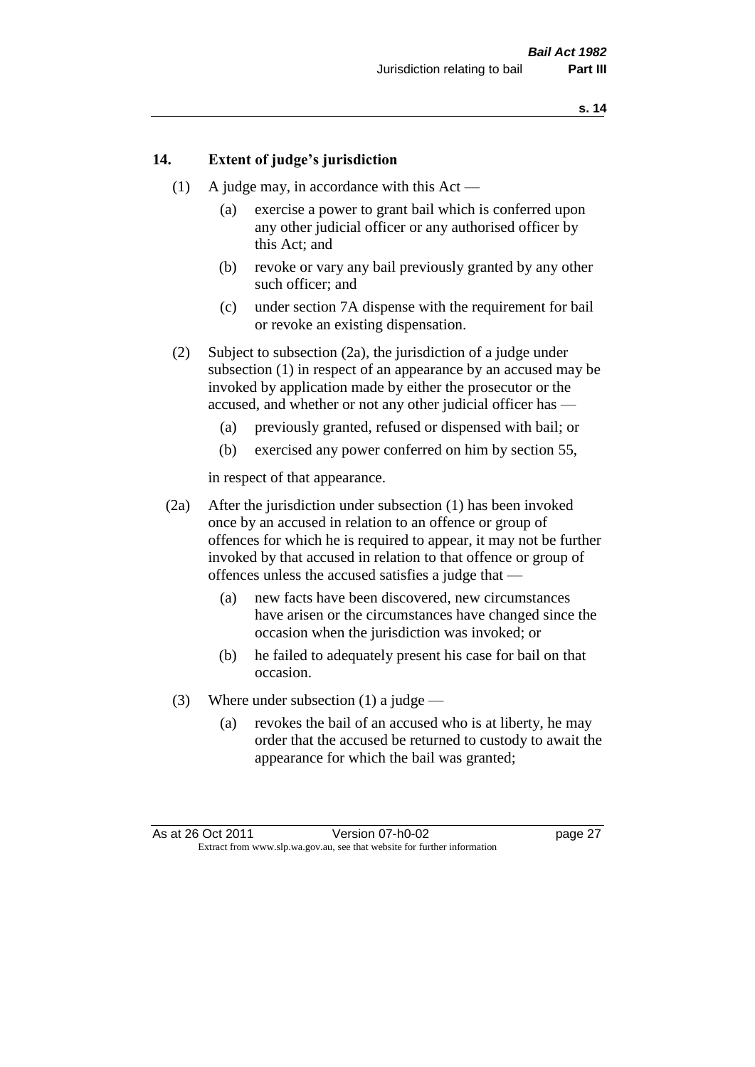#### **14. Extent of judge's jurisdiction**

- (1) A judge may, in accordance with this  $Act -$ 
	- (a) exercise a power to grant bail which is conferred upon any other judicial officer or any authorised officer by this Act; and
	- (b) revoke or vary any bail previously granted by any other such officer; and
	- (c) under section 7A dispense with the requirement for bail or revoke an existing dispensation.
- (2) Subject to subsection (2a), the jurisdiction of a judge under subsection (1) in respect of an appearance by an accused may be invoked by application made by either the prosecutor or the accused, and whether or not any other judicial officer has —
	- (a) previously granted, refused or dispensed with bail; or
	- (b) exercised any power conferred on him by section 55,

in respect of that appearance.

- (2a) After the jurisdiction under subsection (1) has been invoked once by an accused in relation to an offence or group of offences for which he is required to appear, it may not be further invoked by that accused in relation to that offence or group of offences unless the accused satisfies a judge that —
	- (a) new facts have been discovered, new circumstances have arisen or the circumstances have changed since the occasion when the jurisdiction was invoked; or
	- (b) he failed to adequately present his case for bail on that occasion.
- (3) Where under subsection (1) a judge
	- (a) revokes the bail of an accused who is at liberty, he may order that the accused be returned to custody to await the appearance for which the bail was granted;

As at 26 Oct 2011 Version 07-h0-02 page 27 Extract from www.slp.wa.gov.au, see that website for further information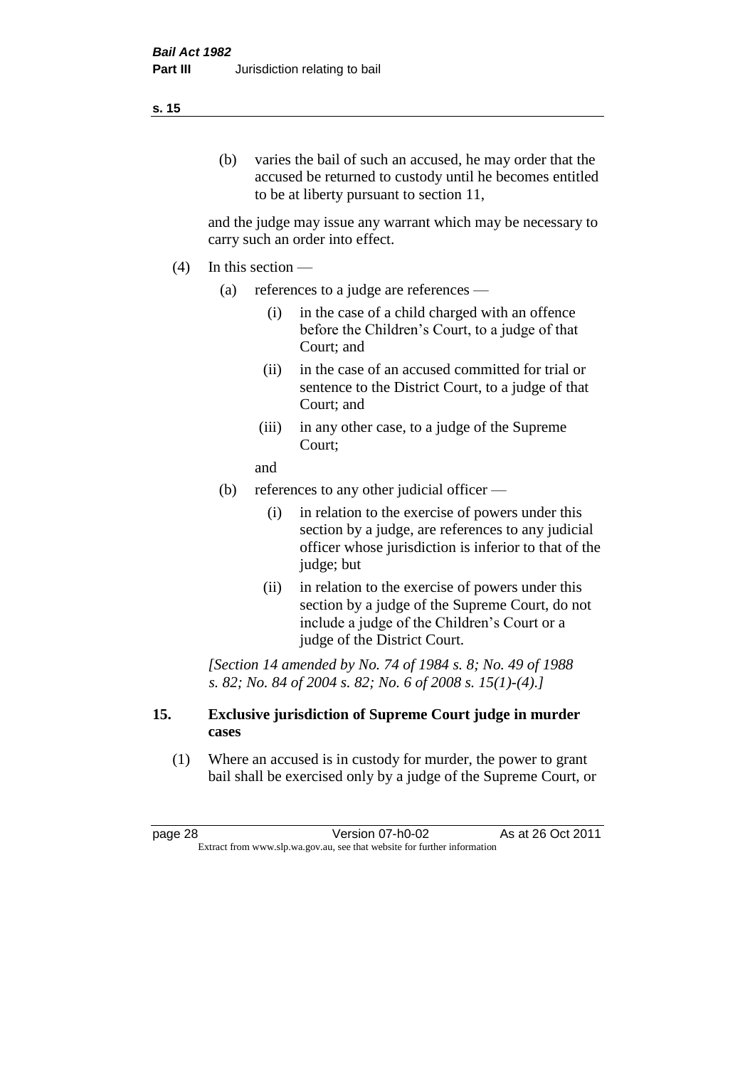#### **s. 15**

(b) varies the bail of such an accused, he may order that the accused be returned to custody until he becomes entitled to be at liberty pursuant to section 11,

and the judge may issue any warrant which may be necessary to carry such an order into effect.

- $(4)$  In this section
	- (a) references to a judge are references
		- (i) in the case of a child charged with an offence before the Children's Court, to a judge of that Court; and
		- (ii) in the case of an accused committed for trial or sentence to the District Court, to a judge of that Court; and
		- (iii) in any other case, to a judge of the Supreme Court;

and

- (b) references to any other judicial officer
	- (i) in relation to the exercise of powers under this section by a judge, are references to any judicial officer whose jurisdiction is inferior to that of the judge; but
	- (ii) in relation to the exercise of powers under this section by a judge of the Supreme Court, do not include a judge of the Children's Court or a judge of the District Court.

*[Section 14 amended by No. 74 of 1984 s. 8; No. 49 of 1988 s. 82; No. 84 of 2004 s. 82; No. 6 of 2008 s. 15(1)-(4).]* 

#### **15. Exclusive jurisdiction of Supreme Court judge in murder cases**

(1) Where an accused is in custody for murder, the power to grant bail shall be exercised only by a judge of the Supreme Court, or

page 28 Version 07-h0-02 As at 26 Oct 2011 Extract from www.slp.wa.gov.au, see that website for further information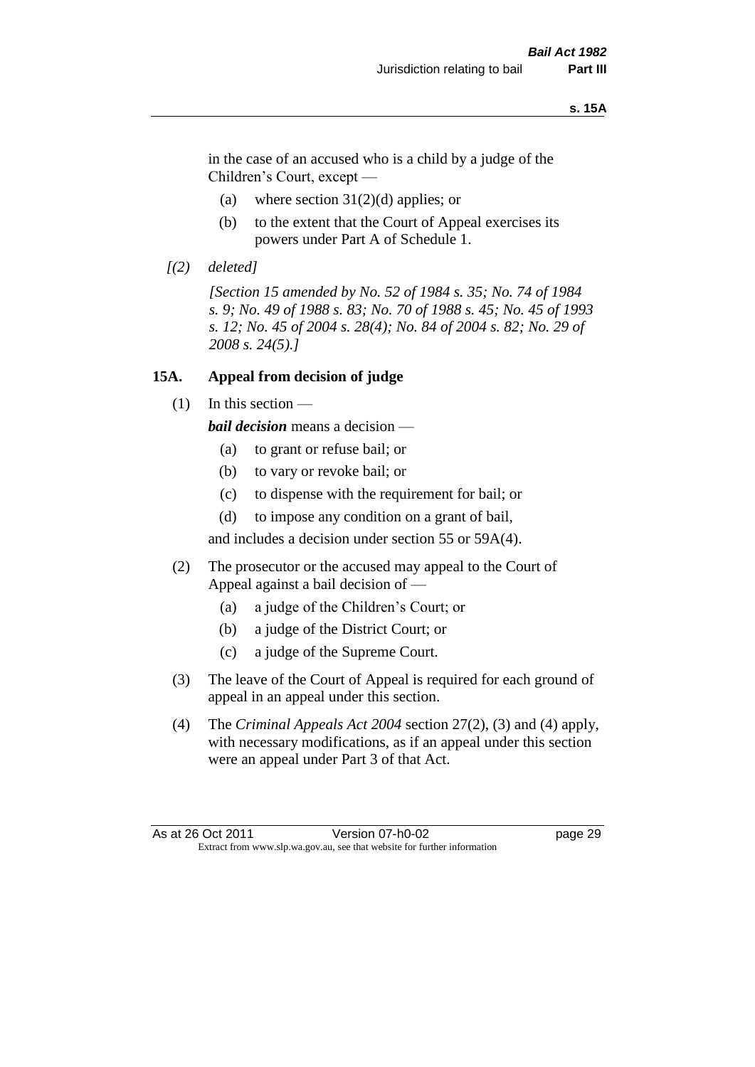#### **s. 15A**

in the case of an accused who is a child by a judge of the Children's Court, except —

- (a) where section  $31(2)(d)$  applies; or
- (b) to the extent that the Court of Appeal exercises its powers under Part A of Schedule 1.
- *[(2) deleted]*

*[Section 15 amended by No. 52 of 1984 s. 35; No. 74 of 1984 s. 9; No. 49 of 1988 s. 83; No. 70 of 1988 s. 45; No. 45 of 1993 s. 12; No. 45 of 2004 s. 28(4); No. 84 of 2004 s. 82; No. 29 of 2008 s. 24(5).]* 

#### **15A. Appeal from decision of judge**

(1) In this section —

*bail decision* means a decision —

- (a) to grant or refuse bail; or
- (b) to vary or revoke bail; or
- (c) to dispense with the requirement for bail; or
- (d) to impose any condition on a grant of bail,

and includes a decision under section 55 or 59A(4).

- (2) The prosecutor or the accused may appeal to the Court of Appeal against a bail decision of —
	- (a) a judge of the Children's Court; or
	- (b) a judge of the District Court; or
	- (c) a judge of the Supreme Court.
- (3) The leave of the Court of Appeal is required for each ground of appeal in an appeal under this section.
- (4) The *Criminal Appeals Act 2004* section 27(2), (3) and (4) apply, with necessary modifications, as if an appeal under this section were an appeal under Part 3 of that Act.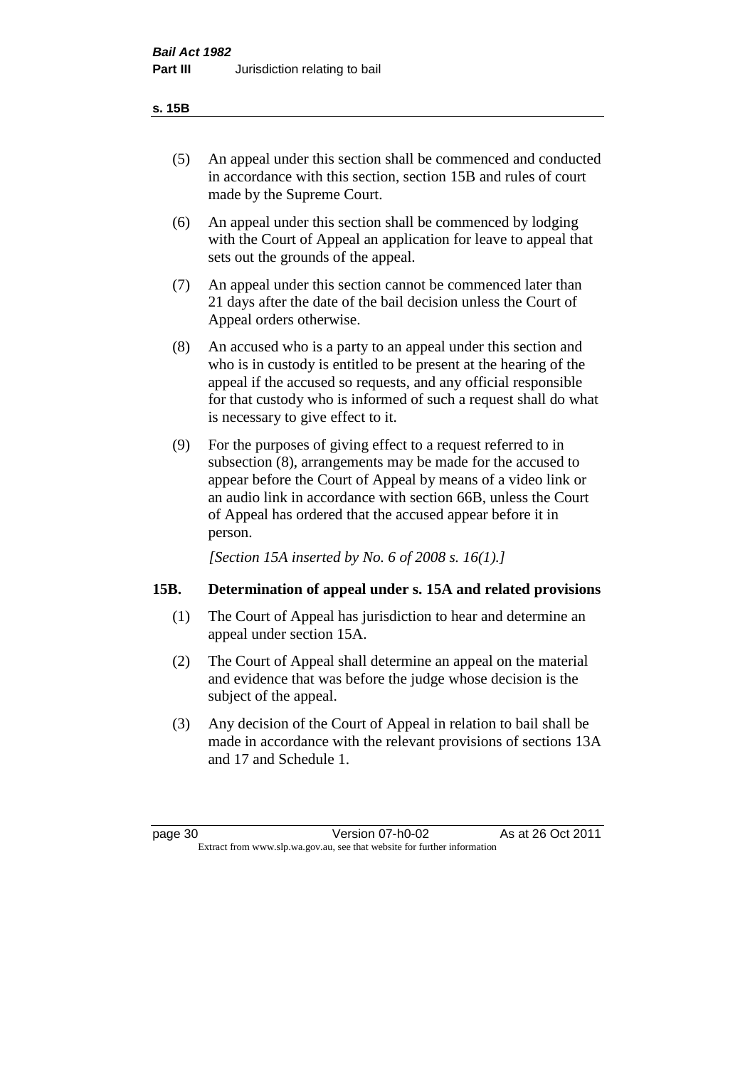#### **s. 15B**

- (5) An appeal under this section shall be commenced and conducted in accordance with this section, section 15B and rules of court made by the Supreme Court.
- (6) An appeal under this section shall be commenced by lodging with the Court of Appeal an application for leave to appeal that sets out the grounds of the appeal.
- (7) An appeal under this section cannot be commenced later than 21 days after the date of the bail decision unless the Court of Appeal orders otherwise.
- (8) An accused who is a party to an appeal under this section and who is in custody is entitled to be present at the hearing of the appeal if the accused so requests, and any official responsible for that custody who is informed of such a request shall do what is necessary to give effect to it.
- (9) For the purposes of giving effect to a request referred to in subsection (8), arrangements may be made for the accused to appear before the Court of Appeal by means of a video link or an audio link in accordance with section 66B, unless the Court of Appeal has ordered that the accused appear before it in person.

*[Section 15A inserted by No. 6 of 2008 s. 16(1).]*

#### **15B. Determination of appeal under s. 15A and related provisions**

- (1) The Court of Appeal has jurisdiction to hear and determine an appeal under section 15A.
- (2) The Court of Appeal shall determine an appeal on the material and evidence that was before the judge whose decision is the subject of the appeal.
- (3) Any decision of the Court of Appeal in relation to bail shall be made in accordance with the relevant provisions of sections 13A and 17 and Schedule 1.

page 30 Version 07-h0-02 As at 26 Oct 2011 Extract from www.slp.wa.gov.au, see that website for further information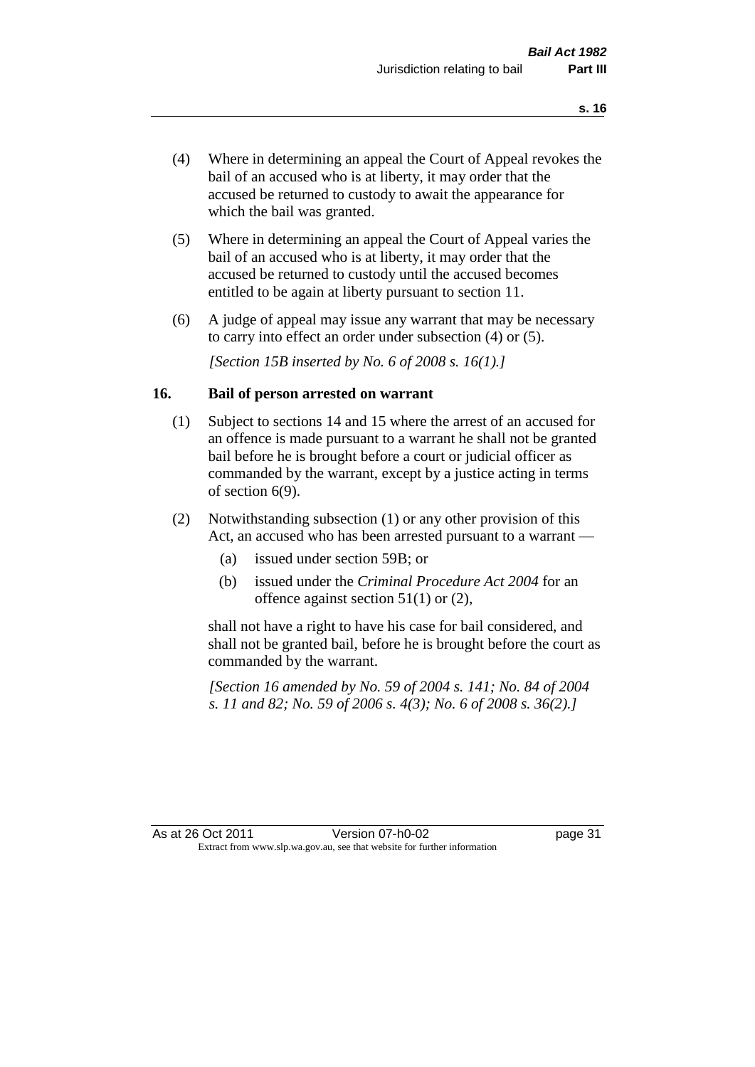- (4) Where in determining an appeal the Court of Appeal revokes the bail of an accused who is at liberty, it may order that the accused be returned to custody to await the appearance for which the bail was granted.
- (5) Where in determining an appeal the Court of Appeal varies the bail of an accused who is at liberty, it may order that the accused be returned to custody until the accused becomes entitled to be again at liberty pursuant to section 11.
- (6) A judge of appeal may issue any warrant that may be necessary to carry into effect an order under subsection (4) or (5).

*[Section 15B inserted by No. 6 of 2008 s. 16(1).]*

#### **16. Bail of person arrested on warrant**

- (1) Subject to sections 14 and 15 where the arrest of an accused for an offence is made pursuant to a warrant he shall not be granted bail before he is brought before a court or judicial officer as commanded by the warrant, except by a justice acting in terms of section 6(9).
- (2) Notwithstanding subsection (1) or any other provision of this Act, an accused who has been arrested pursuant to a warrant —
	- (a) issued under section 59B; or
	- (b) issued under the *Criminal Procedure Act 2004* for an offence against section 51(1) or (2),

shall not have a right to have his case for bail considered, and shall not be granted bail, before he is brought before the court as commanded by the warrant.

*[Section 16 amended by No. 59 of 2004 s. 141; No. 84 of 2004 s. 11 and 82; No. 59 of 2006 s. 4(3); No. 6 of 2008 s. 36(2).]*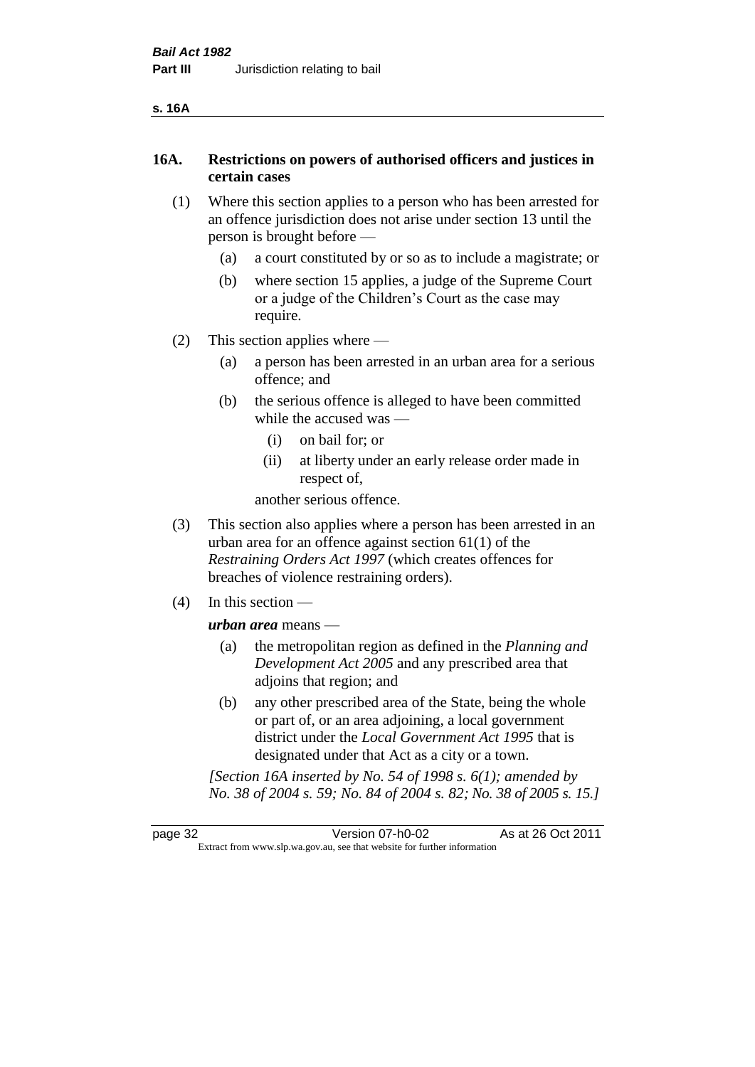#### **16A. Restrictions on powers of authorised officers and justices in certain cases**

- (1) Where this section applies to a person who has been arrested for an offence jurisdiction does not arise under section 13 until the person is brought before —
	- (a) a court constituted by or so as to include a magistrate; or
	- (b) where section 15 applies, a judge of the Supreme Court or a judge of the Children's Court as the case may require.
- (2) This section applies where
	- (a) a person has been arrested in an urban area for a serious offence; and
	- (b) the serious offence is alleged to have been committed while the accused was —
		- (i) on bail for; or
		- (ii) at liberty under an early release order made in respect of,

another serious offence.

- (3) This section also applies where a person has been arrested in an urban area for an offence against section 61(1) of the *Restraining Orders Act 1997* (which creates offences for breaches of violence restraining orders).
- (4) In this section —

*urban area* means —

- (a) the metropolitan region as defined in the *Planning and Development Act 2005* and any prescribed area that adjoins that region; and
- (b) any other prescribed area of the State, being the whole or part of, or an area adjoining, a local government district under the *Local Government Act 1995* that is designated under that Act as a city or a town.

*[Section 16A inserted by No. 54 of 1998 s. 6(1); amended by No. 38 of 2004 s. 59; No. 84 of 2004 s. 82; No. 38 of 2005 s. 15.]*

page 32 Version 07-h0-02 As at 26 Oct 2011 Extract from www.slp.wa.gov.au, see that website for further information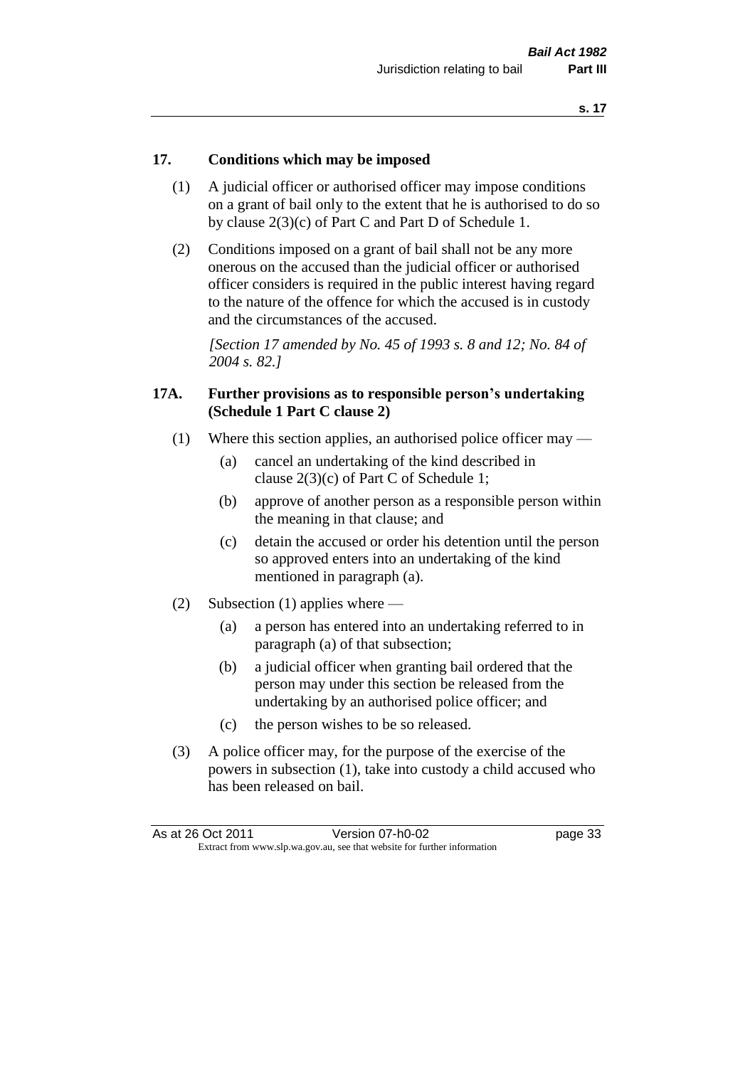#### **17. Conditions which may be imposed**

- (1) A judicial officer or authorised officer may impose conditions on a grant of bail only to the extent that he is authorised to do so by clause 2(3)(c) of Part C and Part D of Schedule 1.
- (2) Conditions imposed on a grant of bail shall not be any more onerous on the accused than the judicial officer or authorised officer considers is required in the public interest having regard to the nature of the offence for which the accused is in custody and the circumstances of the accused.

*[Section 17 amended by No. 45 of 1993 s. 8 and 12; No. 84 of 2004 s. 82.]* 

#### **17A. Further provisions as to responsible person's undertaking (Schedule 1 Part C clause 2)**

- (1) Where this section applies, an authorised police officer may
	- (a) cancel an undertaking of the kind described in clause 2(3)(c) of Part C of Schedule 1;
	- (b) approve of another person as a responsible person within the meaning in that clause; and
	- (c) detain the accused or order his detention until the person so approved enters into an undertaking of the kind mentioned in paragraph (a).
- (2) Subsection (1) applies where
	- (a) a person has entered into an undertaking referred to in paragraph (a) of that subsection;
	- (b) a judicial officer when granting bail ordered that the person may under this section be released from the undertaking by an authorised police officer; and
	- (c) the person wishes to be so released.
- (3) A police officer may, for the purpose of the exercise of the powers in subsection (1), take into custody a child accused who has been released on bail.

| As at 26 Oct 2011 | Version 07-h0-02                                                         | page 33 |
|-------------------|--------------------------------------------------------------------------|---------|
|                   | Extract from www.slp.wa.gov.au, see that website for further information |         |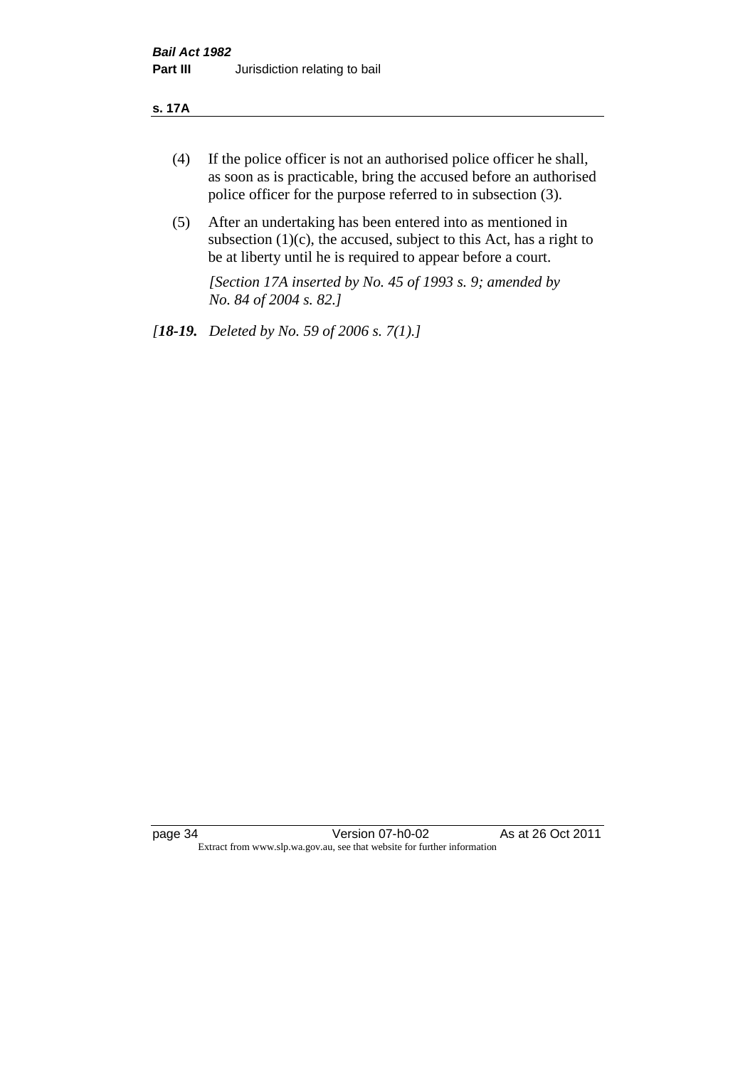#### **s. 17A**

- (4) If the police officer is not an authorised police officer he shall, as soon as is practicable, bring the accused before an authorised police officer for the purpose referred to in subsection (3).
- (5) After an undertaking has been entered into as mentioned in subsection  $(1)(c)$ , the accused, subject to this Act, has a right to be at liberty until he is required to appear before a court.

*[Section 17A inserted by No. 45 of 1993 s. 9; amended by No. 84 of 2004 s. 82.]* 

*[18-19. Deleted by No. 59 of 2006 s. 7(1).]*

page 34 Version 07-h0-02 As at 26 Oct 2011 Extract from www.slp.wa.gov.au, see that website for further information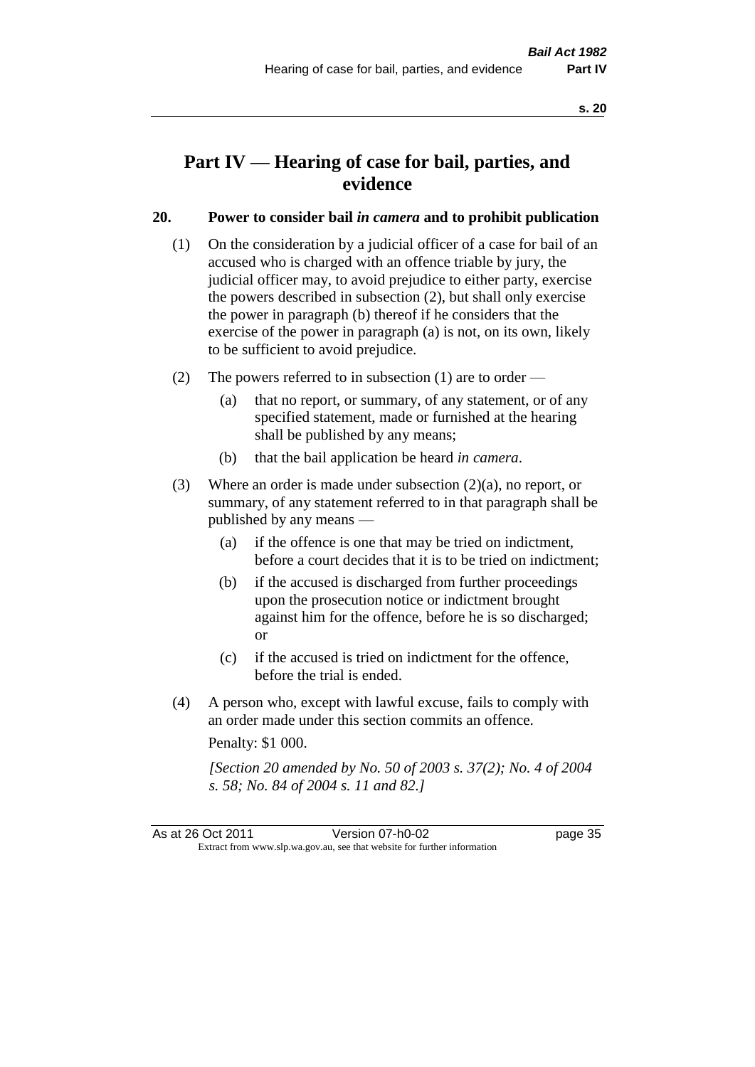## **Part IV — Hearing of case for bail, parties, and evidence**

#### **20. Power to consider bail** *in camera* **and to prohibit publication**

- (1) On the consideration by a judicial officer of a case for bail of an accused who is charged with an offence triable by jury, the judicial officer may, to avoid prejudice to either party, exercise the powers described in subsection (2), but shall only exercise the power in paragraph (b) thereof if he considers that the exercise of the power in paragraph (a) is not, on its own, likely to be sufficient to avoid prejudice.
- (2) The powers referred to in subsection (1) are to order
	- (a) that no report, or summary, of any statement, or of any specified statement, made or furnished at the hearing shall be published by any means;
	- (b) that the bail application be heard *in camera*.
- (3) Where an order is made under subsection (2)(a), no report, or summary, of any statement referred to in that paragraph shall be published by any means —
	- (a) if the offence is one that may be tried on indictment, before a court decides that it is to be tried on indictment;
	- (b) if the accused is discharged from further proceedings upon the prosecution notice or indictment brought against him for the offence, before he is so discharged; or
	- (c) if the accused is tried on indictment for the offence, before the trial is ended.
- (4) A person who, except with lawful excuse, fails to comply with an order made under this section commits an offence.

Penalty: \$1 000.

*[Section 20 amended by No. 50 of 2003 s. 37(2); No. 4 of 2004 s. 58; No. 84 of 2004 s. 11 and 82.]*

As at 26 Oct 2011 Version 07-h0-02 page 35 Extract from www.slp.wa.gov.au, see that website for further information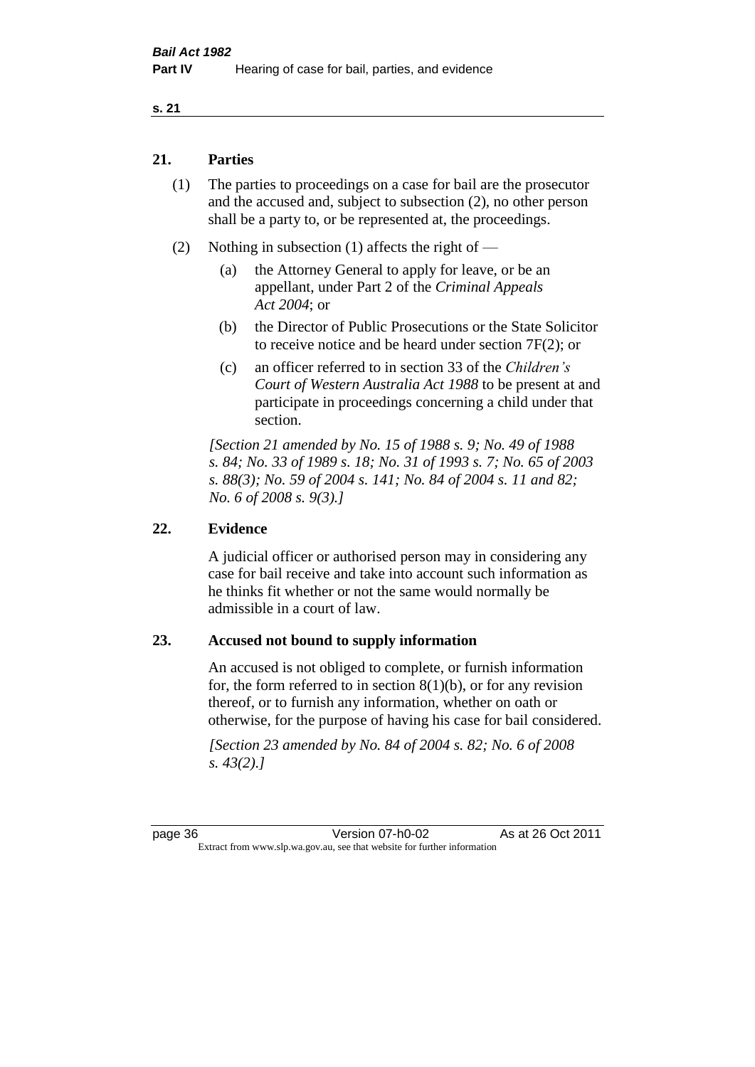#### **s. 21**

#### **21. Parties**

- (1) The parties to proceedings on a case for bail are the prosecutor and the accused and, subject to subsection (2), no other person shall be a party to, or be represented at, the proceedings.
- (2) Nothing in subsection (1) affects the right of
	- (a) the Attorney General to apply for leave, or be an appellant, under Part 2 of the *Criminal Appeals Act 2004*; or
	- (b) the Director of Public Prosecutions or the State Solicitor to receive notice and be heard under section 7F(2); or
	- (c) an officer referred to in section 33 of the *Children's Court of Western Australia Act 1988* to be present at and participate in proceedings concerning a child under that section.

*[Section 21 amended by No. 15 of 1988 s. 9; No. 49 of 1988 s. 84; No. 33 of 1989 s. 18; No. 31 of 1993 s. 7; No. 65 of 2003 s. 88(3); No. 59 of 2004 s. 141; No. 84 of 2004 s. 11 and 82; No. 6 of 2008 s. 9(3).]* 

#### **22. Evidence**

A judicial officer or authorised person may in considering any case for bail receive and take into account such information as he thinks fit whether or not the same would normally be admissible in a court of law.

#### **23. Accused not bound to supply information**

An accused is not obliged to complete, or furnish information for, the form referred to in section  $8(1)(b)$ , or for any revision thereof, or to furnish any information, whether on oath or otherwise, for the purpose of having his case for bail considered.

*[Section 23 amended by No. 84 of 2004 s. 82; No. 6 of 2008 s. 43(2).]*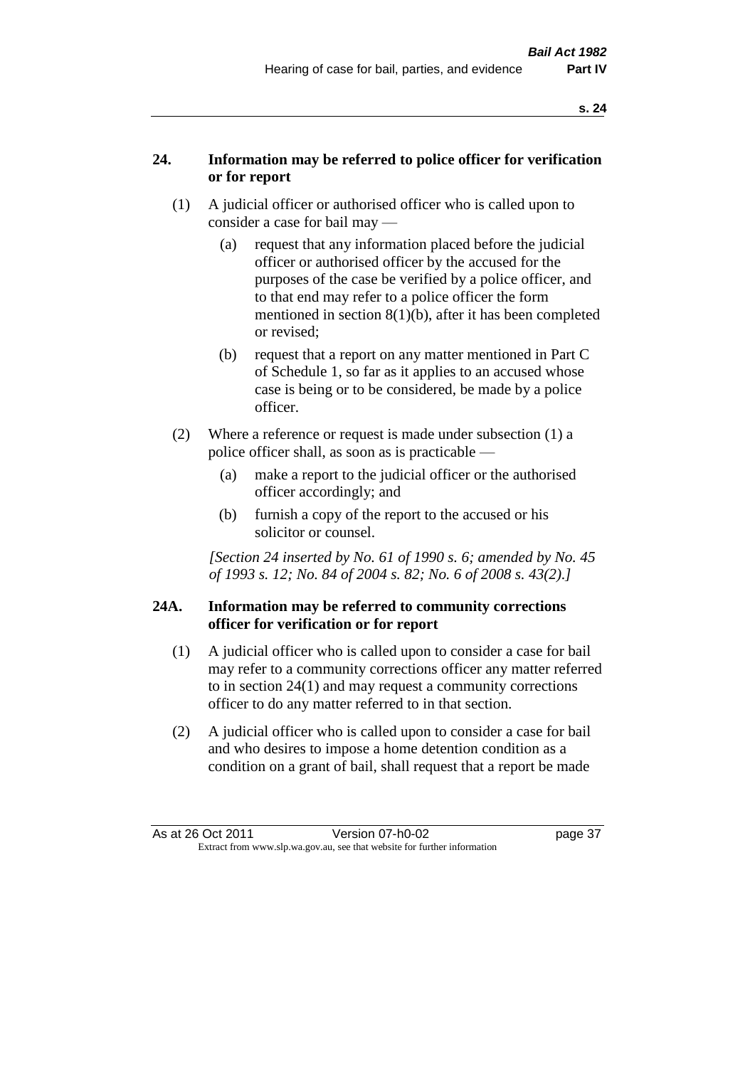#### **24. Information may be referred to police officer for verification or for report**

- (1) A judicial officer or authorised officer who is called upon to consider a case for bail may —
	- (a) request that any information placed before the judicial officer or authorised officer by the accused for the purposes of the case be verified by a police officer, and to that end may refer to a police officer the form mentioned in section 8(1)(b), after it has been completed or revised;
	- (b) request that a report on any matter mentioned in Part C of Schedule 1, so far as it applies to an accused whose case is being or to be considered, be made by a police officer.
- (2) Where a reference or request is made under subsection (1) a police officer shall, as soon as is practicable —
	- (a) make a report to the judicial officer or the authorised officer accordingly; and
	- (b) furnish a copy of the report to the accused or his solicitor or counsel.

*[Section 24 inserted by No. 61 of 1990 s. 6; amended by No. 45 of 1993 s. 12; No. 84 of 2004 s. 82; No. 6 of 2008 s. 43(2).]* 

#### **24A. Information may be referred to community corrections officer for verification or for report**

- (1) A judicial officer who is called upon to consider a case for bail may refer to a community corrections officer any matter referred to in section 24(1) and may request a community corrections officer to do any matter referred to in that section.
- (2) A judicial officer who is called upon to consider a case for bail and who desires to impose a home detention condition as a condition on a grant of bail, shall request that a report be made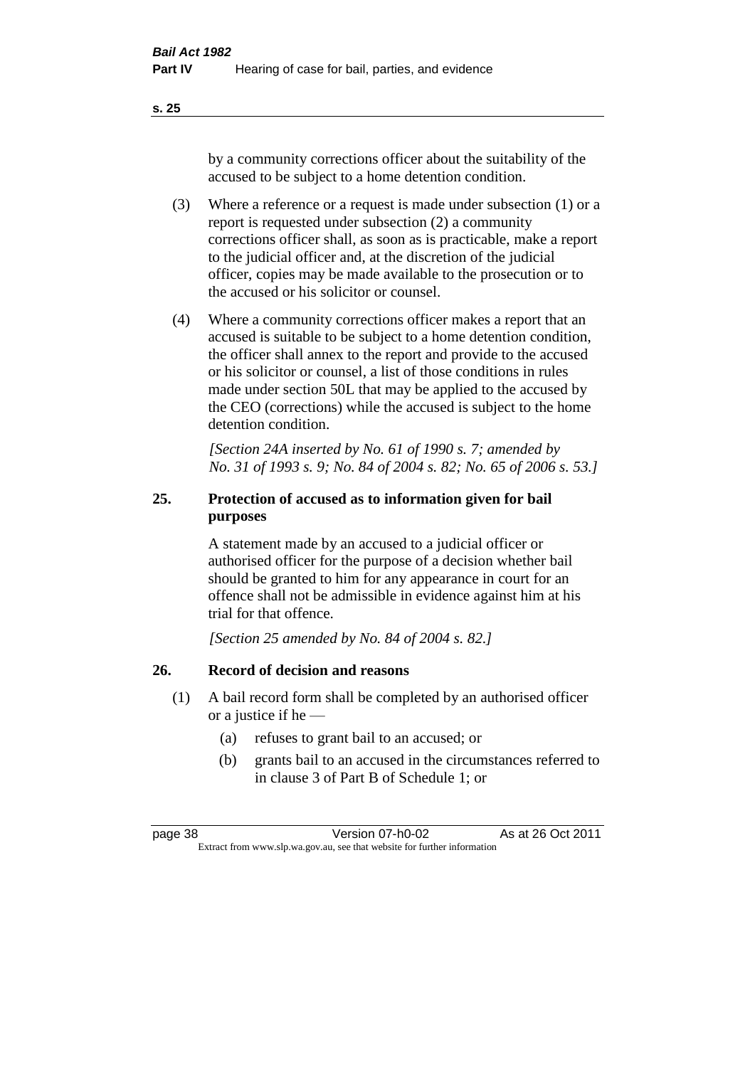**s. 25**

by a community corrections officer about the suitability of the accused to be subject to a home detention condition.

- (3) Where a reference or a request is made under subsection (1) or a report is requested under subsection (2) a community corrections officer shall, as soon as is practicable, make a report to the judicial officer and, at the discretion of the judicial officer, copies may be made available to the prosecution or to the accused or his solicitor or counsel.
- (4) Where a community corrections officer makes a report that an accused is suitable to be subject to a home detention condition, the officer shall annex to the report and provide to the accused or his solicitor or counsel, a list of those conditions in rules made under section 50L that may be applied to the accused by the CEO (corrections) while the accused is subject to the home detention condition.

*[Section 24A inserted by No. 61 of 1990 s. 7; amended by No. 31 of 1993 s. 9; No. 84 of 2004 s. 82; No. 65 of 2006 s. 53.]* 

### **25. Protection of accused as to information given for bail purposes**

A statement made by an accused to a judicial officer or authorised officer for the purpose of a decision whether bail should be granted to him for any appearance in court for an offence shall not be admissible in evidence against him at his trial for that offence.

*[Section 25 amended by No. 84 of 2004 s. 82.]* 

### **26. Record of decision and reasons**

- (1) A bail record form shall be completed by an authorised officer or a justice if he —
	- (a) refuses to grant bail to an accused; or
	- (b) grants bail to an accused in the circumstances referred to in clause 3 of Part B of Schedule 1; or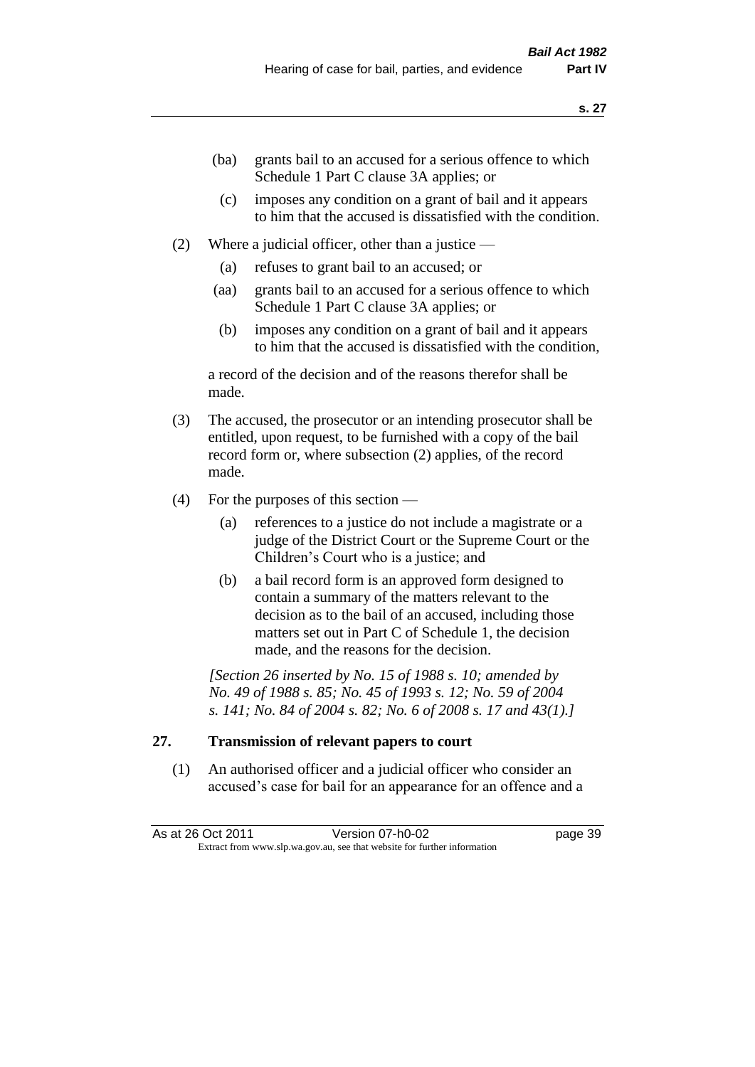- (ba) grants bail to an accused for a serious offence to which Schedule 1 Part C clause 3A applies; or
- (c) imposes any condition on a grant of bail and it appears to him that the accused is dissatisfied with the condition.
- (2) Where a judicial officer, other than a justice
	- (a) refuses to grant bail to an accused; or
	- (aa) grants bail to an accused for a serious offence to which Schedule 1 Part C clause 3A applies; or
	- (b) imposes any condition on a grant of bail and it appears to him that the accused is dissatisfied with the condition,

a record of the decision and of the reasons therefor shall be made.

- (3) The accused, the prosecutor or an intending prosecutor shall be entitled, upon request, to be furnished with a copy of the bail record form or, where subsection (2) applies, of the record made.
- (4) For the purposes of this section
	- (a) references to a justice do not include a magistrate or a judge of the District Court or the Supreme Court or the Children's Court who is a justice; and
	- (b) a bail record form is an approved form designed to contain a summary of the matters relevant to the decision as to the bail of an accused, including those matters set out in Part C of Schedule 1, the decision made, and the reasons for the decision.

*[Section 26 inserted by No. 15 of 1988 s. 10; amended by No. 49 of 1988 s. 85; No. 45 of 1993 s. 12; No. 59 of 2004 s. 141; No. 84 of 2004 s. 82; No. 6 of 2008 s. 17 and 43(1).]* 

#### **27. Transmission of relevant papers to court**

(1) An authorised officer and a judicial officer who consider an accused's case for bail for an appearance for an offence and a

| As at 26 Oct 2011 | Version 07-h0-02                                                         | page 39 |
|-------------------|--------------------------------------------------------------------------|---------|
|                   | Extract from www.slp.wa.gov.au, see that website for further information |         |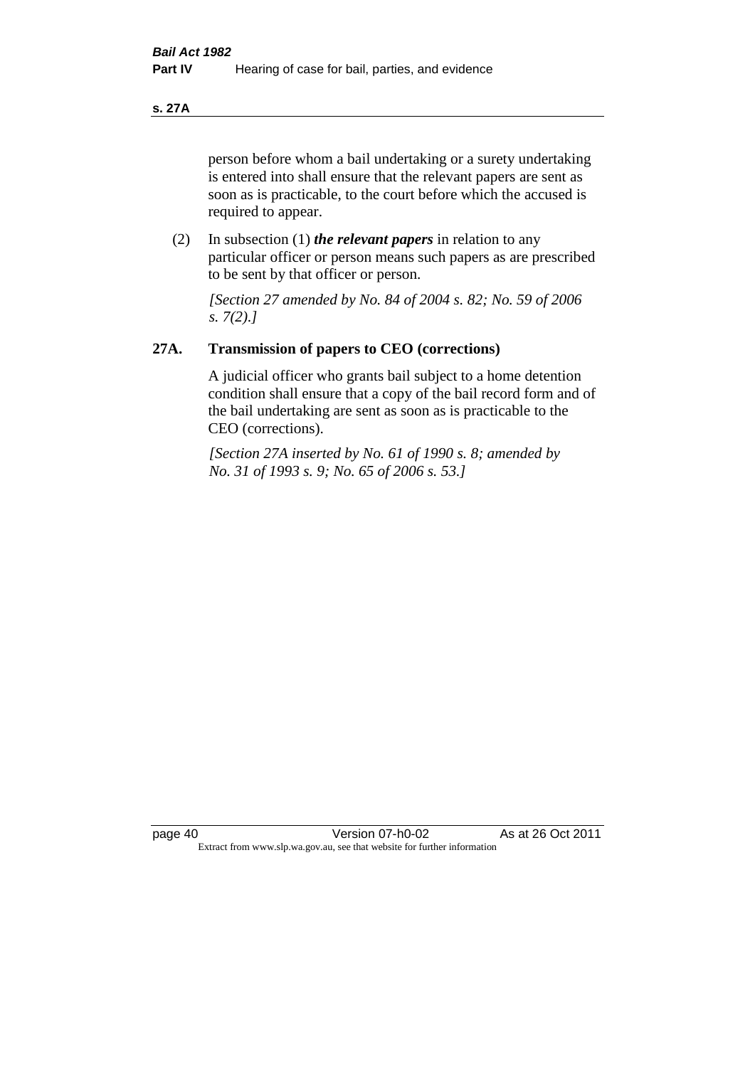**s. 27A**

person before whom a bail undertaking or a surety undertaking is entered into shall ensure that the relevant papers are sent as soon as is practicable, to the court before which the accused is required to appear.

(2) In subsection (1) *the relevant papers* in relation to any particular officer or person means such papers as are prescribed to be sent by that officer or person.

*[Section 27 amended by No. 84 of 2004 s. 82; No. 59 of 2006 s. 7(2).]* 

#### **27A. Transmission of papers to CEO (corrections)**

A judicial officer who grants bail subject to a home detention condition shall ensure that a copy of the bail record form and of the bail undertaking are sent as soon as is practicable to the CEO (corrections).

*[Section 27A inserted by No. 61 of 1990 s. 8; amended by No. 31 of 1993 s. 9; No. 65 of 2006 s. 53.]*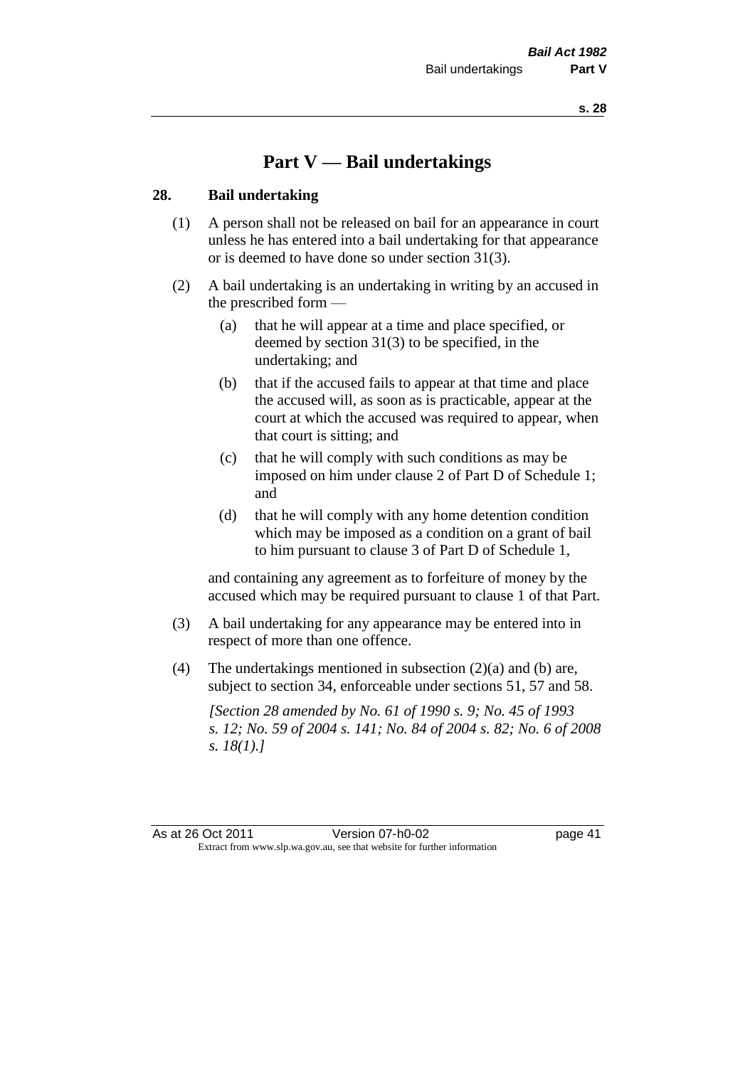# **Part V — Bail undertakings**

#### **28. Bail undertaking**

- (1) A person shall not be released on bail for an appearance in court unless he has entered into a bail undertaking for that appearance or is deemed to have done so under section 31(3).
- (2) A bail undertaking is an undertaking in writing by an accused in the prescribed form —
	- (a) that he will appear at a time and place specified, or deemed by section 31(3) to be specified, in the undertaking; and
	- (b) that if the accused fails to appear at that time and place the accused will, as soon as is practicable, appear at the court at which the accused was required to appear, when that court is sitting; and
	- (c) that he will comply with such conditions as may be imposed on him under clause 2 of Part D of Schedule 1; and
	- (d) that he will comply with any home detention condition which may be imposed as a condition on a grant of bail to him pursuant to clause 3 of Part D of Schedule 1,

and containing any agreement as to forfeiture of money by the accused which may be required pursuant to clause 1 of that Part.

- (3) A bail undertaking for any appearance may be entered into in respect of more than one offence.
- (4) The undertakings mentioned in subsection (2)(a) and (b) are, subject to section 34, enforceable under sections 51, 57 and 58.

*[Section 28 amended by No. 61 of 1990 s. 9; No. 45 of 1993 s. 12; No. 59 of 2004 s. 141; No. 84 of 2004 s. 82; No. 6 of 2008 s. 18(1).]*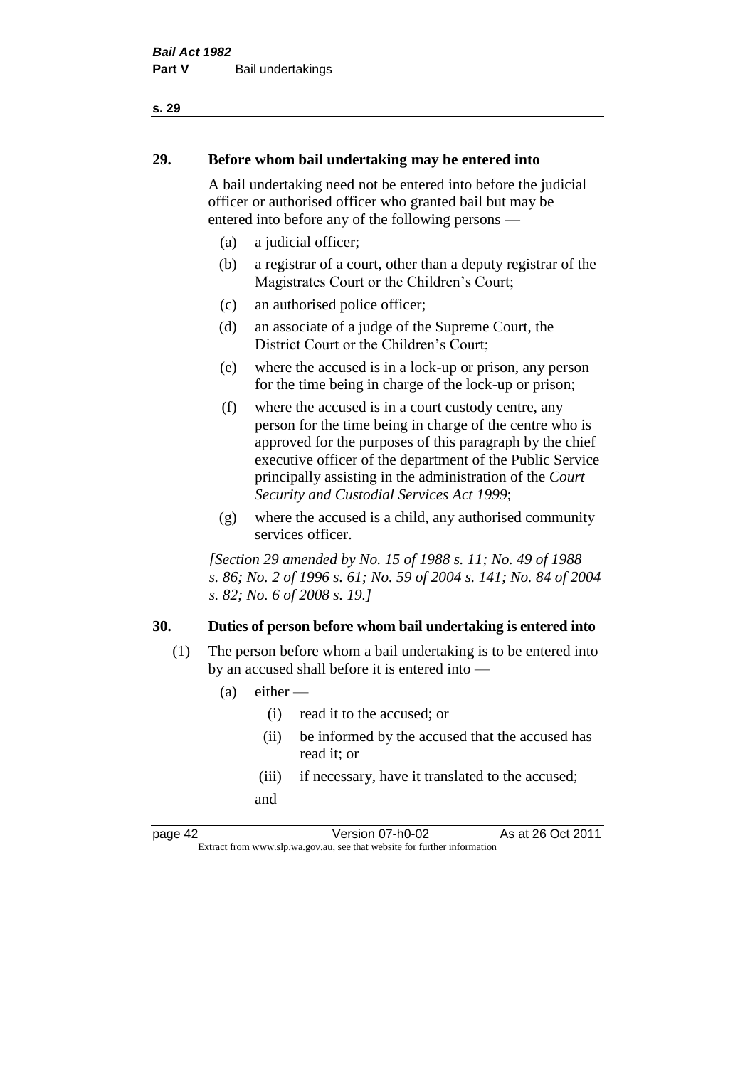# **29. Before whom bail undertaking may be entered into**

A bail undertaking need not be entered into before the judicial officer or authorised officer who granted bail but may be entered into before any of the following persons —

- (a) a judicial officer;
- (b) a registrar of a court, other than a deputy registrar of the Magistrates Court or the Children's Court;
- (c) an authorised police officer;
- (d) an associate of a judge of the Supreme Court, the District Court or the Children's Court;
- (e) where the accused is in a lock-up or prison, any person for the time being in charge of the lock-up or prison;
- (f) where the accused is in a court custody centre, any person for the time being in charge of the centre who is approved for the purposes of this paragraph by the chief executive officer of the department of the Public Service principally assisting in the administration of the *Court Security and Custodial Services Act 1999*;
- (g) where the accused is a child, any authorised community services officer.

*[Section 29 amended by No. 15 of 1988 s. 11; No. 49 of 1988 s. 86; No. 2 of 1996 s. 61; No. 59 of 2004 s. 141; No. 84 of 2004 s. 82; No. 6 of 2008 s. 19.]* 

#### **30. Duties of person before whom bail undertaking is entered into**

- (1) The person before whom a bail undertaking is to be entered into by an accused shall before it is entered into —
	- $(a)$  either
		- (i) read it to the accused; or
		- (ii) be informed by the accused that the accused has read it; or
		- (iii) if necessary, have it translated to the accused; and

page 42 Version 07-h0-02 As at 26 Oct 2011 Extract from www.slp.wa.gov.au, see that website for further information

#### **s. 29**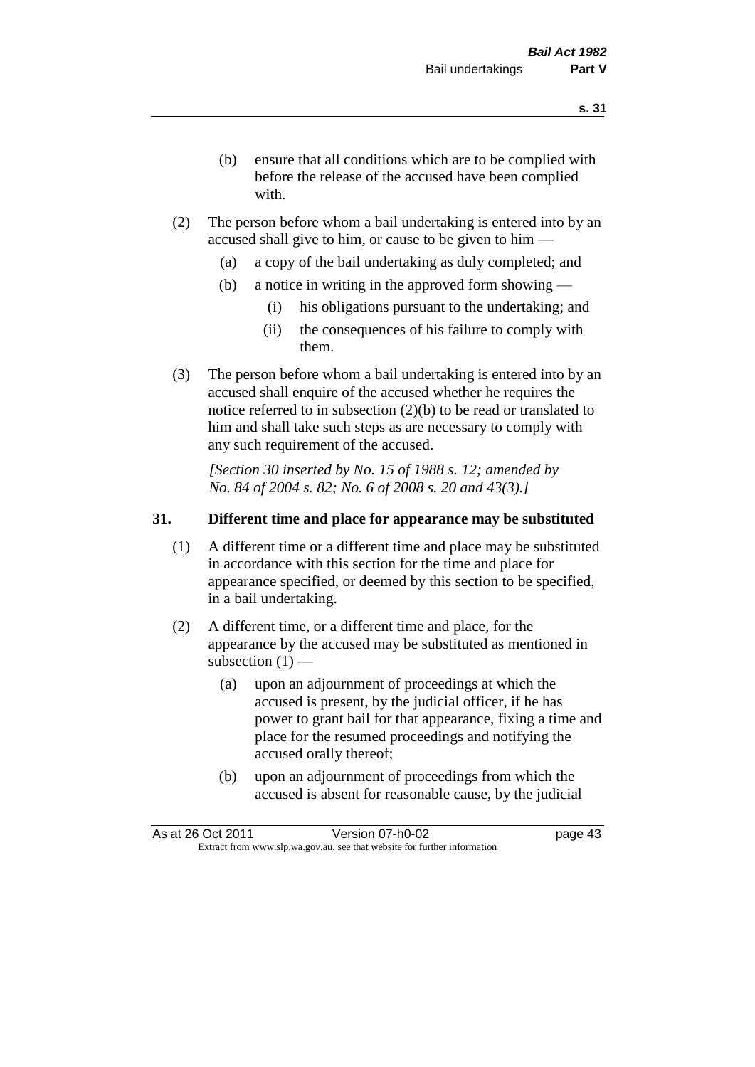- (b) ensure that all conditions which are to be complied with before the release of the accused have been complied with.
- (2) The person before whom a bail undertaking is entered into by an accused shall give to him, or cause to be given to him —
	- (a) a copy of the bail undertaking as duly completed; and
	- (b) a notice in writing in the approved form showing
		- (i) his obligations pursuant to the undertaking; and
		- (ii) the consequences of his failure to comply with them.
- (3) The person before whom a bail undertaking is entered into by an accused shall enquire of the accused whether he requires the notice referred to in subsection (2)(b) to be read or translated to him and shall take such steps as are necessary to comply with any such requirement of the accused.

*[Section 30 inserted by No. 15 of 1988 s. 12; amended by No. 84 of 2004 s. 82; No. 6 of 2008 s. 20 and 43(3).]* 

#### **31. Different time and place for appearance may be substituted**

- (1) A different time or a different time and place may be substituted in accordance with this section for the time and place for appearance specified, or deemed by this section to be specified, in a bail undertaking.
- (2) A different time, or a different time and place, for the appearance by the accused may be substituted as mentioned in subsection  $(1)$  —
	- (a) upon an adjournment of proceedings at which the accused is present, by the judicial officer, if he has power to grant bail for that appearance, fixing a time and place for the resumed proceedings and notifying the accused orally thereof;
	- (b) upon an adjournment of proceedings from which the accused is absent for reasonable cause, by the judicial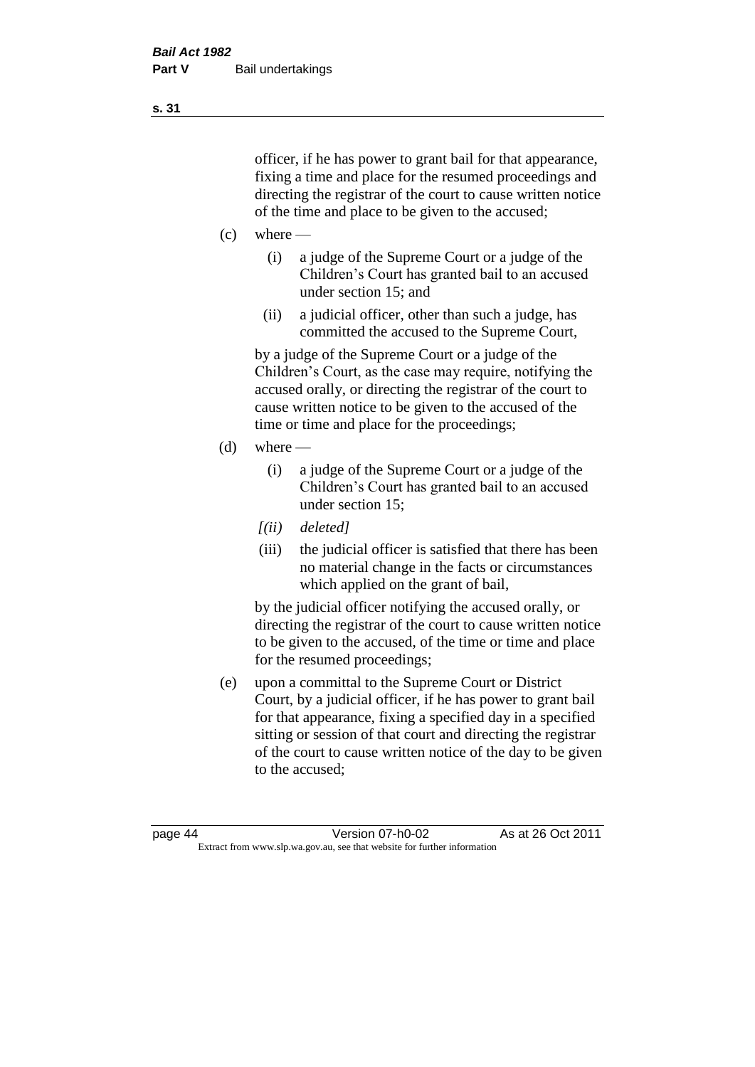officer, if he has power to grant bail for that appearance, fixing a time and place for the resumed proceedings and directing the registrar of the court to cause written notice of the time and place to be given to the accused;

- $(c)$  where
	- (i) a judge of the Supreme Court or a judge of the Children's Court has granted bail to an accused under section 15; and
	- (ii) a judicial officer, other than such a judge, has committed the accused to the Supreme Court,

by a judge of the Supreme Court or a judge of the Children's Court, as the case may require, notifying the accused orally, or directing the registrar of the court to cause written notice to be given to the accused of the time or time and place for the proceedings;

- $(d)$  where
	- (i) a judge of the Supreme Court or a judge of the Children's Court has granted bail to an accused under section 15;
	- *[(ii) deleted]*
	- (iii) the judicial officer is satisfied that there has been no material change in the facts or circumstances which applied on the grant of bail,

by the judicial officer notifying the accused orally, or directing the registrar of the court to cause written notice to be given to the accused, of the time or time and place for the resumed proceedings;

(e) upon a committal to the Supreme Court or District Court, by a judicial officer, if he has power to grant bail for that appearance, fixing a specified day in a specified sitting or session of that court and directing the registrar of the court to cause written notice of the day to be given to the accused;

**s. 31**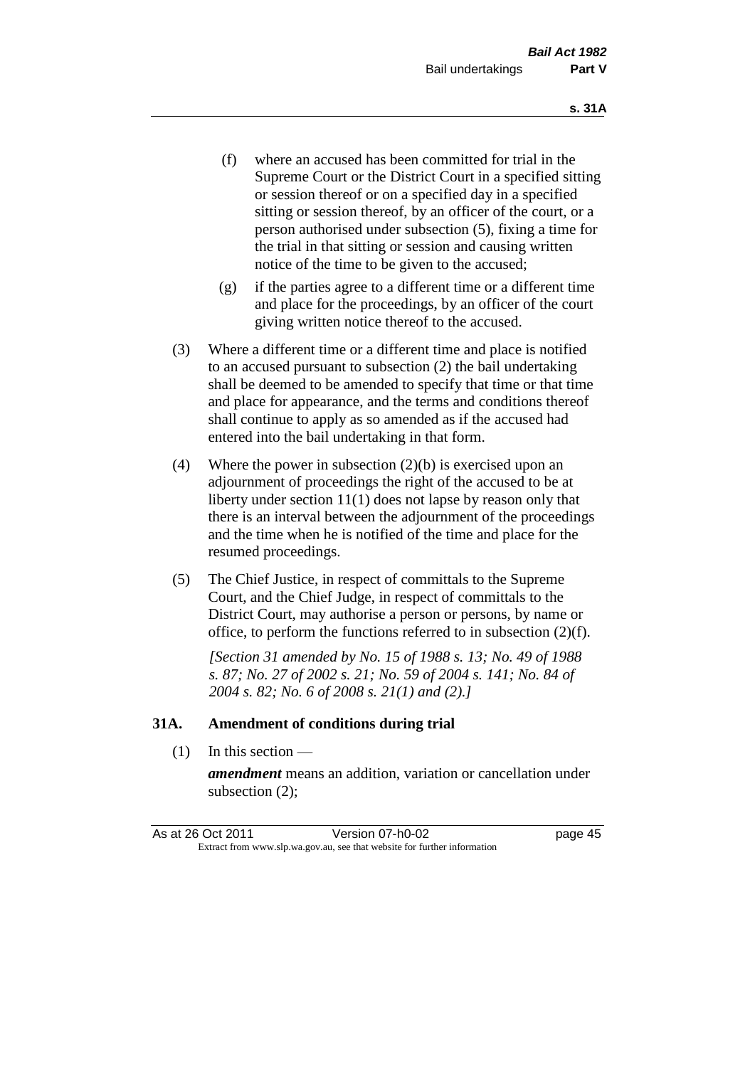- (f) where an accused has been committed for trial in the Supreme Court or the District Court in a specified sitting or session thereof or on a specified day in a specified sitting or session thereof, by an officer of the court, or a person authorised under subsection (5), fixing a time for the trial in that sitting or session and causing written notice of the time to be given to the accused;
- (g) if the parties agree to a different time or a different time and place for the proceedings, by an officer of the court giving written notice thereof to the accused.
- (3) Where a different time or a different time and place is notified to an accused pursuant to subsection (2) the bail undertaking shall be deemed to be amended to specify that time or that time and place for appearance, and the terms and conditions thereof shall continue to apply as so amended as if the accused had entered into the bail undertaking in that form.
- (4) Where the power in subsection (2)(b) is exercised upon an adjournment of proceedings the right of the accused to be at liberty under section 11(1) does not lapse by reason only that there is an interval between the adjournment of the proceedings and the time when he is notified of the time and place for the resumed proceedings.
- (5) The Chief Justice, in respect of committals to the Supreme Court, and the Chief Judge, in respect of committals to the District Court, may authorise a person or persons, by name or office, to perform the functions referred to in subsection (2)(f).

*[Section 31 amended by No. 15 of 1988 s. 13; No. 49 of 1988 s. 87; No. 27 of 2002 s. 21; No. 59 of 2004 s. 141; No. 84 of 2004 s. 82; No. 6 of 2008 s. 21(1) and (2).]*

#### **31A. Amendment of conditions during trial**

(1) In this section —

*amendment* means an addition, variation or cancellation under subsection (2);

| As at 26 Oct 2011 | Version 07-h0-02                                                         | page 45 |
|-------------------|--------------------------------------------------------------------------|---------|
|                   | Extract from www.slp.wa.gov.au, see that website for further information |         |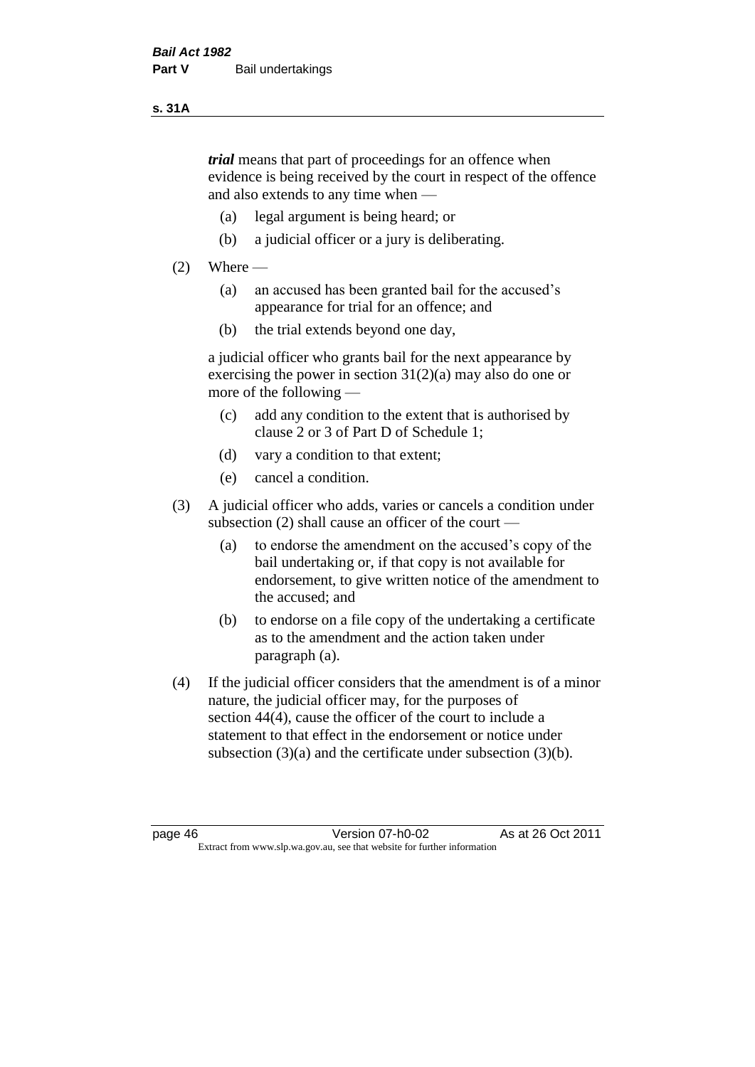#### **s. 31A**

*trial* means that part of proceedings for an offence when evidence is being received by the court in respect of the offence and also extends to any time when —

- (a) legal argument is being heard; or
- (b) a judicial officer or a jury is deliberating.

#### $(2)$  Where —

- (a) an accused has been granted bail for the accused's appearance for trial for an offence; and
- (b) the trial extends beyond one day,

a judicial officer who grants bail for the next appearance by exercising the power in section  $31(2)(a)$  may also do one or more of the following —

- (c) add any condition to the extent that is authorised by clause 2 or 3 of Part D of Schedule 1;
- (d) vary a condition to that extent;
- (e) cancel a condition.
- (3) A judicial officer who adds, varies or cancels a condition under subsection (2) shall cause an officer of the court —
	- (a) to endorse the amendment on the accused's copy of the bail undertaking or, if that copy is not available for endorsement, to give written notice of the amendment to the accused; and
	- (b) to endorse on a file copy of the undertaking a certificate as to the amendment and the action taken under paragraph (a).
- (4) If the judicial officer considers that the amendment is of a minor nature, the judicial officer may, for the purposes of section 44(4), cause the officer of the court to include a statement to that effect in the endorsement or notice under subsection (3)(a) and the certificate under subsection (3)(b).

page 46 Version 07-h0-02 As at 26 Oct 2011 Extract from www.slp.wa.gov.au, see that website for further information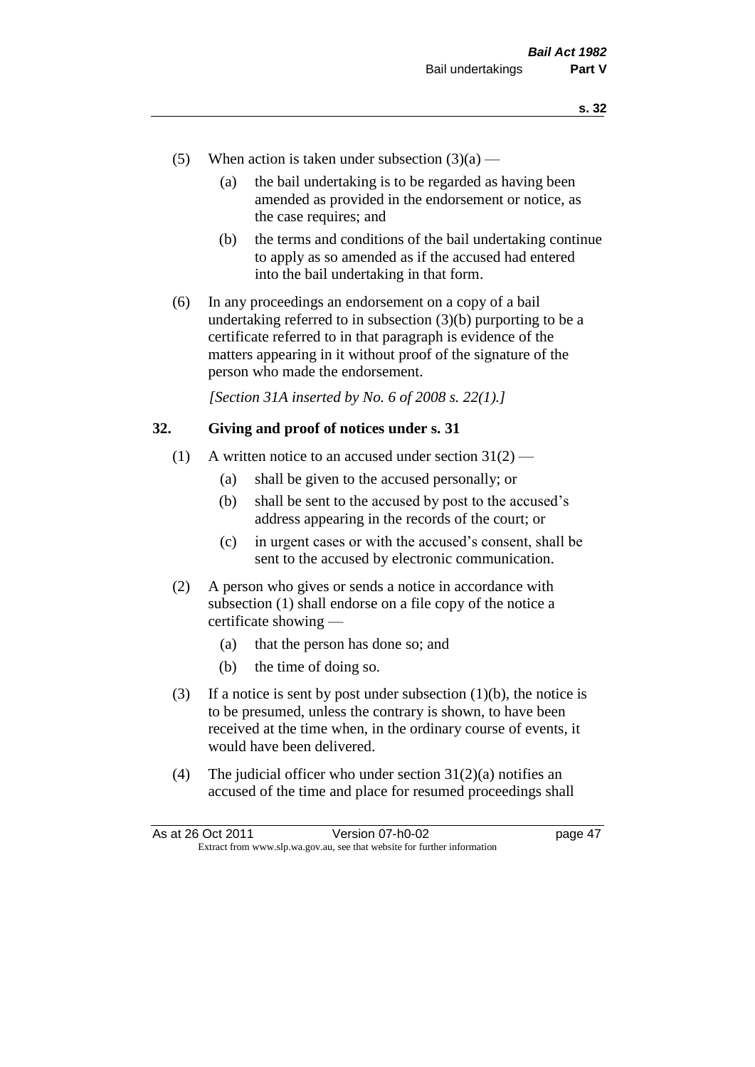- (5) When action is taken under subsection  $(3)(a)$ 
	- (a) the bail undertaking is to be regarded as having been amended as provided in the endorsement or notice, as the case requires; and
	- (b) the terms and conditions of the bail undertaking continue to apply as so amended as if the accused had entered into the bail undertaking in that form.
- (6) In any proceedings an endorsement on a copy of a bail undertaking referred to in subsection (3)(b) purporting to be a certificate referred to in that paragraph is evidence of the matters appearing in it without proof of the signature of the person who made the endorsement.

*[Section 31A inserted by No. 6 of 2008 s. 22(1).]*

#### **32. Giving and proof of notices under s. 31**

- (1) A written notice to an accused under section  $31(2)$ 
	- (a) shall be given to the accused personally; or
	- (b) shall be sent to the accused by post to the accused's address appearing in the records of the court; or
	- (c) in urgent cases or with the accused's consent, shall be sent to the accused by electronic communication.
- (2) A person who gives or sends a notice in accordance with subsection (1) shall endorse on a file copy of the notice a certificate showing —
	- (a) that the person has done so; and
	- (b) the time of doing so.
- (3) If a notice is sent by post under subsection  $(1)(b)$ , the notice is to be presumed, unless the contrary is shown, to have been received at the time when, in the ordinary course of events, it would have been delivered.
- (4) The judicial officer who under section  $31(2)(a)$  notifies an accused of the time and place for resumed proceedings shall

| As at 26 Oct 2011 | Version 07-h0-02                                                         | page 47 |
|-------------------|--------------------------------------------------------------------------|---------|
|                   | Extract from www.slp.wa.gov.au, see that website for further information |         |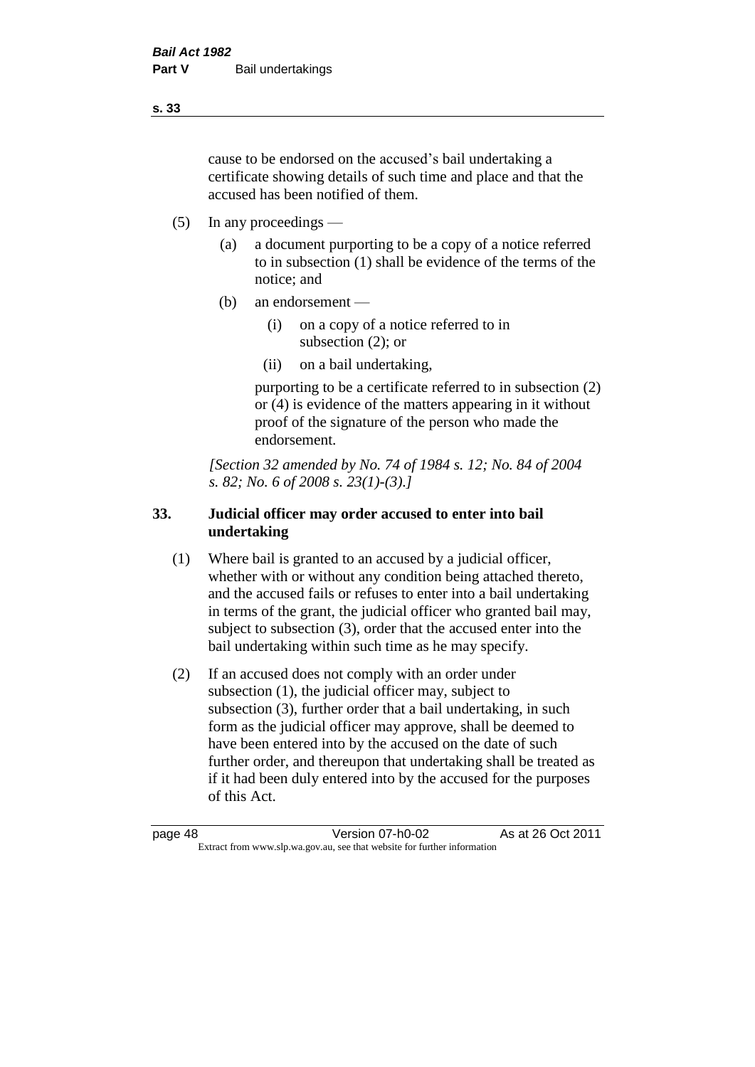cause to be endorsed on the accused's bail undertaking a certificate showing details of such time and place and that the accused has been notified of them.

- (5) In any proceedings
	- (a) a document purporting to be a copy of a notice referred to in subsection (1) shall be evidence of the terms of the notice; and
	- (b) an endorsement
		- (i) on a copy of a notice referred to in subsection (2); or
		- (ii) on a bail undertaking,

purporting to be a certificate referred to in subsection (2) or (4) is evidence of the matters appearing in it without proof of the signature of the person who made the endorsement.

*[Section 32 amended by No. 74 of 1984 s. 12; No. 84 of 2004 s. 82; No. 6 of 2008 s. 23(1)-(3).]* 

#### **33. Judicial officer may order accused to enter into bail undertaking**

- (1) Where bail is granted to an accused by a judicial officer, whether with or without any condition being attached thereto, and the accused fails or refuses to enter into a bail undertaking in terms of the grant, the judicial officer who granted bail may, subject to subsection (3), order that the accused enter into the bail undertaking within such time as he may specify.
- (2) If an accused does not comply with an order under subsection (1), the judicial officer may, subject to subsection (3), further order that a bail undertaking, in such form as the judicial officer may approve, shall be deemed to have been entered into by the accused on the date of such further order, and thereupon that undertaking shall be treated as if it had been duly entered into by the accused for the purposes of this Act.

| page 48 | Version 07-h0-02                                                         | As at 26 Oct 2011 |
|---------|--------------------------------------------------------------------------|-------------------|
|         | Extract from www.slp.wa.gov.au, see that website for further information |                   |

**s. 33**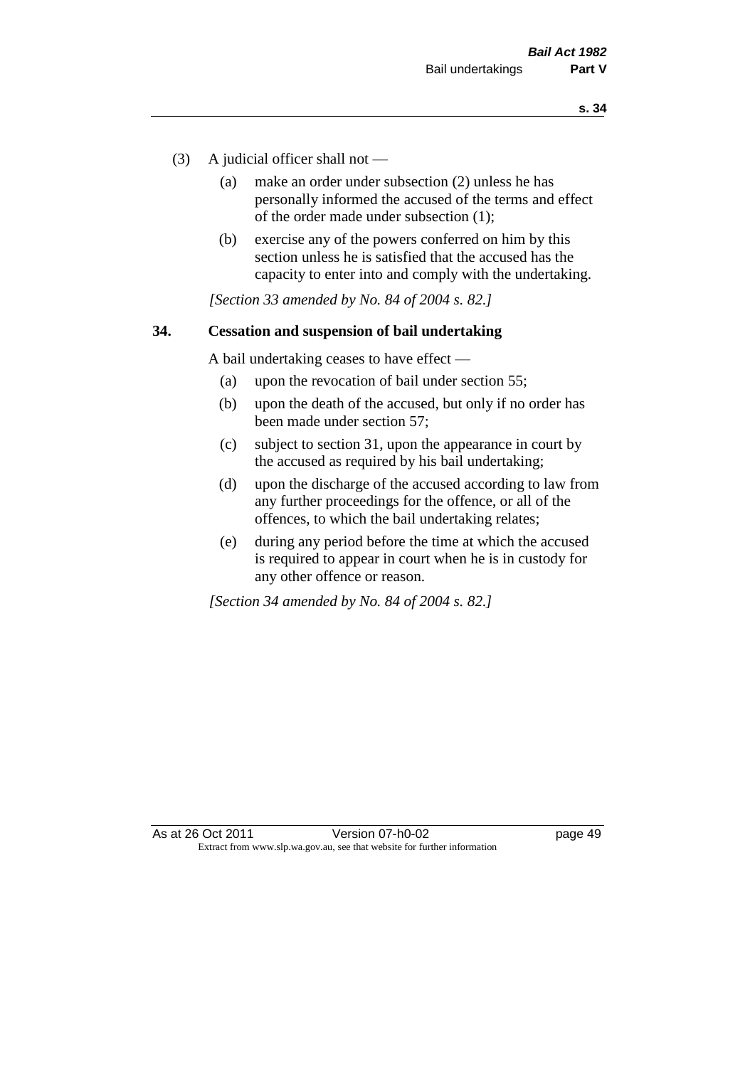- (3) A judicial officer shall not
	- (a) make an order under subsection (2) unless he has personally informed the accused of the terms and effect of the order made under subsection (1);
	- (b) exercise any of the powers conferred on him by this section unless he is satisfied that the accused has the capacity to enter into and comply with the undertaking.

*[Section 33 amended by No. 84 of 2004 s. 82.]* 

#### **34. Cessation and suspension of bail undertaking**

A bail undertaking ceases to have effect —

- (a) upon the revocation of bail under section 55;
- (b) upon the death of the accused, but only if no order has been made under section 57;
- (c) subject to section 31, upon the appearance in court by the accused as required by his bail undertaking;
- (d) upon the discharge of the accused according to law from any further proceedings for the offence, or all of the offences, to which the bail undertaking relates;
- (e) during any period before the time at which the accused is required to appear in court when he is in custody for any other offence or reason.

*[Section 34 amended by No. 84 of 2004 s. 82.]*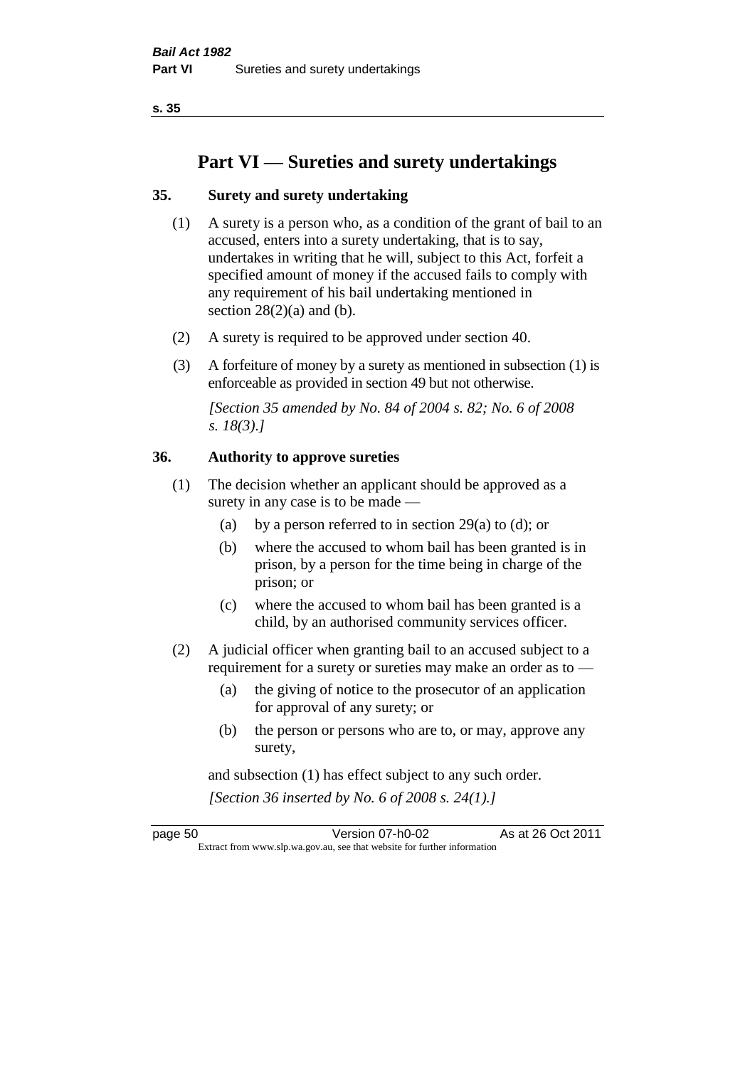**s. 35**

# **Part VI — Sureties and surety undertakings**

#### **35. Surety and surety undertaking**

- (1) A surety is a person who, as a condition of the grant of bail to an accused, enters into a surety undertaking, that is to say, undertakes in writing that he will, subject to this Act, forfeit a specified amount of money if the accused fails to comply with any requirement of his bail undertaking mentioned in section  $28(2)(a)$  and (b).
- (2) A surety is required to be approved under section 40.
- (3) A forfeiture of money by a surety as mentioned in subsection (1) is enforceable as provided in section 49 but not otherwise.

*[Section 35 amended by No. 84 of 2004 s. 82; No. 6 of 2008 s. 18(3).]* 

#### **36. Authority to approve sureties**

- (1) The decision whether an applicant should be approved as a surety in any case is to be made —
	- (a) by a person referred to in section 29(a) to (d); or
	- (b) where the accused to whom bail has been granted is in prison, by a person for the time being in charge of the prison; or
	- (c) where the accused to whom bail has been granted is a child, by an authorised community services officer.
- (2) A judicial officer when granting bail to an accused subject to a requirement for a surety or sureties may make an order as to —
	- (a) the giving of notice to the prosecutor of an application for approval of any surety; or
	- (b) the person or persons who are to, or may, approve any surety,

and subsection (1) has effect subject to any such order. *[Section 36 inserted by No. 6 of 2008 s. 24(1).]*

page 50 Version 07-h0-02 As at 26 Oct 2011 Extract from www.slp.wa.gov.au, see that website for further information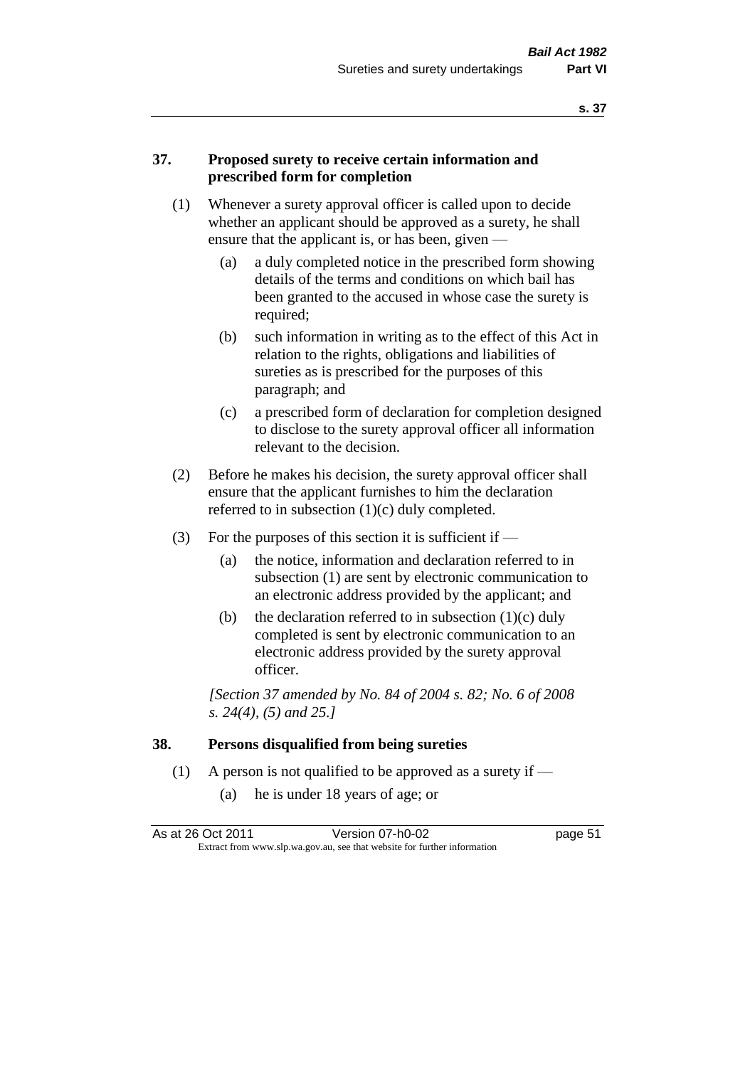#### **37. Proposed surety to receive certain information and prescribed form for completion**

- (1) Whenever a surety approval officer is called upon to decide whether an applicant should be approved as a surety, he shall ensure that the applicant is, or has been, given -
	- (a) a duly completed notice in the prescribed form showing details of the terms and conditions on which bail has been granted to the accused in whose case the surety is required;
	- (b) such information in writing as to the effect of this Act in relation to the rights, obligations and liabilities of sureties as is prescribed for the purposes of this paragraph; and
	- (c) a prescribed form of declaration for completion designed to disclose to the surety approval officer all information relevant to the decision.
- (2) Before he makes his decision, the surety approval officer shall ensure that the applicant furnishes to him the declaration referred to in subsection (1)(c) duly completed.
- (3) For the purposes of this section it is sufficient if  $-$ 
	- (a) the notice, information and declaration referred to in subsection (1) are sent by electronic communication to an electronic address provided by the applicant; and
	- (b) the declaration referred to in subsection  $(1)(c)$  duly completed is sent by electronic communication to an electronic address provided by the surety approval officer.

*[Section 37 amended by No. 84 of 2004 s. 82; No. 6 of 2008 s. 24(4), (5) and 25.]* 

#### **38. Persons disqualified from being sureties**

- (1) A person is not qualified to be approved as a surety if  $-$ 
	- (a) he is under 18 years of age; or

| As at 26 Oct 2011 | Version 07-h0-02                                                         | page 51 |
|-------------------|--------------------------------------------------------------------------|---------|
|                   | Extract from www.slp.wa.gov.au, see that website for further information |         |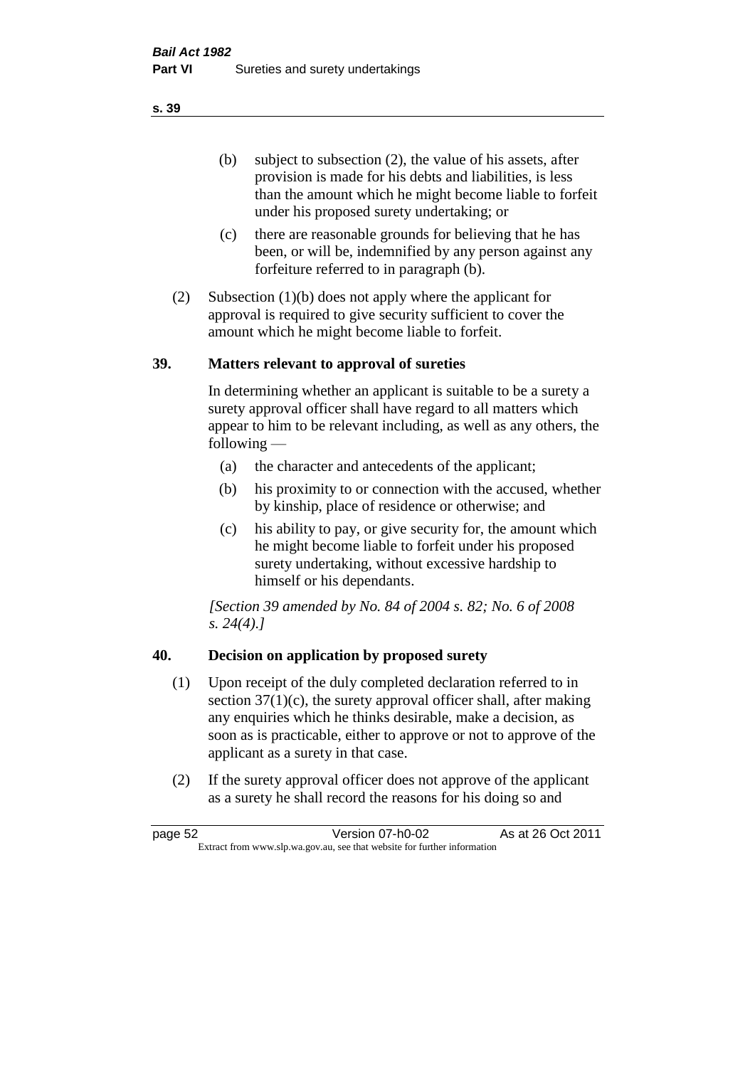(b) subject to subsection (2), the value of his assets, after provision is made for his debts and liabilities, is less than the amount which he might become liable to forfeit under his proposed surety undertaking; or

- (c) there are reasonable grounds for believing that he has been, or will be, indemnified by any person against any forfeiture referred to in paragraph (b).
- (2) Subsection (1)(b) does not apply where the applicant for approval is required to give security sufficient to cover the amount which he might become liable to forfeit.

#### **39. Matters relevant to approval of sureties**

In determining whether an applicant is suitable to be a surety a surety approval officer shall have regard to all matters which appear to him to be relevant including, as well as any others, the following —

- (a) the character and antecedents of the applicant;
- (b) his proximity to or connection with the accused, whether by kinship, place of residence or otherwise; and
- (c) his ability to pay, or give security for, the amount which he might become liable to forfeit under his proposed surety undertaking, without excessive hardship to himself or his dependants.

*[Section 39 amended by No. 84 of 2004 s. 82; No. 6 of 2008 s. 24(4).]* 

### **40. Decision on application by proposed surety**

- (1) Upon receipt of the duly completed declaration referred to in section  $37(1)(c)$ , the surety approval officer shall, after making any enquiries which he thinks desirable, make a decision, as soon as is practicable, either to approve or not to approve of the applicant as a surety in that case.
- (2) If the surety approval officer does not approve of the applicant as a surety he shall record the reasons for his doing so and

page 52 Version 07-h0-02 As at 26 Oct 2011 Extract from www.slp.wa.gov.au, see that website for further information

#### **s. 39**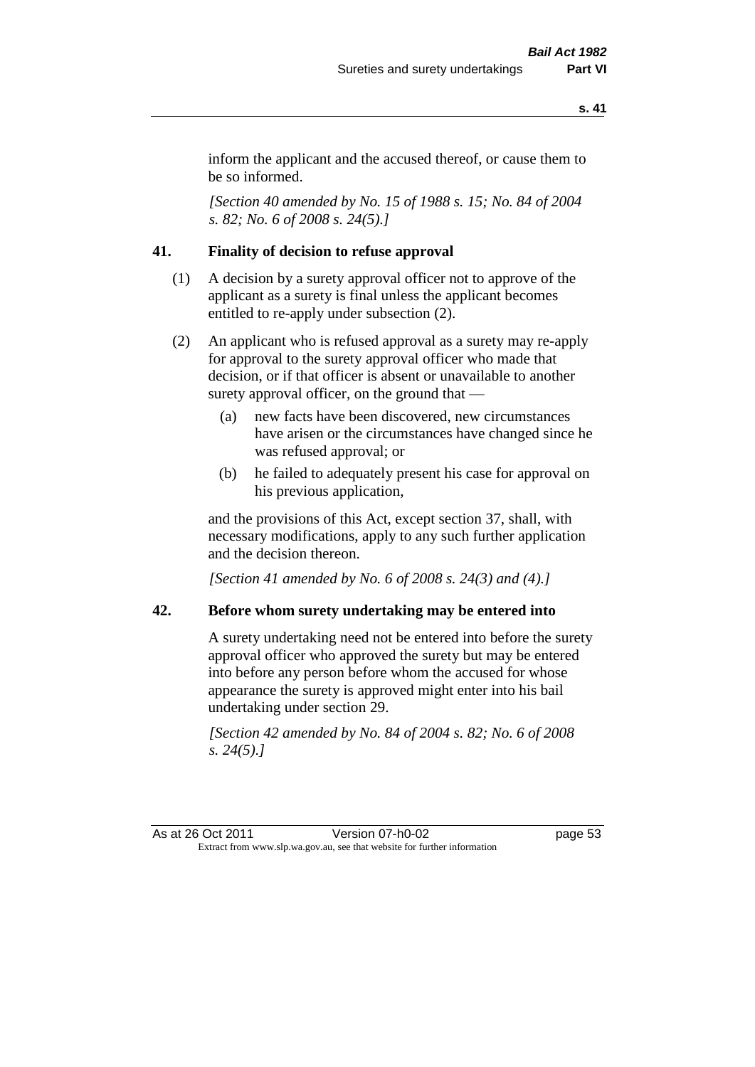inform the applicant and the accused thereof, or cause them to be so informed.

*[Section 40 amended by No. 15 of 1988 s. 15; No. 84 of 2004 s. 82; No. 6 of 2008 s. 24(5).]* 

#### **41. Finality of decision to refuse approval**

- (1) A decision by a surety approval officer not to approve of the applicant as a surety is final unless the applicant becomes entitled to re-apply under subsection (2).
- (2) An applicant who is refused approval as a surety may re-apply for approval to the surety approval officer who made that decision, or if that officer is absent or unavailable to another surety approval officer, on the ground that —
	- (a) new facts have been discovered, new circumstances have arisen or the circumstances have changed since he was refused approval; or
	- (b) he failed to adequately present his case for approval on his previous application,

and the provisions of this Act, except section 37, shall, with necessary modifications, apply to any such further application and the decision thereon.

*[Section 41 amended by No. 6 of 2008 s. 24(3) and (4).]*

#### **42. Before whom surety undertaking may be entered into**

A surety undertaking need not be entered into before the surety approval officer who approved the surety but may be entered into before any person before whom the accused for whose appearance the surety is approved might enter into his bail undertaking under section 29.

*[Section 42 amended by No. 84 of 2004 s. 82; No. 6 of 2008 s. 24(5).]* 

As at 26 Oct 2011 Version 07-h0-02 page 53 Extract from www.slp.wa.gov.au, see that website for further information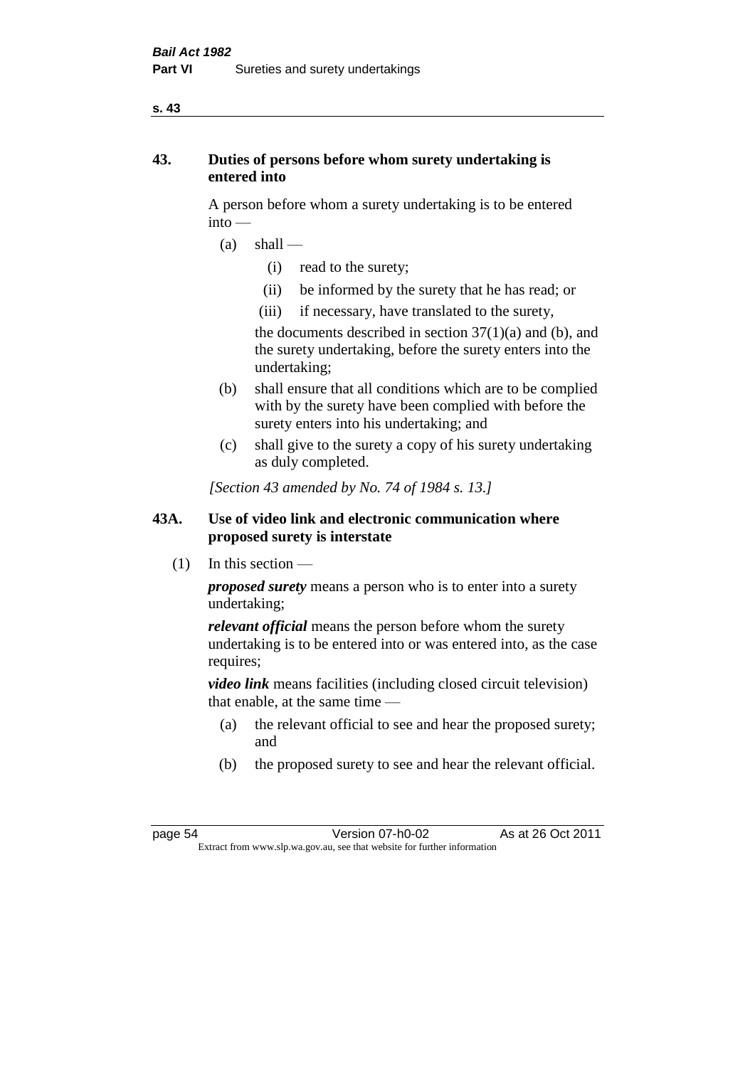#### **s. 43**

#### **43. Duties of persons before whom surety undertaking is entered into**

A person before whom a surety undertaking is to be entered into —

- $(a)$  shall
	- (i) read to the surety;
	- (ii) be informed by the surety that he has read; or
	- (iii) if necessary, have translated to the surety,

the documents described in section  $37(1)(a)$  and (b), and the surety undertaking, before the surety enters into the undertaking;

- (b) shall ensure that all conditions which are to be complied with by the surety have been complied with before the surety enters into his undertaking; and
- (c) shall give to the surety a copy of his surety undertaking as duly completed.

*[Section 43 amended by No. 74 of 1984 s. 13.]* 

### **43A. Use of video link and electronic communication where proposed surety is interstate**

 $(1)$  In this section —

*proposed surety* means a person who is to enter into a surety undertaking;

*relevant official* means the person before whom the surety undertaking is to be entered into or was entered into, as the case requires;

*video link* means facilities (including closed circuit television) that enable, at the same time —

- (a) the relevant official to see and hear the proposed surety; and
- (b) the proposed surety to see and hear the relevant official.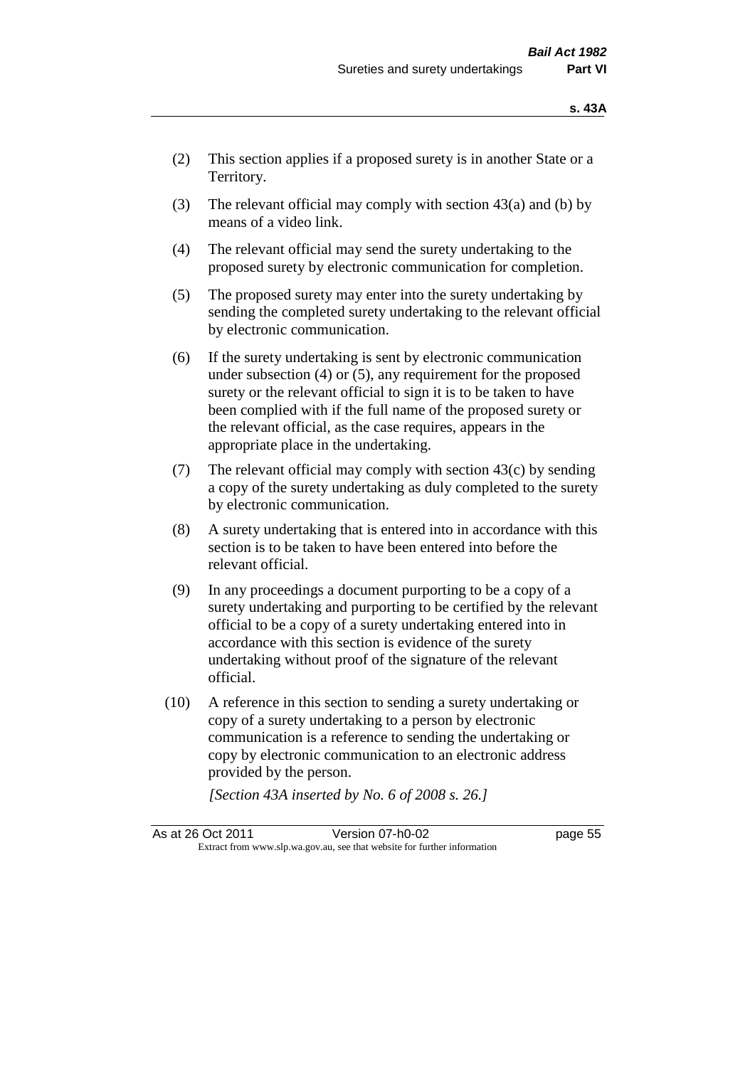- (2) This section applies if a proposed surety is in another State or a Territory.
- (3) The relevant official may comply with section  $43(a)$  and (b) by means of a video link.
- (4) The relevant official may send the surety undertaking to the proposed surety by electronic communication for completion.
- (5) The proposed surety may enter into the surety undertaking by sending the completed surety undertaking to the relevant official by electronic communication.
- (6) If the surety undertaking is sent by electronic communication under subsection (4) or (5), any requirement for the proposed surety or the relevant official to sign it is to be taken to have been complied with if the full name of the proposed surety or the relevant official, as the case requires, appears in the appropriate place in the undertaking.
- (7) The relevant official may comply with section  $43(c)$  by sending a copy of the surety undertaking as duly completed to the surety by electronic communication.
- (8) A surety undertaking that is entered into in accordance with this section is to be taken to have been entered into before the relevant official.
- (9) In any proceedings a document purporting to be a copy of a surety undertaking and purporting to be certified by the relevant official to be a copy of a surety undertaking entered into in accordance with this section is evidence of the surety undertaking without proof of the signature of the relevant official.
- (10) A reference in this section to sending a surety undertaking or copy of a surety undertaking to a person by electronic communication is a reference to sending the undertaking or copy by electronic communication to an electronic address provided by the person.

*[Section 43A inserted by No. 6 of 2008 s. 26.]*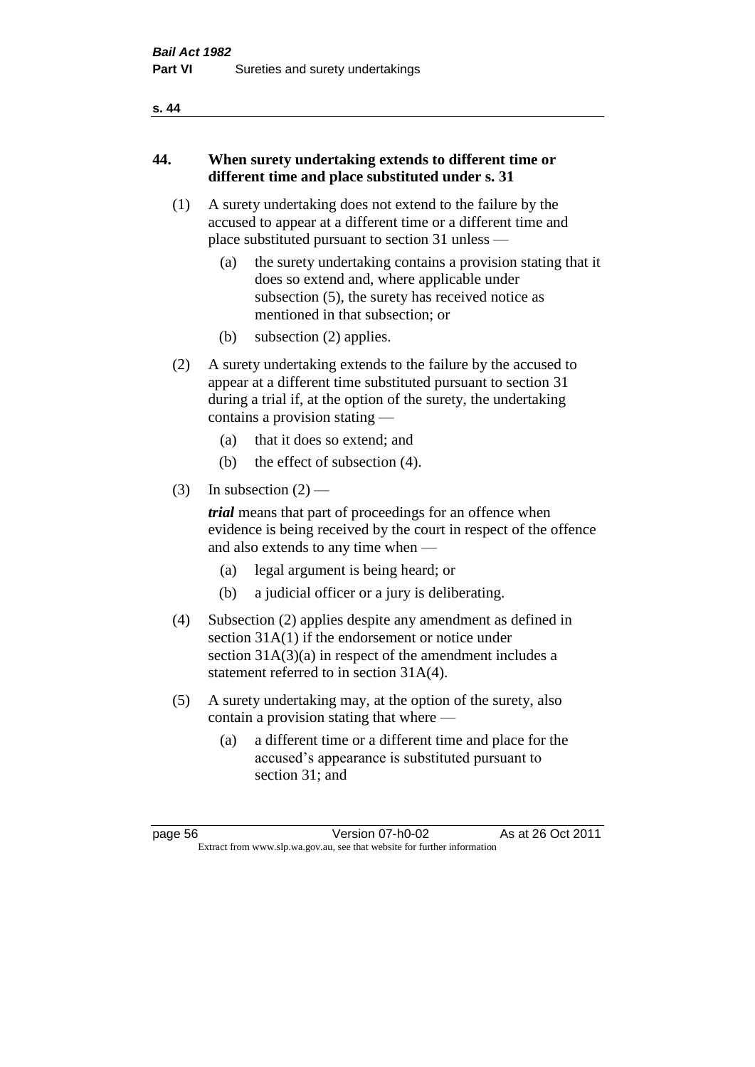#### **s. 44**

#### **44. When surety undertaking extends to different time or different time and place substituted under s. 31**

- (1) A surety undertaking does not extend to the failure by the accused to appear at a different time or a different time and place substituted pursuant to section 31 unless —
	- (a) the surety undertaking contains a provision stating that it does so extend and, where applicable under subsection (5), the surety has received notice as mentioned in that subsection; or
	- (b) subsection (2) applies.
- (2) A surety undertaking extends to the failure by the accused to appear at a different time substituted pursuant to section 31 during a trial if, at the option of the surety, the undertaking contains a provision stating —
	- (a) that it does so extend; and
	- (b) the effect of subsection (4).
- (3) In subsection  $(2)$  —

*trial* means that part of proceedings for an offence when evidence is being received by the court in respect of the offence and also extends to any time when —

- (a) legal argument is being heard; or
- (b) a judicial officer or a jury is deliberating.
- (4) Subsection (2) applies despite any amendment as defined in section 31A(1) if the endorsement or notice under section 31A(3)(a) in respect of the amendment includes a statement referred to in section 31A(4).
- (5) A surety undertaking may, at the option of the surety, also contain a provision stating that where —
	- (a) a different time or a different time and place for the accused's appearance is substituted pursuant to section 31; and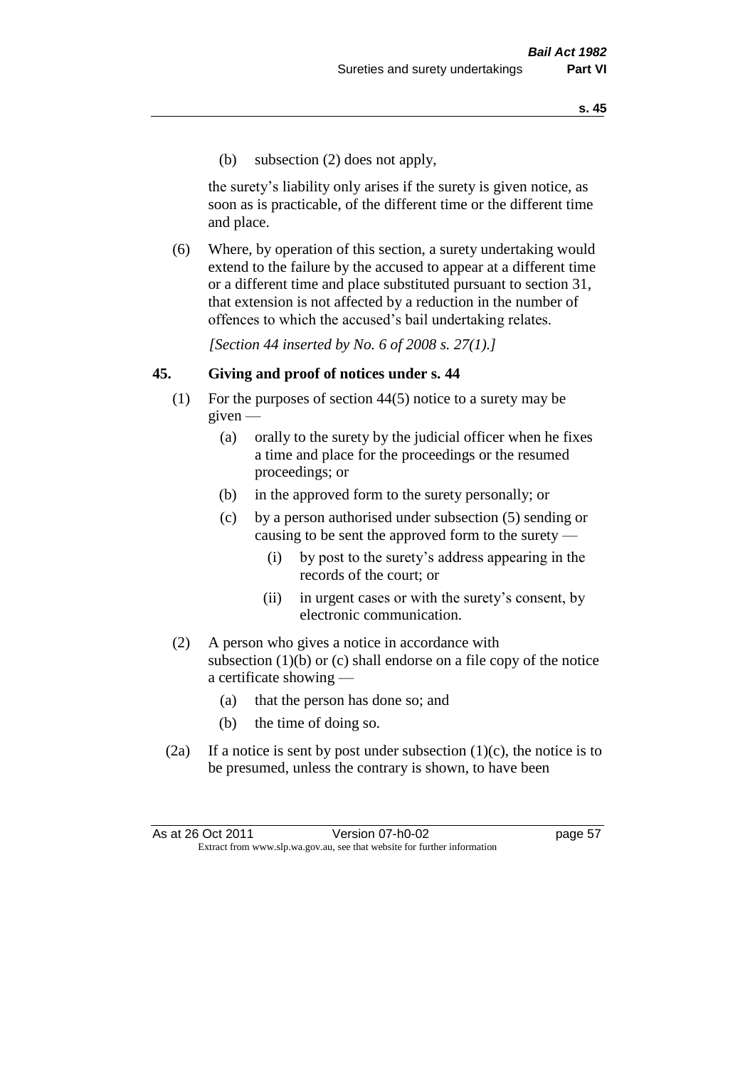(b) subsection (2) does not apply,

the surety's liability only arises if the surety is given notice, as soon as is practicable, of the different time or the different time and place.

(6) Where, by operation of this section, a surety undertaking would extend to the failure by the accused to appear at a different time or a different time and place substituted pursuant to section 31, that extension is not affected by a reduction in the number of offences to which the accused's bail undertaking relates.

*[Section 44 inserted by No. 6 of 2008 s. 27(1).]*

#### **45. Giving and proof of notices under s. 44**

- (1) For the purposes of section 44(5) notice to a surety may be  $given -$ 
	- (a) orally to the surety by the judicial officer when he fixes a time and place for the proceedings or the resumed proceedings; or
	- (b) in the approved form to the surety personally; or
	- (c) by a person authorised under subsection (5) sending or causing to be sent the approved form to the surety —
		- (i) by post to the surety's address appearing in the records of the court; or
		- (ii) in urgent cases or with the surety's consent, by electronic communication.
- (2) A person who gives a notice in accordance with subsection (1)(b) or (c) shall endorse on a file copy of the notice a certificate showing —
	- (a) that the person has done so; and
	- (b) the time of doing so.
- (2a) If a notice is sent by post under subsection  $(1)(c)$ , the notice is to be presumed, unless the contrary is shown, to have been

| As at 26 Oct 2011 | Version 07-h0-02                                                         | page 57 |
|-------------------|--------------------------------------------------------------------------|---------|
|                   | Extract from www.slp.wa.gov.au, see that website for further information |         |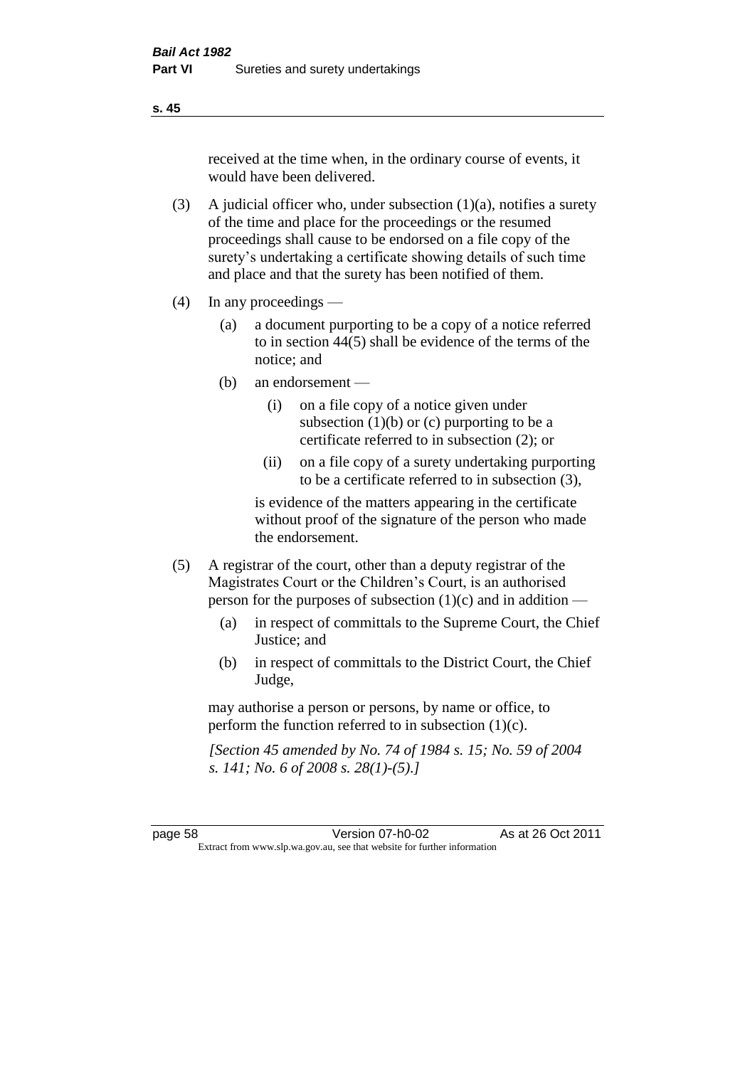received at the time when, in the ordinary course of events, it would have been delivered.

- (3) A judicial officer who, under subsection  $(1)(a)$ , notifies a surety of the time and place for the proceedings or the resumed proceedings shall cause to be endorsed on a file copy of the surety's undertaking a certificate showing details of such time and place and that the surety has been notified of them.
- (4) In any proceedings
	- (a) a document purporting to be a copy of a notice referred to in section 44(5) shall be evidence of the terms of the notice; and
	- (b) an endorsement
		- (i) on a file copy of a notice given under subsection  $(1)(b)$  or  $(c)$  purporting to be a certificate referred to in subsection (2); or
		- (ii) on a file copy of a surety undertaking purporting to be a certificate referred to in subsection (3),

is evidence of the matters appearing in the certificate without proof of the signature of the person who made the endorsement.

- (5) A registrar of the court, other than a deputy registrar of the Magistrates Court or the Children's Court, is an authorised person for the purposes of subsection (1)(c) and in addition —
	- (a) in respect of committals to the Supreme Court, the Chief Justice; and
	- (b) in respect of committals to the District Court, the Chief Judge,

may authorise a person or persons, by name or office, to perform the function referred to in subsection (1)(c).

*[Section 45 amended by No. 74 of 1984 s. 15; No. 59 of 2004 s. 141; No. 6 of 2008 s. 28(1)-(5).]* 

page 58 Version 07-h0-02 As at 26 Oct 2011 Extract from www.slp.wa.gov.au, see that website for further information

#### **s. 45**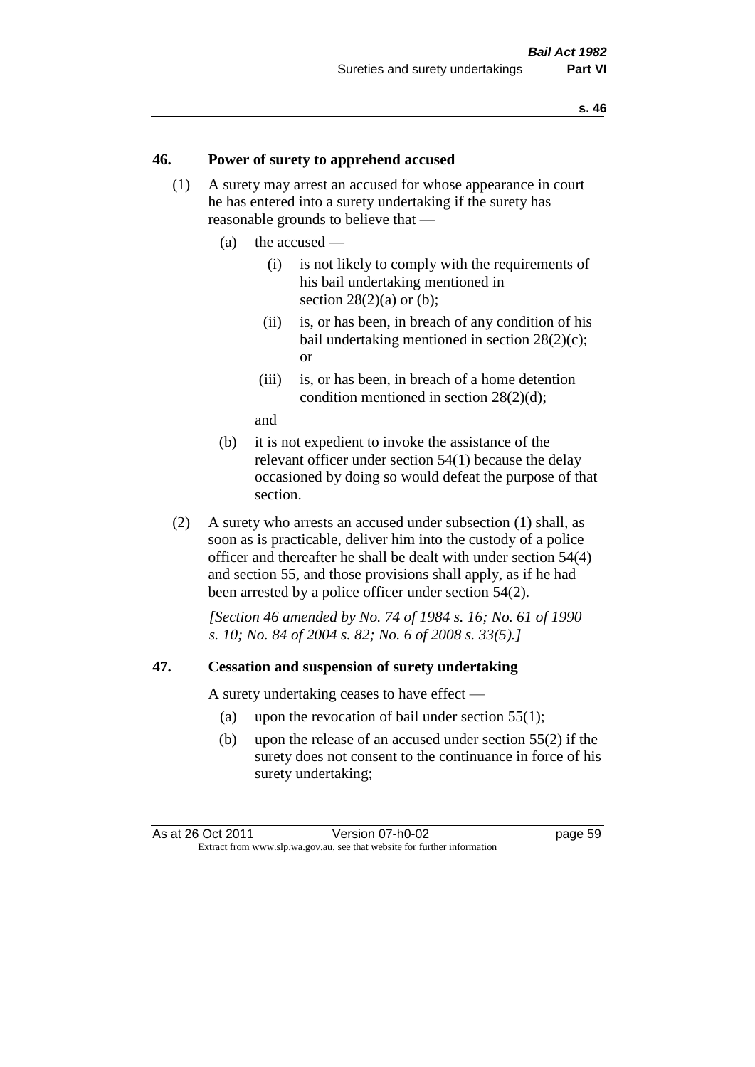#### **46. Power of surety to apprehend accused**

- (1) A surety may arrest an accused for whose appearance in court he has entered into a surety undertaking if the surety has reasonable grounds to believe that —
	- (a) the accused
		- (i) is not likely to comply with the requirements of his bail undertaking mentioned in section  $28(2)(a)$  or (b):
		- (ii) is, or has been, in breach of any condition of his bail undertaking mentioned in section 28(2)(c); or
		- (iii) is, or has been, in breach of a home detention condition mentioned in section 28(2)(d);

and

- (b) it is not expedient to invoke the assistance of the relevant officer under section 54(1) because the delay occasioned by doing so would defeat the purpose of that section.
- (2) A surety who arrests an accused under subsection (1) shall, as soon as is practicable, deliver him into the custody of a police officer and thereafter he shall be dealt with under section 54(4) and section 55, and those provisions shall apply, as if he had been arrested by a police officer under section 54(2).

*[Section 46 amended by No. 74 of 1984 s. 16; No. 61 of 1990 s. 10; No. 84 of 2004 s. 82; No. 6 of 2008 s. 33(5).]* 

#### **47. Cessation and suspension of surety undertaking**

A surety undertaking ceases to have effect —

- (a) upon the revocation of bail under section 55(1);
- (b) upon the release of an accused under section 55(2) if the surety does not consent to the continuance in force of his surety undertaking;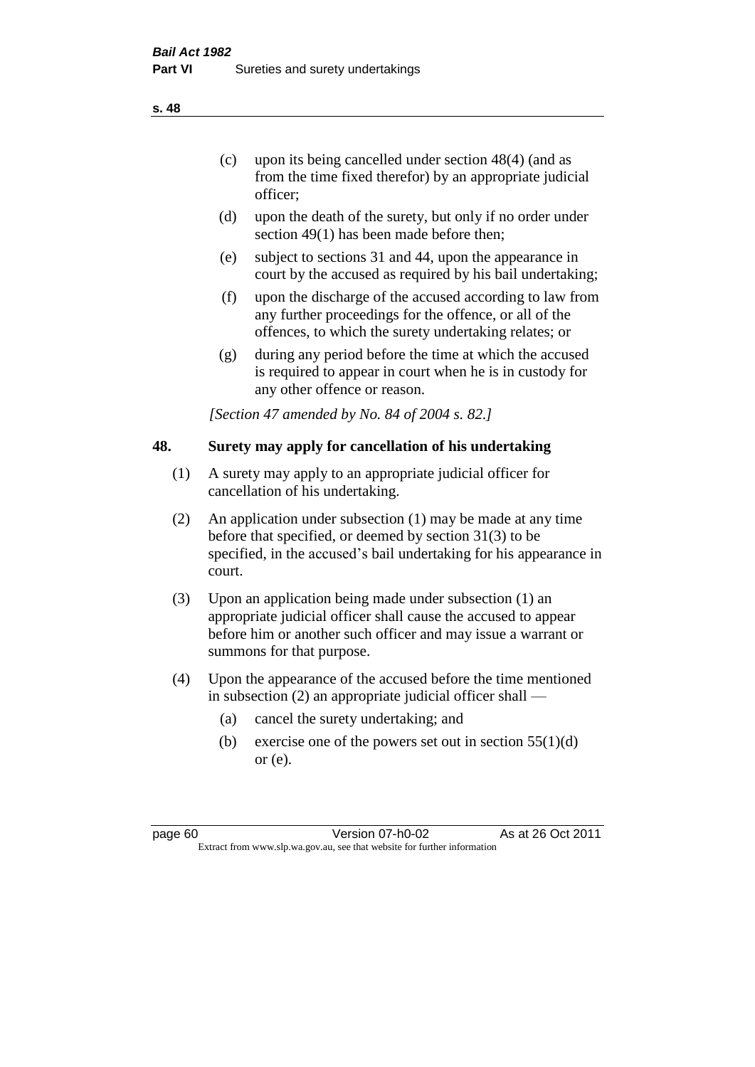officer;

- (d) upon the death of the surety, but only if no order under section 49(1) has been made before then;
- (e) subject to sections 31 and 44, upon the appearance in court by the accused as required by his bail undertaking;
- (f) upon the discharge of the accused according to law from any further proceedings for the offence, or all of the offences, to which the surety undertaking relates; or
- (g) during any period before the time at which the accused is required to appear in court when he is in custody for any other offence or reason.

*[Section 47 amended by No. 84 of 2004 s. 82.]* 

### **48. Surety may apply for cancellation of his undertaking**

- (1) A surety may apply to an appropriate judicial officer for cancellation of his undertaking.
- (2) An application under subsection (1) may be made at any time before that specified, or deemed by section 31(3) to be specified, in the accused's bail undertaking for his appearance in court.
- (3) Upon an application being made under subsection (1) an appropriate judicial officer shall cause the accused to appear before him or another such officer and may issue a warrant or summons for that purpose.
- (4) Upon the appearance of the accused before the time mentioned in subsection (2) an appropriate judicial officer shall —
	- (a) cancel the surety undertaking; and
	- (b) exercise one of the powers set out in section  $55(1)(d)$ or (e).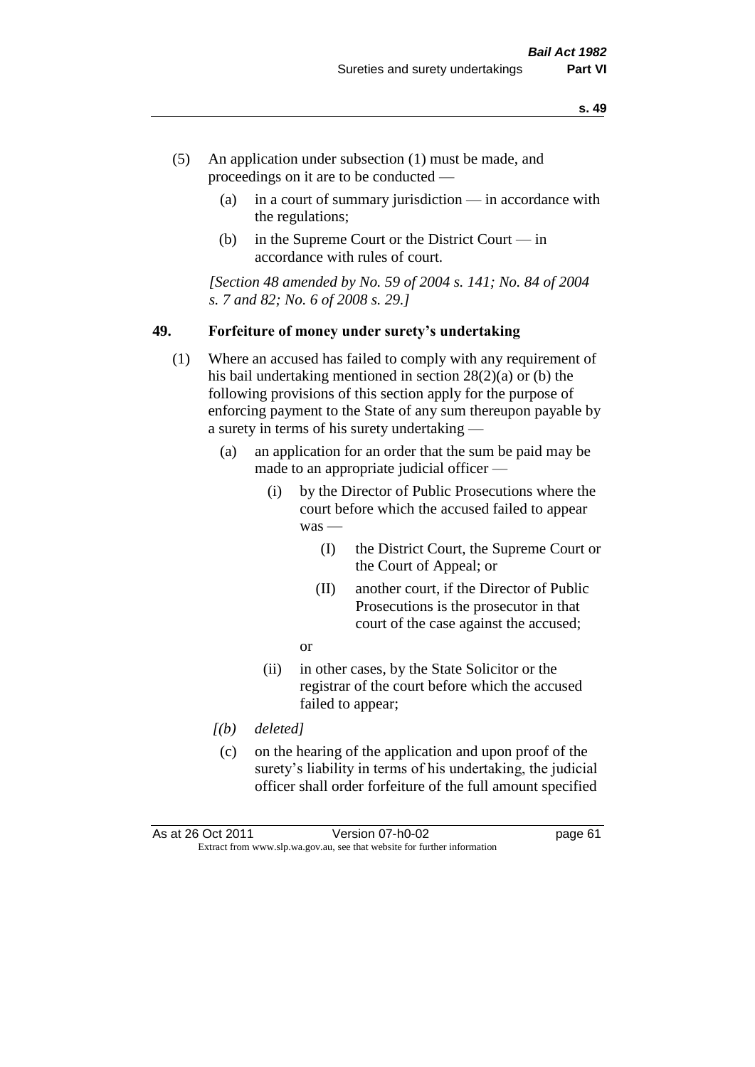- (5) An application under subsection (1) must be made, and proceedings on it are to be conducted —
	- (a) in a court of summary jurisdiction in accordance with the regulations;
	- (b) in the Supreme Court or the District Court  $-\text{in}$ accordance with rules of court.

*[Section 48 amended by No. 59 of 2004 s. 141; No. 84 of 2004 s. 7 and 82; No. 6 of 2008 s. 29.]* 

#### **49. Forfeiture of money under surety's undertaking**

- (1) Where an accused has failed to comply with any requirement of his bail undertaking mentioned in section 28(2)(a) or (b) the following provisions of this section apply for the purpose of enforcing payment to the State of any sum thereupon payable by a surety in terms of his surety undertaking —
	- (a) an application for an order that the sum be paid may be made to an appropriate judicial officer —
		- (i) by the Director of Public Prosecutions where the court before which the accused failed to appear was -
			- (I) the District Court, the Supreme Court or the Court of Appeal; or
			- (II) another court, if the Director of Public Prosecutions is the prosecutor in that court of the case against the accused;
			- or
		- (ii) in other cases, by the State Solicitor or the registrar of the court before which the accused failed to appear;
	- *[(b) deleted]*
	- (c) on the hearing of the application and upon proof of the surety's liability in terms of his undertaking, the judicial officer shall order forfeiture of the full amount specified

As at 26 Oct 2011 Version 07-h0-02 page 61 Extract from www.slp.wa.gov.au, see that website for further information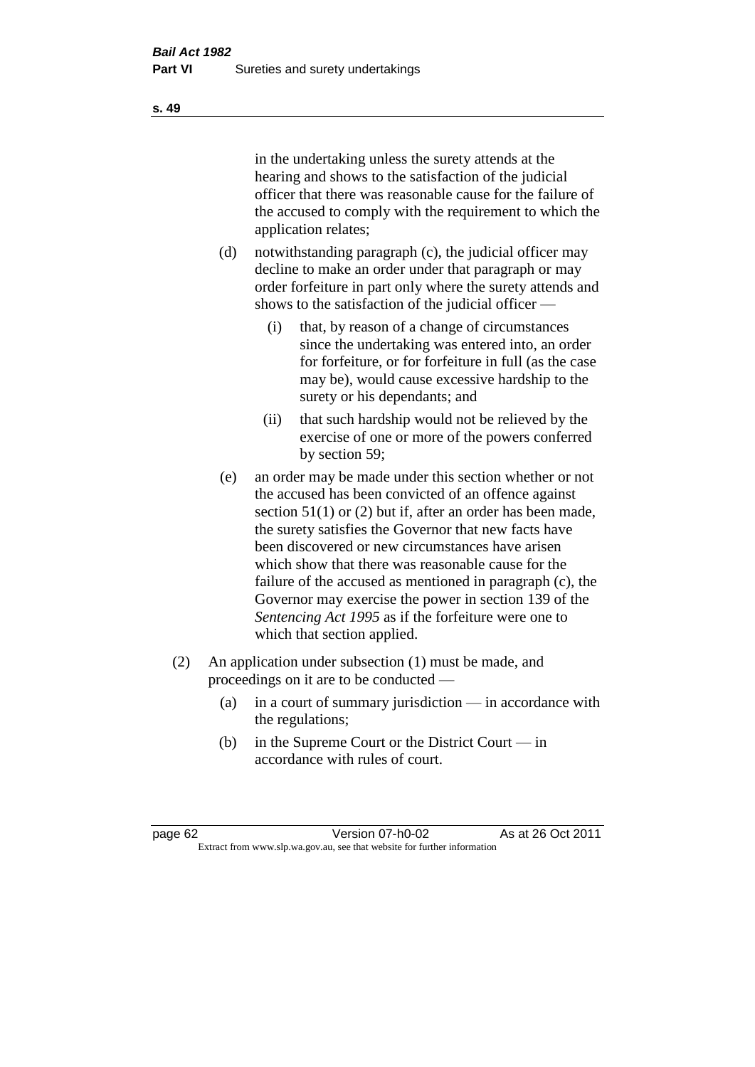in the undertaking unless the surety attends at the hearing and shows to the satisfaction of the judicial officer that there was reasonable cause for the failure of the accused to comply with the requirement to which the application relates;

- (d) notwithstanding paragraph (c), the judicial officer may decline to make an order under that paragraph or may order forfeiture in part only where the surety attends and shows to the satisfaction of the judicial officer —
	- (i) that, by reason of a change of circumstances since the undertaking was entered into, an order for forfeiture, or for forfeiture in full (as the case may be), would cause excessive hardship to the surety or his dependants; and
	- (ii) that such hardship would not be relieved by the exercise of one or more of the powers conferred by section 59;
- (e) an order may be made under this section whether or not the accused has been convicted of an offence against section 51(1) or (2) but if, after an order has been made, the surety satisfies the Governor that new facts have been discovered or new circumstances have arisen which show that there was reasonable cause for the failure of the accused as mentioned in paragraph (c), the Governor may exercise the power in section 139 of the *Sentencing Act 1995* as if the forfeiture were one to which that section applied.
- (2) An application under subsection (1) must be made, and proceedings on it are to be conducted —
	- (a) in a court of summary jurisdiction in accordance with the regulations;
	- (b) in the Supreme Court or the District Court in accordance with rules of court.

page 62 Version 07-h0-02 As at 26 Oct 2011 Extract from www.slp.wa.gov.au, see that website for further information

**s. 49**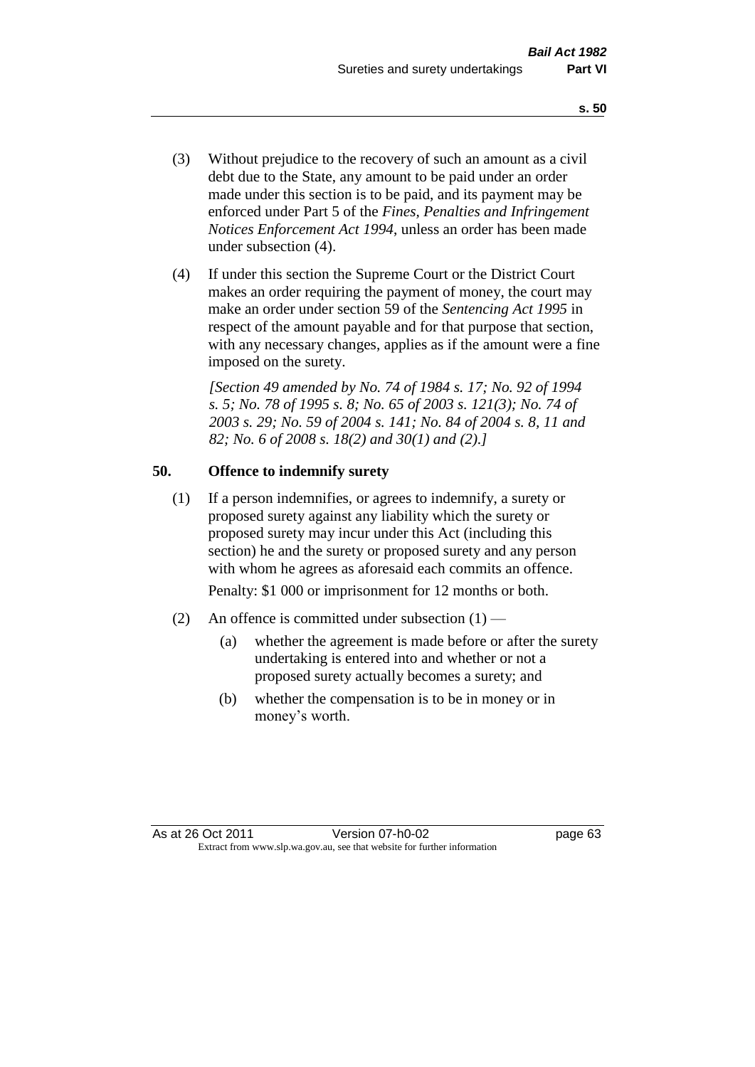- (3) Without prejudice to the recovery of such an amount as a civil debt due to the State, any amount to be paid under an order made under this section is to be paid, and its payment may be enforced under Part 5 of the *Fines, Penalties and Infringement Notices Enforcement Act 1994*, unless an order has been made under subsection (4).
- (4) If under this section the Supreme Court or the District Court makes an order requiring the payment of money, the court may make an order under section 59 of the *Sentencing Act 1995* in respect of the amount payable and for that purpose that section, with any necessary changes, applies as if the amount were a fine imposed on the surety.

*[Section 49 amended by No. 74 of 1984 s. 17; No. 92 of 1994 s. 5; No. 78 of 1995 s. 8; No. 65 of 2003 s. 121(3); No. 74 of 2003 s. 29; No. 59 of 2004 s. 141; No. 84 of 2004 s. 8, 11 and 82; No. 6 of 2008 s. 18(2) and 30(1) and (2).]* 

#### **50. Offence to indemnify surety**

(1) If a person indemnifies, or agrees to indemnify, a surety or proposed surety against any liability which the surety or proposed surety may incur under this Act (including this section) he and the surety or proposed surety and any person with whom he agrees as aforesaid each commits an offence.

Penalty: \$1 000 or imprisonment for 12 months or both.

- (2) An offence is committed under subsection  $(1)$ 
	- (a) whether the agreement is made before or after the surety undertaking is entered into and whether or not a proposed surety actually becomes a surety; and
	- (b) whether the compensation is to be in money or in money's worth.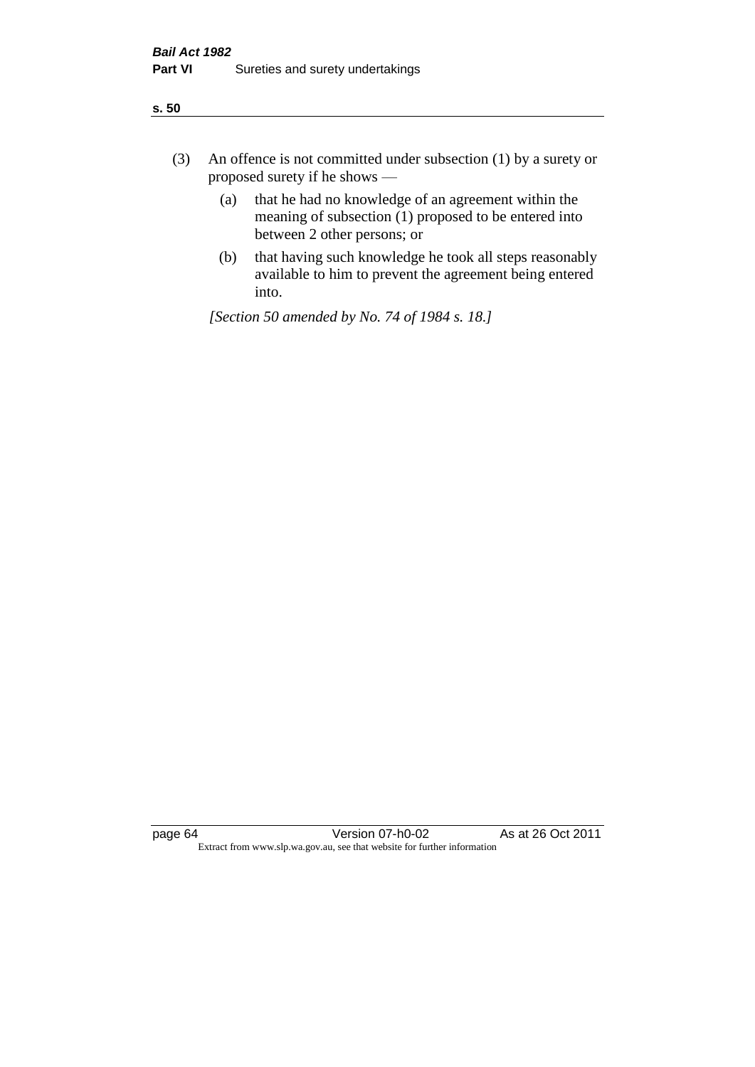| ÷<br>×<br>I<br>. .<br>×<br>۰.<br>×<br>۰.<br>v |
|-----------------------------------------------|
|-----------------------------------------------|

- (3) An offence is not committed under subsection (1) by a surety or proposed surety if he shows —
	- (a) that he had no knowledge of an agreement within the meaning of subsection  $(1)$  proposed to be entered into between 2 other persons; or
	- (b) that having such knowledge he took all steps reasonably available to him to prevent the agreement being entered into.

*[Section 50 amended by No. 74 of 1984 s. 18.]*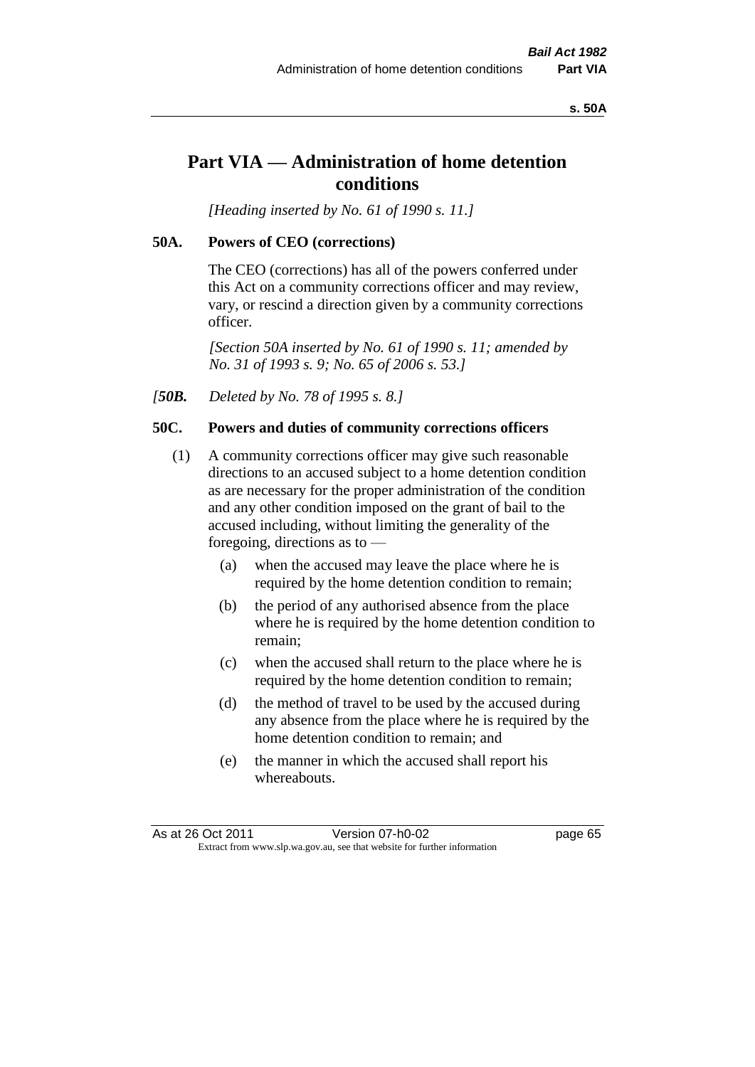#### **s. 50A**

# **Part VIA — Administration of home detention conditions**

*[Heading inserted by No. 61 of 1990 s. 11.]* 

## **50A. Powers of CEO (corrections)**

The CEO (corrections) has all of the powers conferred under this Act on a community corrections officer and may review, vary, or rescind a direction given by a community corrections officer.

*[Section 50A inserted by No. 61 of 1990 s. 11; amended by No. 31 of 1993 s. 9; No. 65 of 2006 s. 53.]* 

*[50B. Deleted by No. 78 of 1995 s. 8.]* 

# **50C. Powers and duties of community corrections officers**

- (1) A community corrections officer may give such reasonable directions to an accused subject to a home detention condition as are necessary for the proper administration of the condition and any other condition imposed on the grant of bail to the accused including, without limiting the generality of the foregoing, directions as to —
	- (a) when the accused may leave the place where he is required by the home detention condition to remain;
	- (b) the period of any authorised absence from the place where he is required by the home detention condition to remain;
	- (c) when the accused shall return to the place where he is required by the home detention condition to remain;
	- (d) the method of travel to be used by the accused during any absence from the place where he is required by the home detention condition to remain; and
	- (e) the manner in which the accused shall report his whereabouts.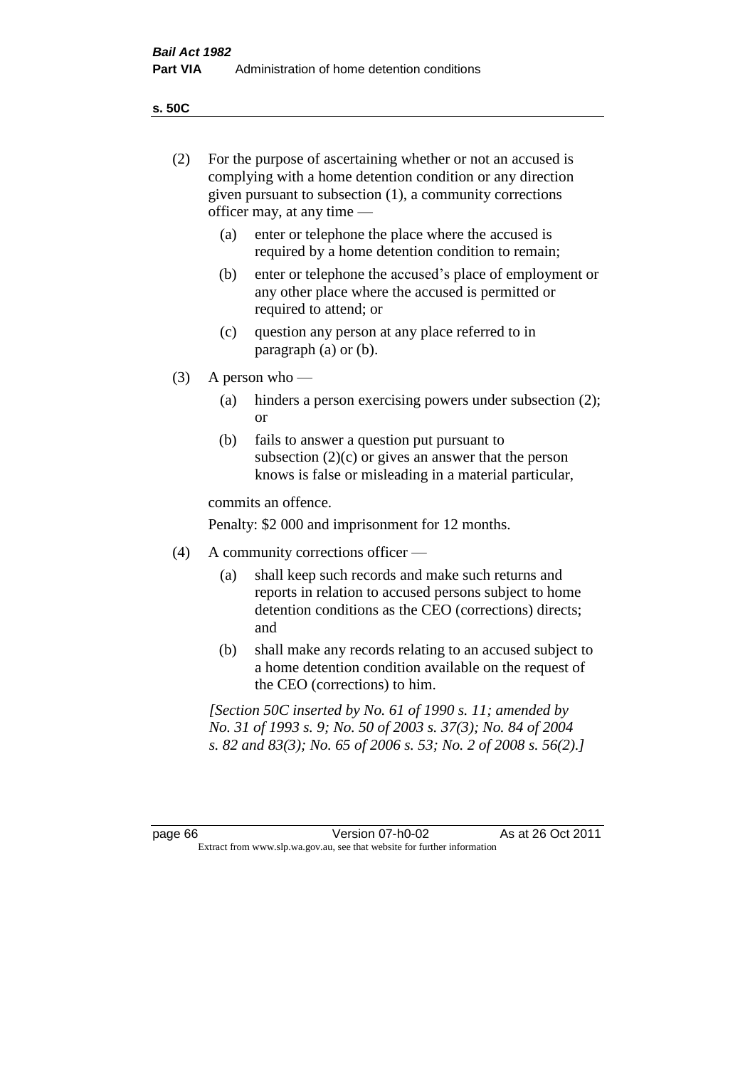**s. 50C**

| (2)     | For the purpose of ascertaining whether or not an accused is<br>complying with a home detention condition or any direction<br>given pursuant to subsection (1), a community corrections<br>officer may, at any time — |                                                                                                                                                                                              |  |
|---------|-----------------------------------------------------------------------------------------------------------------------------------------------------------------------------------------------------------------------|----------------------------------------------------------------------------------------------------------------------------------------------------------------------------------------------|--|
|         | (a)                                                                                                                                                                                                                   | enter or telephone the place where the accused is<br>required by a home detention condition to remain;                                                                                       |  |
|         | (b)                                                                                                                                                                                                                   | enter or telephone the accused's place of employment or<br>any other place where the accused is permitted or<br>required to attend; or                                                       |  |
|         | (c)                                                                                                                                                                                                                   | question any person at any place referred to in<br>paragraph $(a)$ or $(b)$ .                                                                                                                |  |
| (3)     |                                                                                                                                                                                                                       | A person who $-$                                                                                                                                                                             |  |
|         | (a)                                                                                                                                                                                                                   | hinders a person exercising powers under subsection (2);<br><sub>or</sub>                                                                                                                    |  |
|         | (b)                                                                                                                                                                                                                   | fails to answer a question put pursuant to<br>subsection $(2)(c)$ or gives an answer that the person<br>knows is false or misleading in a material particular,                               |  |
|         |                                                                                                                                                                                                                       | commits an offence.                                                                                                                                                                          |  |
|         |                                                                                                                                                                                                                       | Penalty: \$2 000 and imprisonment for 12 months.                                                                                                                                             |  |
| (4)     |                                                                                                                                                                                                                       | A community corrections officer -                                                                                                                                                            |  |
|         | (a)                                                                                                                                                                                                                   | shall keep such records and make such returns and<br>reports in relation to accused persons subject to home<br>detention conditions as the CEO (corrections) directs;<br>and                 |  |
|         | (b)                                                                                                                                                                                                                   | shall make any records relating to an accused subject to<br>a home detention condition available on the request of<br>the CEO (corrections) to him.                                          |  |
|         |                                                                                                                                                                                                                       | [Section 50C inserted by No. 61 of 1990 s. 11; amended by<br>No. 31 of 1993 s. 9; No. 50 of 2003 s. 37(3); No. 84 of 2004<br>s. 82 and 83(3); No. 65 of 2006 s. 53; No. 2 of 2008 s. 56(2).] |  |
|         |                                                                                                                                                                                                                       |                                                                                                                                                                                              |  |
| page 66 |                                                                                                                                                                                                                       | Version 07-h0-02<br>As at 26 Oct 2011<br>Extract from www.slp.wa.gov.au, see that website for further information                                                                            |  |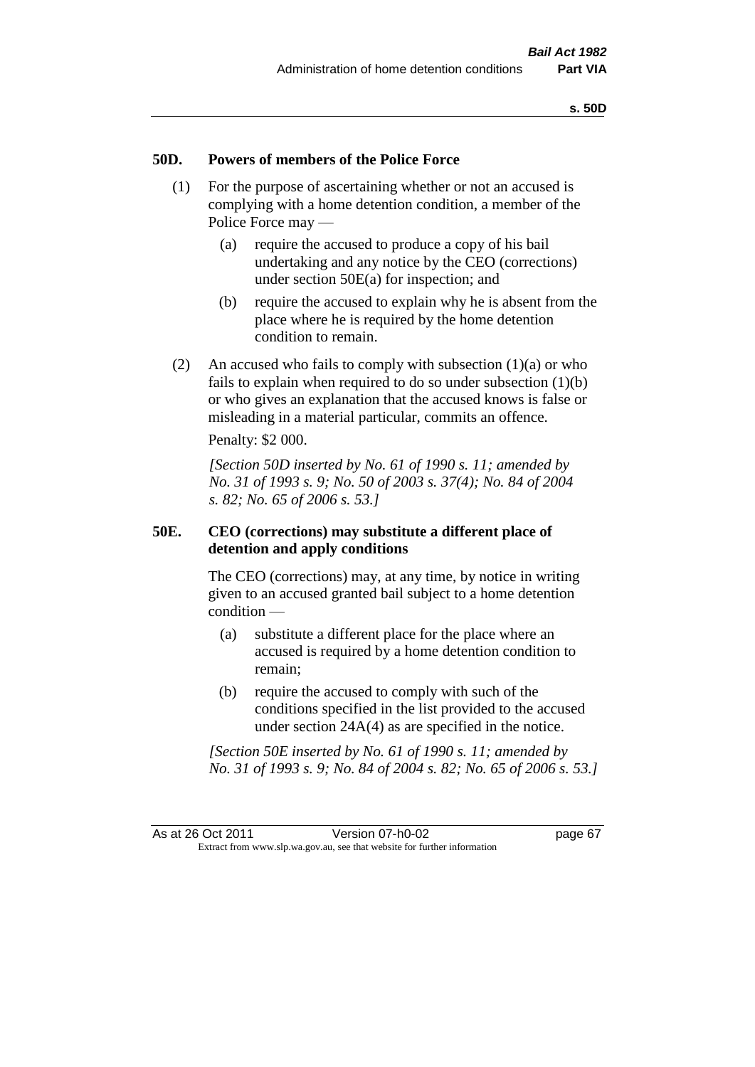# **50D. Powers of members of the Police Force**

- (1) For the purpose of ascertaining whether or not an accused is complying with a home detention condition, a member of the Police Force may —
	- (a) require the accused to produce a copy of his bail undertaking and any notice by the CEO (corrections) under section 50E(a) for inspection; and
	- (b) require the accused to explain why he is absent from the place where he is required by the home detention condition to remain.
- (2) An accused who fails to comply with subsection  $(1)(a)$  or who fails to explain when required to do so under subsection  $(1)(b)$ or who gives an explanation that the accused knows is false or misleading in a material particular, commits an offence.

Penalty: \$2 000.

*[Section 50D inserted by No. 61 of 1990 s. 11; amended by No. 31 of 1993 s. 9; No. 50 of 2003 s. 37(4); No. 84 of 2004 s. 82; No. 65 of 2006 s. 53.]* 

# **50E. CEO (corrections) may substitute a different place of detention and apply conditions**

The CEO (corrections) may, at any time, by notice in writing given to an accused granted bail subject to a home detention condition —

- (a) substitute a different place for the place where an accused is required by a home detention condition to remain;
- (b) require the accused to comply with such of the conditions specified in the list provided to the accused under section 24A(4) as are specified in the notice.

*[Section 50E inserted by No. 61 of 1990 s. 11; amended by No. 31 of 1993 s. 9; No. 84 of 2004 s. 82; No. 65 of 2006 s. 53.]*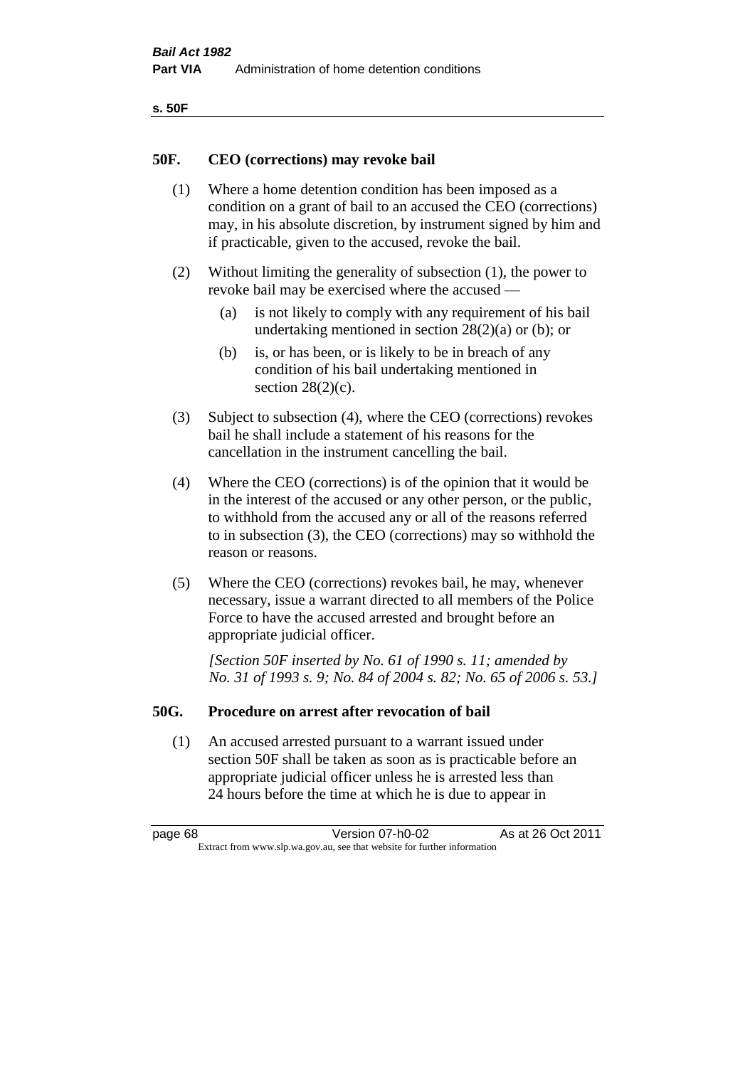| ۰.<br>۰,<br>۰.<br>×<br>× |
|--------------------------|
|--------------------------|

## **50F. CEO (corrections) may revoke bail**

- (1) Where a home detention condition has been imposed as a condition on a grant of bail to an accused the CEO (corrections) may, in his absolute discretion, by instrument signed by him and if practicable, given to the accused, revoke the bail.
- (2) Without limiting the generality of subsection (1), the power to revoke bail may be exercised where the accused —
	- (a) is not likely to comply with any requirement of his bail undertaking mentioned in section  $28(2)(a)$  or (b); or
	- (b) is, or has been, or is likely to be in breach of any condition of his bail undertaking mentioned in section  $28(2)(c)$ .
- (3) Subject to subsection (4), where the CEO (corrections) revokes bail he shall include a statement of his reasons for the cancellation in the instrument cancelling the bail.
- (4) Where the CEO (corrections) is of the opinion that it would be in the interest of the accused or any other person, or the public, to withhold from the accused any or all of the reasons referred to in subsection (3), the CEO (corrections) may so withhold the reason or reasons.
- (5) Where the CEO (corrections) revokes bail, he may, whenever necessary, issue a warrant directed to all members of the Police Force to have the accused arrested and brought before an appropriate judicial officer.

*[Section 50F inserted by No. 61 of 1990 s. 11; amended by No. 31 of 1993 s. 9; No. 84 of 2004 s. 82; No. 65 of 2006 s. 53.]* 

#### **50G. Procedure on arrest after revocation of bail**

(1) An accused arrested pursuant to a warrant issued under section 50F shall be taken as soon as is practicable before an appropriate judicial officer unless he is arrested less than 24 hours before the time at which he is due to appear in

page 68 Version 07-h0-02 As at 26 Oct 2011 Extract from www.slp.wa.gov.au, see that website for further information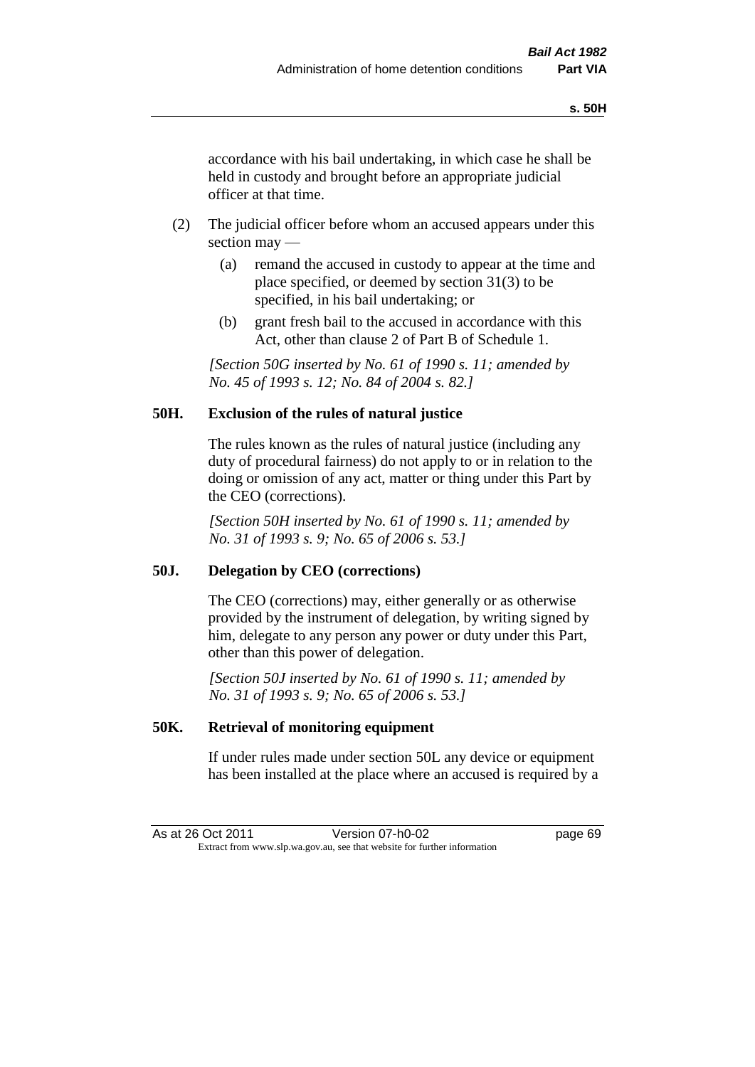accordance with his bail undertaking, in which case he shall be held in custody and brought before an appropriate judicial officer at that time.

- (2) The judicial officer before whom an accused appears under this section may —
	- (a) remand the accused in custody to appear at the time and place specified, or deemed by section 31(3) to be specified, in his bail undertaking; or
	- (b) grant fresh bail to the accused in accordance with this Act, other than clause 2 of Part B of Schedule 1.

*[Section 50G inserted by No. 61 of 1990 s. 11; amended by No. 45 of 1993 s. 12; No. 84 of 2004 s. 82.]* 

# **50H. Exclusion of the rules of natural justice**

The rules known as the rules of natural justice (including any duty of procedural fairness) do not apply to or in relation to the doing or omission of any act, matter or thing under this Part by the CEO (corrections).

*[Section 50H inserted by No. 61 of 1990 s. 11; amended by No. 31 of 1993 s. 9; No. 65 of 2006 s. 53.]* 

# **50J. Delegation by CEO (corrections)**

The CEO (corrections) may, either generally or as otherwise provided by the instrument of delegation, by writing signed by him, delegate to any person any power or duty under this Part, other than this power of delegation.

*[Section 50J inserted by No. 61 of 1990 s. 11; amended by No. 31 of 1993 s. 9; No. 65 of 2006 s. 53.]* 

# **50K. Retrieval of monitoring equipment**

If under rules made under section 50L any device or equipment has been installed at the place where an accused is required by a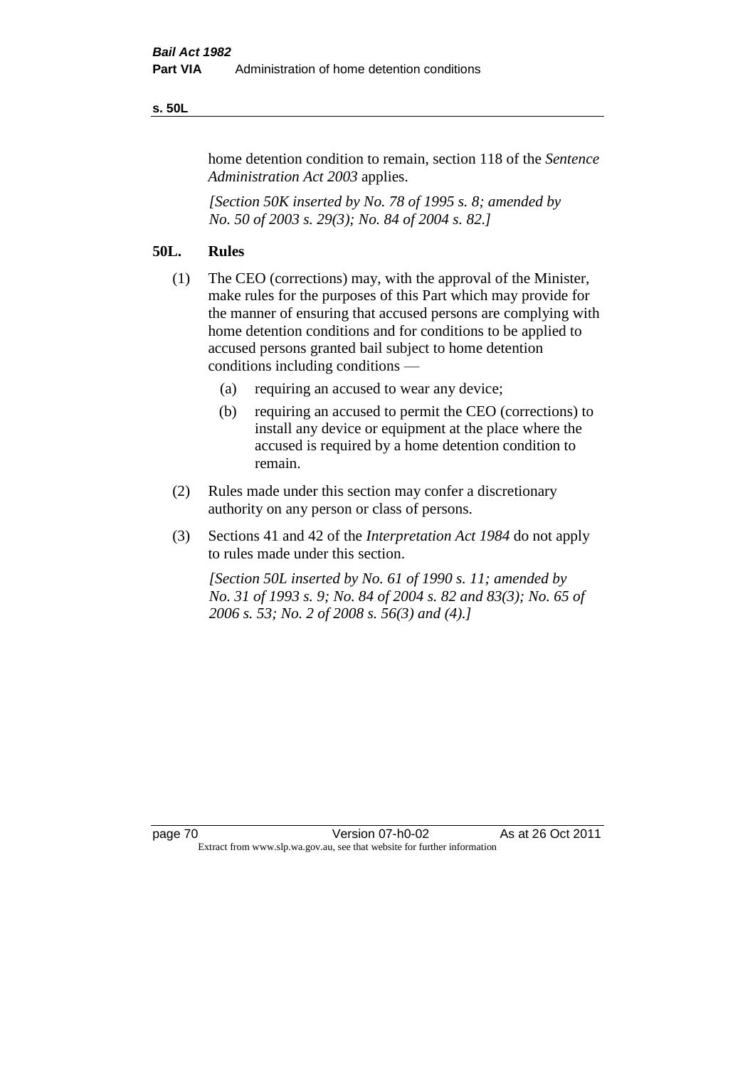#### **s. 50L**

home detention condition to remain, section 118 of the *Sentence Administration Act 2003* applies.

*[Section 50K inserted by No. 78 of 1995 s. 8; amended by No. 50 of 2003 s. 29(3); No. 84 of 2004 s. 82.]* 

# **50L. Rules**

- (1) The CEO (corrections) may, with the approval of the Minister, make rules for the purposes of this Part which may provide for the manner of ensuring that accused persons are complying with home detention conditions and for conditions to be applied to accused persons granted bail subject to home detention conditions including conditions —
	- (a) requiring an accused to wear any device;
	- (b) requiring an accused to permit the CEO (corrections) to install any device or equipment at the place where the accused is required by a home detention condition to remain.
- (2) Rules made under this section may confer a discretionary authority on any person or class of persons.
- (3) Sections 41 and 42 of the *Interpretation Act 1984* do not apply to rules made under this section.

*[Section 50L inserted by No. 61 of 1990 s. 11; amended by No. 31 of 1993 s. 9; No. 84 of 2004 s. 82 and 83(3); No. 65 of 2006 s. 53; No. 2 of 2008 s. 56(3) and (4).]*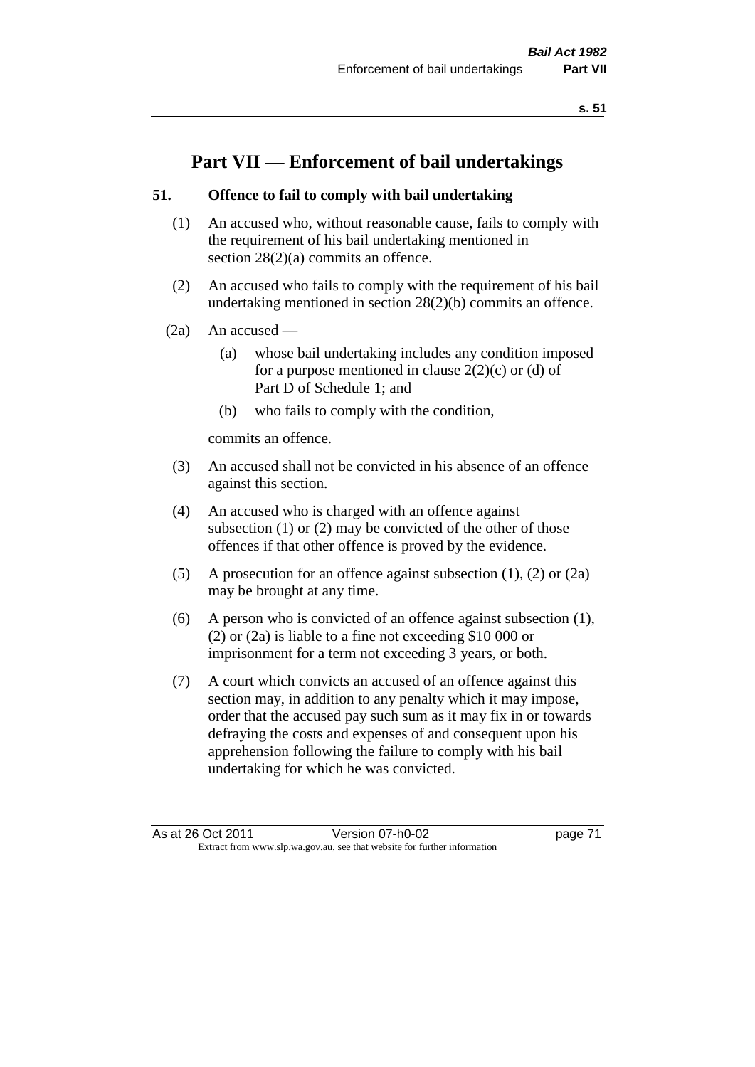# **Part VII — Enforcement of bail undertakings**

# **51. Offence to fail to comply with bail undertaking**

- (1) An accused who, without reasonable cause, fails to comply with the requirement of his bail undertaking mentioned in section 28(2)(a) commits an offence.
- (2) An accused who fails to comply with the requirement of his bail undertaking mentioned in section 28(2)(b) commits an offence.
- $(2a)$  An accused
	- (a) whose bail undertaking includes any condition imposed for a purpose mentioned in clause  $2(2)(c)$  or (d) of Part D of Schedule 1; and
	- (b) who fails to comply with the condition,

commits an offence.

- (3) An accused shall not be convicted in his absence of an offence against this section.
- (4) An accused who is charged with an offence against subsection (1) or (2) may be convicted of the other of those offences if that other offence is proved by the evidence.
- (5) A prosecution for an offence against subsection (1), (2) or (2a) may be brought at any time.
- (6) A person who is convicted of an offence against subsection (1), (2) or (2a) is liable to a fine not exceeding \$10 000 or imprisonment for a term not exceeding 3 years, or both.
- (7) A court which convicts an accused of an offence against this section may, in addition to any penalty which it may impose, order that the accused pay such sum as it may fix in or towards defraying the costs and expenses of and consequent upon his apprehension following the failure to comply with his bail undertaking for which he was convicted.

As at 26 Oct 2011 Version 07-h0-02 page 71 Extract from www.slp.wa.gov.au, see that website for further information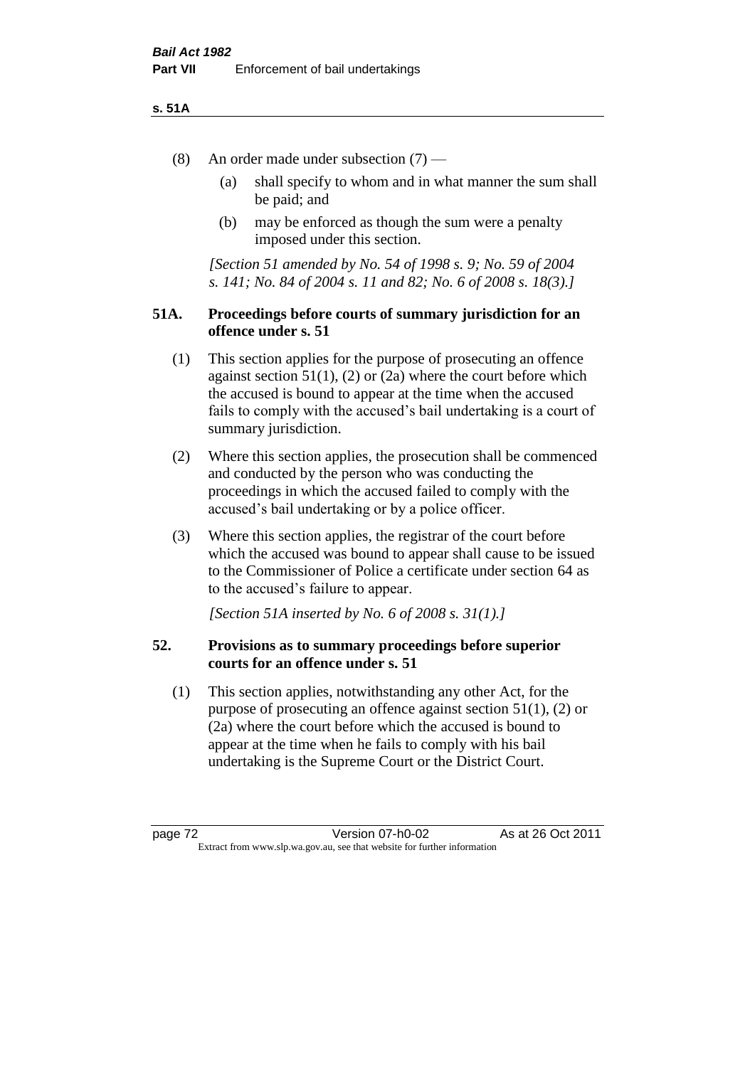#### **s. 51A**

- (8) An order made under subsection (7)
	- (a) shall specify to whom and in what manner the sum shall be paid; and
	- (b) may be enforced as though the sum were a penalty imposed under this section.

*[Section 51 amended by No. 54 of 1998 s. 9; No. 59 of 2004 s. 141; No. 84 of 2004 s. 11 and 82; No. 6 of 2008 s. 18(3).]*

# **51A. Proceedings before courts of summary jurisdiction for an offence under s. 51**

- (1) This section applies for the purpose of prosecuting an offence against section  $51(1)$ ,  $(2)$  or  $(2a)$  where the court before which the accused is bound to appear at the time when the accused fails to comply with the accused's bail undertaking is a court of summary jurisdiction.
- (2) Where this section applies, the prosecution shall be commenced and conducted by the person who was conducting the proceedings in which the accused failed to comply with the accused's bail undertaking or by a police officer.
- (3) Where this section applies, the registrar of the court before which the accused was bound to appear shall cause to be issued to the Commissioner of Police a certificate under section 64 as to the accused's failure to appear.

*[Section 51A inserted by No. 6 of 2008 s. 31(1).]*

# **52. Provisions as to summary proceedings before superior courts for an offence under s. 51**

(1) This section applies, notwithstanding any other Act, for the purpose of prosecuting an offence against section 51(1), (2) or (2a) where the court before which the accused is bound to appear at the time when he fails to comply with his bail undertaking is the Supreme Court or the District Court.

page 72 Version 07-h0-02 As at 26 Oct 2011 Extract from www.slp.wa.gov.au, see that website for further information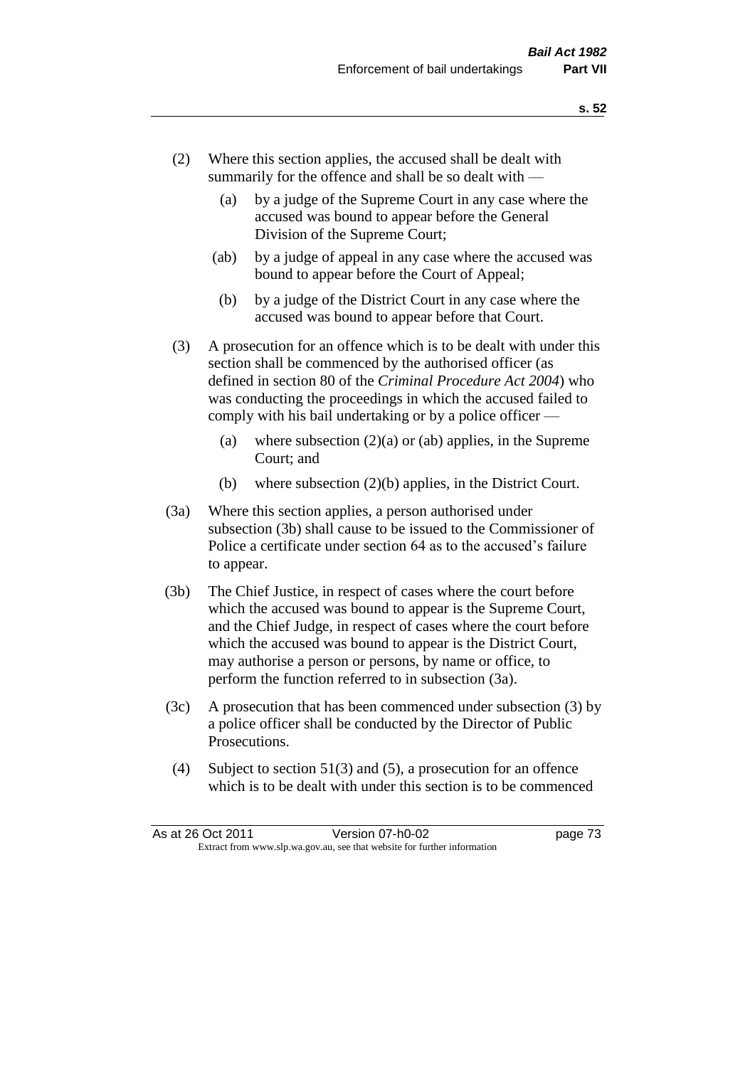- (2) Where this section applies, the accused shall be dealt with summarily for the offence and shall be so dealt with —
	- (a) by a judge of the Supreme Court in any case where the accused was bound to appear before the General Division of the Supreme Court;
	- (ab) by a judge of appeal in any case where the accused was bound to appear before the Court of Appeal;
	- (b) by a judge of the District Court in any case where the accused was bound to appear before that Court.
- (3) A prosecution for an offence which is to be dealt with under this section shall be commenced by the authorised officer (as defined in section 80 of the *Criminal Procedure Act 2004*) who was conducting the proceedings in which the accused failed to comply with his bail undertaking or by a police officer —
	- (a) where subsection  $(2)(a)$  or (ab) applies, in the Supreme Court; and
	- (b) where subsection (2)(b) applies, in the District Court.
- (3a) Where this section applies, a person authorised under subsection (3b) shall cause to be issued to the Commissioner of Police a certificate under section 64 as to the accused's failure to appear.
- (3b) The Chief Justice, in respect of cases where the court before which the accused was bound to appear is the Supreme Court, and the Chief Judge, in respect of cases where the court before which the accused was bound to appear is the District Court, may authorise a person or persons, by name or office, to perform the function referred to in subsection (3a).
- (3c) A prosecution that has been commenced under subsection (3) by a police officer shall be conducted by the Director of Public Prosecutions.
- (4) Subject to section 51(3) and (5), a prosecution for an offence which is to be dealt with under this section is to be commenced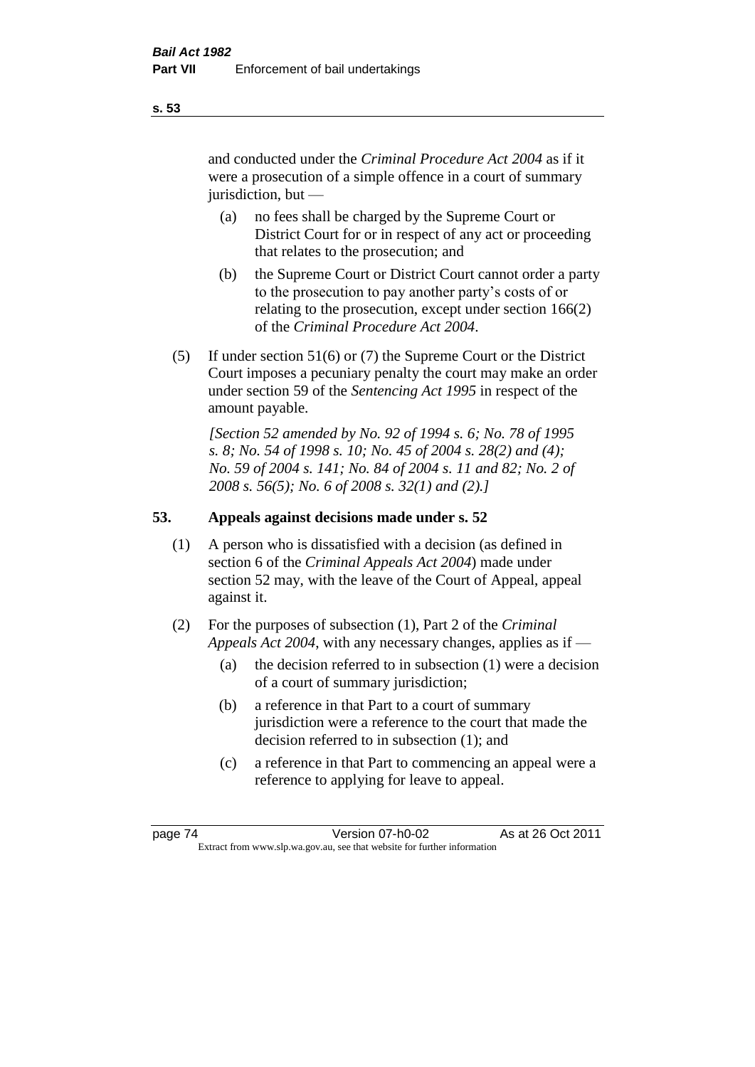and conducted under the *Criminal Procedure Act 2004* as if it were a prosecution of a simple offence in a court of summary jurisdiction, but —

- (a) no fees shall be charged by the Supreme Court or District Court for or in respect of any act or proceeding that relates to the prosecution; and
- (b) the Supreme Court or District Court cannot order a party to the prosecution to pay another party's costs of or relating to the prosecution, except under section 166(2) of the *Criminal Procedure Act 2004*.
- (5) If under section 51(6) or (7) the Supreme Court or the District Court imposes a pecuniary penalty the court may make an order under section 59 of the *Sentencing Act 1995* in respect of the amount payable.

*[Section 52 amended by No. 92 of 1994 s. 6; No. 78 of 1995 s. 8; No. 54 of 1998 s. 10; No. 45 of 2004 s. 28(2) and (4); No. 59 of 2004 s. 141; No. 84 of 2004 s. 11 and 82; No. 2 of 2008 s. 56(5); No. 6 of 2008 s. 32(1) and (2).]* 

# **53. Appeals against decisions made under s. 52**

- (1) A person who is dissatisfied with a decision (as defined in section 6 of the *Criminal Appeals Act 2004*) made under section 52 may, with the leave of the Court of Appeal, appeal against it.
- (2) For the purposes of subsection (1), Part 2 of the *Criminal Appeals Act 2004*, with any necessary changes, applies as if —
	- (a) the decision referred to in subsection (1) were a decision of a court of summary jurisdiction;
	- (b) a reference in that Part to a court of summary jurisdiction were a reference to the court that made the decision referred to in subsection (1); and
	- (c) a reference in that Part to commencing an appeal were a reference to applying for leave to appeal.

**s. 53**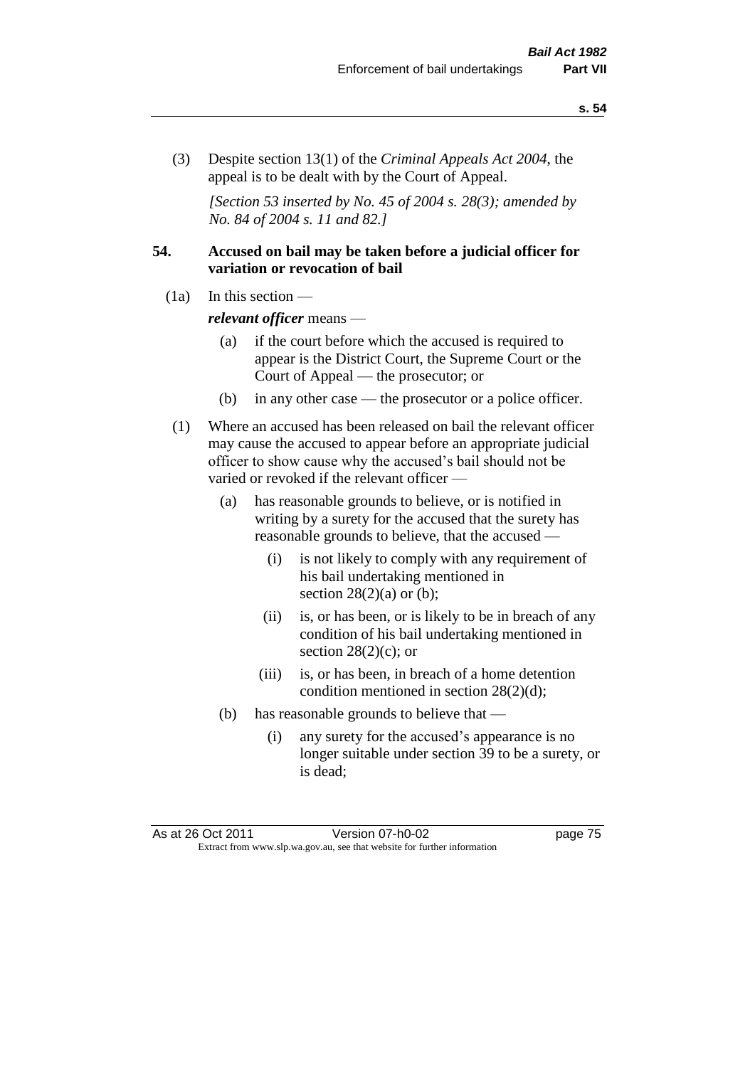(3) Despite section 13(1) of the *Criminal Appeals Act 2004*, the appeal is to be dealt with by the Court of Appeal.

*[Section 53 inserted by No. 45 of 2004 s. 28(3); amended by No. 84 of 2004 s. 11 and 82.]*

# **54. Accused on bail may be taken before a judicial officer for variation or revocation of bail**

(1a) In this section —

*relevant officer* means —

- (a) if the court before which the accused is required to appear is the District Court, the Supreme Court or the Court of Appeal — the prosecutor; or
- (b) in any other case the prosecutor or a police officer.
- (1) Where an accused has been released on bail the relevant officer may cause the accused to appear before an appropriate judicial officer to show cause why the accused's bail should not be varied or revoked if the relevant officer —
	- (a) has reasonable grounds to believe, or is notified in writing by a surety for the accused that the surety has reasonable grounds to believe, that the accused —
		- (i) is not likely to comply with any requirement of his bail undertaking mentioned in section  $28(2)(a)$  or (b);
		- (ii) is, or has been, or is likely to be in breach of any condition of his bail undertaking mentioned in section  $28(2)(c)$ ; or
		- (iii) is, or has been, in breach of a home detention condition mentioned in section 28(2)(d);
	- (b) has reasonable grounds to believe that
		- (i) any surety for the accused's appearance is no longer suitable under section 39 to be a surety, or is dead;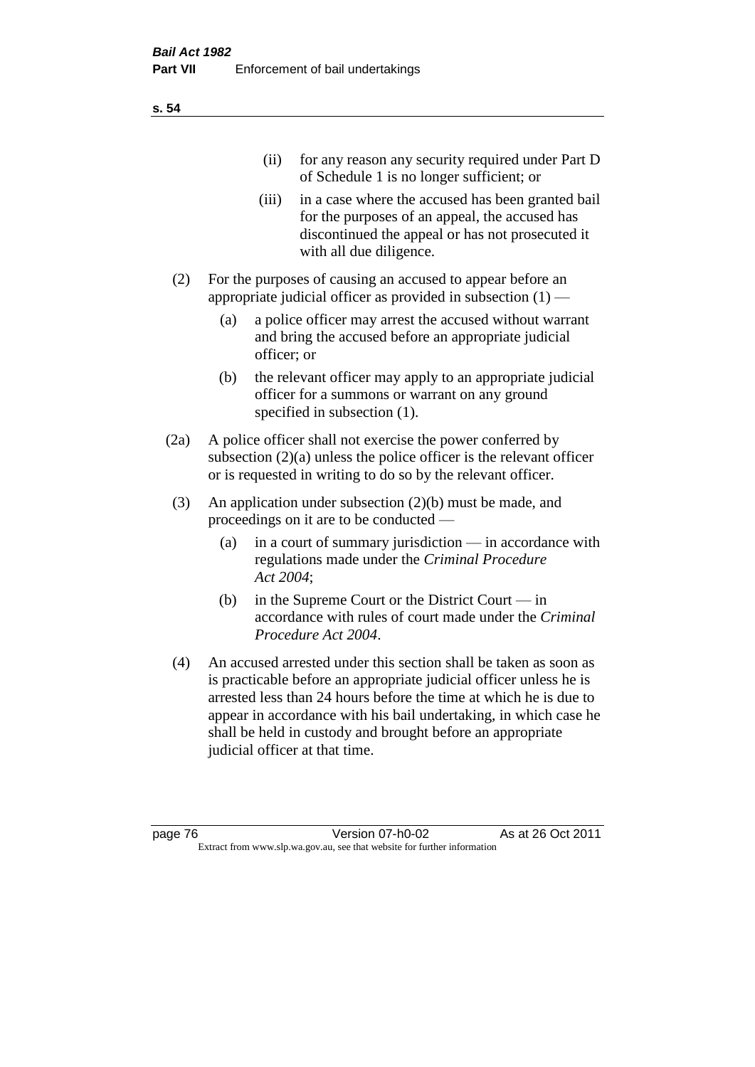|     | (11)  | for any reason any security required under Part D<br>of Schedule 1 is no longer sufficient; or                                                                                     |
|-----|-------|------------------------------------------------------------------------------------------------------------------------------------------------------------------------------------|
|     | (iii) | in a case where the accused has been granted bail<br>for the purposes of an appeal, the accused has<br>discontinued the appeal or has not prosecuted it<br>with all due diligence. |
| (2) |       | For the purposes of causing an accused to appear before an<br>appropriate judicial officer as provided in subsection $(1)$ —                                                       |

- (a) a police officer may arrest the accused without warrant and bring the accused before an appropriate judicial officer; or
- (b) the relevant officer may apply to an appropriate judicial officer for a summons or warrant on any ground specified in subsection  $(1)$ .
- (2a) A police officer shall not exercise the power conferred by subsection (2)(a) unless the police officer is the relevant officer or is requested in writing to do so by the relevant officer.
- (3) An application under subsection (2)(b) must be made, and proceedings on it are to be conducted —
	- (a) in a court of summary jurisdiction in accordance with regulations made under the *Criminal Procedure Act 2004*;
	- (b) in the Supreme Court or the District Court in accordance with rules of court made under the *Criminal Procedure Act 2004*.
- (4) An accused arrested under this section shall be taken as soon as is practicable before an appropriate judicial officer unless he is arrested less than 24 hours before the time at which he is due to appear in accordance with his bail undertaking, in which case he shall be held in custody and brought before an appropriate judicial officer at that time.

**s. 54**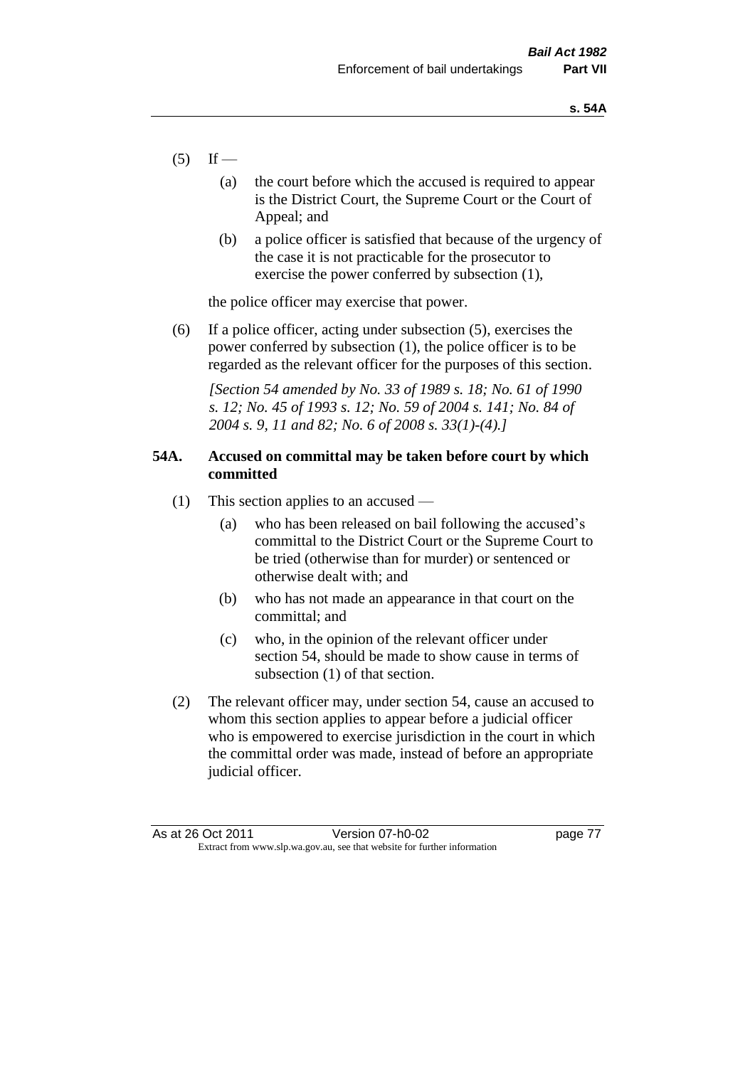- $(5)$  If
	- (a) the court before which the accused is required to appear is the District Court, the Supreme Court or the Court of Appeal; and
	- (b) a police officer is satisfied that because of the urgency of the case it is not practicable for the prosecutor to exercise the power conferred by subsection (1),

the police officer may exercise that power.

(6) If a police officer, acting under subsection (5), exercises the power conferred by subsection (1), the police officer is to be regarded as the relevant officer for the purposes of this section.

*[Section 54 amended by No. 33 of 1989 s. 18; No. 61 of 1990 s. 12; No. 45 of 1993 s. 12; No. 59 of 2004 s. 141; No. 84 of 2004 s. 9, 11 and 82; No. 6 of 2008 s. 33(1)-(4).]* 

# **54A. Accused on committal may be taken before court by which committed**

- (1) This section applies to an accused
	- (a) who has been released on bail following the accused's committal to the District Court or the Supreme Court to be tried (otherwise than for murder) or sentenced or otherwise dealt with; and
	- (b) who has not made an appearance in that court on the committal; and
	- (c) who, in the opinion of the relevant officer under section 54, should be made to show cause in terms of subsection (1) of that section.
- (2) The relevant officer may, under section 54, cause an accused to whom this section applies to appear before a judicial officer who is empowered to exercise jurisdiction in the court in which the committal order was made, instead of before an appropriate judicial officer.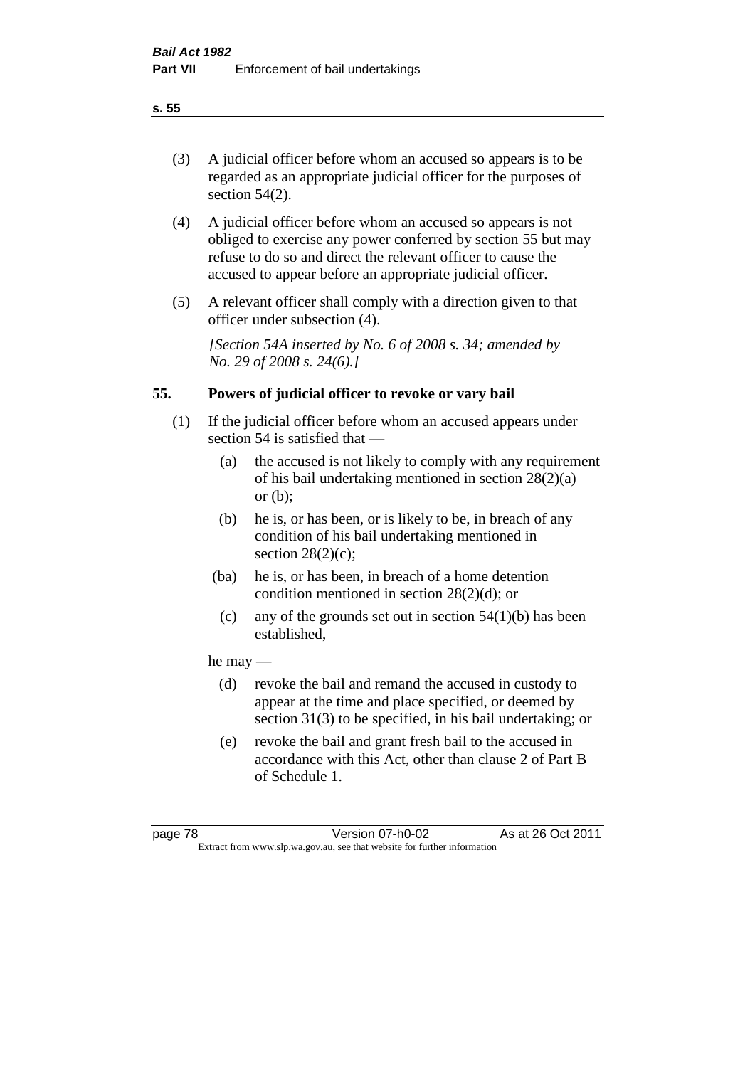# (3) A judicial officer before whom an accused so appears is to be regarded as an appropriate judicial officer for the purposes of section 54(2).

- (4) A judicial officer before whom an accused so appears is not obliged to exercise any power conferred by section 55 but may refuse to do so and direct the relevant officer to cause the accused to appear before an appropriate judicial officer.
- (5) A relevant officer shall comply with a direction given to that officer under subsection (4).

*[Section 54A inserted by No. 6 of 2008 s. 34; amended by No. 29 of 2008 s. 24(6).]*

# **55. Powers of judicial officer to revoke or vary bail**

- (1) If the judicial officer before whom an accused appears under section 54 is satisfied that —
	- (a) the accused is not likely to comply with any requirement of his bail undertaking mentioned in section 28(2)(a) or (b);
	- (b) he is, or has been, or is likely to be, in breach of any condition of his bail undertaking mentioned in section  $28(2)(c)$ ;
	- (ba) he is, or has been, in breach of a home detention condition mentioned in section 28(2)(d); or
		- (c) any of the grounds set out in section  $54(1)(b)$  has been established,

# he may —

- (d) revoke the bail and remand the accused in custody to appear at the time and place specified, or deemed by section 31(3) to be specified, in his bail undertaking; or
- (e) revoke the bail and grant fresh bail to the accused in accordance with this Act, other than clause 2 of Part B of Schedule 1.

#### **s. 55**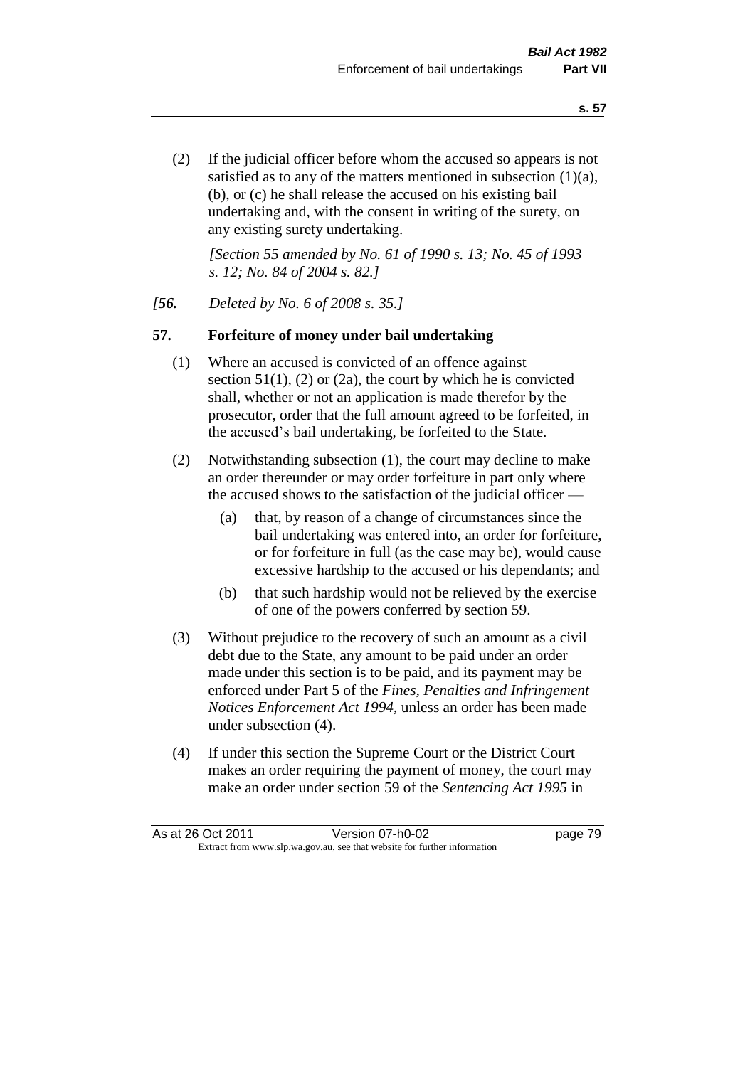(2) If the judicial officer before whom the accused so appears is not satisfied as to any of the matters mentioned in subsection (1)(a), (b), or (c) he shall release the accused on his existing bail undertaking and, with the consent in writing of the surety, on any existing surety undertaking.

*[Section 55 amended by No. 61 of 1990 s. 13; No. 45 of 1993 s. 12; No. 84 of 2004 s. 82.]* 

#### *[56. Deleted by No. 6 of 2008 s. 35.]*

#### **57. Forfeiture of money under bail undertaking**

- (1) Where an accused is convicted of an offence against section  $51(1)$ , (2) or (2a), the court by which he is convicted shall, whether or not an application is made therefor by the prosecutor, order that the full amount agreed to be forfeited, in the accused's bail undertaking, be forfeited to the State.
- (2) Notwithstanding subsection (1), the court may decline to make an order thereunder or may order forfeiture in part only where the accused shows to the satisfaction of the judicial officer —
	- (a) that, by reason of a change of circumstances since the bail undertaking was entered into, an order for forfeiture, or for forfeiture in full (as the case may be), would cause excessive hardship to the accused or his dependants; and
	- (b) that such hardship would not be relieved by the exercise of one of the powers conferred by section 59.
- (3) Without prejudice to the recovery of such an amount as a civil debt due to the State, any amount to be paid under an order made under this section is to be paid, and its payment may be enforced under Part 5 of the *Fines, Penalties and Infringement Notices Enforcement Act 1994*, unless an order has been made under subsection (4).
- (4) If under this section the Supreme Court or the District Court makes an order requiring the payment of money, the court may make an order under section 59 of the *Sentencing Act 1995* in

| As at 26 Oct 2011 | Version 07-h0-02                                                         | page 79 |
|-------------------|--------------------------------------------------------------------------|---------|
|                   | Extract from www.slp.wa.gov.au, see that website for further information |         |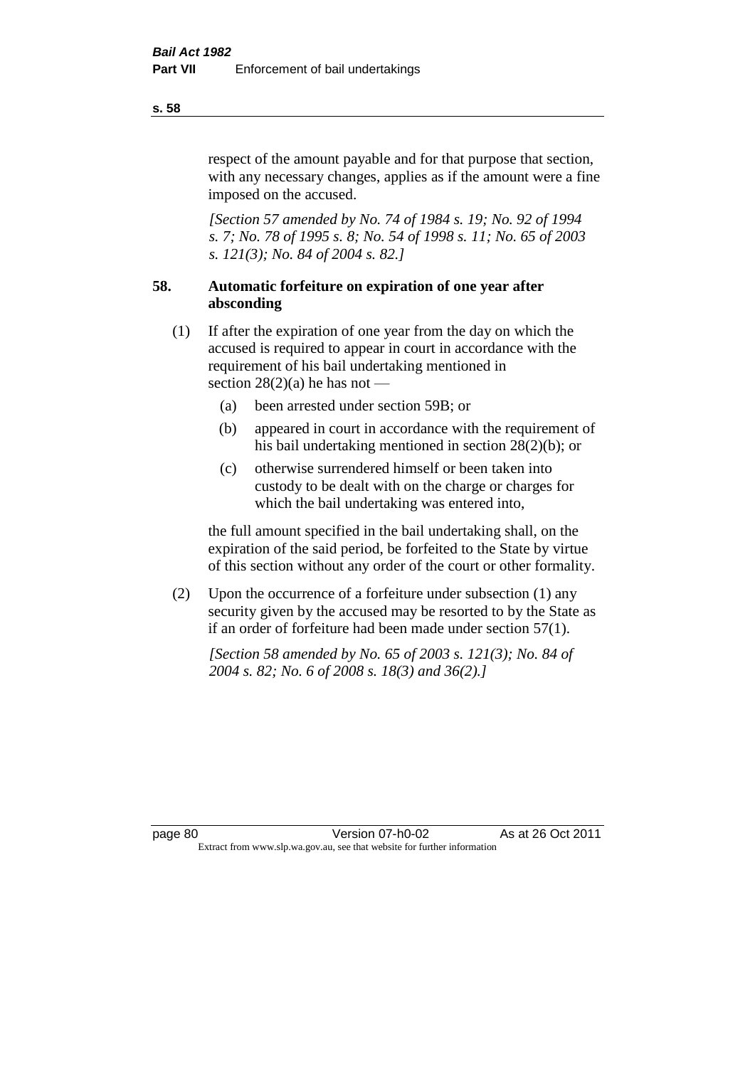respect of the amount payable and for that purpose that section, with any necessary changes, applies as if the amount were a fine imposed on the accused.

*[Section 57 amended by No. 74 of 1984 s. 19; No. 92 of 1994 s. 7; No. 78 of 1995 s. 8; No. 54 of 1998 s. 11; No. 65 of 2003 s. 121(3); No. 84 of 2004 s. 82.]* 

# **58. Automatic forfeiture on expiration of one year after absconding**

- (1) If after the expiration of one year from the day on which the accused is required to appear in court in accordance with the requirement of his bail undertaking mentioned in section  $28(2)(a)$  he has not —
	- (a) been arrested under section 59B; or
	- (b) appeared in court in accordance with the requirement of his bail undertaking mentioned in section 28(2)(b); or
	- (c) otherwise surrendered himself or been taken into custody to be dealt with on the charge or charges for which the bail undertaking was entered into,

the full amount specified in the bail undertaking shall, on the expiration of the said period, be forfeited to the State by virtue of this section without any order of the court or other formality.

(2) Upon the occurrence of a forfeiture under subsection (1) any security given by the accused may be resorted to by the State as if an order of forfeiture had been made under section 57(1).

*[Section 58 amended by No. 65 of 2003 s. 121(3); No. 84 of 2004 s. 82; No. 6 of 2008 s. 18(3) and 36(2).]*

**s. 58**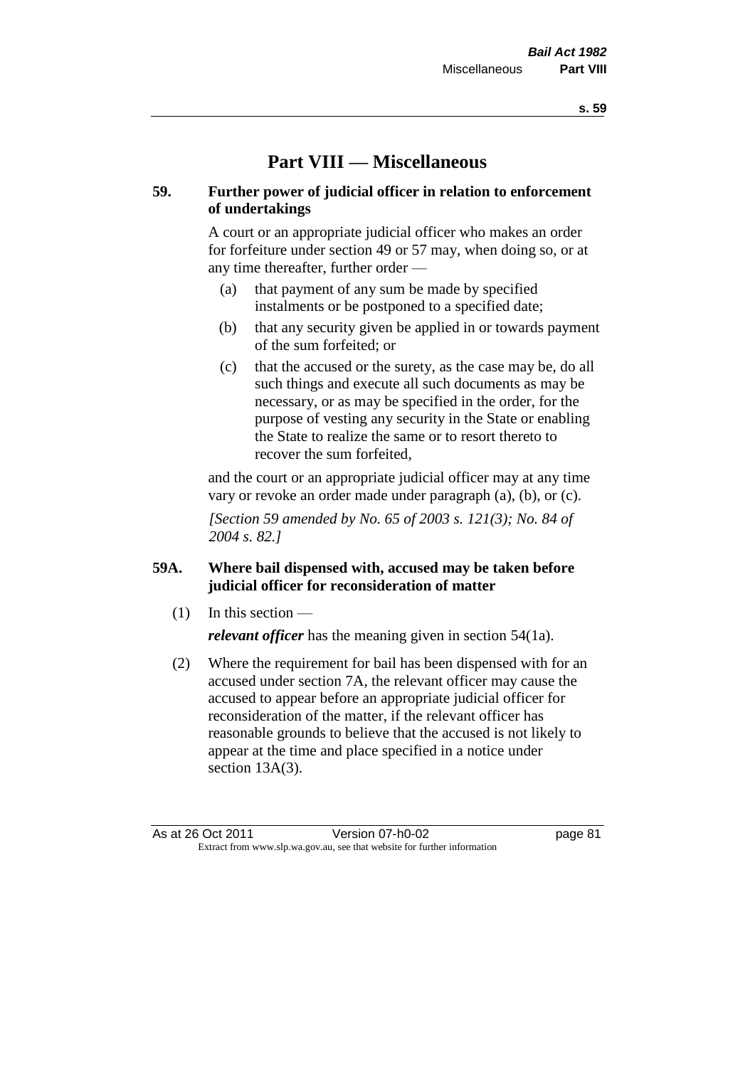# **Part VIII — Miscellaneous**

# **59. Further power of judicial officer in relation to enforcement of undertakings**

A court or an appropriate judicial officer who makes an order for forfeiture under section 49 or 57 may, when doing so, or at any time thereafter, further order —

- (a) that payment of any sum be made by specified instalments or be postponed to a specified date;
- (b) that any security given be applied in or towards payment of the sum forfeited; or
- (c) that the accused or the surety, as the case may be, do all such things and execute all such documents as may be necessary, or as may be specified in the order, for the purpose of vesting any security in the State or enabling the State to realize the same or to resort thereto to recover the sum forfeited,

and the court or an appropriate judicial officer may at any time vary or revoke an order made under paragraph (a), (b), or (c).

*[Section 59 amended by No. 65 of 2003 s. 121(3); No. 84 of 2004 s. 82.]*

# **59A. Where bail dispensed with, accused may be taken before judicial officer for reconsideration of matter**

- $(1)$  In this section *relevant officer* has the meaning given in section 54(1a).
- (2) Where the requirement for bail has been dispensed with for an accused under section 7A, the relevant officer may cause the accused to appear before an appropriate judicial officer for reconsideration of the matter, if the relevant officer has reasonable grounds to believe that the accused is not likely to appear at the time and place specified in a notice under section 13A(3).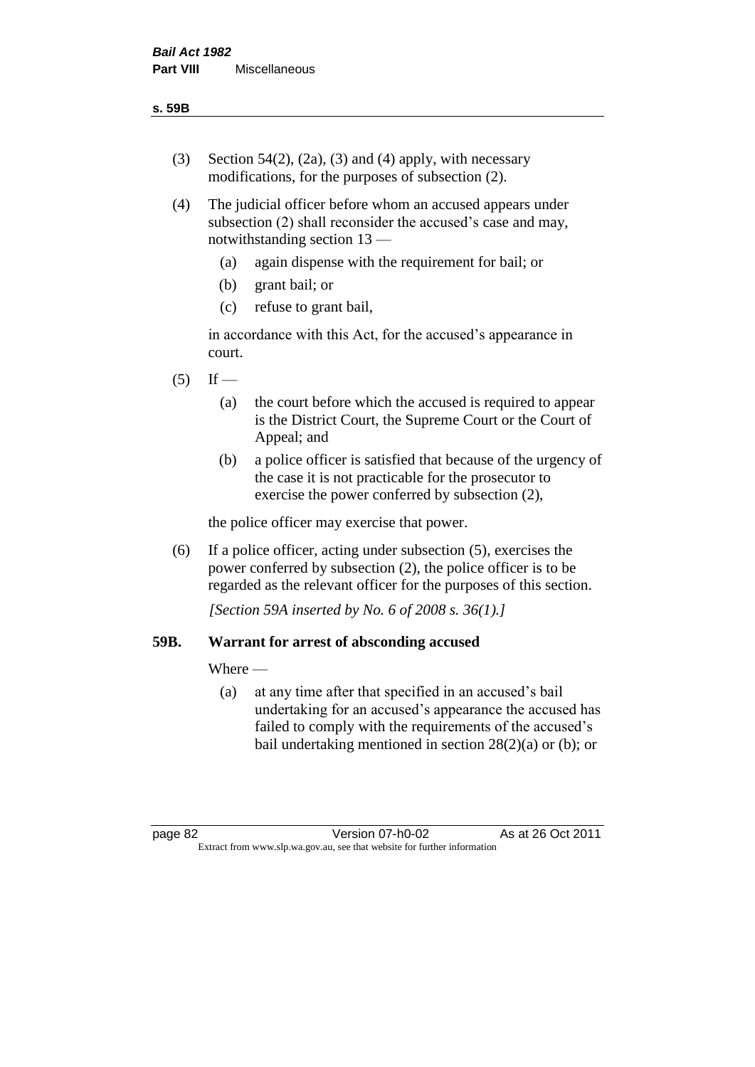- (3) Section 54(2), (2a), (3) and (4) apply, with necessary modifications, for the purposes of subsection (2).
- (4) The judicial officer before whom an accused appears under subsection (2) shall reconsider the accused's case and may, notwithstanding section 13 —
	- (a) again dispense with the requirement for bail; or
	- (b) grant bail; or
	- (c) refuse to grant bail,

in accordance with this Act, for the accused's appearance in court.

- $(5)$  If
	- (a) the court before which the accused is required to appear is the District Court, the Supreme Court or the Court of Appeal; and
	- (b) a police officer is satisfied that because of the urgency of the case it is not practicable for the prosecutor to exercise the power conferred by subsection (2),

the police officer may exercise that power.

(6) If a police officer, acting under subsection (5), exercises the power conferred by subsection (2), the police officer is to be regarded as the relevant officer for the purposes of this section.

*[Section 59A inserted by No. 6 of 2008 s. 36(1).]*

# **59B. Warrant for arrest of absconding accused**

Where —

(a) at any time after that specified in an accused's bail undertaking for an accused's appearance the accused has failed to comply with the requirements of the accused's bail undertaking mentioned in section  $28(2)(a)$  or (b); or

page 82 Version 07-h0-02 As at 26 Oct 2011 Extract from www.slp.wa.gov.au, see that website for further information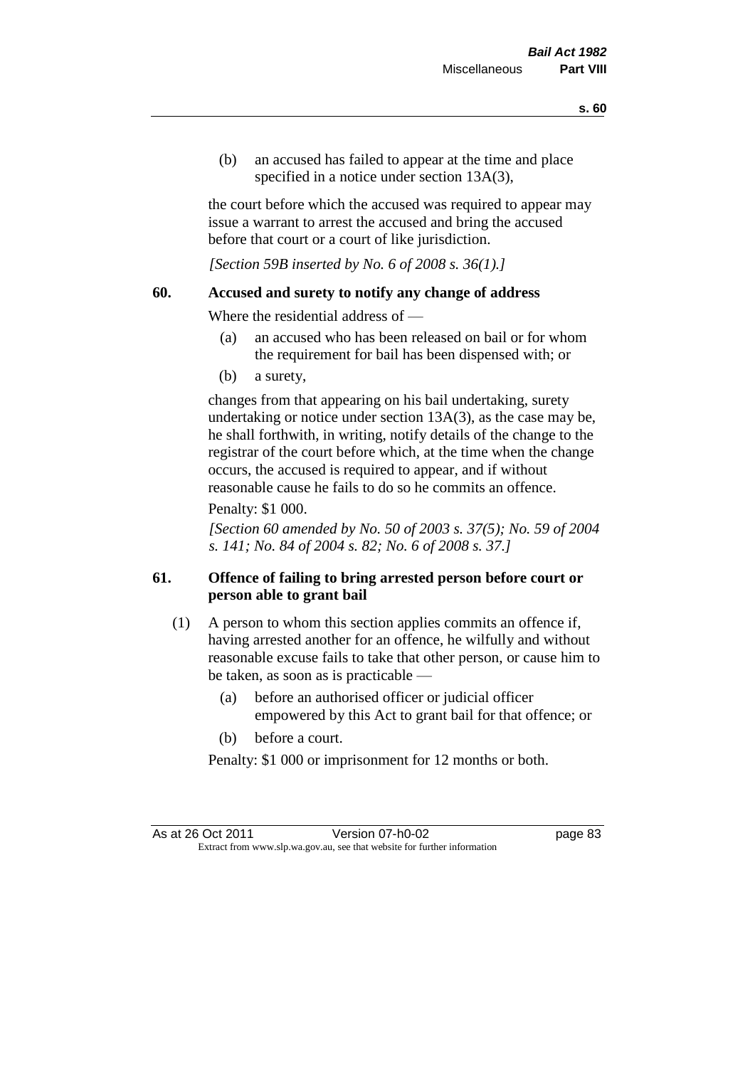(b) an accused has failed to appear at the time and place specified in a notice under section 13A(3).

the court before which the accused was required to appear may issue a warrant to arrest the accused and bring the accused before that court or a court of like jurisdiction.

*[Section 59B inserted by No. 6 of 2008 s. 36(1).]*

#### **60. Accused and surety to notify any change of address**

Where the residential address of —

- (a) an accused who has been released on bail or for whom the requirement for bail has been dispensed with; or
- (b) a surety,

changes from that appearing on his bail undertaking, surety undertaking or notice under section 13A(3), as the case may be, he shall forthwith, in writing, notify details of the change to the registrar of the court before which, at the time when the change occurs, the accused is required to appear, and if without reasonable cause he fails to do so he commits an offence.

#### Penalty: \$1 000.

*[Section 60 amended by No. 50 of 2003 s. 37(5); No. 59 of 2004 s. 141; No. 84 of 2004 s. 82; No. 6 of 2008 s. 37.]*

# **61. Offence of failing to bring arrested person before court or person able to grant bail**

- (1) A person to whom this section applies commits an offence if, having arrested another for an offence, he wilfully and without reasonable excuse fails to take that other person, or cause him to be taken, as soon as is practicable —
	- (a) before an authorised officer or judicial officer empowered by this Act to grant bail for that offence; or
	- (b) before a court.

Penalty: \$1 000 or imprisonment for 12 months or both.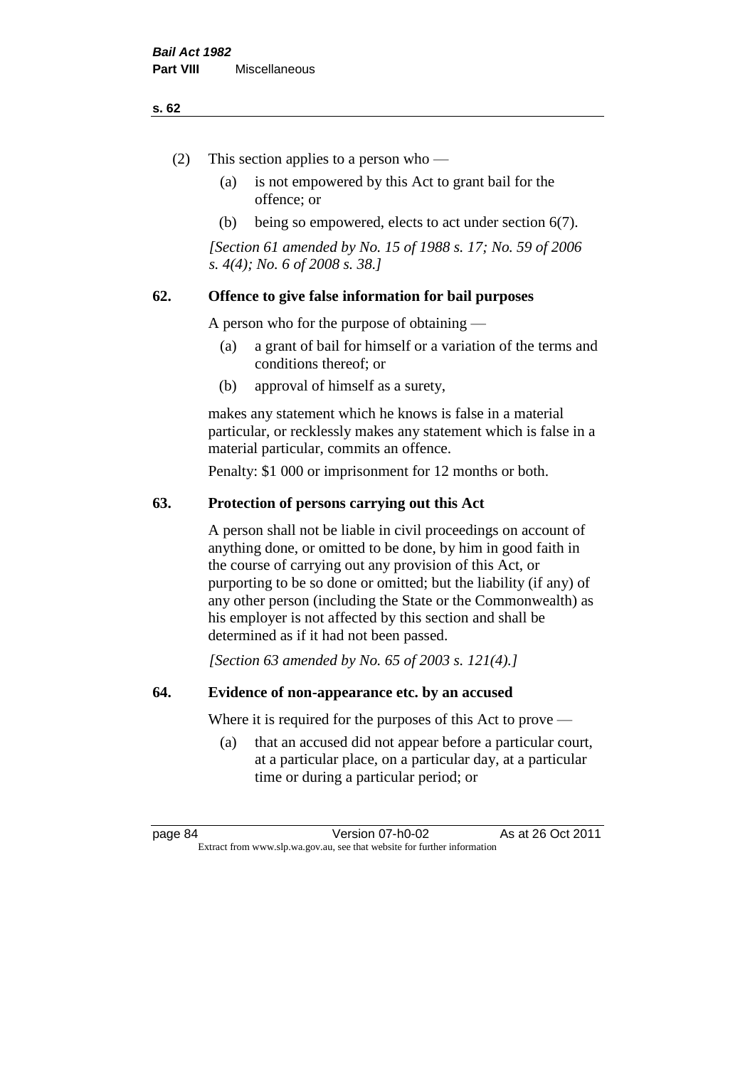#### **s. 62**

- (2) This section applies to a person who
	- (a) is not empowered by this Act to grant bail for the offence; or
	- (b) being so empowered, elects to act under section 6(7).

*[Section 61 amended by No. 15 of 1988 s. 17; No. 59 of 2006 s. 4(4); No. 6 of 2008 s. 38.]* 

# **62. Offence to give false information for bail purposes**

A person who for the purpose of obtaining —

- (a) a grant of bail for himself or a variation of the terms and conditions thereof; or
- (b) approval of himself as a surety,

makes any statement which he knows is false in a material particular, or recklessly makes any statement which is false in a material particular, commits an offence.

Penalty: \$1 000 or imprisonment for 12 months or both.

#### **63. Protection of persons carrying out this Act**

A person shall not be liable in civil proceedings on account of anything done, or omitted to be done, by him in good faith in the course of carrying out any provision of this Act, or purporting to be so done or omitted; but the liability (if any) of any other person (including the State or the Commonwealth) as his employer is not affected by this section and shall be determined as if it had not been passed.

*[Section 63 amended by No. 65 of 2003 s. 121(4).]*

#### **64. Evidence of non-appearance etc. by an accused**

Where it is required for the purposes of this Act to prove —

(a) that an accused did not appear before a particular court, at a particular place, on a particular day, at a particular time or during a particular period; or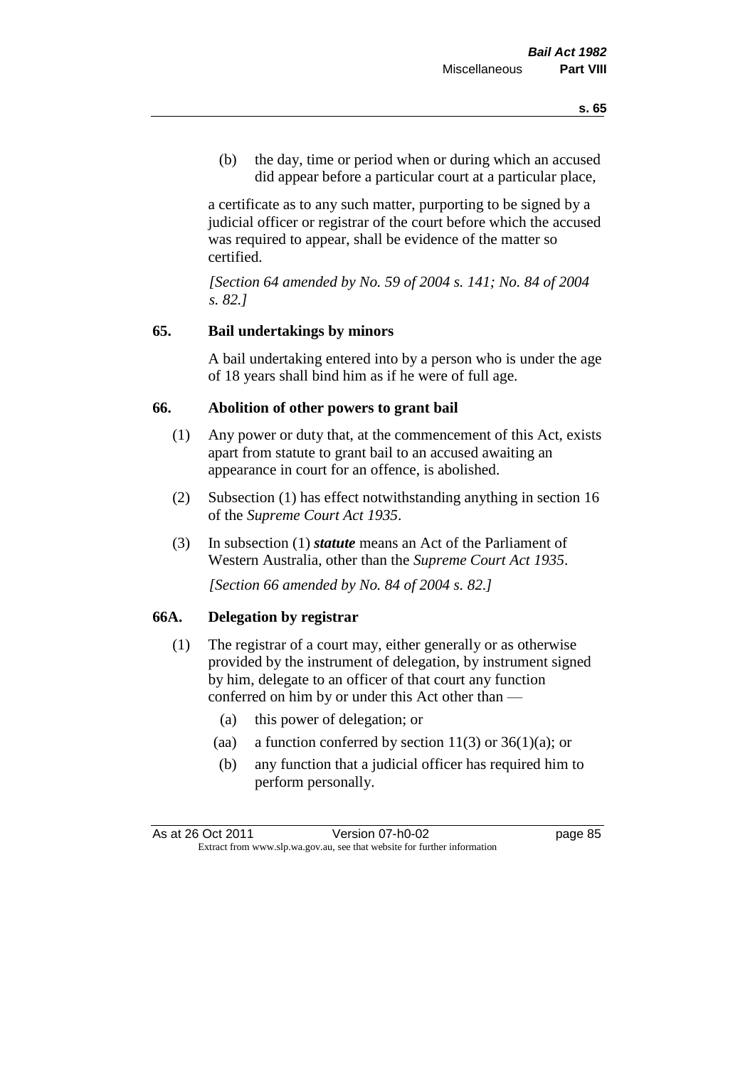(b) the day, time or period when or during which an accused did appear before a particular court at a particular place,

a certificate as to any such matter, purporting to be signed by a judicial officer or registrar of the court before which the accused was required to appear, shall be evidence of the matter so certified.

*[Section 64 amended by No. 59 of 2004 s. 141; No. 84 of 2004 s. 82.]* 

# **65. Bail undertakings by minors**

A bail undertaking entered into by a person who is under the age of 18 years shall bind him as if he were of full age.

#### **66. Abolition of other powers to grant bail**

- (1) Any power or duty that, at the commencement of this Act, exists apart from statute to grant bail to an accused awaiting an appearance in court for an offence, is abolished.
- (2) Subsection (1) has effect notwithstanding anything in section 16 of the *Supreme Court Act 1935*.
- (3) In subsection (1) *statute* means an Act of the Parliament of Western Australia, other than the *Supreme Court Act 1935*.

*[Section 66 amended by No. 84 of 2004 s. 82.]*

#### **66A. Delegation by registrar**

- (1) The registrar of a court may, either generally or as otherwise provided by the instrument of delegation, by instrument signed by him, delegate to an officer of that court any function conferred on him by or under this Act other than —
	- (a) this power of delegation; or
	- (aa) a function conferred by section  $11(3)$  or  $36(1)(a)$ ; or
	- (b) any function that a judicial officer has required him to perform personally.

As at 26 Oct 2011 Version 07-h0-02 page 85 Extract from www.slp.wa.gov.au, see that website for further information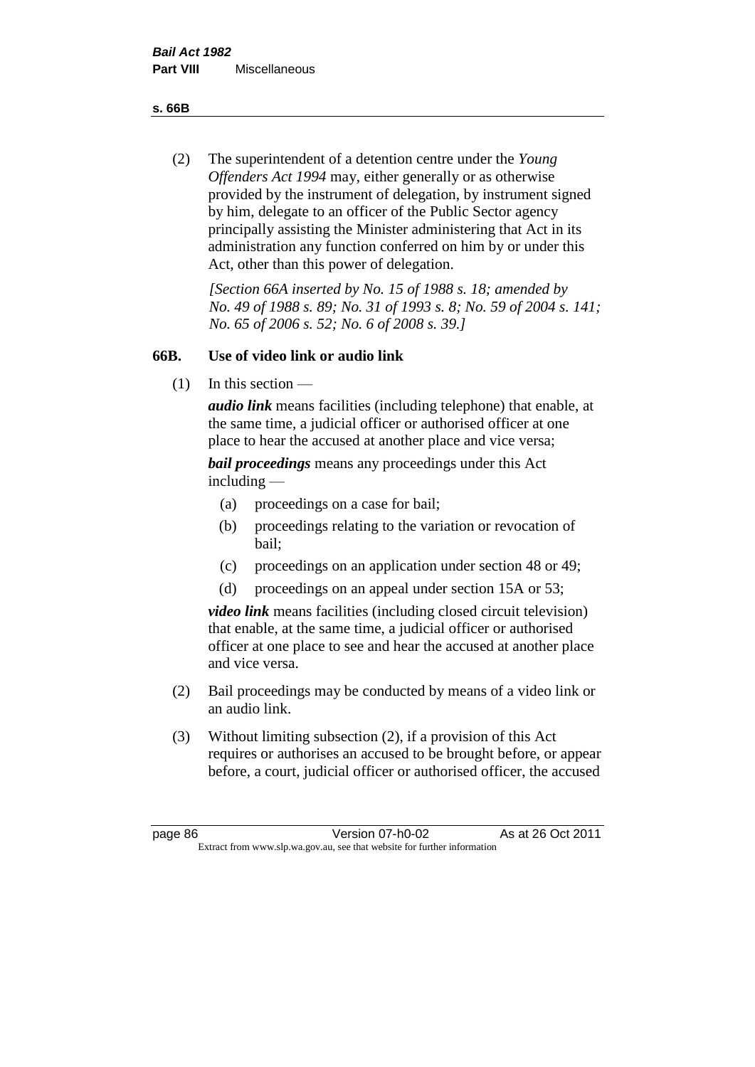**s. 66B**

(2) The superintendent of a detention centre under the *Young Offenders Act 1994* may, either generally or as otherwise provided by the instrument of delegation, by instrument signed by him, delegate to an officer of the Public Sector agency principally assisting the Minister administering that Act in its administration any function conferred on him by or under this Act, other than this power of delegation.

*[Section 66A inserted by No. 15 of 1988 s. 18; amended by No. 49 of 1988 s. 89; No. 31 of 1993 s. 8; No. 59 of 2004 s. 141; No. 65 of 2006 s. 52; No. 6 of 2008 s. 39.]* 

# **66B. Use of video link or audio link**

(1) In this section —

*audio link* means facilities (including telephone) that enable, at the same time, a judicial officer or authorised officer at one place to hear the accused at another place and vice versa;

*bail proceedings* means any proceedings under this Act including —

- (a) proceedings on a case for bail;
- (b) proceedings relating to the variation or revocation of bail;
- (c) proceedings on an application under section 48 or 49;
- (d) proceedings on an appeal under section 15A or 53;

*video link* means facilities (including closed circuit television) that enable, at the same time, a judicial officer or authorised officer at one place to see and hear the accused at another place and vice versa.

- (2) Bail proceedings may be conducted by means of a video link or an audio link.
- (3) Without limiting subsection (2), if a provision of this Act requires or authorises an accused to be brought before, or appear before, a court, judicial officer or authorised officer, the accused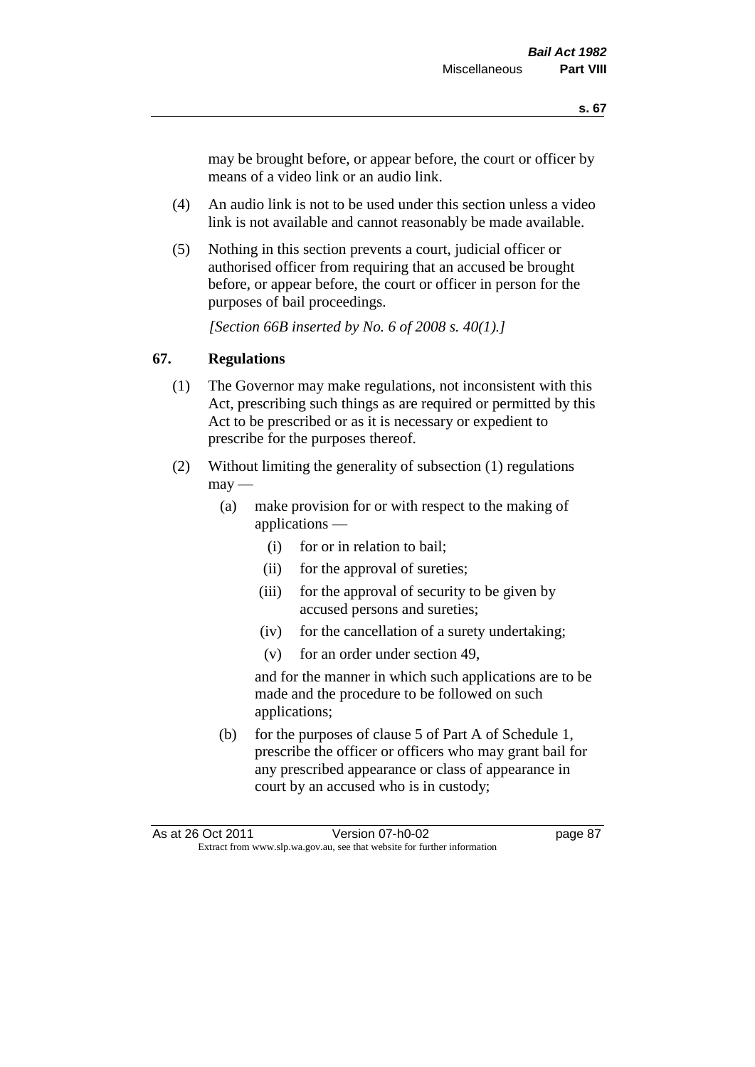may be brought before, or appear before, the court or officer by means of a video link or an audio link.

- (4) An audio link is not to be used under this section unless a video link is not available and cannot reasonably be made available.
- (5) Nothing in this section prevents a court, judicial officer or authorised officer from requiring that an accused be brought before, or appear before, the court or officer in person for the purposes of bail proceedings.

*[Section 66B inserted by No. 6 of 2008 s. 40(1).]*

# **67. Regulations**

- (1) The Governor may make regulations, not inconsistent with this Act, prescribing such things as are required or permitted by this Act to be prescribed or as it is necessary or expedient to prescribe for the purposes thereof.
- (2) Without limiting the generality of subsection (1) regulations  $\text{max}$  —
	- (a) make provision for or with respect to the making of applications —
		- (i) for or in relation to bail;
		- (ii) for the approval of sureties;
		- (iii) for the approval of security to be given by accused persons and sureties;
		- (iv) for the cancellation of a surety undertaking;
		- (v) for an order under section 49,

and for the manner in which such applications are to be made and the procedure to be followed on such applications;

(b) for the purposes of clause 5 of Part A of Schedule 1, prescribe the officer or officers who may grant bail for any prescribed appearance or class of appearance in court by an accused who is in custody;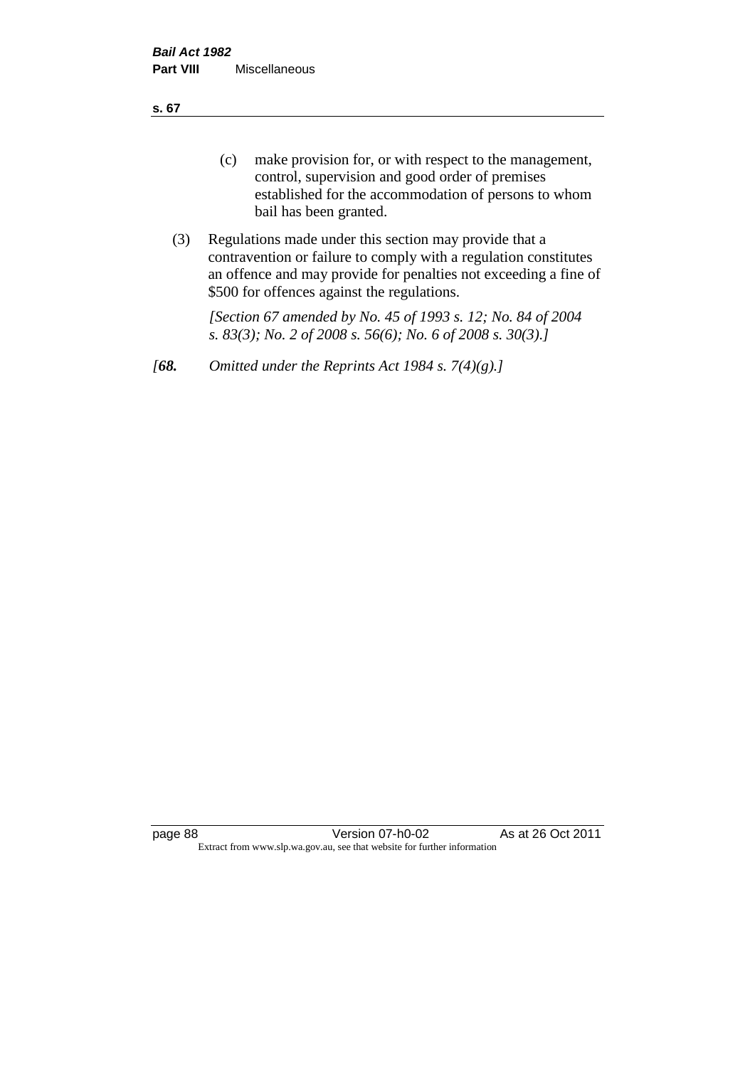**s. 67**

- (c) make provision for, or with respect to the management, control, supervision and good order of premises established for the accommodation of persons to whom bail has been granted.
- (3) Regulations made under this section may provide that a contravention or failure to comply with a regulation constitutes an offence and may provide for penalties not exceeding a fine of \$500 for offences against the regulations.

*[Section 67 amended by No. 45 of 1993 s. 12; No. 84 of 2004 s. 83(3); No. 2 of 2008 s. 56(6); No. 6 of 2008 s. 30(3).]* 

*[68. Omitted under the Reprints Act 1984 s. 7(4)(g).]*

page 88 Version 07-h0-02 As at 26 Oct 2011 Extract from www.slp.wa.gov.au, see that website for further information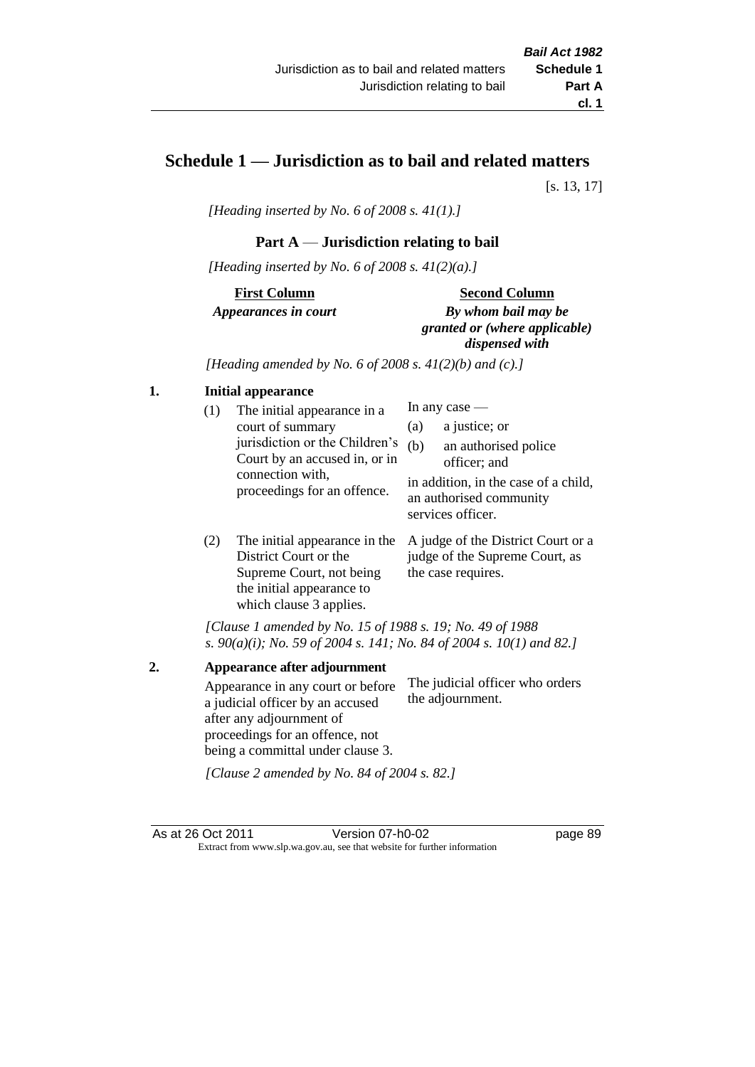# **Schedule 1 — Jurisdiction as to bail and related matters**

[s. 13, 17]

*[Heading inserted by No. 6 of 2008 s. 41(1).]*

# **Part A** — **Jurisdiction relating to bail**

*[Heading inserted by No. 6 of 2008 s. 41(2)(a).]*

**First Column** *Appearances in court* 

#### **Second Column**

*By whom bail may be granted or (where applicable) dispensed with*

*[Heading amended by No. 6 of 2008 s. 41(2)(b) and (c).]*

#### **1. Initial appearance**

| (1) | The initial appearance in a<br>court of summary<br>jurisdiction or the Children's<br>Court by an accused in, or in<br>connection with,<br>proceedings for an offence. | In any case $-$<br>a justice; or<br>(a)<br>(b)<br>an authorised police<br>officer; and |                                                                                      |
|-----|-----------------------------------------------------------------------------------------------------------------------------------------------------------------------|----------------------------------------------------------------------------------------|--------------------------------------------------------------------------------------|
|     |                                                                                                                                                                       |                                                                                        | in addition, in the case of a child,<br>an authorised community<br>services officer. |

(2) The initial appearance in the A judge of the District Court or a District Court or the Supreme Court, not being the initial appearance to which clause 3 applies. judge of the Supreme Court, as the case requires.

*[Clause 1 amended by No. 15 of 1988 s. 19; No. 49 of 1988 s. 90(a)(i); No. 59 of 2004 s. 141; No. 84 of 2004 s. 10(1) and 82.]*

**2. Appearance after adjournment** Appearance in any court or before a judicial officer by an accused after any adjournment of proceedings for an offence, not being a committal under clause 3. The judicial officer who orders the adjournment.

*[Clause 2 amended by No. 84 of 2004 s. 82.]*

As at 26 Oct 2011 Version 07-h0-02 page 89 Extract from www.slp.wa.gov.au, see that website for further information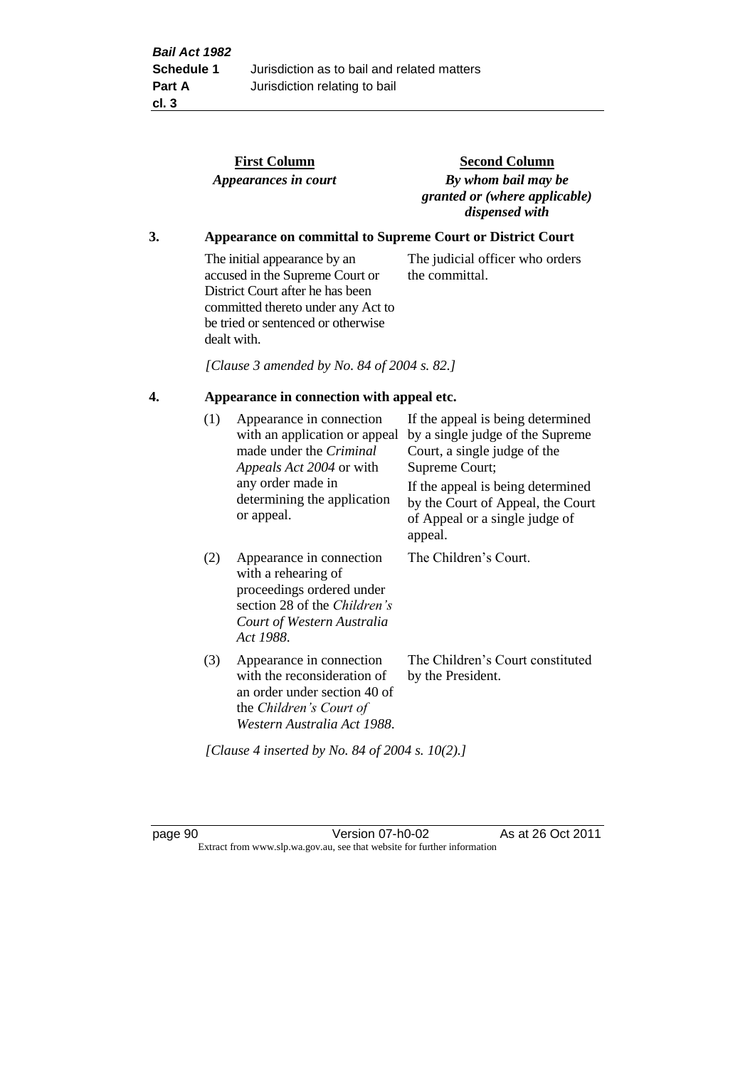|    |     | <b>First Column</b><br>Appearances in court                                                                                                                                                    | <b>Second Column</b><br>By whom bail may be<br>granted or (where applicable)<br>dispensed with                                                                                                                                                 |
|----|-----|------------------------------------------------------------------------------------------------------------------------------------------------------------------------------------------------|------------------------------------------------------------------------------------------------------------------------------------------------------------------------------------------------------------------------------------------------|
| 3. |     |                                                                                                                                                                                                | Appearance on committal to Supreme Court or District Court                                                                                                                                                                                     |
|    |     | The initial appearance by an<br>accused in the Supreme Court or<br>District Court after he has been<br>committed thereto under any Act to<br>be tried or sentenced or otherwise<br>dealt with. | The judicial officer who orders<br>the committal.                                                                                                                                                                                              |
|    |     | [Clause 3 amended by No. 84 of 2004 s. 82.]                                                                                                                                                    |                                                                                                                                                                                                                                                |
| 4. |     | Appearance in connection with appeal etc.                                                                                                                                                      |                                                                                                                                                                                                                                                |
|    | (1) | Appearance in connection<br>with an application or appeal<br>made under the Criminal<br>Appeals Act 2004 or with<br>any order made in<br>determining the application<br>or appeal.             | If the appeal is being determined<br>by a single judge of the Supreme<br>Court, a single judge of the<br>Supreme Court;<br>If the appeal is being determined<br>by the Court of Appeal, the Court<br>of Appeal or a single judge of<br>appeal. |
|    | (2) | Appearance in connection<br>with a rehearing of<br>proceedings ordered under<br>section 28 of the Children's<br>Court of Western Australia<br>Act 1988.                                        | The Children's Court.                                                                                                                                                                                                                          |
|    | (3) | Appearance in connection<br>with the reconsideration of<br>an order under section 40 of<br>the Children's Court of<br>Western Australia Act 1988.                                              | The Children's Court constituted<br>by the President.                                                                                                                                                                                          |

*[Clause 4 inserted by No. 84 of 2004 s. 10(2).]*

page 90 Version 07-h0-02 As at 26 Oct 2011 Extract from www.slp.wa.gov.au, see that website for further information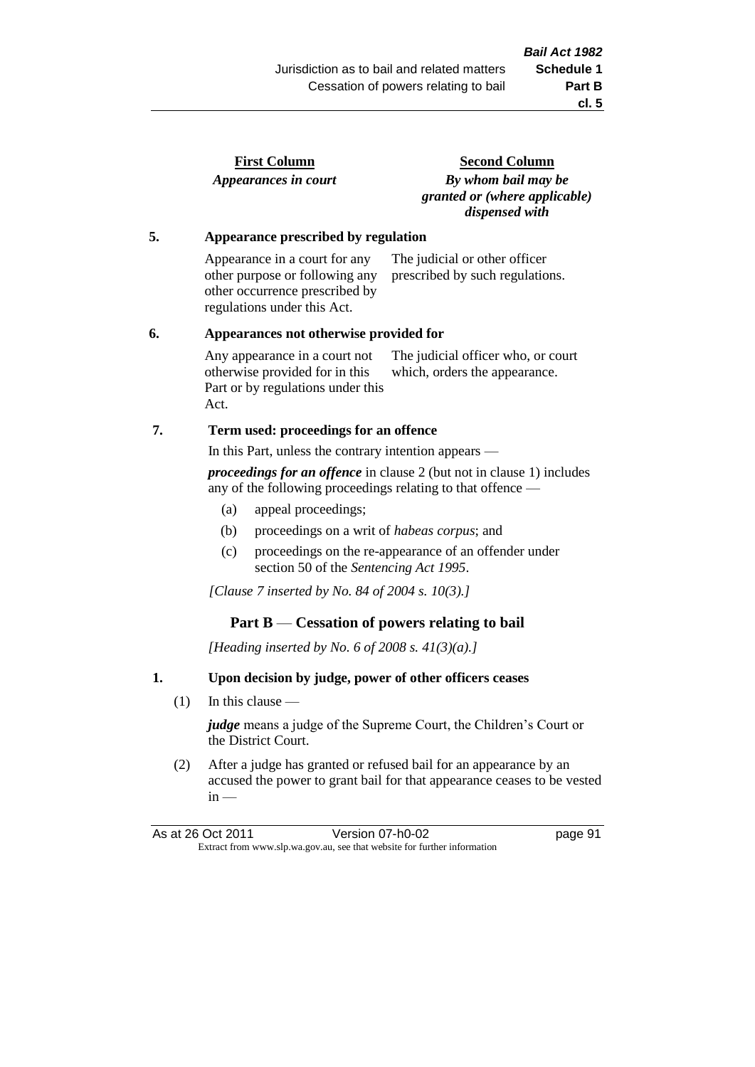| <b>First Column</b>  |  |
|----------------------|--|
| Appearances in court |  |

**Second Column** *By whom bail may be granted or (where applicable) dispensed with*

#### **5. Appearance prescribed by regulation**

Appearance in a court for any other purpose or following any other occurrence prescribed by regulations under this Act. The judicial or other officer prescribed by such regulations.

#### **6. Appearances not otherwise provided for**

Any appearance in a court not otherwise provided for in this Part or by regulations under this Act. The judicial officer who, or court which, orders the appearance.

# **7. Term used: proceedings for an offence**

In this Part, unless the contrary intention appears —

*proceedings for an offence* in clause 2 (but not in clause 1) includes any of the following proceedings relating to that offence —

- (a) appeal proceedings;
- (b) proceedings on a writ of *habeas corpus*; and
- (c) proceedings on the re-appearance of an offender under section 50 of the *Sentencing Act 1995*.

*[Clause 7 inserted by No. 84 of 2004 s. 10(3).]*

# **Part B** — **Cessation of powers relating to bail**

*[Heading inserted by No. 6 of 2008 s. 41(3)(a).]*

# **1. Upon decision by judge, power of other officers ceases**

(1) In this clause —

*judge* means a judge of the Supreme Court, the Children's Court or the District Court.

(2) After a judge has granted or refused bail for an appearance by an accused the power to grant bail for that appearance ceases to be vested  $in -$ 

| As at 26 Oct 2011                                                        | Version 07-h0-02 | page 91 |
|--------------------------------------------------------------------------|------------------|---------|
| Extract from www.slp.wa.gov.au, see that website for further information |                  |         |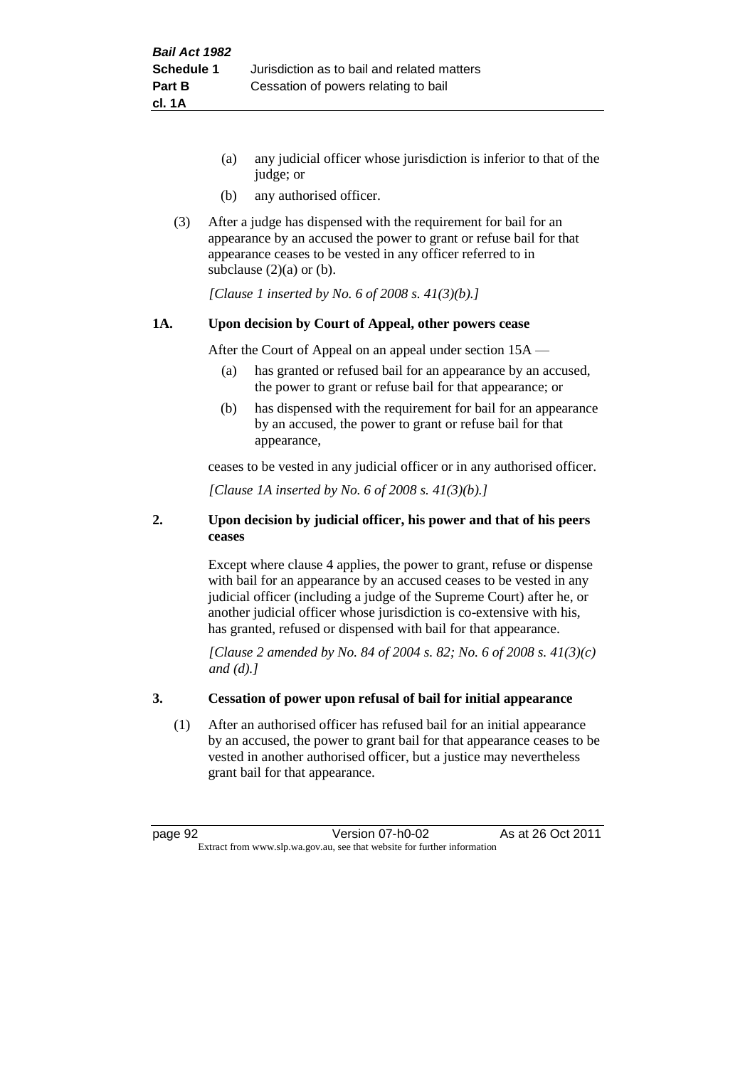- (a) any judicial officer whose jurisdiction is inferior to that of the judge; or
- (b) any authorised officer.
- (3) After a judge has dispensed with the requirement for bail for an appearance by an accused the power to grant or refuse bail for that appearance ceases to be vested in any officer referred to in subclause  $(2)(a)$  or  $(b)$ .

*[Clause 1 inserted by No. 6 of 2008 s. 41(3)(b).]*

#### **1A. Upon decision by Court of Appeal, other powers cease**

After the Court of Appeal on an appeal under section 15A —

- (a) has granted or refused bail for an appearance by an accused, the power to grant or refuse bail for that appearance; or
- (b) has dispensed with the requirement for bail for an appearance by an accused, the power to grant or refuse bail for that appearance,

ceases to be vested in any judicial officer or in any authorised officer.

*[Clause 1A inserted by No. 6 of 2008 s. 41(3)(b).]*

#### **2. Upon decision by judicial officer, his power and that of his peers ceases**

Except where clause 4 applies, the power to grant, refuse or dispense with bail for an appearance by an accused ceases to be vested in any judicial officer (including a judge of the Supreme Court) after he, or another judicial officer whose jurisdiction is co-extensive with his, has granted, refused or dispensed with bail for that appearance.

*[Clause 2 amended by No. 84 of 2004 s. 82; No. 6 of 2008 s. 41(3)(c) and (d).]*

#### **3. Cessation of power upon refusal of bail for initial appearance**

(1) After an authorised officer has refused bail for an initial appearance by an accused, the power to grant bail for that appearance ceases to be vested in another authorised officer, but a justice may nevertheless grant bail for that appearance.

page 92 Version 07-h0-02 As at 26 Oct 2011 Extract from www.slp.wa.gov.au, see that website for further information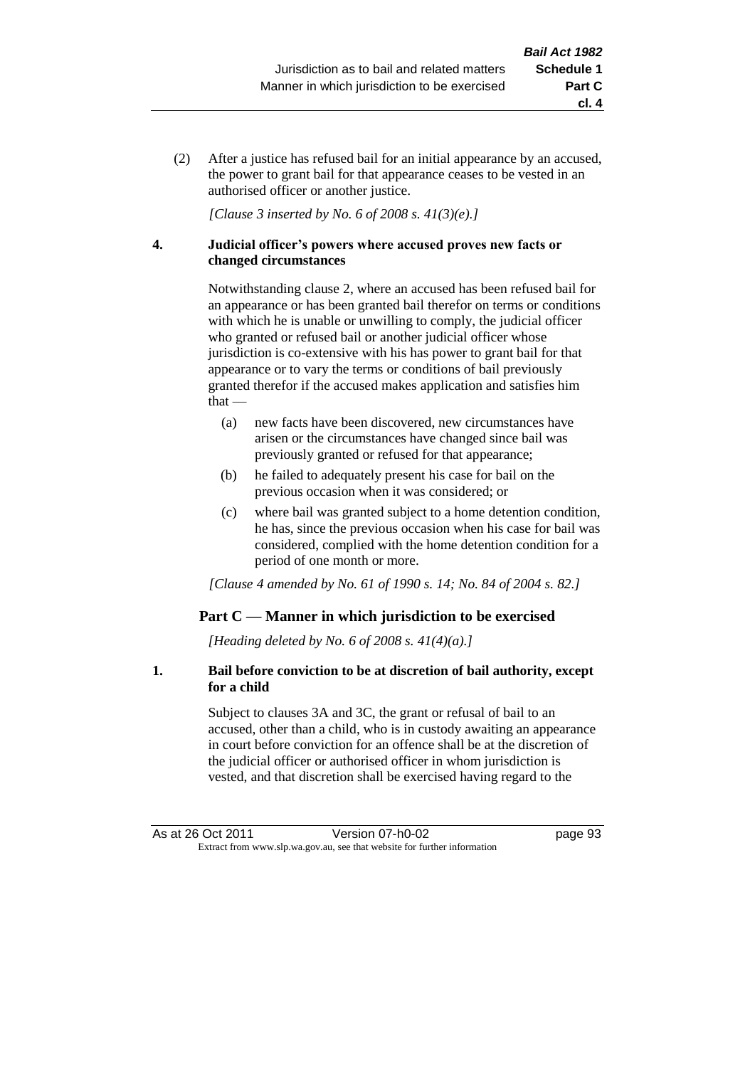(2) After a justice has refused bail for an initial appearance by an accused, the power to grant bail for that appearance ceases to be vested in an authorised officer or another justice.

*[Clause 3 inserted by No. 6 of 2008 s. 41(3)(e).]*

#### **4. Judicial officer's powers where accused proves new facts or changed circumstances**

Notwithstanding clause 2, where an accused has been refused bail for an appearance or has been granted bail therefor on terms or conditions with which he is unable or unwilling to comply, the judicial officer who granted or refused bail or another judicial officer whose jurisdiction is co-extensive with his has power to grant bail for that appearance or to vary the terms or conditions of bail previously granted therefor if the accused makes application and satisfies him  $that -$ 

- (a) new facts have been discovered, new circumstances have arisen or the circumstances have changed since bail was previously granted or refused for that appearance;
- (b) he failed to adequately present his case for bail on the previous occasion when it was considered; or
- (c) where bail was granted subject to a home detention condition, he has, since the previous occasion when his case for bail was considered, complied with the home detention condition for a period of one month or more.

*[Clause 4 amended by No. 61 of 1990 s. 14; No. 84 of 2004 s. 82.]*

# **Part C — Manner in which jurisdiction to be exercised**

*[Heading deleted by No. 6 of 2008 s. 41(4)(a).]*

#### **1. Bail before conviction to be at discretion of bail authority, except for a child**

Subject to clauses 3A and 3C, the grant or refusal of bail to an accused, other than a child, who is in custody awaiting an appearance in court before conviction for an offence shall be at the discretion of the judicial officer or authorised officer in whom jurisdiction is vested, and that discretion shall be exercised having regard to the

**cl. 4**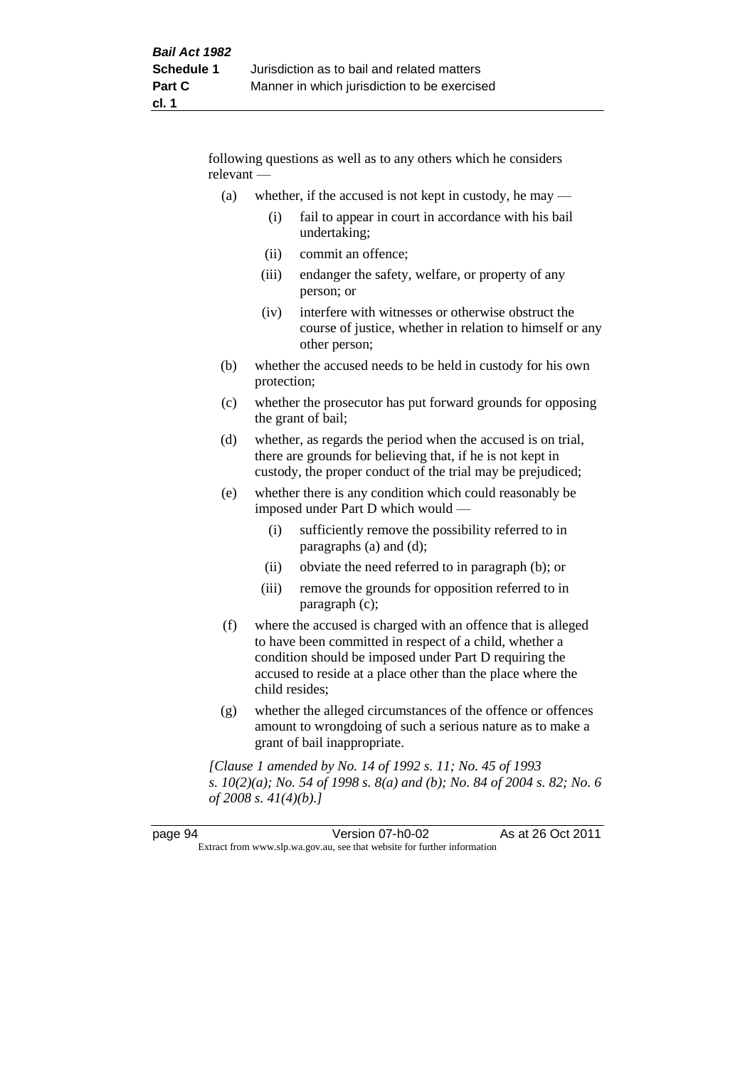following questions as well as to any others which he considers relevant —

- (a) whether, if the accused is not kept in custody, he may  $-$ 
	- (i) fail to appear in court in accordance with his bail undertaking;
	- (ii) commit an offence;
	- (iii) endanger the safety, welfare, or property of any person; or
	- (iv) interfere with witnesses or otherwise obstruct the course of justice, whether in relation to himself or any other person;
- (b) whether the accused needs to be held in custody for his own protection;
- (c) whether the prosecutor has put forward grounds for opposing the grant of bail;
- (d) whether, as regards the period when the accused is on trial, there are grounds for believing that, if he is not kept in custody, the proper conduct of the trial may be prejudiced;
- (e) whether there is any condition which could reasonably be imposed under Part D which would —
	- (i) sufficiently remove the possibility referred to in paragraphs (a) and (d);
	- (ii) obviate the need referred to in paragraph (b); or
	- (iii) remove the grounds for opposition referred to in paragraph (c);
- (f) where the accused is charged with an offence that is alleged to have been committed in respect of a child, whether a condition should be imposed under Part D requiring the accused to reside at a place other than the place where the child resides;
- (g) whether the alleged circumstances of the offence or offences amount to wrongdoing of such a serious nature as to make a grant of bail inappropriate.

*[Clause 1 amended by No. 14 of 1992 s. 11; No. 45 of 1993 s. 10(2)(a); No. 54 of 1998 s. 8(a) and (b); No. 84 of 2004 s. 82; No. 6 of 2008 s. 41(4)(b).]*

| page 94 | Version 07-h0-02                                                         | As at 26 Oct 2011 |
|---------|--------------------------------------------------------------------------|-------------------|
|         | Extract from www.slp.wa.gov.au, see that website for further information |                   |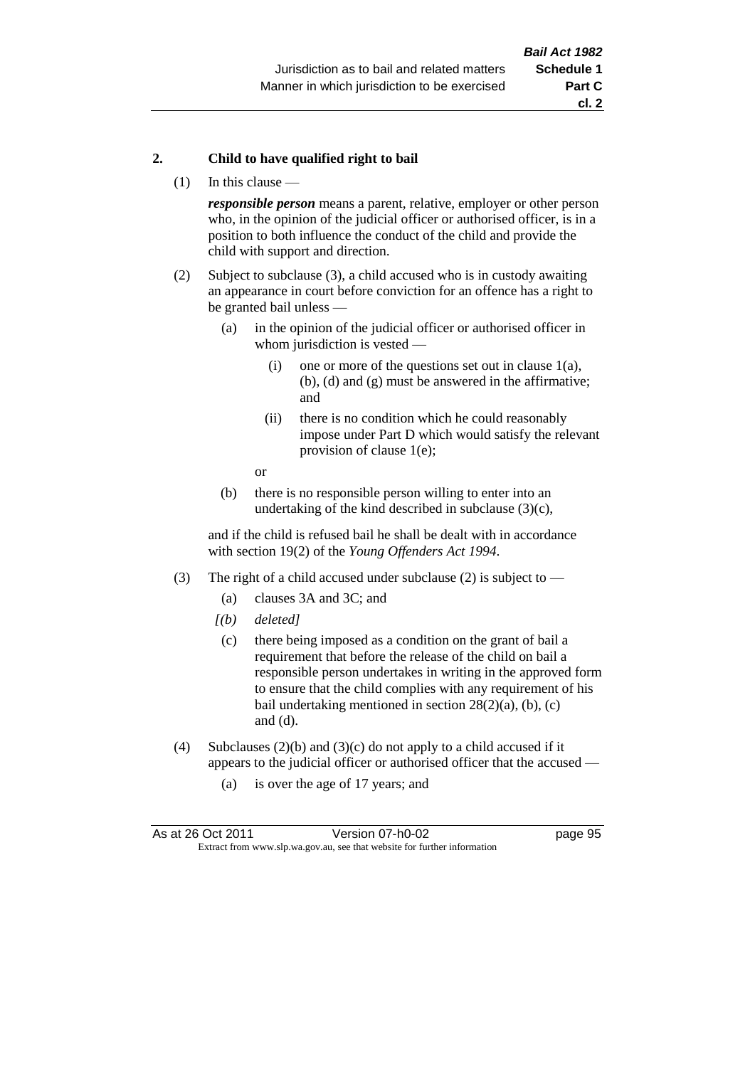#### **2. Child to have qualified right to bail**

(1) In this clause —

*responsible person* means a parent, relative, employer or other person who, in the opinion of the judicial officer or authorised officer, is in a position to both influence the conduct of the child and provide the child with support and direction.

- (2) Subject to subclause (3), a child accused who is in custody awaiting an appearance in court before conviction for an offence has a right to be granted bail unless —
	- (a) in the opinion of the judicial officer or authorised officer in whom jurisdiction is vested —
		- (i) one or more of the questions set out in clause 1(a), (b), (d) and (g) must be answered in the affirmative; and
		- (ii) there is no condition which he could reasonably impose under Part D which would satisfy the relevant provision of clause 1(e);
		- or
	- (b) there is no responsible person willing to enter into an undertaking of the kind described in subclause  $(3)(c)$ ,

and if the child is refused bail he shall be dealt with in accordance with section 19(2) of the *Young Offenders Act 1994*.

- (3) The right of a child accused under subclause (2) is subject to
	- (a) clauses 3A and 3C; and
	- *[(b) deleted]*
	- (c) there being imposed as a condition on the grant of bail a requirement that before the release of the child on bail a responsible person undertakes in writing in the approved form to ensure that the child complies with any requirement of his bail undertaking mentioned in section  $28(2)(a)$ , (b), (c) and (d).
- (4) Subclauses (2)(b) and (3)(c) do not apply to a child accused if it appears to the judicial officer or authorised officer that the accused —
	- (a) is over the age of 17 years; and

| As at 26 Oct 2011 | Version 07-h0-02                                                         | page 95 |
|-------------------|--------------------------------------------------------------------------|---------|
|                   | Extract from www.slp.wa.gov.au, see that website for further information |         |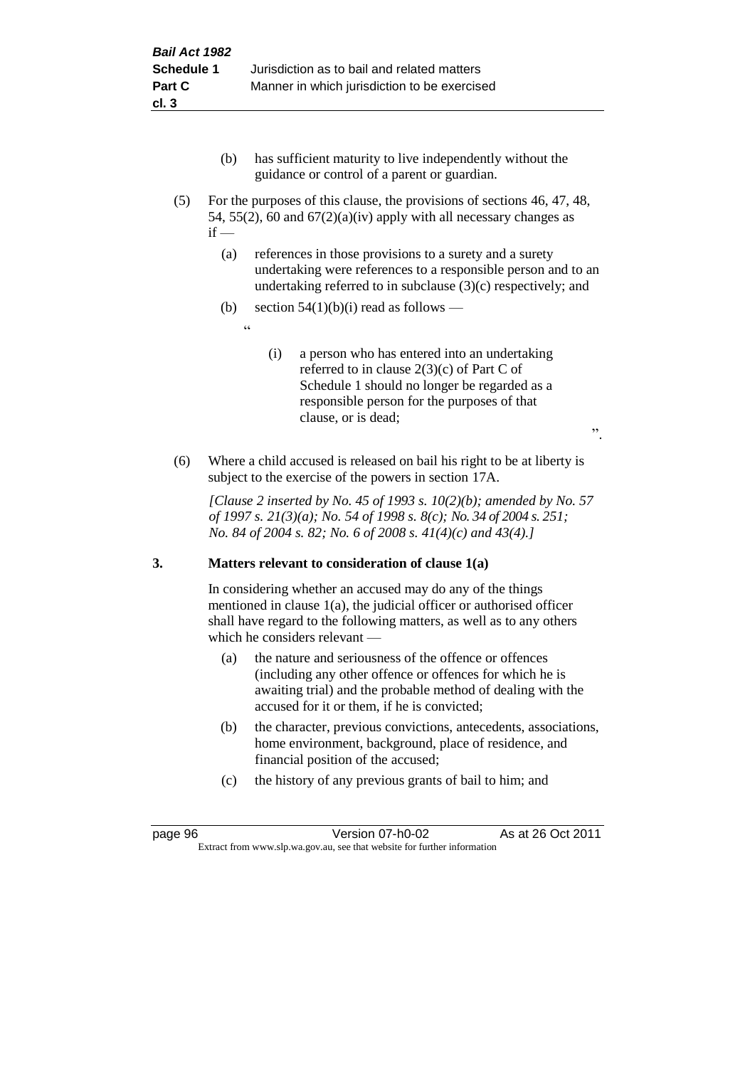- (b) has sufficient maturity to live independently without the guidance or control of a parent or guardian.
- (5) For the purposes of this clause, the provisions of sections 46, 47, 48, 54, 55(2), 60 and  $67(2)(a)(iv)$  apply with all necessary changes as  $if -$ 
	- (a) references in those provisions to a surety and a surety undertaking were references to a responsible person and to an undertaking referred to in subclause (3)(c) respectively; and
	- (b) section  $54(1)(b)(i)$  read as follows
		- .<br>د د
- (i) a person who has entered into an undertaking referred to in clause 2(3)(c) of Part C of Schedule 1 should no longer be regarded as a responsible person for the purposes of that clause, or is dead;

".

(6) Where a child accused is released on bail his right to be at liberty is subject to the exercise of the powers in section 17A.

*[Clause 2 inserted by No. 45 of 1993 s. 10(2)(b); amended by No. 57 of 1997 s. 21(3)(a); No. 54 of 1998 s. 8(c); No. 34 of 2004 s. 251; No. 84 of 2004 s. 82; No. 6 of 2008 s. 41(4)(c) and 43(4).]*

# **3. Matters relevant to consideration of clause 1(a)**

In considering whether an accused may do any of the things mentioned in clause 1(a), the judicial officer or authorised officer shall have regard to the following matters, as well as to any others which he considers relevant —

- (a) the nature and seriousness of the offence or offences (including any other offence or offences for which he is awaiting trial) and the probable method of dealing with the accused for it or them, if he is convicted;
- (b) the character, previous convictions, antecedents, associations, home environment, background, place of residence, and financial position of the accused;
- (c) the history of any previous grants of bail to him; and

page 96 Version 07-h0-02 As at 26 Oct 2011 Extract from www.slp.wa.gov.au, see that website for further information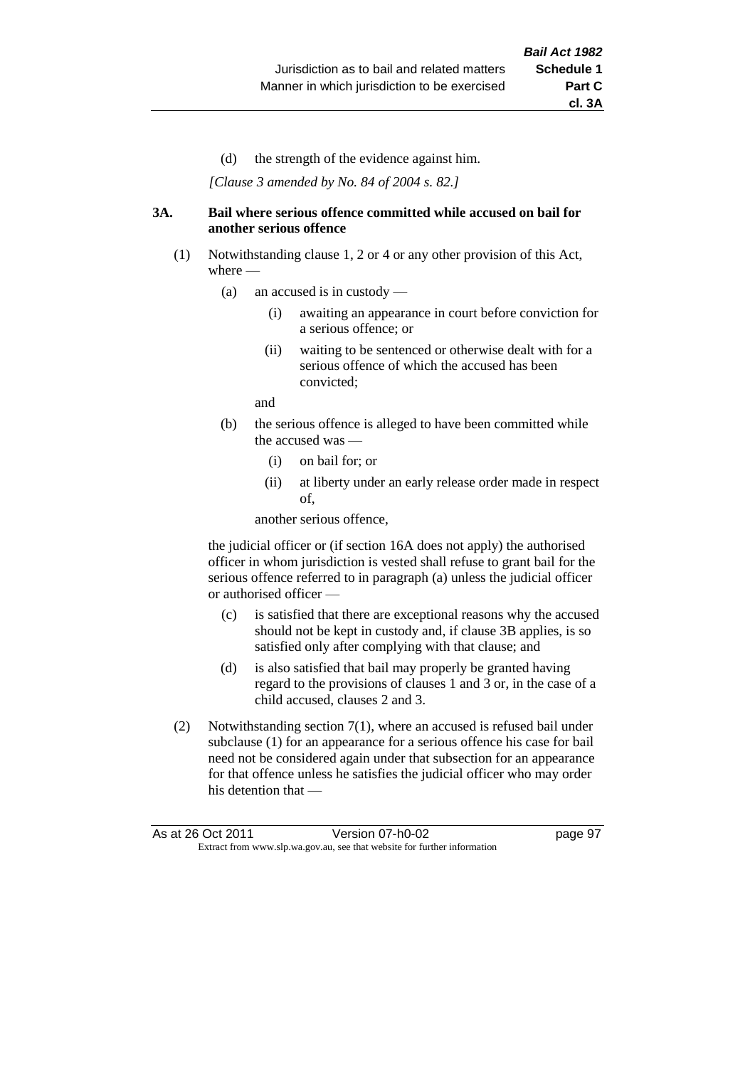(d) the strength of the evidence against him.

*[Clause 3 amended by No. 84 of 2004 s. 82.]*

#### **3A. Bail where serious offence committed while accused on bail for another serious offence**

- (1) Notwithstanding clause 1, 2 or 4 or any other provision of this Act, where —
	- (a) an accused is in custody
		- (i) awaiting an appearance in court before conviction for a serious offence; or
		- (ii) waiting to be sentenced or otherwise dealt with for a serious offence of which the accused has been convicted;

and

- (b) the serious offence is alleged to have been committed while the accused was —
	- (i) on bail for; or
	- (ii) at liberty under an early release order made in respect of,

another serious offence,

the judicial officer or (if section 16A does not apply) the authorised officer in whom jurisdiction is vested shall refuse to grant bail for the serious offence referred to in paragraph (a) unless the judicial officer or authorised officer —

- (c) is satisfied that there are exceptional reasons why the accused should not be kept in custody and, if clause 3B applies, is so satisfied only after complying with that clause; and
- (d) is also satisfied that bail may properly be granted having regard to the provisions of clauses 1 and 3 or, in the case of a child accused, clauses 2 and 3.
- (2) Notwithstanding section 7(1), where an accused is refused bail under subclause (1) for an appearance for a serious offence his case for bail need not be considered again under that subsection for an appearance for that offence unless he satisfies the judicial officer who may order his detention that —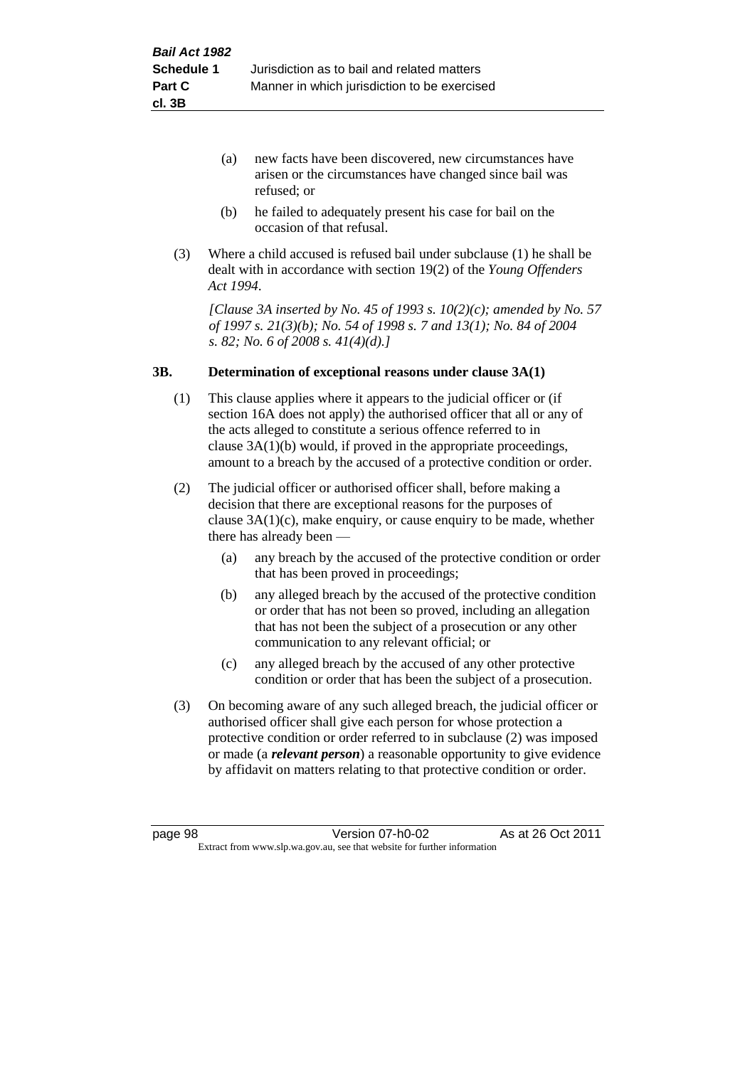- (a) new facts have been discovered, new circumstances have arisen or the circumstances have changed since bail was refused; or
- (b) he failed to adequately present his case for bail on the occasion of that refusal.
- (3) Where a child accused is refused bail under subclause (1) he shall be dealt with in accordance with section 19(2) of the *Young Offenders Act 1994*.

*[Clause 3A inserted by No. 45 of 1993 s. 10(2)(c); amended by No. 57 of 1997 s. 21(3)(b); No. 54 of 1998 s. 7 and 13(1); No. 84 of 2004 s. 82; No. 6 of 2008 s. 41(4)(d).]*

#### **3B. Determination of exceptional reasons under clause 3A(1)**

- (1) This clause applies where it appears to the judicial officer or (if section 16A does not apply) the authorised officer that all or any of the acts alleged to constitute a serious offence referred to in clause 3A(1)(b) would, if proved in the appropriate proceedings, amount to a breach by the accused of a protective condition or order.
- (2) The judicial officer or authorised officer shall, before making a decision that there are exceptional reasons for the purposes of clause  $3A(1)(c)$ , make enquiry, or cause enquiry to be made, whether there has already been —
	- (a) any breach by the accused of the protective condition or order that has been proved in proceedings;
	- (b) any alleged breach by the accused of the protective condition or order that has not been so proved, including an allegation that has not been the subject of a prosecution or any other communication to any relevant official; or
	- (c) any alleged breach by the accused of any other protective condition or order that has been the subject of a prosecution.
- (3) On becoming aware of any such alleged breach, the judicial officer or authorised officer shall give each person for whose protection a protective condition or order referred to in subclause (2) was imposed or made (a *relevant person*) a reasonable opportunity to give evidence by affidavit on matters relating to that protective condition or order.

page 98 Version 07-h0-02 As at 26 Oct 2011 Extract from www.slp.wa.gov.au, see that website for further information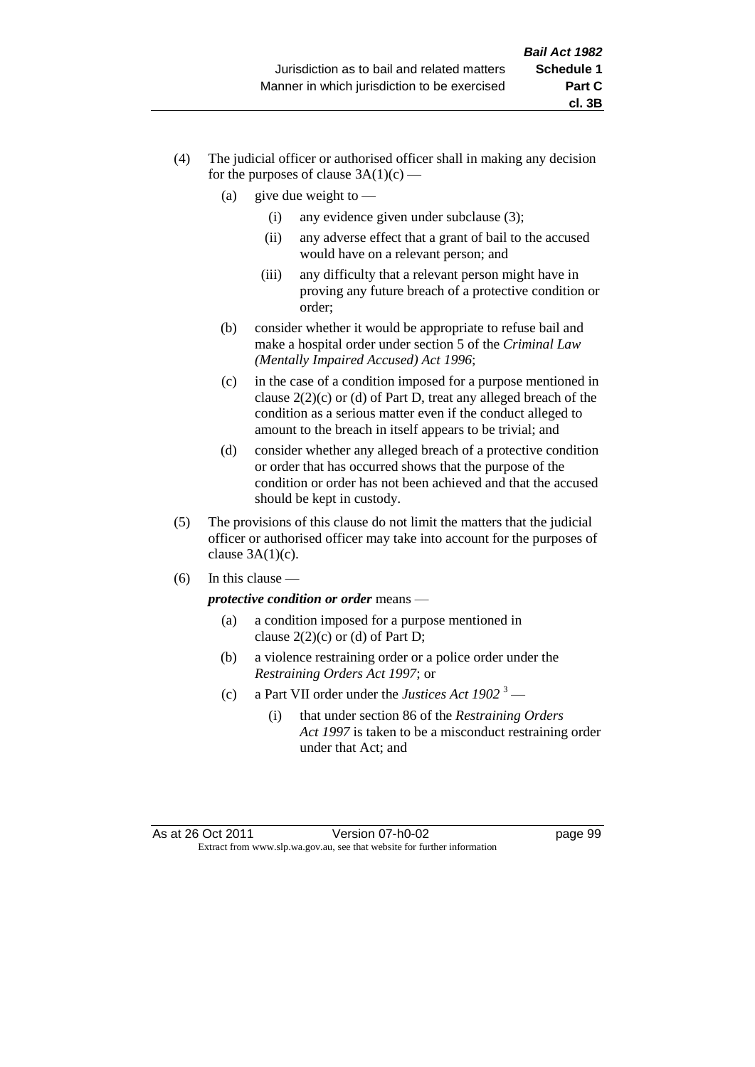- (4) The judicial officer or authorised officer shall in making any decision for the purposes of clause  $3A(1)(c)$  —
	- (a) give due weight to  $-$ 
		- (i) any evidence given under subclause (3);
		- (ii) any adverse effect that a grant of bail to the accused would have on a relevant person; and
		- (iii) any difficulty that a relevant person might have in proving any future breach of a protective condition or order;
	- (b) consider whether it would be appropriate to refuse bail and make a hospital order under section 5 of the *Criminal Law (Mentally Impaired Accused) Act 1996*;
	- (c) in the case of a condition imposed for a purpose mentioned in clause 2(2)(c) or (d) of Part D, treat any alleged breach of the condition as a serious matter even if the conduct alleged to amount to the breach in itself appears to be trivial; and
	- (d) consider whether any alleged breach of a protective condition or order that has occurred shows that the purpose of the condition or order has not been achieved and that the accused should be kept in custody.
- (5) The provisions of this clause do not limit the matters that the judicial officer or authorised officer may take into account for the purposes of clause  $3A(1)(c)$ .
- $(6)$  In this clause —

*protective condition or order* means —

- (a) a condition imposed for a purpose mentioned in clause  $2(2)(c)$  or (d) of Part D;
- (b) a violence restraining order or a police order under the *Restraining Orders Act 1997*; or
- (c) a Part VII order under the *Justices Act 1902* <sup>3</sup>
	- (i) that under section 86 of the *Restraining Orders Act 1997* is taken to be a misconduct restraining order under that Act; and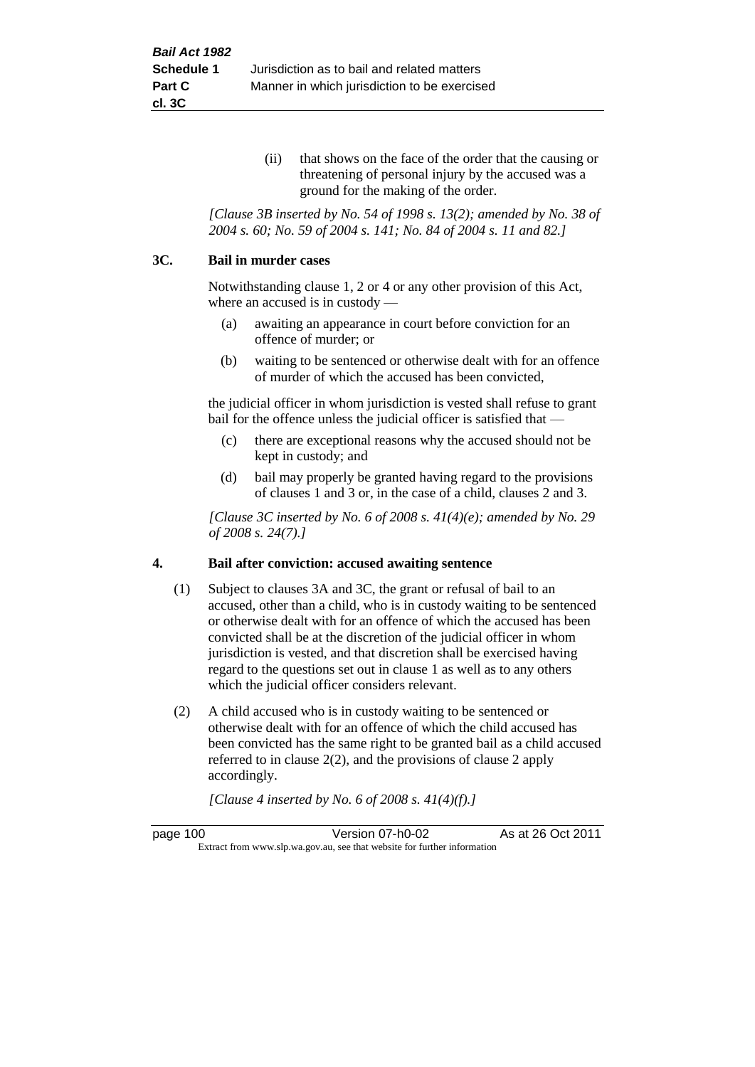(ii) that shows on the face of the order that the causing or threatening of personal injury by the accused was a ground for the making of the order.

*[Clause 3B inserted by No. 54 of 1998 s. 13(2); amended by No. 38 of 2004 s. 60; No. 59 of 2004 s. 141; No. 84 of 2004 s. 11 and 82.]*

#### **3C. Bail in murder cases**

Notwithstanding clause 1, 2 or 4 or any other provision of this Act, where an accused is in custody —

- (a) awaiting an appearance in court before conviction for an offence of murder; or
- (b) waiting to be sentenced or otherwise dealt with for an offence of murder of which the accused has been convicted,

the judicial officer in whom jurisdiction is vested shall refuse to grant bail for the offence unless the judicial officer is satisfied that —

- (c) there are exceptional reasons why the accused should not be kept in custody; and
- (d) bail may properly be granted having regard to the provisions of clauses 1 and 3 or, in the case of a child, clauses 2 and 3.

*[Clause 3C inserted by No. 6 of 2008 s. 41(4)(e); amended by No. 29 of 2008 s. 24(7).]*

#### **4. Bail after conviction: accused awaiting sentence**

- (1) Subject to clauses 3A and 3C, the grant or refusal of bail to an accused, other than a child, who is in custody waiting to be sentenced or otherwise dealt with for an offence of which the accused has been convicted shall be at the discretion of the judicial officer in whom jurisdiction is vested, and that discretion shall be exercised having regard to the questions set out in clause 1 as well as to any others which the judicial officer considers relevant.
- (2) A child accused who is in custody waiting to be sentenced or otherwise dealt with for an offence of which the child accused has been convicted has the same right to be granted bail as a child accused referred to in clause 2(2), and the provisions of clause 2 apply accordingly.

*[Clause 4 inserted by No. 6 of 2008 s. 41(4)(f).]*

page 100 Version 07-h0-02 As at 26 Oct 2011 Extract from www.slp.wa.gov.au, see that website for further information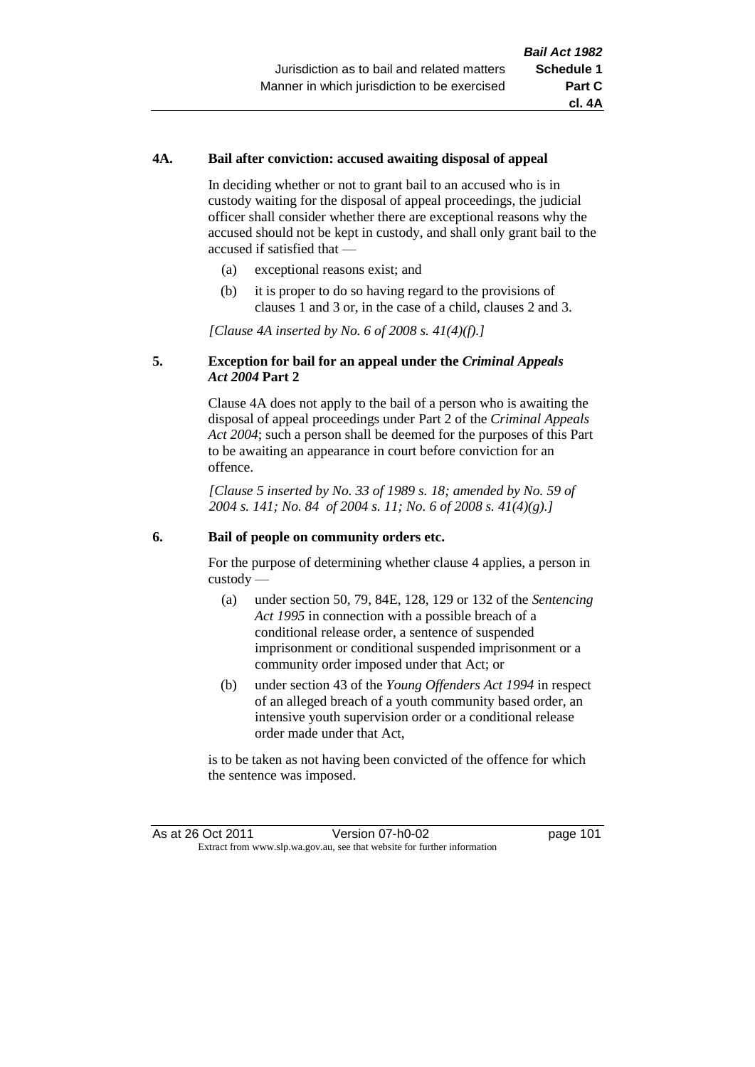## **4A. Bail after conviction: accused awaiting disposal of appeal**

In deciding whether or not to grant bail to an accused who is in custody waiting for the disposal of appeal proceedings, the judicial officer shall consider whether there are exceptional reasons why the accused should not be kept in custody, and shall only grant bail to the accused if satisfied that —

- (a) exceptional reasons exist; and
- (b) it is proper to do so having regard to the provisions of clauses 1 and 3 or, in the case of a child, clauses 2 and 3.

*[Clause 4A inserted by No. 6 of 2008 s. 41(4)(f).]*

## **5. Exception for bail for an appeal under the** *Criminal Appeals Act 2004* **Part 2**

Clause 4A does not apply to the bail of a person who is awaiting the disposal of appeal proceedings under Part 2 of the *Criminal Appeals Act 2004*; such a person shall be deemed for the purposes of this Part to be awaiting an appearance in court before conviction for an offence.

*[Clause 5 inserted by No. 33 of 1989 s. 18; amended by No. 59 of 2004 s. 141; No. 84 of 2004 s. 11; No. 6 of 2008 s. 41(4)(g).]*

#### **6. Bail of people on community orders etc.**

For the purpose of determining whether clause 4 applies, a person in custody —

- (a) under section 50, 79, 84E, 128, 129 or 132 of the *Sentencing Act 1995* in connection with a possible breach of a conditional release order, a sentence of suspended imprisonment or conditional suspended imprisonment or a community order imposed under that Act; or
- (b) under section 43 of the *Young Offenders Act 1994* in respect of an alleged breach of a youth community based order, an intensive youth supervision order or a conditional release order made under that Act,

is to be taken as not having been convicted of the offence for which the sentence was imposed.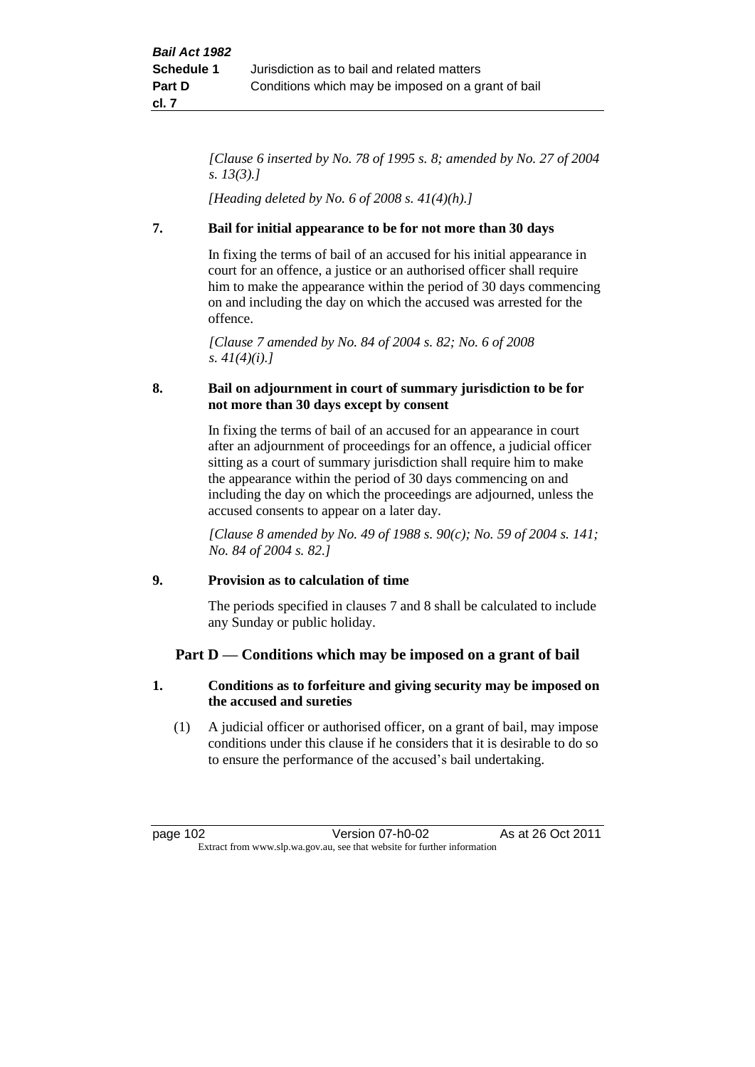*[Clause 6 inserted by No. 78 of 1995 s. 8; amended by No. 27 of 2004 s. 13(3).]*

*[Heading deleted by No. 6 of 2008 s. 41(4)(h).]*

# **7. Bail for initial appearance to be for not more than 30 days**

In fixing the terms of bail of an accused for his initial appearance in court for an offence, a justice or an authorised officer shall require him to make the appearance within the period of 30 days commencing on and including the day on which the accused was arrested for the offence.

*[Clause 7 amended by No. 84 of 2004 s. 82; No. 6 of 2008 s. 41(4)(i).]*

# **8. Bail on adjournment in court of summary jurisdiction to be for not more than 30 days except by consent**

In fixing the terms of bail of an accused for an appearance in court after an adjournment of proceedings for an offence, a judicial officer sitting as a court of summary jurisdiction shall require him to make the appearance within the period of 30 days commencing on and including the day on which the proceedings are adjourned, unless the accused consents to appear on a later day.

*[Clause 8 amended by No. 49 of 1988 s. 90(c); No. 59 of 2004 s. 141; No. 84 of 2004 s. 82.]*

# **9. Provision as to calculation of time**

The periods specified in clauses 7 and 8 shall be calculated to include any Sunday or public holiday.

# **Part D — Conditions which may be imposed on a grant of bail**

# **1. Conditions as to forfeiture and giving security may be imposed on the accused and sureties**

(1) A judicial officer or authorised officer, on a grant of bail, may impose conditions under this clause if he considers that it is desirable to do so to ensure the performance of the accused's bail undertaking.

page 102 Version 07-h0-02 As at 26 Oct 2011 Extract from www.slp.wa.gov.au, see that website for further information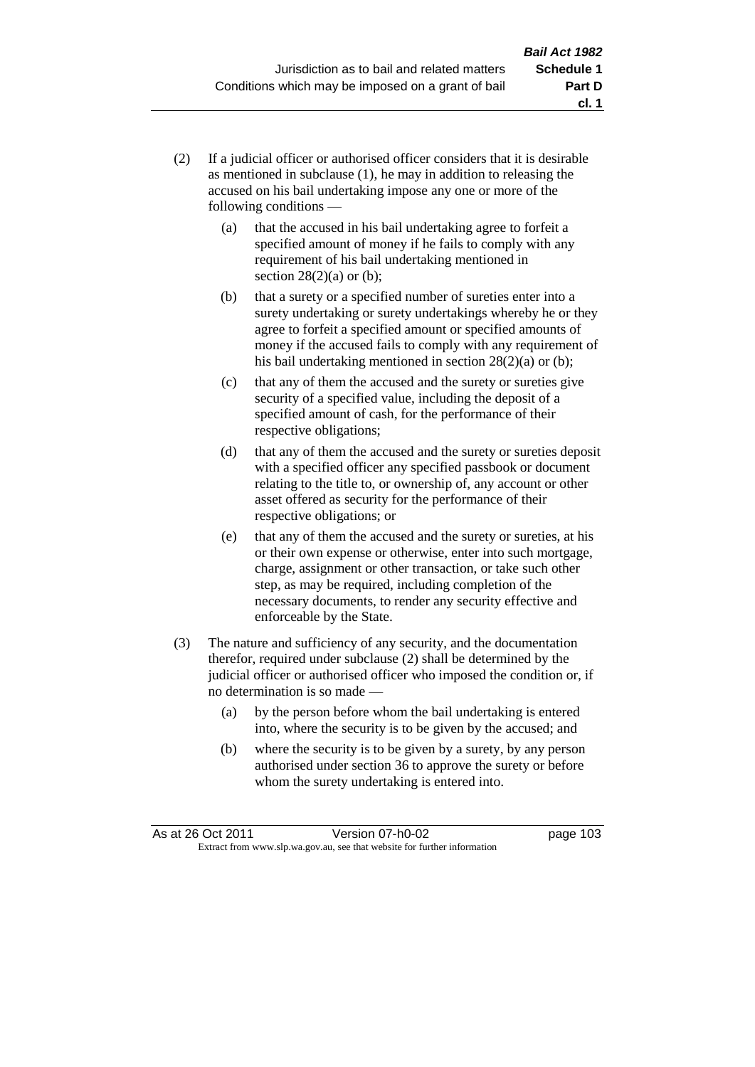- (2) If a judicial officer or authorised officer considers that it is desirable as mentioned in subclause (1), he may in addition to releasing the accused on his bail undertaking impose any one or more of the following conditions —
	- (a) that the accused in his bail undertaking agree to forfeit a specified amount of money if he fails to comply with any requirement of his bail undertaking mentioned in section  $28(2)(a)$  or (b);
	- (b) that a surety or a specified number of sureties enter into a surety undertaking or surety undertakings whereby he or they agree to forfeit a specified amount or specified amounts of money if the accused fails to comply with any requirement of his bail undertaking mentioned in section 28(2)(a) or (b);
	- (c) that any of them the accused and the surety or sureties give security of a specified value, including the deposit of a specified amount of cash, for the performance of their respective obligations;
	- (d) that any of them the accused and the surety or sureties deposit with a specified officer any specified passbook or document relating to the title to, or ownership of, any account or other asset offered as security for the performance of their respective obligations; or
	- (e) that any of them the accused and the surety or sureties, at his or their own expense or otherwise, enter into such mortgage, charge, assignment or other transaction, or take such other step, as may be required, including completion of the necessary documents, to render any security effective and enforceable by the State.
- (3) The nature and sufficiency of any security, and the documentation therefor, required under subclause (2) shall be determined by the judicial officer or authorised officer who imposed the condition or, if no determination is so made —
	- (a) by the person before whom the bail undertaking is entered into, where the security is to be given by the accused; and
	- (b) where the security is to be given by a surety, by any person authorised under section 36 to approve the surety or before whom the surety undertaking is entered into.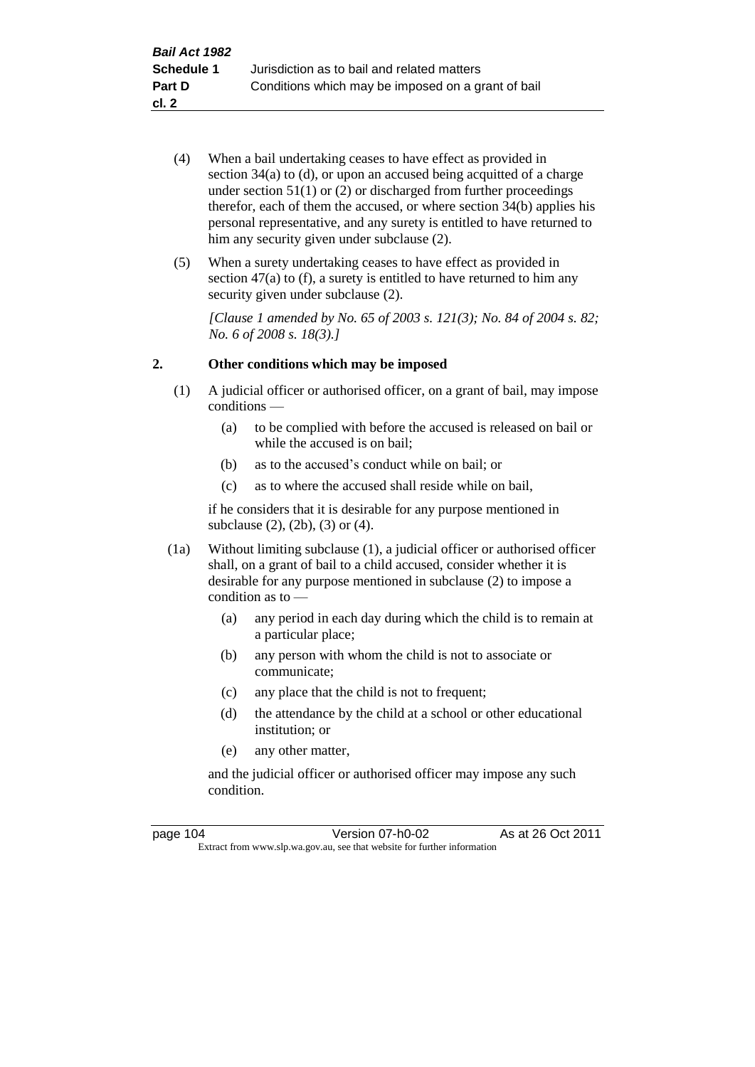- (4) When a bail undertaking ceases to have effect as provided in section 34(a) to (d), or upon an accused being acquitted of a charge under section  $51(1)$  or  $(2)$  or discharged from further proceedings therefor, each of them the accused, or where section  $34(b)$  applies his personal representative, and any surety is entitled to have returned to him any security given under subclause  $(2)$ .
- (5) When a surety undertaking ceases to have effect as provided in section 47(a) to (f), a surety is entitled to have returned to him any security given under subclause  $(2)$ .

*[Clause 1 amended by No. 65 of 2003 s. 121(3); No. 84 of 2004 s. 82; No. 6 of 2008 s. 18(3).]*

### **2. Other conditions which may be imposed**

- (1) A judicial officer or authorised officer, on a grant of bail, may impose conditions —
	- (a) to be complied with before the accused is released on bail or while the accused is on bail;
	- (b) as to the accused's conduct while on bail; or
	- (c) as to where the accused shall reside while on bail,

if he considers that it is desirable for any purpose mentioned in subclause (2), (2b), (3) or (4).

- (1a) Without limiting subclause (1), a judicial officer or authorised officer shall, on a grant of bail to a child accused, consider whether it is desirable for any purpose mentioned in subclause (2) to impose a condition as to —
	- (a) any period in each day during which the child is to remain at a particular place;
	- (b) any person with whom the child is not to associate or communicate;
	- (c) any place that the child is not to frequent;
	- (d) the attendance by the child at a school or other educational institution; or
	- (e) any other matter,

and the judicial officer or authorised officer may impose any such condition.

| page 104 | Version 07-h0-02                                                         | As at 26 Oct 2011 |
|----------|--------------------------------------------------------------------------|-------------------|
|          | Extract from www.slp.wa.gov.au, see that website for further information |                   |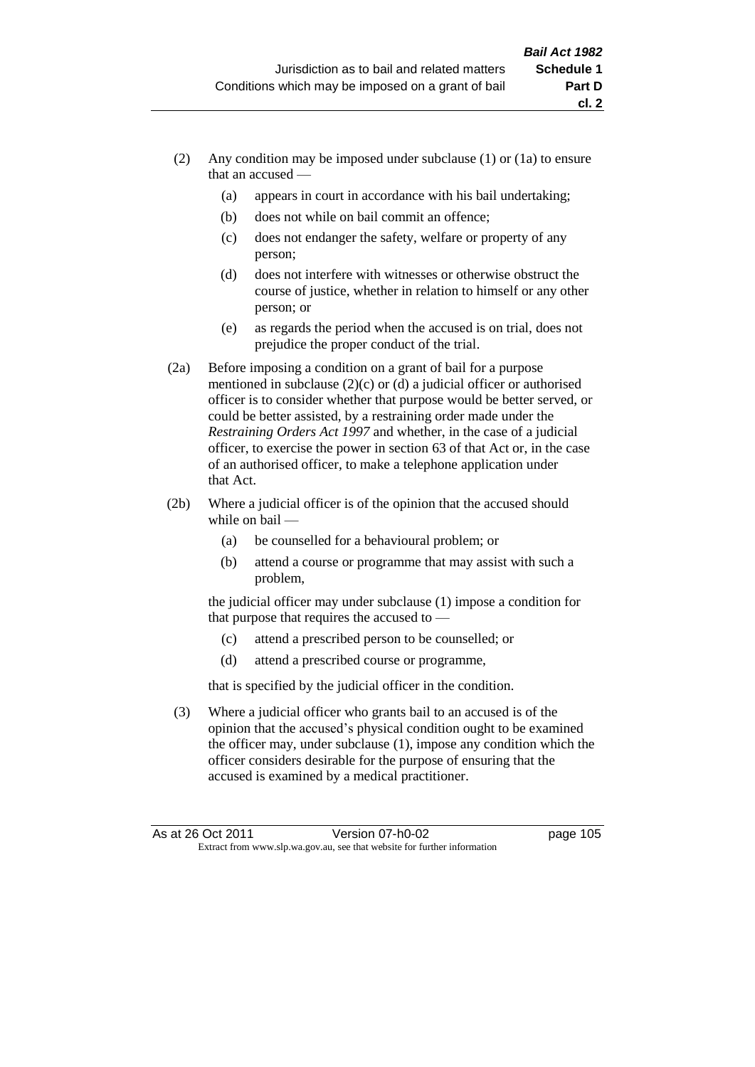- (2) Any condition may be imposed under subclause (1) or (1a) to ensure that an accused —
	- (a) appears in court in accordance with his bail undertaking;
	- (b) does not while on bail commit an offence;
	- (c) does not endanger the safety, welfare or property of any person;
	- (d) does not interfere with witnesses or otherwise obstruct the course of justice, whether in relation to himself or any other person; or
	- (e) as regards the period when the accused is on trial, does not prejudice the proper conduct of the trial.
- (2a) Before imposing a condition on a grant of bail for a purpose mentioned in subclause (2)(c) or (d) a judicial officer or authorised officer is to consider whether that purpose would be better served, or could be better assisted, by a restraining order made under the *Restraining Orders Act 1997* and whether, in the case of a judicial officer, to exercise the power in section 63 of that Act or, in the case of an authorised officer, to make a telephone application under that Act.
- (2b) Where a judicial officer is of the opinion that the accused should while on bail —
	- (a) be counselled for a behavioural problem; or
	- (b) attend a course or programme that may assist with such a problem,

the judicial officer may under subclause (1) impose a condition for that purpose that requires the accused to —

- (c) attend a prescribed person to be counselled; or
- (d) attend a prescribed course or programme,

that is specified by the judicial officer in the condition.

(3) Where a judicial officer who grants bail to an accused is of the opinion that the accused's physical condition ought to be examined the officer may, under subclause (1), impose any condition which the officer considers desirable for the purpose of ensuring that the accused is examined by a medical practitioner.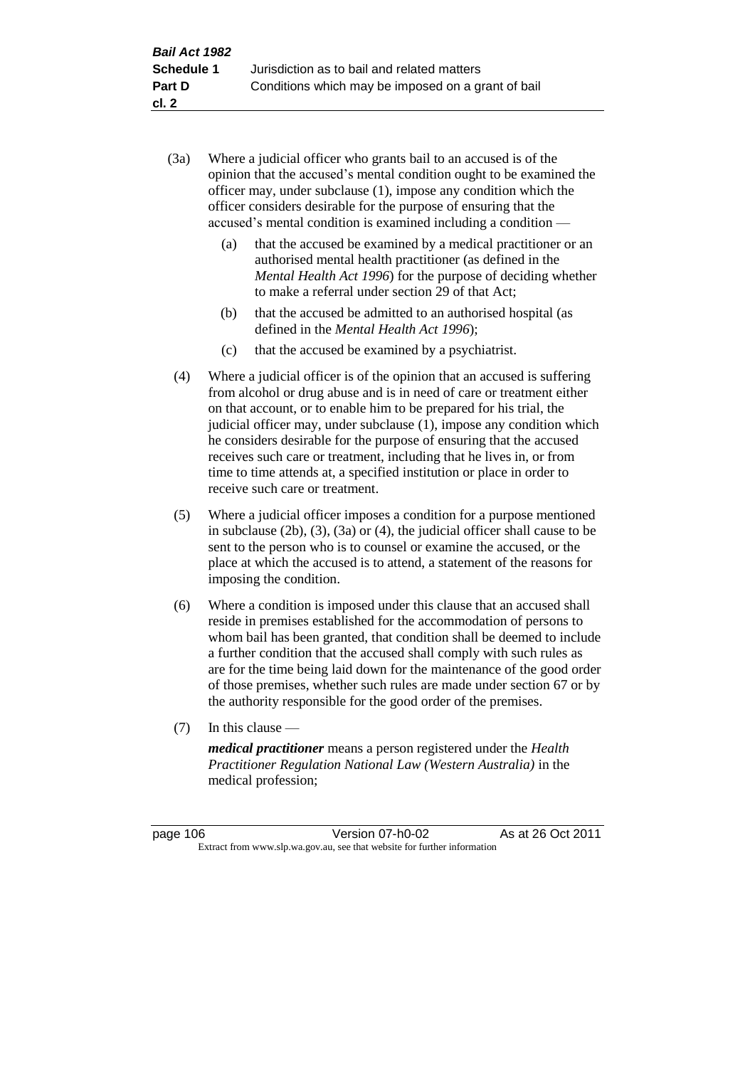- (3a) Where a judicial officer who grants bail to an accused is of the opinion that the accused's mental condition ought to be examined the officer may, under subclause (1), impose any condition which the officer considers desirable for the purpose of ensuring that the accused's mental condition is examined including a condition —
	- (a) that the accused be examined by a medical practitioner or an authorised mental health practitioner (as defined in the *Mental Health Act 1996*) for the purpose of deciding whether to make a referral under section 29 of that Act;
	- (b) that the accused be admitted to an authorised hospital (as defined in the *Mental Health Act 1996*);
	- (c) that the accused be examined by a psychiatrist.
- (4) Where a judicial officer is of the opinion that an accused is suffering from alcohol or drug abuse and is in need of care or treatment either on that account, or to enable him to be prepared for his trial, the judicial officer may, under subclause (1), impose any condition which he considers desirable for the purpose of ensuring that the accused receives such care or treatment, including that he lives in, or from time to time attends at, a specified institution or place in order to receive such care or treatment.
- (5) Where a judicial officer imposes a condition for a purpose mentioned in subclause (2b), (3), (3a) or (4), the judicial officer shall cause to be sent to the person who is to counsel or examine the accused, or the place at which the accused is to attend, a statement of the reasons for imposing the condition.
- (6) Where a condition is imposed under this clause that an accused shall reside in premises established for the accommodation of persons to whom bail has been granted, that condition shall be deemed to include a further condition that the accused shall comply with such rules as are for the time being laid down for the maintenance of the good order of those premises, whether such rules are made under section 67 or by the authority responsible for the good order of the premises.
- (7) In this clause —

*medical practitioner* means a person registered under the *Health Practitioner Regulation National Law (Western Australia)* in the medical profession;

page 106 Version 07-h0-02 As at 26 Oct 2011 Extract from www.slp.wa.gov.au, see that website for further information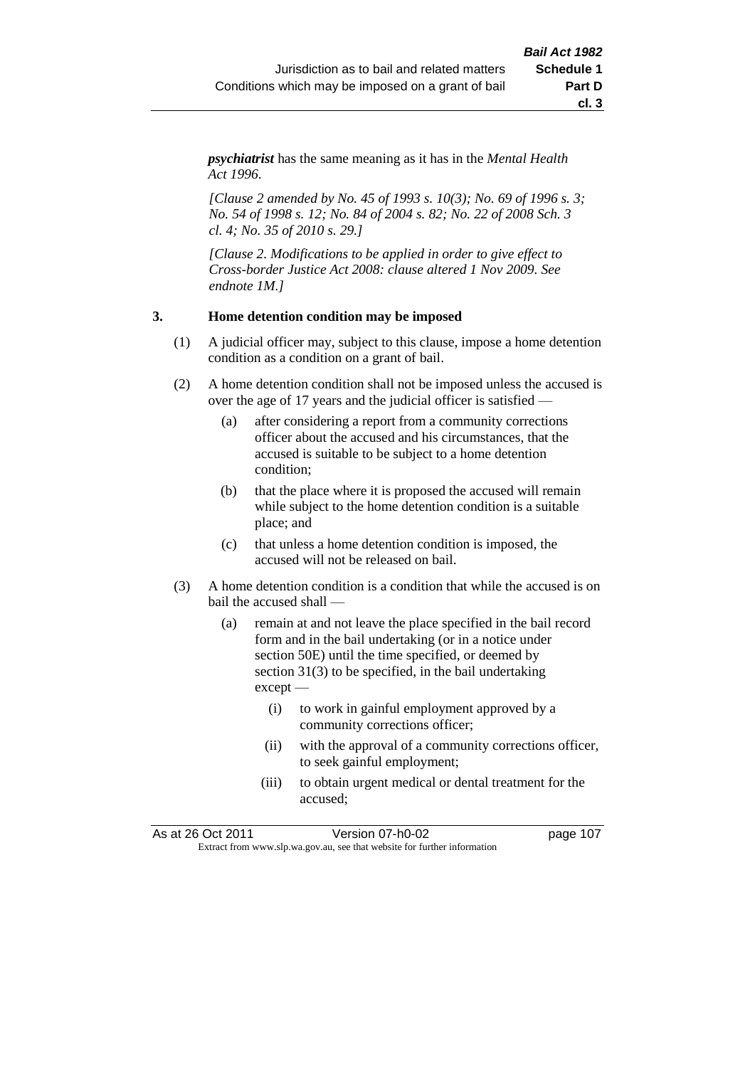*psychiatrist* has the same meaning as it has in the *Mental Health Act 1996*.

*[Clause 2 amended by No. 45 of 1993 s. 10(3); No. 69 of 1996 s. 3; No. 54 of 1998 s. 12; No. 84 of 2004 s. 82; No. 22 of 2008 Sch. 3 cl. 4; No. 35 of 2010 s. 29.]*

*[Clause 2. Modifications to be applied in order to give effect to Cross-border Justice Act 2008: clause altered 1 Nov 2009. See endnote 1M.]*

#### **3. Home detention condition may be imposed**

- (1) A judicial officer may, subject to this clause, impose a home detention condition as a condition on a grant of bail.
- (2) A home detention condition shall not be imposed unless the accused is over the age of 17 years and the judicial officer is satisfied —
	- (a) after considering a report from a community corrections officer about the accused and his circumstances, that the accused is suitable to be subject to a home detention condition;
	- (b) that the place where it is proposed the accused will remain while subject to the home detention condition is a suitable place; and
	- (c) that unless a home detention condition is imposed, the accused will not be released on bail.
- (3) A home detention condition is a condition that while the accused is on bail the accused shall —
	- (a) remain at and not leave the place specified in the bail record form and in the bail undertaking (or in a notice under section 50E) until the time specified, or deemed by section 31(3) to be specified, in the bail undertaking except —
		- (i) to work in gainful employment approved by a community corrections officer;
		- (ii) with the approval of a community corrections officer, to seek gainful employment;
		- (iii) to obtain urgent medical or dental treatment for the accused;

As at 26 Oct 2011 Version 07-h0-02 page 107 Extract from www.slp.wa.gov.au, see that website for further information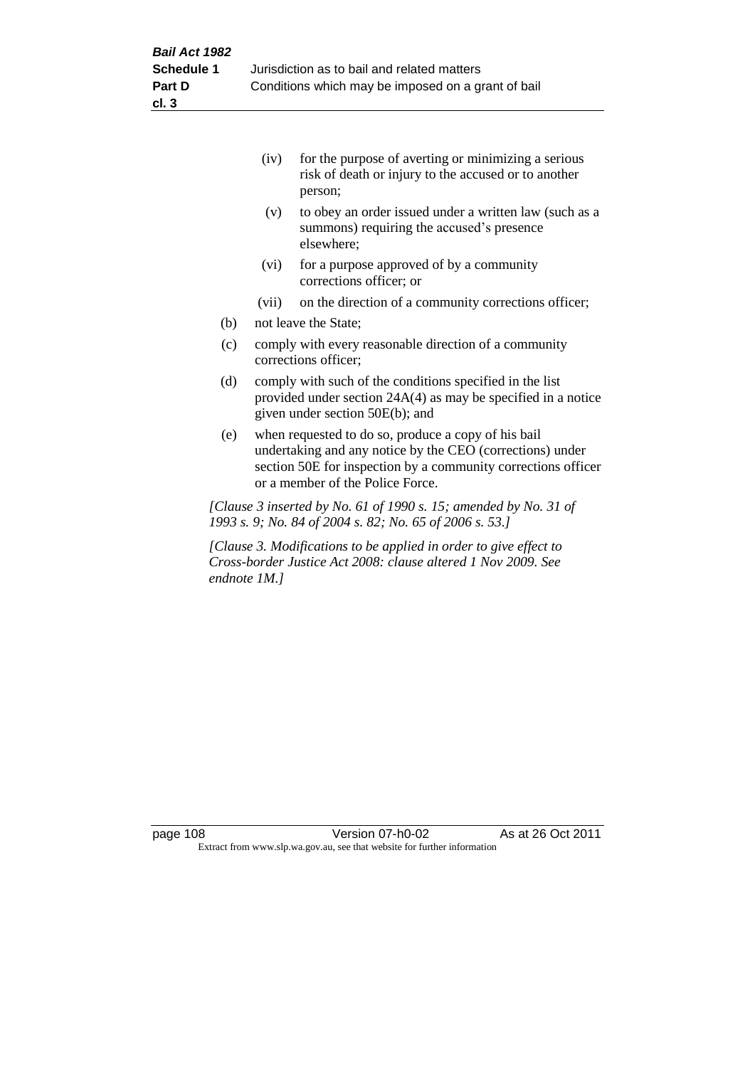|     | (iv)  | for the purpose of averting or minimizing a serious<br>risk of death or injury to the accused or to another<br>person; |
|-----|-------|------------------------------------------------------------------------------------------------------------------------|
|     | (v)   | to obey an order issued under a written law (such as a<br>summons) requiring the accused's presence<br>elsewhere:      |
|     | (vi)  | for a purpose approved of by a community<br>corrections officer; or                                                    |
|     | (vii) | on the direction of a community corrections officer;                                                                   |
| (b) |       | not leave the State;                                                                                                   |
| (c) |       | comply with every reasonable direction of a community<br>corrections officer;                                          |

- (d) comply with such of the conditions specified in the list provided under section 24A(4) as may be specified in a notice given under section 50E(b); and
- (e) when requested to do so, produce a copy of his bail undertaking and any notice by the CEO (corrections) under section 50E for inspection by a community corrections officer or a member of the Police Force.

*[Clause 3 inserted by No. 61 of 1990 s. 15; amended by No. 31 of 1993 s. 9; No. 84 of 2004 s. 82; No. 65 of 2006 s. 53.]*

*[Clause 3. Modifications to be applied in order to give effect to Cross-border Justice Act 2008: clause altered 1 Nov 2009. See endnote 1M.]*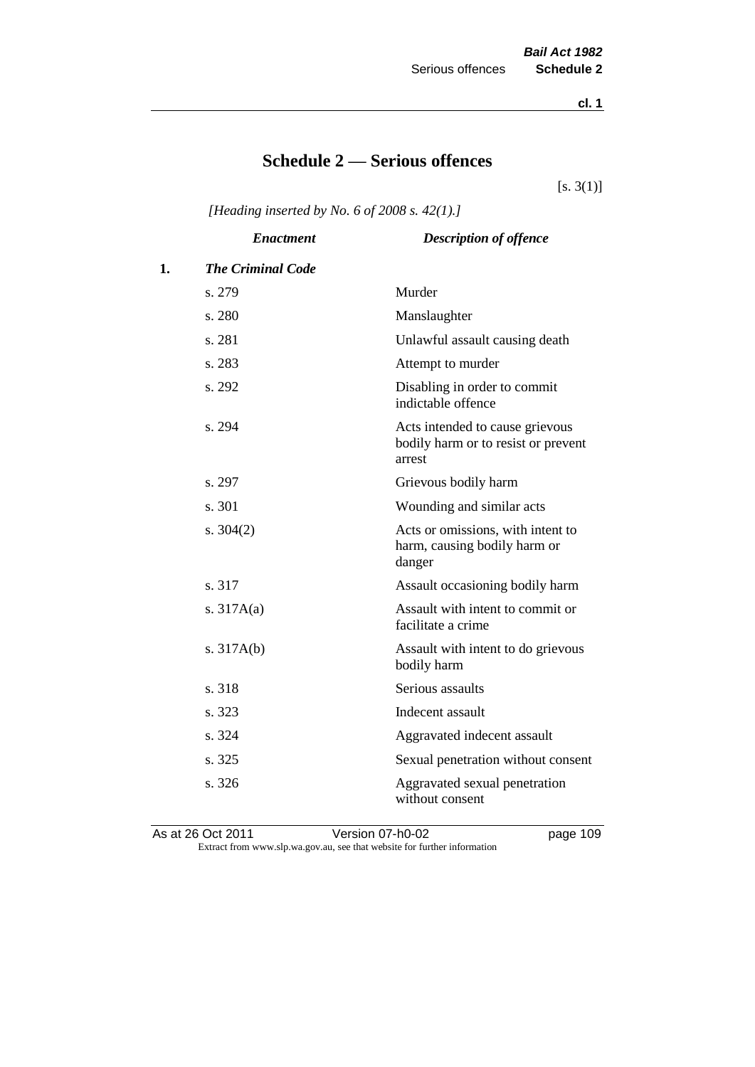**cl. 1**

# **Schedule 2 — Serious offences**

 $[s. 3(1)]$ 

*[Heading inserted by No. 6 of 2008 s. 42(1).]*

|    | <b>Enactment</b>         | <b>Description of offence</b>                                                    |
|----|--------------------------|----------------------------------------------------------------------------------|
| 1. | <b>The Criminal Code</b> |                                                                                  |
|    | s. 279                   | Murder                                                                           |
|    | s. 280                   | Manslaughter                                                                     |
|    | s. 281                   | Unlawful assault causing death                                                   |
|    | s. 283                   | Attempt to murder                                                                |
|    | s. 292                   | Disabling in order to commit<br>indictable offence                               |
|    | s. 294                   | Acts intended to cause grievous<br>bodily harm or to resist or prevent<br>arrest |
|    | s. 297                   | Grievous bodily harm                                                             |
|    | s. 301                   | Wounding and similar acts                                                        |
|    | s. $304(2)$              | Acts or omissions, with intent to<br>harm, causing bodily harm or<br>danger      |
|    | s. 317                   | Assault occasioning bodily harm                                                  |
|    | s. $317A(a)$             | Assault with intent to commit or<br>facilitate a crime                           |
|    | s. $317A(b)$             | Assault with intent to do grievous<br>bodily harm                                |
|    | s. 318                   | Serious assaults                                                                 |
|    | s. 323                   | Indecent assault                                                                 |
|    | s. 324                   | Aggravated indecent assault                                                      |
|    | s. 325                   | Sexual penetration without consent                                               |
|    | s. 326                   | Aggravated sexual penetration<br>without consent                                 |

As at 26 Oct 2011 Version 07-h0-02 page 109 Extract from www.slp.wa.gov.au, see that website for further information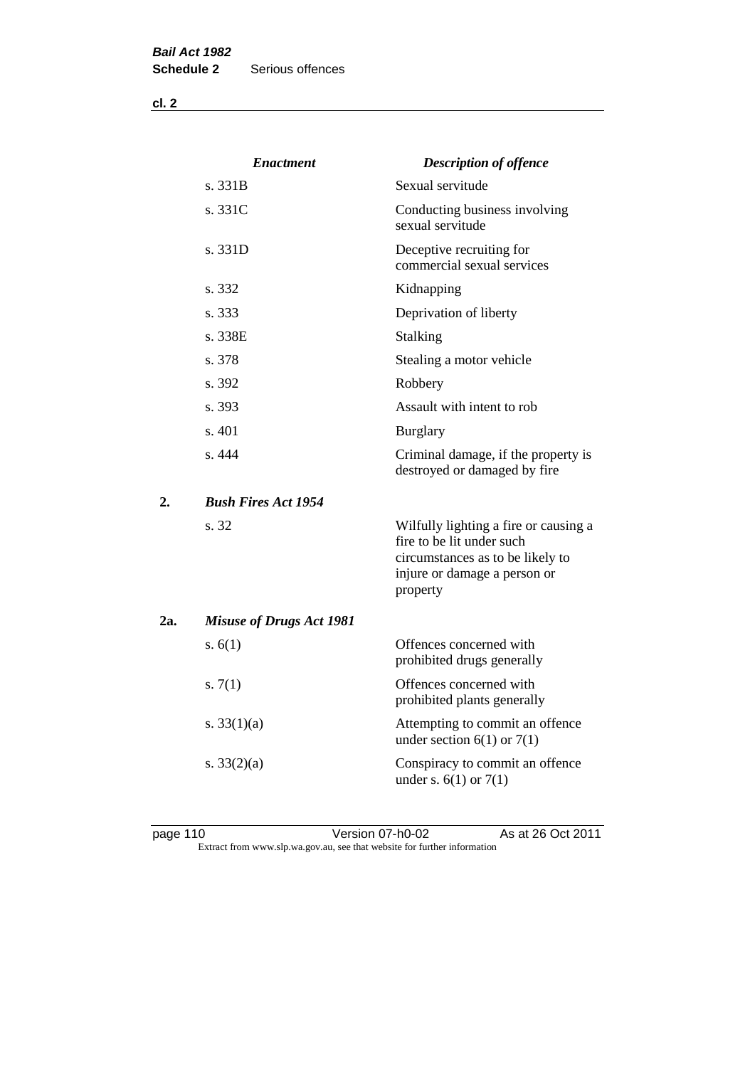**cl. 2**

|     | <b>Enactment</b>                | <b>Description of offence</b>                                                                                                                      |
|-----|---------------------------------|----------------------------------------------------------------------------------------------------------------------------------------------------|
|     | s. 331B                         | Sexual servitude                                                                                                                                   |
|     | s. 331C                         | Conducting business involving<br>sexual servitude                                                                                                  |
|     | s. 331D                         | Deceptive recruiting for<br>commercial sexual services                                                                                             |
|     | s. 332                          | Kidnapping                                                                                                                                         |
|     | s. 333                          | Deprivation of liberty                                                                                                                             |
|     | s. 338E                         | Stalking                                                                                                                                           |
|     | s. 378                          | Stealing a motor vehicle                                                                                                                           |
|     | s. 392                          | Robbery                                                                                                                                            |
|     | s. 393                          | Assault with intent to rob                                                                                                                         |
|     | s. 401                          | <b>Burglary</b>                                                                                                                                    |
|     | s. 444                          | Criminal damage, if the property is<br>destroyed or damaged by fire                                                                                |
| 2.  | <b>Bush Fires Act 1954</b>      |                                                                                                                                                    |
|     | s. 32                           | Wilfully lighting a fire or causing a<br>fire to be lit under such<br>circumstances as to be likely to<br>injure or damage a person or<br>property |
| 2a. | <b>Misuse of Drugs Act 1981</b> |                                                                                                                                                    |
|     | s. $6(1)$                       | Offences concerned with<br>prohibited drugs generally                                                                                              |
|     | s. $7(1)$                       | Offences concerned with<br>prohibited plants generally                                                                                             |
|     | s. $33(1)(a)$                   | Attempting to commit an offence<br>under section $6(1)$ or $7(1)$                                                                                  |
|     | s. $33(2)(a)$                   | Conspiracy to commit an offence<br>under s. $6(1)$ or $7(1)$                                                                                       |

page 110 Version 07-h0-02 As at 26 Oct 2011 Extract from www.slp.wa.gov.au, see that website for further information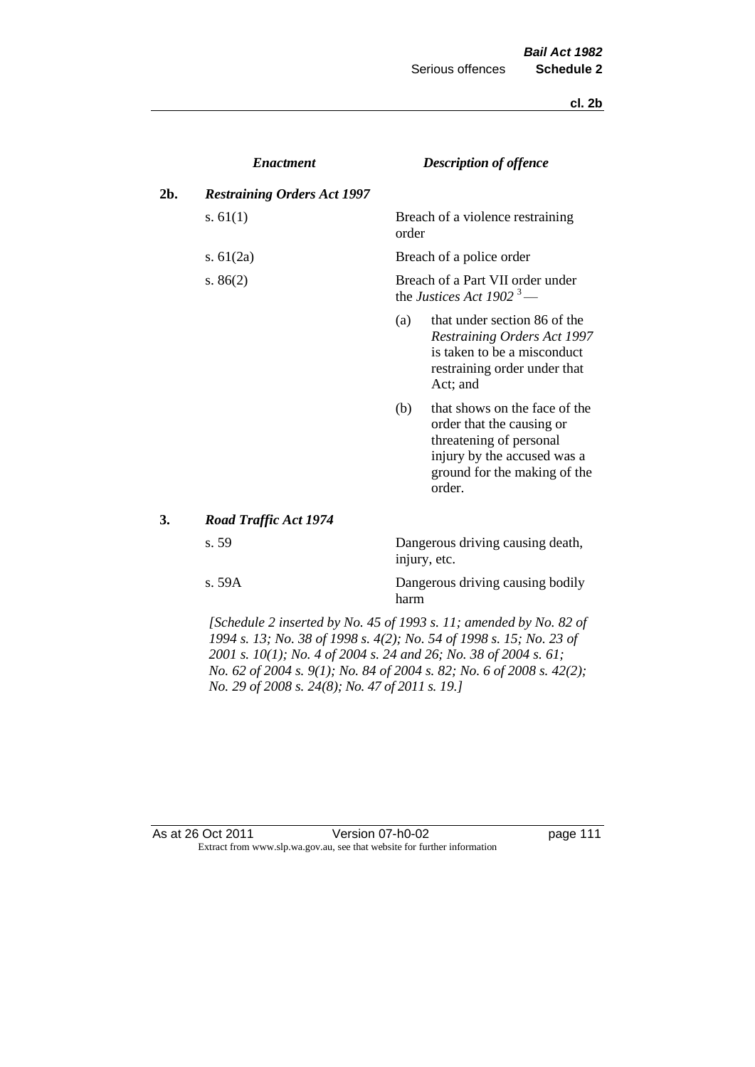**cl. 2b**

|     | <b>Enactment</b>                   |       | <b>Description of offence</b>                                                                                                                                  |
|-----|------------------------------------|-------|----------------------------------------------------------------------------------------------------------------------------------------------------------------|
| 2b. | <b>Restraining Orders Act 1997</b> |       |                                                                                                                                                                |
|     | s. $61(1)$                         | order | Breach of a violence restraining                                                                                                                               |
|     | s. $61(2a)$                        |       | Breach of a police order                                                                                                                                       |
|     | s. $86(2)$                         |       | Breach of a Part VII order under<br>the Justices Act 1902 <sup>3</sup> —                                                                                       |
|     |                                    | (a)   | that under section 86 of the<br><b>Restraining Orders Act 1997</b><br>is taken to be a misconduct<br>restraining order under that<br>Act; and                  |
|     |                                    | (b)   | that shows on the face of the<br>order that the causing or<br>threatening of personal<br>injury by the accused was a<br>ground for the making of the<br>order. |
| 3.  | <b>Road Traffic Act 1974</b>       |       |                                                                                                                                                                |
|     | s. 59                              |       | Dangerous driving causing death,<br>injury, etc.                                                                                                               |
|     | s. 59A                             | harm  | Dangerous driving causing bodily                                                                                                                               |

*[Schedule 2 inserted by No. 45 of 1993 s. 11; amended by No. 82 of 1994 s. 13; No. 38 of 1998 s. 4(2); No. 54 of 1998 s. 15; No. 23 of 2001 s. 10(1); No. 4 of 2004 s. 24 and 26; No. 38 of 2004 s. 61; No. 62 of 2004 s. 9(1); No. 84 of 2004 s. 82; No. 6 of 2008 s. 42(2); No. 29 of 2008 s. 24(8); No. 47 of 2011 s. 19.]* 

#### As at 26 Oct 2011 Version 07-h0-02 page 111 Extract from www.slp.wa.gov.au, see that website for further information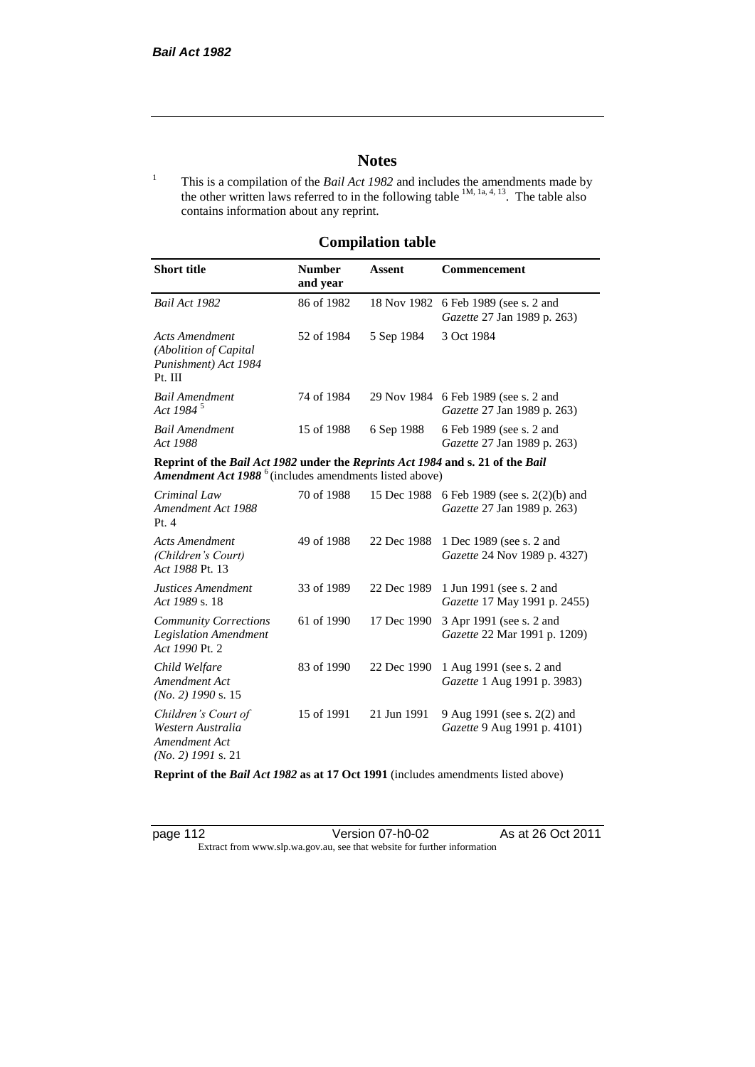# **Notes**

<sup>1</sup> This is a compilation of the *Bail Act 1982* and includes the amendments made by the other written laws referred to in the following table  $1M$ ,  $1a$ ,  $4$ ,  $13$ . The table also contains information about any reprint.

# **Compilation table**

| <b>Short title</b>                                                                                                                                   | <b>Number</b><br>and year | Assent     | Commencement                                                               |
|------------------------------------------------------------------------------------------------------------------------------------------------------|---------------------------|------------|----------------------------------------------------------------------------|
| Bail Act 1982                                                                                                                                        | 86 of 1982                |            | 18 Nov 1982 6 Feb 1989 (see s. 2 and<br><i>Gazette</i> 27 Jan 1989 p. 263) |
| Acts Amendment<br>(Abolition of Capital)<br>Punishment) Act 1984<br>Pt. III                                                                          | 52 of 1984                | 5 Sep 1984 | 3 Oct 1984                                                                 |
| Bail Amendment<br>Act 1984 $^5$                                                                                                                      | 74 of 1984                |            | 29 Nov 1984 6 Feb 1989 (see s. 2 and<br><i>Gazette</i> 27 Jan 1989 p. 263) |
| <b>Bail Amendment</b><br>Act 1988                                                                                                                    | 15 of 1988                | 6 Sep 1988 | 6 Feb 1989 (see s. 2 and<br><i>Gazette</i> 27 Jan 1989 p. 263)             |
| Reprint of the Bail Act 1982 under the Reprints Act 1984 and s. 21 of the Bail<br>Amendment Act 1988 <sup>6</sup> (includes amendments listed above) |                           |            |                                                                            |
|                                                                                                                                                      |                           |            | $70 - 1000 = 15$ $D = 1000$ $CD = 1000$ $CD = 200$ $CD = 1$                |

| Criminal Law<br>Amendment Act 1988<br>Pt. 4                                       | 70 of 1988 | 15 Dec 1988 | 6 Feb 1989 (see s. 2(2)(b) and<br>Gazette 27 Jan 1989 p. 263)   |
|-----------------------------------------------------------------------------------|------------|-------------|-----------------------------------------------------------------|
| <b>Acts Amendment</b><br>(Children's Court)<br>Act 1988 Pt. 13                    | 49 of 1988 | 22 Dec 1988 | 1 Dec 1989 (see s. 2 and<br><i>Gazette</i> 24 Nov 1989 p. 4327) |
| Justices Amendment<br>Act 1989 s. 18                                              | 33 of 1989 | 22 Dec 1989 | 1 Jun 1991 (see s. 2 and<br><i>Gazette</i> 17 May 1991 p. 2455) |
| <b>Community Corrections</b><br><b>Legislation Amendment</b><br>Act 1990 Pt. 2    | 61 of 1990 | 17 Dec 1990 | 3 Apr 1991 (see s. 2 and<br>Gazette 22 Mar 1991 p. 1209)        |
| Child Welfare<br>Amendment Act<br>$(No. 2)$ 1990 s. 15                            | 83 of 1990 | 22 Dec 1990 | 1 Aug 1991 (see s. 2 and<br><i>Gazette</i> 1 Aug 1991 p. 3983)  |
| Children's Court of<br>Western Australia<br>Amendment Act<br>$(No. 2)$ 1991 s. 21 | 15 of 1991 | 21 Jun 1991 | 9 Aug 1991 (see s. 2(2) and<br>Gazette 9 Aug 1991 p. 4101)      |

**Reprint of the** *Bail Act 1982* **as at 17 Oct 1991** (includes amendments listed above)

page 112 Version 07-h0-02 As at 26 Oct 2011 Extract from www.slp.wa.gov.au, see that website for further information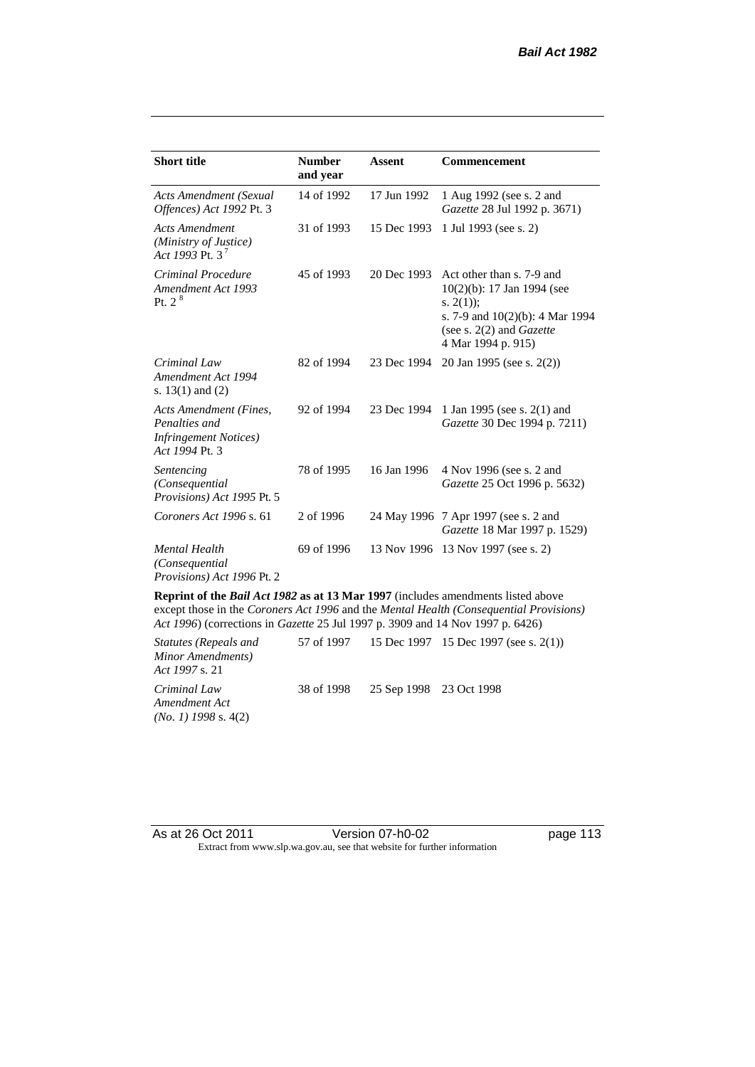| <b>Short title</b>                                                                         | <b>Number</b><br>and year | Assent      | <b>Commencement</b>                                                                                                                                                        |
|--------------------------------------------------------------------------------------------|---------------------------|-------------|----------------------------------------------------------------------------------------------------------------------------------------------------------------------------|
| <b>Acts Amendment (Sexual</b><br>Offences) Act 1992 Pt. 3                                  | 14 of 1992                | 17 Jun 1992 | 1 Aug 1992 (see s. 2 and<br>Gazette 28 Jul 1992 p. 3671)                                                                                                                   |
| <b>Acts Amendment</b><br>(Ministry of Justice)<br>Act 1993 Pt. 3 <sup>7</sup>              | 31 of 1993                | 15 Dec 1993 | 1 Jul 1993 (see s. 2)                                                                                                                                                      |
| Criminal Procedure<br>Amendment Act 1993<br>Pt. 2 <sup>8</sup>                             | 45 of 1993                | 20 Dec 1993 | Act other than s. 7-9 and<br>$10(2)(b)$ : 17 Jan 1994 (see<br>s. $2(1)$ ;<br>s. 7-9 and $10(2)(b)$ : 4 Mar 1994<br>(see s. $2(2)$ and <i>Gazette</i><br>4 Mar 1994 p. 915) |
| Criminal Law<br>Amendment Act 1994<br>s. $13(1)$ and $(2)$                                 | 82 of 1994                | 23 Dec 1994 | 20 Jan 1995 (see s. 2(2))                                                                                                                                                  |
| Acts Amendment (Fines,<br>Penalties and<br><b>Infringement Notices</b> )<br>Act 1994 Pt. 3 | 92 of 1994                | 23 Dec 1994 | 1 Jan 1995 (see s. 2(1) and<br>Gazette 30 Dec 1994 p. 7211)                                                                                                                |
| Sentencing<br>(Consequential<br>Provisions) Act 1995 Pt. 5                                 | 78 of 1995                | 16 Jan 1996 | 4 Nov 1996 (see s. 2 and<br>Gazette 25 Oct 1996 p. 5632)                                                                                                                   |
| Coroners Act 1996 s. 61                                                                    | 2 of 1996                 |             | 24 May 1996 7 Apr 1997 (see s. 2 and<br>Gazette 18 Mar 1997 p. 1529)                                                                                                       |
| <b>Mental Health</b><br>(Consequential)<br>Provisions) Act 1996 Pt. 2                      | 69 of 1996                |             | 13 Nov 1996 13 Nov 1997 (see s. 2)                                                                                                                                         |

**Reprint of the** *Bail Act 1982* **as at 13 Mar 1997** (includes amendments listed above except those in the *Coroners Act 1996* and the *Mental Health (Consequential Provisions) Act 1996*) (corrections in *Gazette* 25 Jul 1997 p. 3909 and 14 Nov 1997 p. 6426)

*Statutes (Repeals and Minor Amendments) Act 1997* s. 21 57 of 1997 15 Dec 1997 15 Dec 1997 (see s. 2(1)) *Criminal Law Amendment Act (No. 1) 1998* s. 4(2) 38 of 1998 25 Sep 1998 23 Oct 1998

As at 26 Oct 2011 Version 07-h0-02 page 113 Extract from www.slp.wa.gov.au, see that website for further information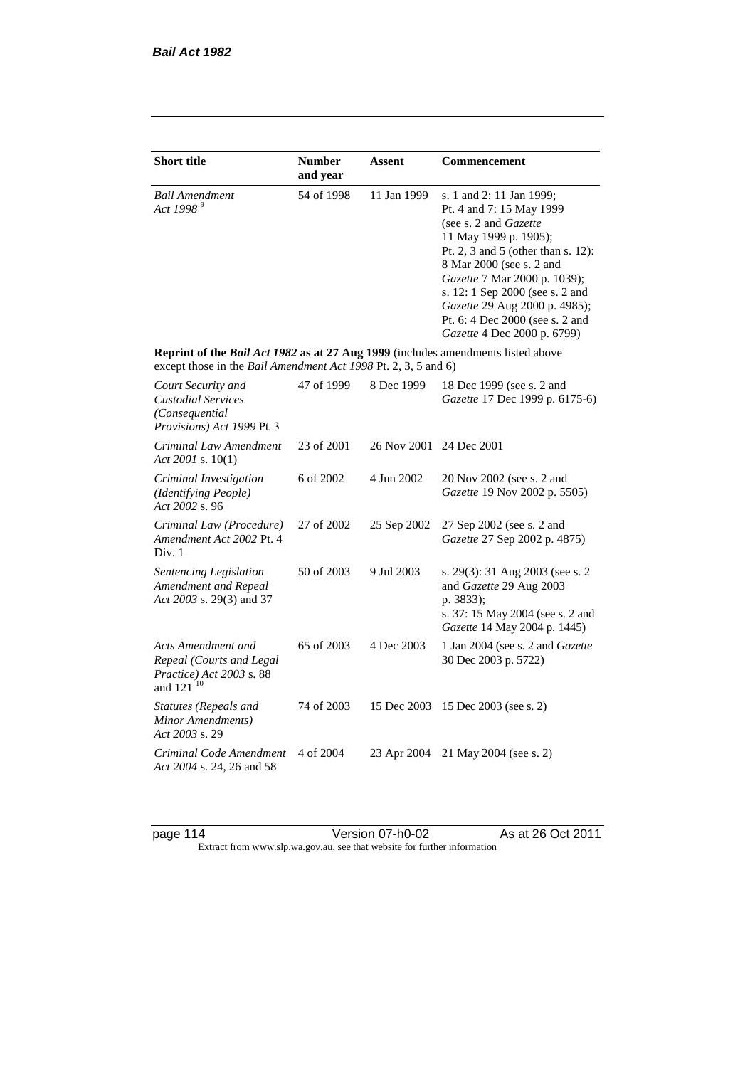| <b>Short title</b>                                                                                                                                 | <b>Number</b> | Assent      | Commencement                                                                                                                                                                                                                                                                                                                                            |
|----------------------------------------------------------------------------------------------------------------------------------------------------|---------------|-------------|---------------------------------------------------------------------------------------------------------------------------------------------------------------------------------------------------------------------------------------------------------------------------------------------------------------------------------------------------------|
|                                                                                                                                                    | and year      |             |                                                                                                                                                                                                                                                                                                                                                         |
| <b>Bail Amendment</b><br>Act 1998 <sup>9</sup>                                                                                                     | 54 of 1998    | 11 Jan 1999 | s. 1 and 2: 11 Jan 1999;<br>Pt. 4 and 7: 15 May 1999<br>(see s. 2 and <i>Gazette</i> )<br>11 May 1999 p. 1905);<br>Pt. 2, 3 and 5 (other than s. 12):<br>8 Mar 2000 (see s. 2 and<br>Gazette 7 Mar 2000 p. 1039);<br>s. 12: 1 Sep 2000 (see s. 2 and<br>Gazette 29 Aug 2000 p. 4985);<br>Pt. 6: 4 Dec 2000 (see s. 2 and<br>Gazette 4 Dec 2000 p. 6799) |
| Reprint of the Bail Act 1982 as at 27 Aug 1999 (includes amendments listed above<br>except those in the Bail Amendment Act 1998 Pt. 2, 3, 5 and 6) |               |             |                                                                                                                                                                                                                                                                                                                                                         |
| Court Security and<br><b>Custodial Services</b><br>(Consequential)<br>Provisions) Act 1999 Pt. 3                                                   | 47 of 1999    | 8 Dec 1999  | 18 Dec 1999 (see s. 2 and<br>Gazette 17 Dec 1999 p. 6175-6)                                                                                                                                                                                                                                                                                             |
| Criminal Law Amendment<br>Act 2001 s. $10(1)$                                                                                                      | 23 of 2001    | 26 Nov 2001 | 24 Dec 2001                                                                                                                                                                                                                                                                                                                                             |
| Criminal Investigation<br><i>(Identifying People)</i><br>Act 2002 s. 96                                                                            | 6 of 2002     | 4 Jun 2002  | 20 Nov 2002 (see s. 2 and<br>Gazette 19 Nov 2002 p. 5505)                                                                                                                                                                                                                                                                                               |
| Criminal Law (Procedure)<br>Amendment Act 2002 Pt. 4<br>Div. 1                                                                                     | 27 of 2002    | 25 Sep 2002 | 27 Sep 2002 (see s. 2 and<br>Gazette 27 Sep 2002 p. 4875)                                                                                                                                                                                                                                                                                               |
| Sentencing Legislation<br>Amendment and Repeal<br>Act 2003 s. 29(3) and 37                                                                         | 50 of 2003    | 9 Jul 2003  | s. 29(3): 31 Aug 2003 (see s. 2<br>and Gazette 29 Aug 2003<br>p. 3833);<br>s. 37: 15 May 2004 (see s. 2 and<br>Gazette 14 May 2004 p. 1445)                                                                                                                                                                                                             |
| Acts Amendment and<br>Repeal (Courts and Legal<br>Practice) Act 2003 s. 88<br>and 121 <sup>10</sup>                                                | 65 of 2003    | 4 Dec 2003  | 1 Jan 2004 (see s. 2 and Gazette<br>30 Dec 2003 p. 5722)                                                                                                                                                                                                                                                                                                |
| <b>Statutes (Repeals and</b><br>Minor Amendments)<br>Act 2003 s. 29                                                                                | 74 of 2003    | 15 Dec 2003 | 15 Dec 2003 (see s. 2)                                                                                                                                                                                                                                                                                                                                  |
| Criminal Code Amendment<br>Act 2004 s. 24, 26 and 58                                                                                               | 4 of 2004     | 23 Apr 2004 | 21 May 2004 (see s. 2)                                                                                                                                                                                                                                                                                                                                  |

page 114 Version 07-h0-02 As at 26 Oct 2011 Extract from www.slp.wa.gov.au, see that website for further information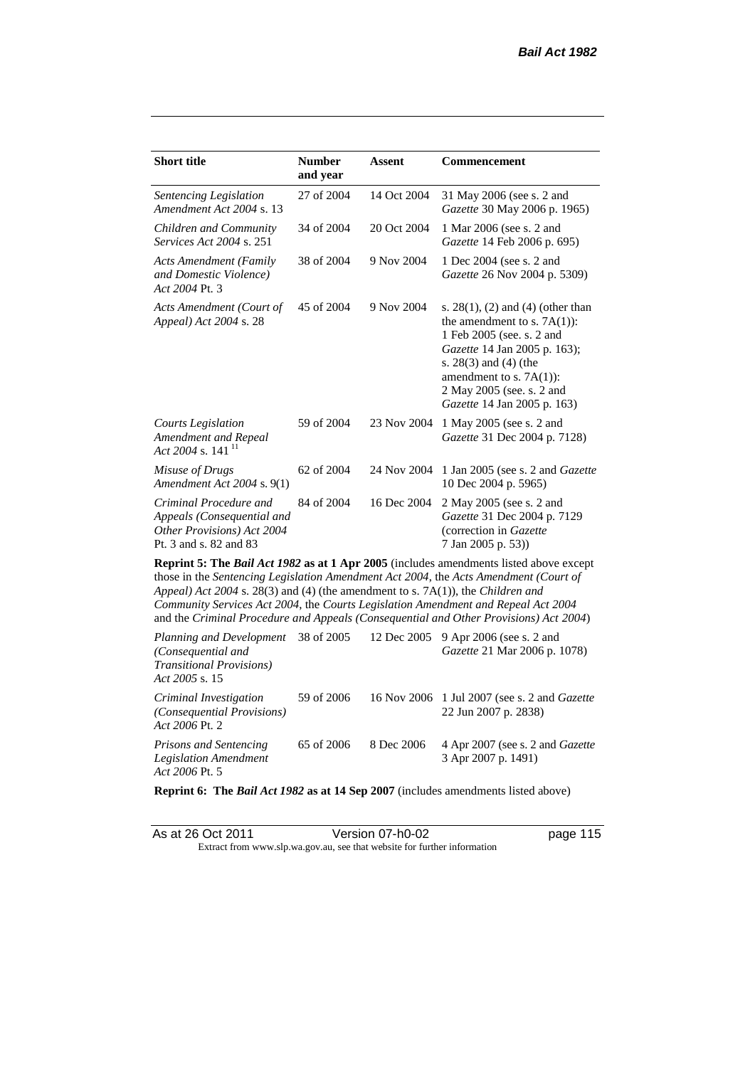| <b>Short title</b>                                                                                           | <b>Number</b><br>and year | <b>Assent</b> | Commencement                                                                                                                                                                                                                                                                                                                                                        |
|--------------------------------------------------------------------------------------------------------------|---------------------------|---------------|---------------------------------------------------------------------------------------------------------------------------------------------------------------------------------------------------------------------------------------------------------------------------------------------------------------------------------------------------------------------|
| Sentencing Legislation<br>Amendment Act 2004 s. 13                                                           | 27 of 2004                | 14 Oct 2004   | 31 May 2006 (see s. 2 and<br>Gazette 30 May 2006 p. 1965)                                                                                                                                                                                                                                                                                                           |
| Children and Community<br><i>Services Act 2004 s. 251</i>                                                    | 34 of 2004                | 20 Oct 2004   | 1 Mar 2006 (see s. 2 and<br>Gazette 14 Feb 2006 p. 695)                                                                                                                                                                                                                                                                                                             |
| <b>Acts Amendment (Family</b><br>and Domestic Violence)<br>Act 2004 Pt. 3                                    | 38 of 2004                | 9 Nov 2004    | 1 Dec 2004 (see s. 2 and<br>Gazette 26 Nov 2004 p. 5309)                                                                                                                                                                                                                                                                                                            |
| Acts Amendment (Court of<br>Appeal) Act 2004 s. 28                                                           | 45 of 2004                | 9 Nov 2004    | s. $28(1)$ , (2) and (4) (other than<br>the amendment to s. $7A(1)$ :<br>1 Feb 2005 (see. s. 2 and<br>Gazette 14 Jan 2005 p. 163);<br>s. $28(3)$ and $(4)$ (the<br>amendment to s. 7A(1)):<br>2 May 2005 (see. s. 2 and<br>Gazette 14 Jan 2005 p. 163)                                                                                                              |
| Courts Legislation<br>Amendment and Repeal<br>Act 2004 s. 141 $^{11}$                                        | 59 of 2004                | 23 Nov 2004   | 1 May 2005 (see s. 2 and<br>Gazette 31 Dec 2004 p. 7128)                                                                                                                                                                                                                                                                                                            |
| Misuse of Drugs<br>Amendment Act 2004 s. 9(1)                                                                | 62 of 2004                | 24 Nov 2004   | 1 Jan 2005 (see s. 2 and <i>Gazette</i><br>10 Dec 2004 p. 5965)                                                                                                                                                                                                                                                                                                     |
| Criminal Procedure and<br>Appeals (Consequential and<br>Other Provisions) Act 2004<br>Pt. 3 and s. 82 and 83 | 84 of 2004                | 16 Dec 2004   | 2 May 2005 (see s. 2 and<br>Gazette 31 Dec 2004 p. 7129<br>(correction in Gazette<br>7 Jan 2005 p. 53))                                                                                                                                                                                                                                                             |
| Appeal) Act 2004 s. 28(3) and (4) (the amendment to s. 7A(1)), the Children and                              |                           |               | <b>Reprint 5: The Bail Act 1982 as at 1 Apr 2005</b> (includes amendments listed above except<br>those in the Sentencing Legislation Amendment Act 2004, the Acts Amendment (Court of<br>Community Services Act 2004, the Courts Legislation Amendment and Repeal Act 2004<br>and the Criminal Procedure and Appeals (Consequential and Other Provisions) Act 2004) |

| Planning and Development<br>(Consequential and<br><i>Transitional Provisions</i> )<br>Act 2005 s. 15 | 38 of 2005 |            | 12 Dec 2005 9 Apr 2006 (see s. 2 and<br><i>Gazette</i> 21 Mar 2006 p. 1078) |
|------------------------------------------------------------------------------------------------------|------------|------------|-----------------------------------------------------------------------------|
| Criminal Investigation<br>(Consequential Provisions)<br>Act 2006 Pt. 2                               | 59 of 2006 |            | 16 Nov 2006 1 Jul 2007 (see s. 2 and <i>Gazette</i><br>22 Jun 2007 p. 2838) |
| <b>Prisons and Sentencing</b><br><b>Legislation Amendment</b><br>Act 2006 Pt. 5                      | 65 of 2006 | 8 Dec 2006 | 4 Apr 2007 (see s. 2 and <i>Gazette</i><br>3 Apr 2007 p. 1491)              |

**Reprint 6: The** *Bail Act 1982* **as at 14 Sep 2007** (includes amendments listed above)

| As at 26 Oct 2011 | Version 07-h0-02                                                         | page 115 |
|-------------------|--------------------------------------------------------------------------|----------|
|                   | Extract from www.slp.wa.gov.au, see that website for further information |          |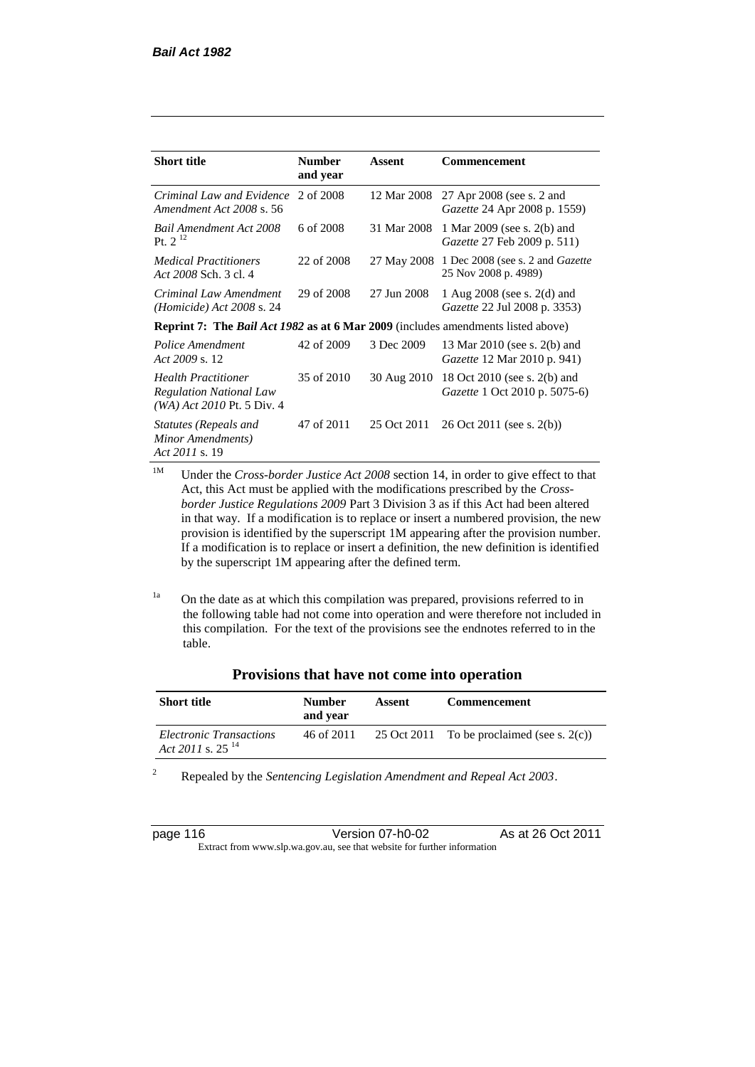| <b>Short title</b>                                                                             | <b>Number</b><br>and year | Assent      | Commencement                                                           |
|------------------------------------------------------------------------------------------------|---------------------------|-------------|------------------------------------------------------------------------|
| Criminal Law and Evidence<br>Amendment Act 2008 s. 56                                          | 2 of 2008                 | 12 Mar 2008 | 27 Apr 2008 (see s. 2 and<br><i>Gazette</i> 24 Apr 2008 p. 1559)       |
| Bail Amendment Act 2008<br>Pt. $2^{12}$                                                        | 6 of 2008                 | 31 Mar 2008 | 1 Mar 2009 (see s. 2(b) and<br>Gazette 27 Feb 2009 p. 511)             |
| <i>Medical Practitioners</i><br>Act 2008 Sch. 3 cl. 4                                          | 22 of 2008                | 27 May 2008 | 1 Dec 2008 (see s. 2 and <i>Gazette</i><br>25 Nov 2008 p. 4989)        |
| Criminal Law Amendment<br>$(Homicide)$ Act 2008 s. 24                                          | 29 of 2008                | 27 Jun 2008 | 1 Aug $2008$ (see s. $2(d)$ and<br><i>Gazette</i> 22 Jul 2008 p. 3353) |
| <b>Reprint 7:</b> The <i>Bail Act 1982</i> as at 6 Mar 2009 (includes amendments listed above) |                           |             |                                                                        |
| Police Amendment<br>Act 2009 s. 12                                                             | 42 of 2009                | 3 Dec 2009  | 13 Mar 2010 (see s. 2(b) and<br>Gazette 12 Mar 2010 p. 941)            |
| <b>Health Practitioner</b><br><b>Regulation National Law</b><br>$(WA)$ Act 2010 Pt. 5 Div. 4   | 35 of 2010                | 30 Aug 2010 | 18 Oct 2010 (see s. 2(b) and<br><i>Gazette</i> 1 Oct 2010 p. 5075-6)   |
| Statutes (Repeals and<br>Minor Amendments)<br>Act 2011 s. 19                                   | 47 of 2011                | 25 Oct 2011 | $26$ Oct $2011$ (see s. $2(b)$ )                                       |

<sup>1M</sup> Under the *Cross-border Justice Act 2008* section 14, in order to give effect to that Act, this Act must be applied with the modifications prescribed by the *Crossborder Justice Regulations 2009* Part 3 Division 3 as if this Act had been altered in that way. If a modification is to replace or insert a numbered provision, the new provision is identified by the superscript 1M appearing after the provision number. If a modification is to replace or insert a definition, the new definition is identified by the superscript 1M appearing after the defined term.

<sup>1a</sup> On the date as at which this compilation was prepared, provisions referred to in the following table had not come into operation and were therefore not included in this compilation. For the text of the provisions see the endnotes referred to in the table.

| <b>Short title</b>                                      | <b>Number</b><br>and year | Assent | <b>Commencement</b>                           |
|---------------------------------------------------------|---------------------------|--------|-----------------------------------------------|
| Electronic Transactions<br>Act 2011 s. 25 <sup>14</sup> | 46 of 2011                |        | 25 Oct 2011 To be proclaimed (see s. $2(c)$ ) |

<sup>2</sup> Repealed by the *Sentencing Legislation Amendment and Repeal Act 2003*.

| page 116 |  |  |  |
|----------|--|--|--|
|----------|--|--|--|

page 116 Version 07-h0-02 As at 26 Oct 2011 Extract from www.slp.wa.gov.au, see that website for further information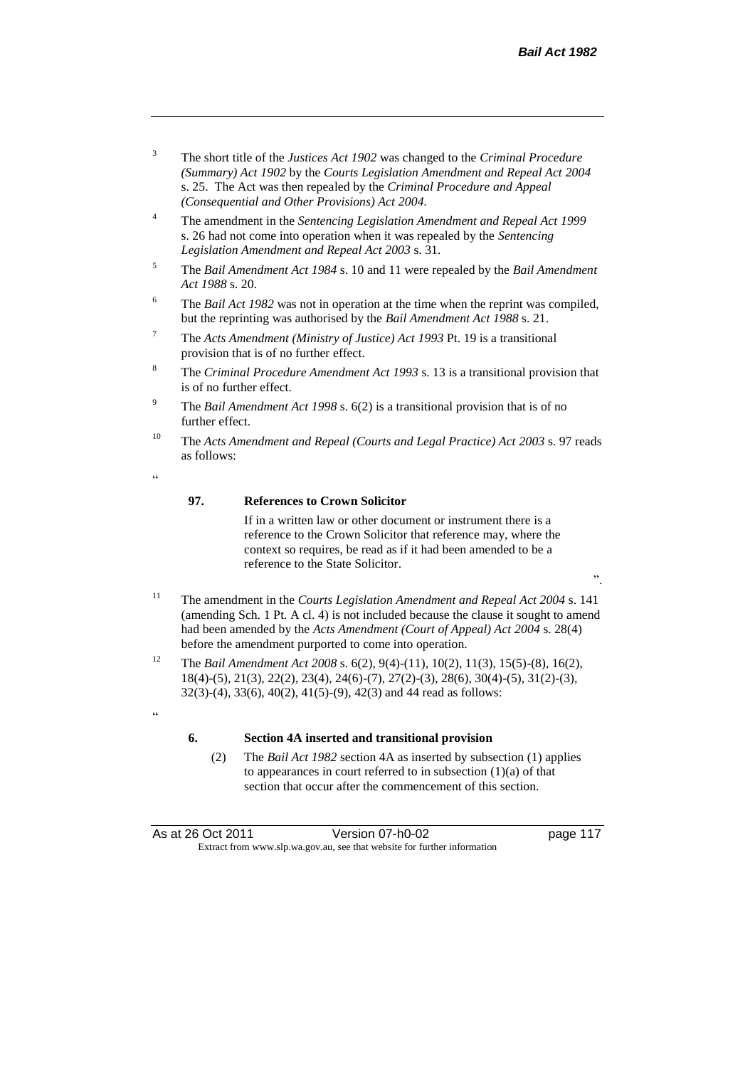".

- <sup>3</sup> The short title of the *Justices Act 1902* was changed to the *Criminal Procedure (Summary) Act 1902* by the *Courts Legislation Amendment and Repeal Act 2004*  s. 25. The Act was then repealed by the *Criminal Procedure and Appeal (Consequential and Other Provisions) Act 2004.*
- <sup>4</sup> The amendment in the *Sentencing Legislation Amendment and Repeal Act 1999* s. 26 had not come into operation when it was repealed by the *Sentencing Legislation Amendment and Repeal Act 2003* s. 31.
- <sup>5</sup> The *Bail Amendment Act 1984* s. 10 and 11 were repealed by the *Bail Amendment Act 1988* s. 20.
- <sup>6</sup> The *Bail Act 1982* was not in operation at the time when the reprint was compiled, but the reprinting was authorised by the *Bail Amendment Act 1988* s. 21.
- <sup>7</sup> The *Acts Amendment (Ministry of Justice) Act 1993* Pt. 19 is a transitional provision that is of no further effect.
- <sup>8</sup> The *Criminal Procedure Amendment Act 1993* s. 13 is a transitional provision that is of no further effect.
- <sup>9</sup> The *Bail Amendment Act 1998* s. 6(2) is a transitional provision that is of no further effect.
- <sup>10</sup> The *Acts Amendment and Repeal (Courts and Legal Practice) Act 2003* s. 97 reads as follows:
- .<br>د د

.<br>cc

#### **97. References to Crown Solicitor**

If in a written law or other document or instrument there is a reference to the Crown Solicitor that reference may, where the context so requires, be read as if it had been amended to be a reference to the State Solicitor.

- <sup>11</sup> The amendment in the *Courts Legislation Amendment and Repeal Act 2004* s. 141 (amending Sch. 1 Pt. A cl. 4) is not included because the clause it sought to amend had been amended by the *Acts Amendment (Court of Appeal) Act 2004* s. 28(4) before the amendment purported to come into operation.
- <sup>12</sup> The *Bail Amendment Act 2008* s. 6(2), 9(4)-(11), 10(2), 11(3), 15(5)-(8), 16(2), 18(4)-(5), 21(3), 22(2), 23(4), 24(6)-(7), 27(2)-(3), 28(6), 30(4)-(5), 31(2)-(3), 32(3)-(4), 33(6), 40(2), 41(5)-(9), 42(3) and 44 read as follows:

#### **6. Section 4A inserted and transitional provision**

(2) The *Bail Act 1982* section 4A as inserted by subsection (1) applies to appearances in court referred to in subsection (1)(a) of that section that occur after the commencement of this section.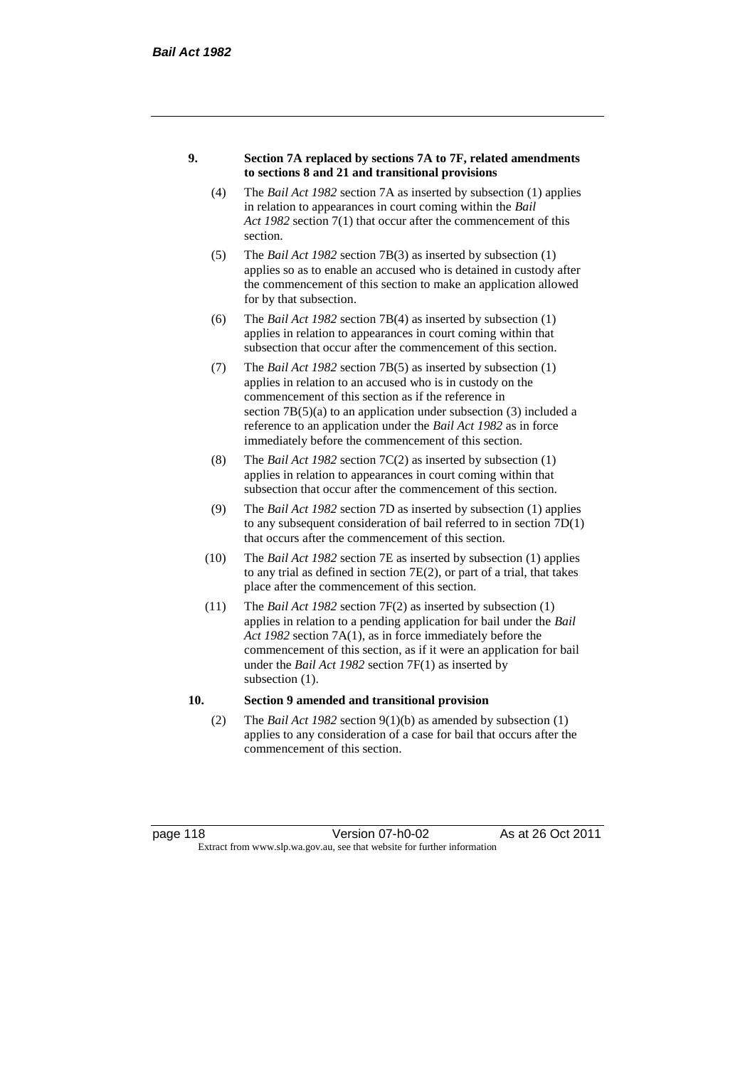#### **9. Section 7A replaced by sections 7A to 7F, related amendments to sections 8 and 21 and transitional provisions**

- (4) The *Bail Act 1982* section 7A as inserted by subsection (1) applies in relation to appearances in court coming within the *Bail Act 1982* section 7(1) that occur after the commencement of this section.
- (5) The *Bail Act 1982* section 7B(3) as inserted by subsection (1) applies so as to enable an accused who is detained in custody after the commencement of this section to make an application allowed for by that subsection.
- (6) The *Bail Act 1982* section 7B(4) as inserted by subsection (1) applies in relation to appearances in court coming within that subsection that occur after the commencement of this section.
- (7) The *Bail Act 1982* section 7B(5) as inserted by subsection (1) applies in relation to an accused who is in custody on the commencement of this section as if the reference in section  $7B(5)(a)$  to an application under subsection (3) included a reference to an application under the *Bail Act 1982* as in force immediately before the commencement of this section.
- (8) The *Bail Act 1982* section 7C(2) as inserted by subsection (1) applies in relation to appearances in court coming within that subsection that occur after the commencement of this section.
- (9) The *Bail Act 1982* section 7D as inserted by subsection (1) applies to any subsequent consideration of bail referred to in section 7D(1) that occurs after the commencement of this section.
- (10) The *Bail Act 1982* section 7E as inserted by subsection (1) applies to any trial as defined in section 7E(2), or part of a trial, that takes place after the commencement of this section.
- (11) The *Bail Act 1982* section 7F(2) as inserted by subsection (1) applies in relation to a pending application for bail under the *Bail Act 1982* section 7A(1), as in force immediately before the commencement of this section, as if it were an application for bail under the *Bail Act 1982* section 7F(1) as inserted by subsection  $(1)$ .

#### **10. Section 9 amended and transitional provision**

(2) The *Bail Act 1982* section 9(1)(b) as amended by subsection (1) applies to any consideration of a case for bail that occurs after the commencement of this section.

page 118 Version 07-h0-02 As at 26 Oct 2011 Extract from www.slp.wa.gov.au, see that website for further information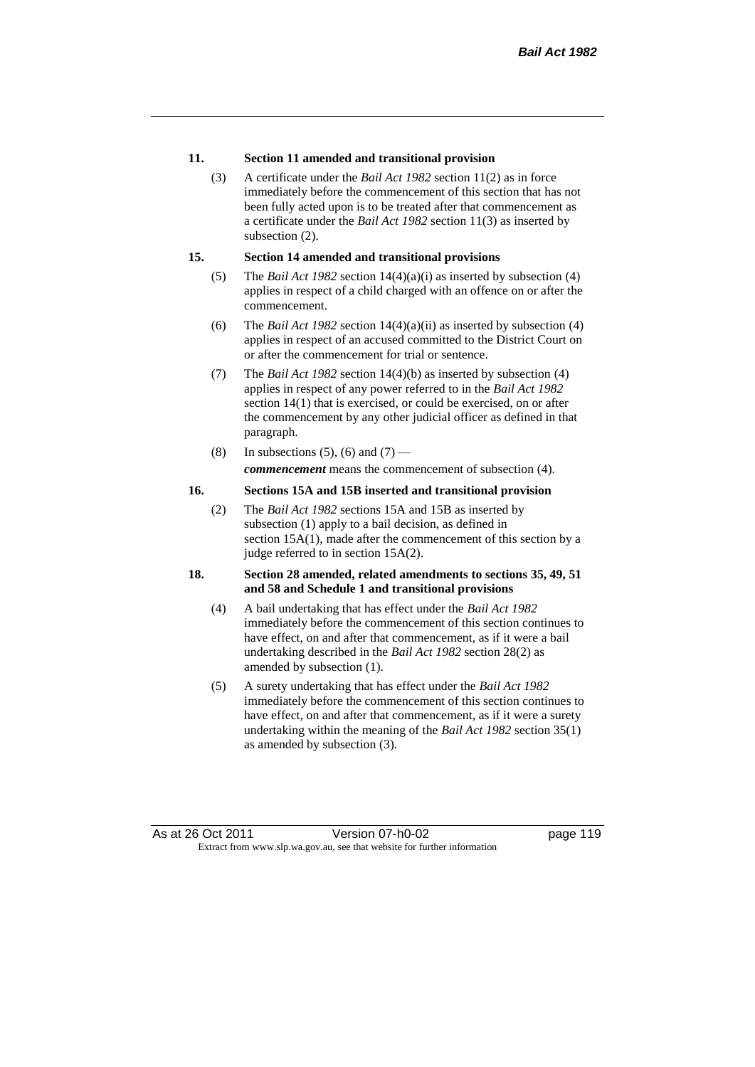#### **11. Section 11 amended and transitional provision**

(3) A certificate under the *Bail Act 1982* section 11(2) as in force immediately before the commencement of this section that has not been fully acted upon is to be treated after that commencement as a certificate under the *Bail Act 1982* section 11(3) as inserted by subsection  $(2)$ .

#### **15. Section 14 amended and transitional provisions**

- (5) The *Bail Act 1982* section 14(4)(a)(i) as inserted by subsection (4) applies in respect of a child charged with an offence on or after the commencement.
- (6) The *Bail Act 1982* section 14(4)(a)(ii) as inserted by subsection (4) applies in respect of an accused committed to the District Court on or after the commencement for trial or sentence.
- (7) The *Bail Act 1982* section 14(4)(b) as inserted by subsection (4) applies in respect of any power referred to in the *Bail Act 1982* section 14(1) that is exercised, or could be exercised, on or after the commencement by any other judicial officer as defined in that paragraph.
- (8) In subsections (5), (6) and (7) *commencement* means the commencement of subsection (4).

#### **16. Sections 15A and 15B inserted and transitional provision**

(2) The *Bail Act 1982* sections 15A and 15B as inserted by subsection (1) apply to a bail decision, as defined in section 15A(1), made after the commencement of this section by a judge referred to in section 15A(2).

#### **18. Section 28 amended, related amendments to sections 35, 49, 51 and 58 and Schedule 1 and transitional provisions**

- (4) A bail undertaking that has effect under the *Bail Act 1982* immediately before the commencement of this section continues to have effect, on and after that commencement, as if it were a bail undertaking described in the *Bail Act 1982* section 28(2) as amended by subsection (1).
- (5) A surety undertaking that has effect under the *Bail Act 1982* immediately before the commencement of this section continues to have effect, on and after that commencement, as if it were a surety undertaking within the meaning of the *Bail Act 1982* section 35(1) as amended by subsection (3).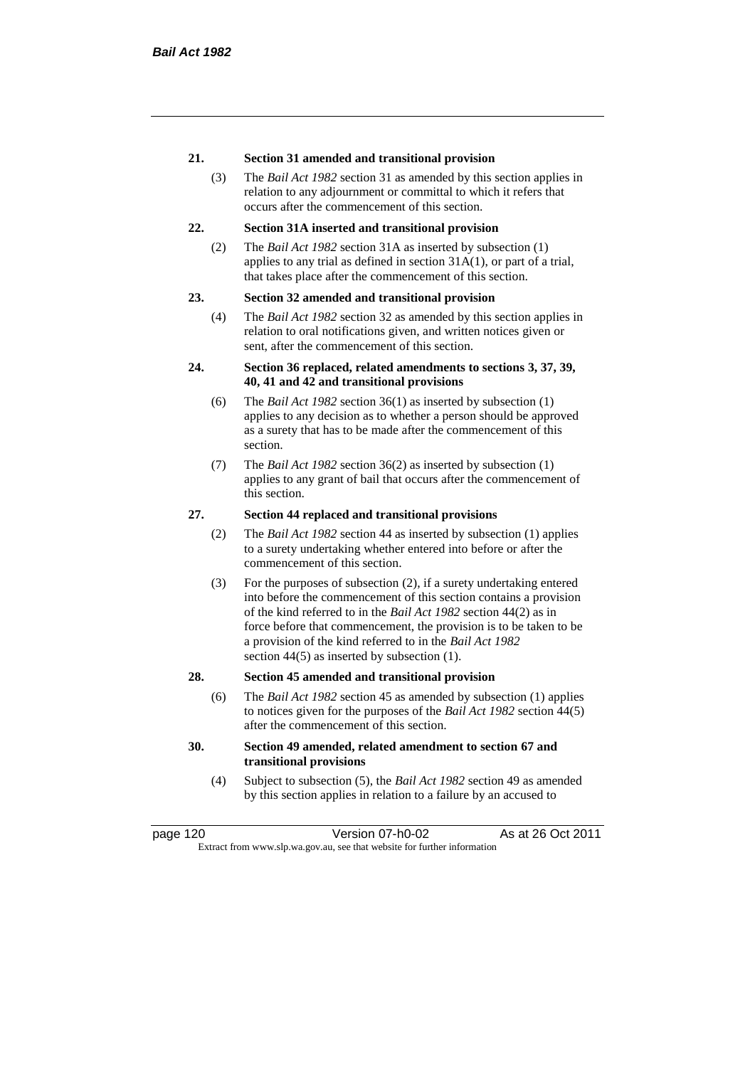#### **21. Section 31 amended and transitional provision**

(3) The *Bail Act 1982* section 31 as amended by this section applies in relation to any adjournment or committal to which it refers that occurs after the commencement of this section.

#### **22. Section 31A inserted and transitional provision**

(2) The *Bail Act 1982* section 31A as inserted by subsection (1) applies to any trial as defined in section 31A(1), or part of a trial, that takes place after the commencement of this section.

#### **23. Section 32 amended and transitional provision**

(4) The *Bail Act 1982* section 32 as amended by this section applies in relation to oral notifications given, and written notices given or sent, after the commencement of this section.

#### **24. Section 36 replaced, related amendments to sections 3, 37, 39, 40, 41 and 42 and transitional provisions**

- (6) The *Bail Act 1982* section 36(1) as inserted by subsection (1) applies to any decision as to whether a person should be approved as a surety that has to be made after the commencement of this section.
- (7) The *Bail Act 1982* section 36(2) as inserted by subsection (1) applies to any grant of bail that occurs after the commencement of this section.

#### **27. Section 44 replaced and transitional provisions**

- (2) The *Bail Act 1982* section 44 as inserted by subsection (1) applies to a surety undertaking whether entered into before or after the commencement of this section.
- (3) For the purposes of subsection (2), if a surety undertaking entered into before the commencement of this section contains a provision of the kind referred to in the *Bail Act 1982* section 44(2) as in force before that commencement, the provision is to be taken to be a provision of the kind referred to in the *Bail Act 1982*  section 44(5) as inserted by subsection (1).

#### **28. Section 45 amended and transitional provision**

(6) The *Bail Act 1982* section 45 as amended by subsection (1) applies to notices given for the purposes of the *Bail Act 1982* section 44(5) after the commencement of this section.

#### **30. Section 49 amended, related amendment to section 67 and transitional provisions**

(4) Subject to subsection (5), the *Bail Act 1982* section 49 as amended by this section applies in relation to a failure by an accused to

page 120 Version 07-h0-02 As at 26 Oct 2011 Extract from www.slp.wa.gov.au, see that website for further information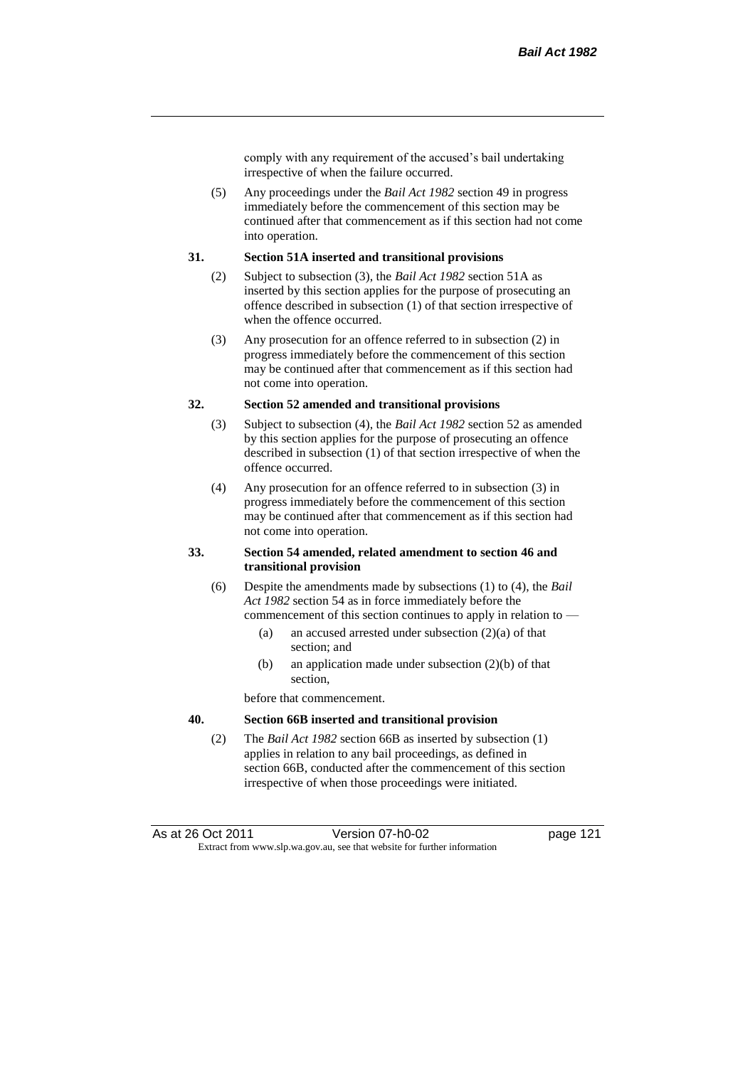comply with any requirement of the accused's bail undertaking irrespective of when the failure occurred.

(5) Any proceedings under the *Bail Act 1982* section 49 in progress immediately before the commencement of this section may be continued after that commencement as if this section had not come into operation.

#### **31. Section 51A inserted and transitional provisions**

- (2) Subject to subsection (3), the *Bail Act 1982* section 51A as inserted by this section applies for the purpose of prosecuting an offence described in subsection (1) of that section irrespective of when the offence occurred.
- (3) Any prosecution for an offence referred to in subsection (2) in progress immediately before the commencement of this section may be continued after that commencement as if this section had not come into operation.

#### **32. Section 52 amended and transitional provisions**

- (3) Subject to subsection (4), the *Bail Act 1982* section 52 as amended by this section applies for the purpose of prosecuting an offence described in subsection (1) of that section irrespective of when the offence occurred.
- (4) Any prosecution for an offence referred to in subsection (3) in progress immediately before the commencement of this section may be continued after that commencement as if this section had not come into operation.

#### **33. Section 54 amended, related amendment to section 46 and transitional provision**

- (6) Despite the amendments made by subsections (1) to (4), the *Bail Act 1982* section 54 as in force immediately before the commencement of this section continues to apply in relation to —
	- (a) an accused arrested under subsection  $(2)(a)$  of that section; and
	- (b) an application made under subsection (2)(b) of that section,

before that commencement.

#### **40. Section 66B inserted and transitional provision**

(2) The *Bail Act 1982* section 66B as inserted by subsection (1) applies in relation to any bail proceedings, as defined in section 66B, conducted after the commencement of this section irrespective of when those proceedings were initiated.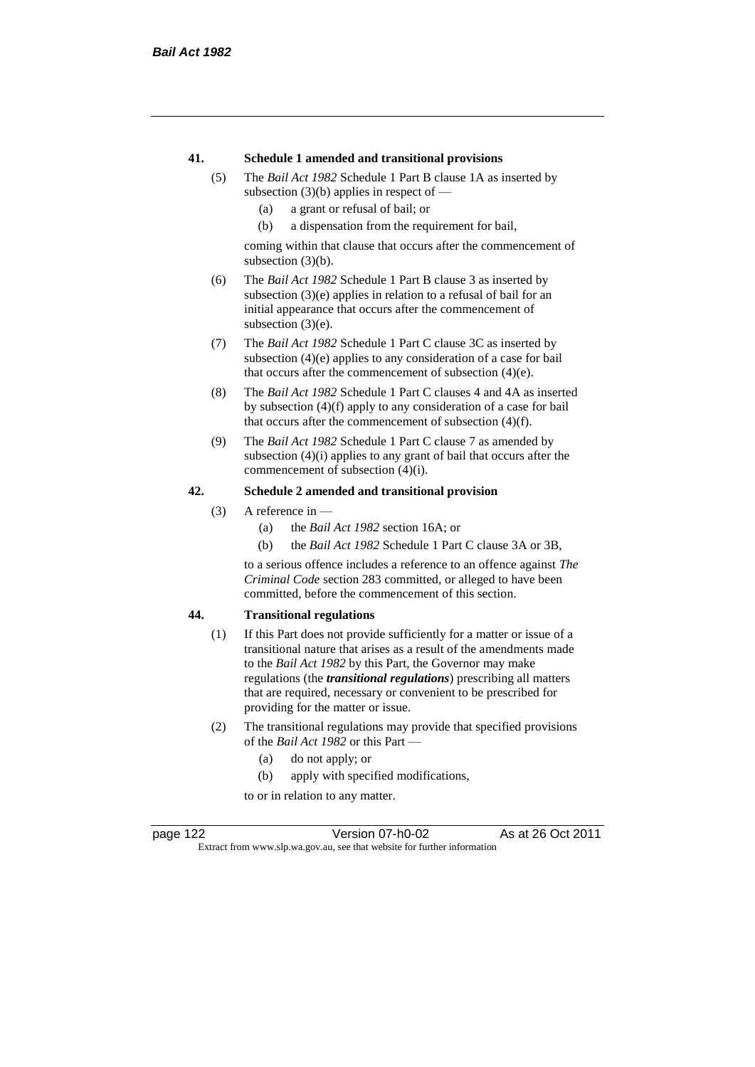#### **41. Schedule 1 amended and transitional provisions**

- (5) The *Bail Act 1982* Schedule 1 Part B clause 1A as inserted by subsection  $(3)(b)$  applies in respect of —
	- (a) a grant or refusal of bail; or
	- (b) a dispensation from the requirement for bail,

coming within that clause that occurs after the commencement of subsection (3)(b).

- (6) The *Bail Act 1982* Schedule 1 Part B clause 3 as inserted by subsection (3)(e) applies in relation to a refusal of bail for an initial appearance that occurs after the commencement of subsection  $(3)(e)$ .
- (7) The *Bail Act 1982* Schedule 1 Part C clause 3C as inserted by subsection (4)(e) applies to any consideration of a case for bail that occurs after the commencement of subsection (4)(e).
- (8) The *Bail Act 1982* Schedule 1 Part C clauses 4 and 4A as inserted by subsection (4)(f) apply to any consideration of a case for bail that occurs after the commencement of subsection (4)(f).
- (9) The *Bail Act 1982* Schedule 1 Part C clause 7 as amended by subsection (4)(i) applies to any grant of bail that occurs after the commencement of subsection (4)(i).

#### **42. Schedule 2 amended and transitional provision**

- (3) A reference in
	- (a) the *Bail Act 1982* section 16A; or
	- (b) the *Bail Act 1982* Schedule 1 Part C clause 3A or 3B,

to a serious offence includes a reference to an offence against *The Criminal Code* section 283 committed, or alleged to have been committed, before the commencement of this section.

#### **44. Transitional regulations**

- (1) If this Part does not provide sufficiently for a matter or issue of a transitional nature that arises as a result of the amendments made to the *Bail Act 1982* by this Part, the Governor may make regulations (the *transitional regulations*) prescribing all matters that are required, necessary or convenient to be prescribed for providing for the matter or issue.
- (2) The transitional regulations may provide that specified provisions of the *Bail Act 1982* or this Part —
	- (a) do not apply; or
	- (b) apply with specified modifications,

to or in relation to any matter.

page 122 Version 07-h0-02 As at 26 Oct 2011 Extract from www.slp.wa.gov.au, see that website for further information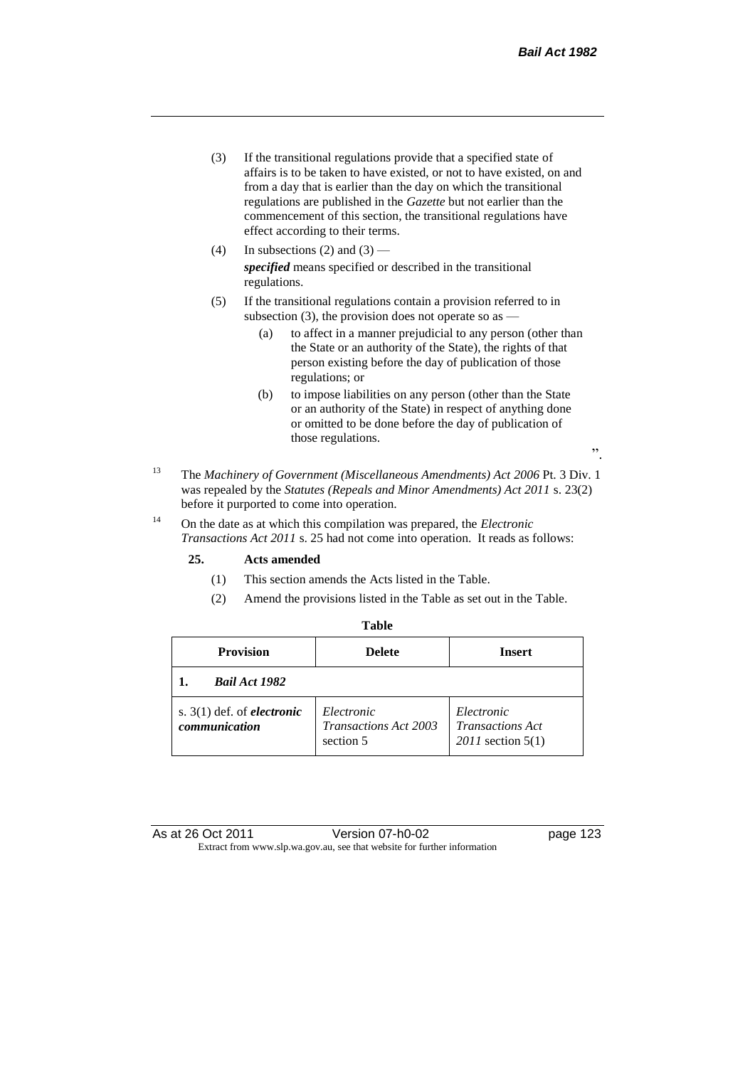- (3) If the transitional regulations provide that a specified state of affairs is to be taken to have existed, or not to have existed, on and from a day that is earlier than the day on which the transitional regulations are published in the *Gazette* but not earlier than the commencement of this section, the transitional regulations have effect according to their terms.
- (4) In subsections (2) and (3) *specified* means specified or described in the transitional regulations.
- (5) If the transitional regulations contain a provision referred to in subsection (3), the provision does not operate so as —
	- (a) to affect in a manner prejudicial to any person (other than the State or an authority of the State), the rights of that person existing before the day of publication of those regulations; or
	- (b) to impose liabilities on any person (other than the State or an authority of the State) in respect of anything done or omitted to be done before the day of publication of those regulations.
- <sup>13</sup> The *Machinery of Government (Miscellaneous Amendments) Act 2006* Pt. 3 Div. 1 was repealed by the *Statutes (Repeals and Minor Amendments) Act 2011* s. 23(2) before it purported to come into operation.
- <sup>14</sup> On the date as at which this compilation was prepared, the *Electronic Transactions Act 2011* s. 25 had not come into operation. It reads as follows:

#### **25. Acts amended**

- (1) This section amends the Acts listed in the Table.
- (2) Amend the provisions listed in the Table as set out in the Table.

| <b>Provision</b>                                     | <b>Delete</b>                                           | <b>Insert</b>                                                  |
|------------------------------------------------------|---------------------------------------------------------|----------------------------------------------------------------|
| <b>Bail Act 1982</b>                                 |                                                         |                                                                |
| s. $3(1)$ def. of <i>electronic</i><br>communication | Electronic<br><b>Transactions Act 2003</b><br>section 5 | Electronic<br><b>Transactions Act</b><br>$2011$ section $5(1)$ |

".

As at 26 Oct 2011 Version 07-h0-02 page 123 Extract from www.slp.wa.gov.au, see that website for further information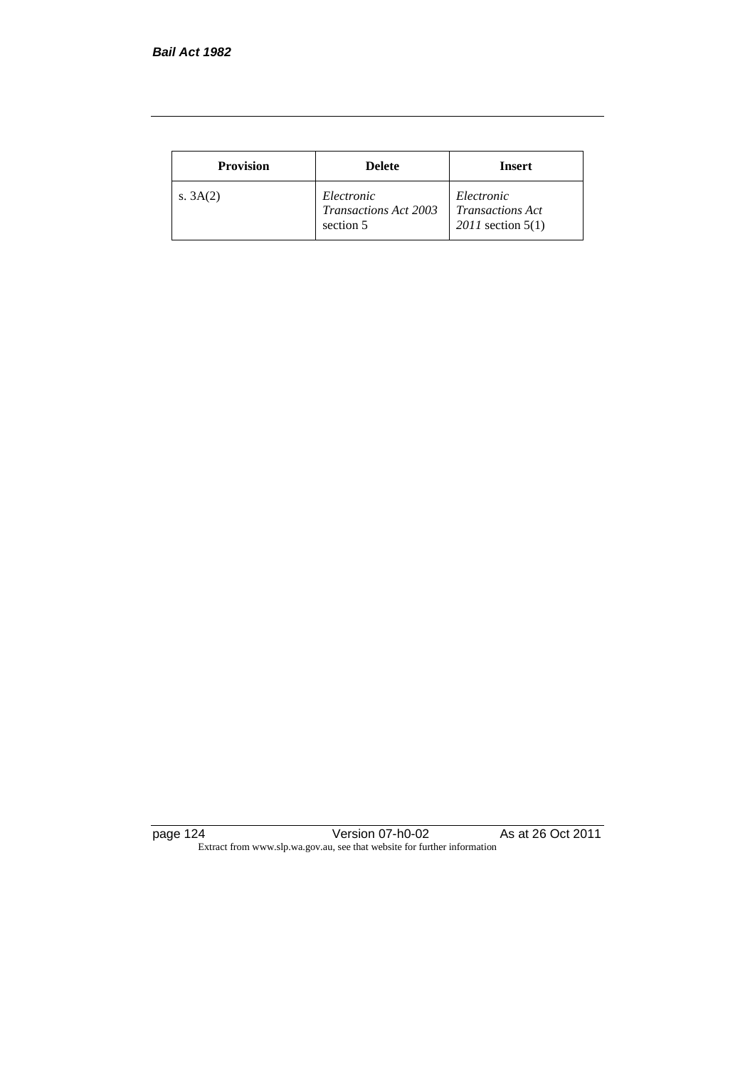| <b>Provision</b> | <b>Delete</b>                                    | <b>Insert</b>                                                  |
|------------------|--------------------------------------------------|----------------------------------------------------------------|
| s. $3A(2)$       | Electronic<br>Transactions Act 2003<br>section 5 | Electronic<br><b>Transactions Act</b><br>$2011$ section $5(1)$ |

page 124 Version 07-h0-02 As at 26 Oct 2011 Extract from www.slp.wa.gov.au, see that website for further information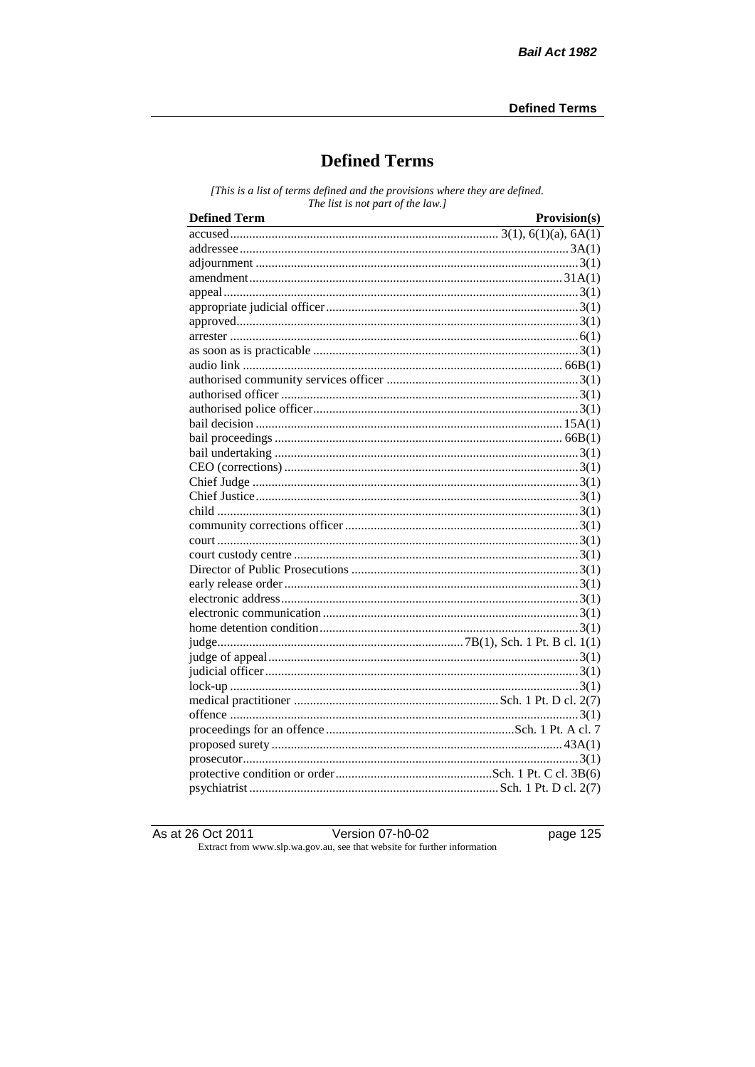# **Defined Terms**

[This is a list of terms defined and the provisions where they are defined. The list is not part of the law.]

| <b>Defined Term</b> | Provision(s) |
|---------------------|--------------|
|                     |              |
|                     |              |
|                     |              |
|                     |              |
|                     |              |
|                     |              |
|                     |              |
|                     |              |
|                     |              |
|                     |              |
|                     |              |
|                     |              |
|                     |              |
|                     |              |
|                     |              |
|                     |              |
|                     |              |
|                     |              |
|                     |              |
|                     |              |
|                     |              |
|                     |              |
|                     |              |
|                     |              |
|                     |              |
|                     |              |
|                     |              |
|                     |              |
|                     |              |
|                     |              |
|                     |              |
|                     |              |
|                     |              |
|                     |              |
|                     |              |
|                     |              |
|                     |              |
|                     |              |
|                     |              |

As at 26 Oct 2011

Version 07-h0-02

page  $125$ 

Extract from www.slp.wa.gov.au, see that website for further information